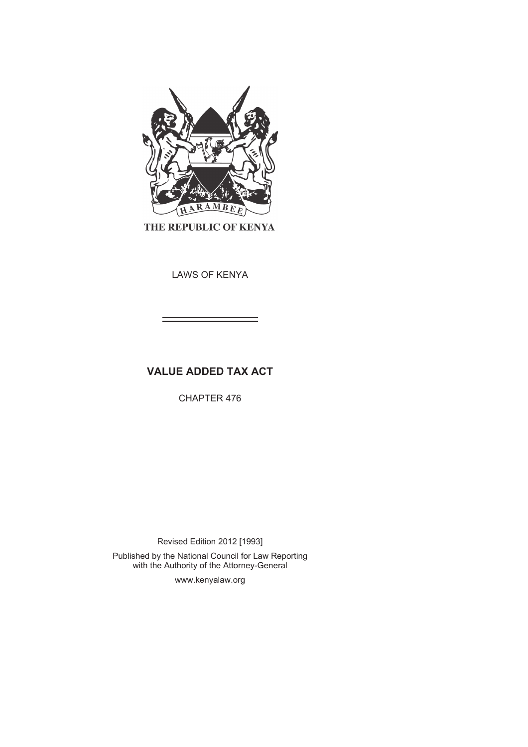

THE REPUBLIC OF KENYA

LAWS OF KENYA

# **VALUE ADDED TAX ACT**

CHAPTER 476

Revised Edition 2012 [1993]

Published by the National Council for Law Reporting with the Authority of the Attorney-General

www.kenyalaw.org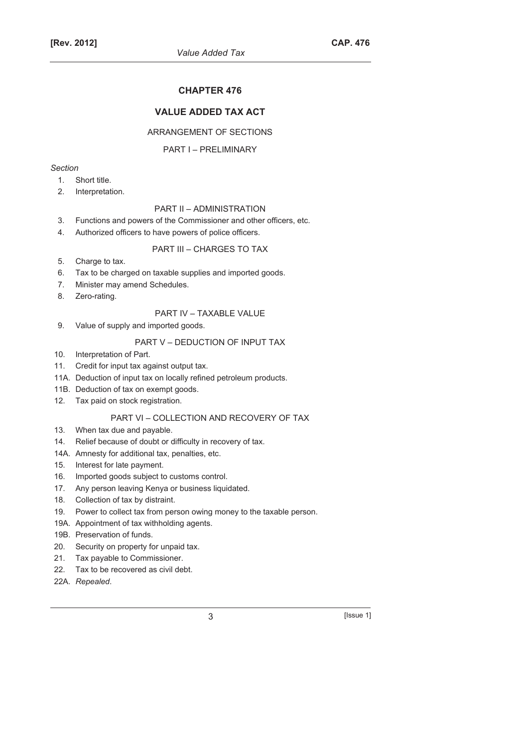# **CHAPTER 476**

# **VALUE ADDED TAX ACT**

### ARRANGEMENT OF SECTIONS

#### PART I – PRELIMINARY

### *Section*

- 1. Short title.
- 2. Interpretation.

# PART II – ADMINISTRATION

- 3. Functions and powers of the Commissioner and other officers, etc.
- 4. Authorized officers to have powers of police officers.

#### PART III – CHARGES TO TAX

- 5. Charge to tax.
- 6. Tax to be charged on taxable supplies and imported goods.
- 7. Minister may amend Schedules.
- 8. Zero-rating.

#### PART IV – TAXABLE VALUE

9. Value of supply and imported goods.

#### PART V – DEDUCTION OF INPUT TAX

- 10. Interpretation of Part.
- 11. Credit for input tax against output tax.
- 11A. Deduction of input tax on locally refined petroleum products.
- 11B. Deduction of tax on exempt goods.
- 12. Tax paid on stock registration.

### PART VI – COLLECTION AND RECOVERY OF TAX

- 13. When tax due and payable.
- 14. Relief because of doubt or difficulty in recovery of tax.
- 14A. Amnesty for additional tax, penalties, etc.
- 15. Interest for late payment.
- 16. Imported goods subject to customs control.
- 17. Any person leaving Kenya or business liquidated.
- 18. Collection of tax by distraint.
- 19. Power to collect tax from person owing money to the taxable person.
- 19A. Appointment of tax withholding agents.
- 19B. Preservation of funds.
- 20. Security on property for unpaid tax.
- 21. Tax payable to Commissioner.
- 22. Tax to be recovered as civil debt.
- 22A. *Repealed*.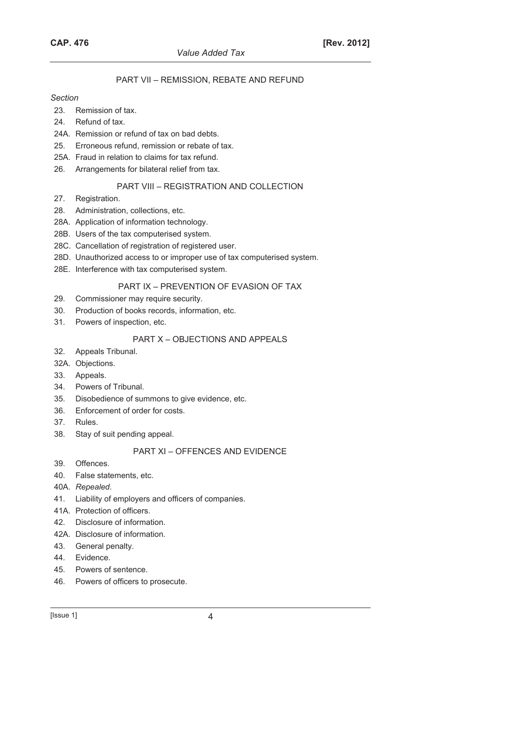# PART VII – REMISSION, REBATE AND REFUND

#### *Section*

- 23. Remission of tax.
- 24. Refund of tax.
- 24A. Remission or refund of tax on bad debts.
- 25. Erroneous refund, remission or rebate of tax.
- 25A. Fraud in relation to claims for tax refund.
- 26. Arrangements for bilateral relief from tax.

#### PART VIII – REGISTRATION AND COLLECTION

- 27. Registration.
- 28. Administration, collections, etc.
- 28A. Application of information technology.
- 28B. Users of the tax computerised system.
- 28C. Cancellation of registration of registered user.
- 28D. Unauthorized access to or improper use of tax computerised system.
- 28E. Interference with tax computerised system.

# PART IX – PREVENTION OF EVASION OF TAX

- 29. Commissioner may require security.
- 30. Production of books records, information, etc.
- 31. Powers of inspection, etc.

# PART X – OBJECTIONS AND APPEALS

- 32. Appeals Tribunal.
- 32A. Objections.
- 33. Appeals.
- 34. Powers of Tribunal.
- 35. Disobedience of summons to give evidence, etc.
- 36. Enforcement of order for costs.
- 37. Rules.
- 38. Stay of suit pending appeal.

### PART XI – OFFENCES AND EVIDENCE

- 39. Offences.
- 40. False statements, etc.
- 40A. *Repealed*.
- 41. Liability of employers and officers of companies.
- 41A. Protection of officers.
- 42. Disclosure of information.
- 42A. Disclosure of information.
- 43. General penalty.
- 44. Evidence.
- 45. Powers of sentence.
- 46. Powers of officers to prosecute.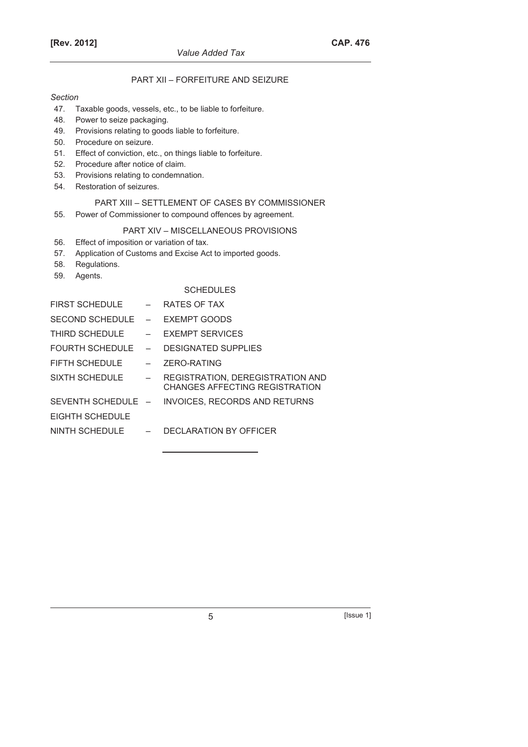# PART XII – FORFEITURE AND SEIZURE

#### *Section*

- 47. Taxable goods, vessels, etc., to be liable to forfeiture.
- 48. Power to seize packaging.
- 49. Provisions relating to goods liable to forfeiture.
- 50. Procedure on seizure.
- 51. Effect of conviction, etc., on things liable to forfeiture.
- 52. Procedure after notice of claim.
- 53. Provisions relating to condemnation.
- 54. Restoration of seizures.

# PART XIII – SETTLEMENT OF CASES BY COMMISSIONER

55. Power of Commissioner to compound offences by agreement.

### PART XIV – MISCELLANEOUS PROVISIONS

- 56. Effect of imposition or variation of tax.
- 57. Application of Customs and Excise Act to imported goods.
- 58. Regulations.
- 59. Agents.

### **SCHEDULES**

| FIRST SCHEDULE         | $-$        | RATES OF TAX                                                                     |
|------------------------|------------|----------------------------------------------------------------------------------|
| $SFCOND$ SCHEDULE $-$  |            | <b>EXEMPT GOODS</b>                                                              |
| THIRD SCHEDULE         |            | $-$ FXFMPT SFRVICES                                                              |
| <b>FOURTH SCHEDULE</b> | $\sim$ $-$ | <b>DESIGNATED SUPPLIES</b>                                                       |
| FIFTH SCHEDULE         |            | ZERO-RATING                                                                      |
| SIXTH SCHEDULE         | $-$        | <b>REGISTRATION, DEREGISTRATION AND</b><br><b>CHANGES AFFECTING REGISTRATION</b> |
|                        |            | SEVENTH SCHEDULE - INVOICES, RECORDS AND RETURNS                                 |
| FIGHTH SCHEDUI F       |            |                                                                                  |
| NINTH SCHEDULE $-$     |            | DECLARATION BY OFFICER                                                           |
|                        |            |                                                                                  |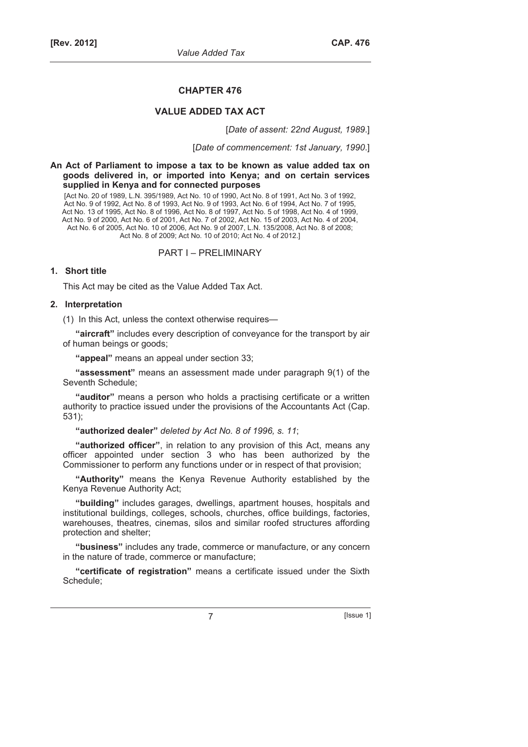#### **CHAPTER 476**

### **VALUE ADDED TAX ACT**

[*Date of assent: 22nd August, 1989*.]

[*Date of commencement: 1st January, 1990*.]

**An Act of Parliament to impose a tax to be known as value added tax on goods delivered in, or imported into Kenya; and on certain services supplied in Kenya and for connected purposes** 

[Act No. 20 of 1989, L.N. 395/1989, Act No. 10 of 1990, Act No. 8 of 1991, Act No. 3 of 1992, Act No. 9 of 1992, Act No. 8 of 1993, Act No. 9 of 1993, Act No. 6 of 1994, Act No. 7 of 1995, Act No. 13 of 1995, Act No. 8 of 1996, Act No. 8 of 1997, Act No. 5 of 1998, Act No. 4 of 1999, Act No. 9 of 2000, Act No. 6 of 2001, Act No. 7 of 2002, Act No. 15 of 2003, Act No. 4 of 2004, Act No. 6 of 2005, Act No. 10 of 2006, Act No. 9 of 2007, L.N. 135/2008, Act No. 8 of 2008; Act No. 8 of 2009; Act No. 10 of 2010; Act No. 4 of 2012.]

PART I – PRELIMINARY

### **1. Short title**

This Act may be cited as the Value Added Tax Act.

#### **2. Interpretation**

(1) In this Act, unless the context otherwise requires—

**"aircraft"** includes every description of conveyance for the transport by air of human beings or goods;

**"appeal"** means an appeal under section 33;

**"assessment"** means an assessment made under paragraph 9(1) of the Seventh Schedule;

**"auditor"** means a person who holds a practising certificate or a written authority to practice issued under the provisions of the Accountants Act (Cap. 531);

**"authorized dealer"** *deleted by Act No. 8 of 1996, s. 11*;

**"authorized officer"**, in relation to any provision of this Act, means any officer appointed under section 3 who has been authorized by the Commissioner to perform any functions under or in respect of that provision;

**"Authority"** means the Kenya Revenue Authority established by the Kenya Revenue Authority Act;

**"building"** includes garages, dwellings, apartment houses, hospitals and institutional buildings, colleges, schools, churches, office buildings, factories, warehouses, theatres, cinemas, silos and similar roofed structures affording protection and shelter;

**"business"** includes any trade, commerce or manufacture, or any concern in the nature of trade, commerce or manufacture;

**"certificate of registration"** means a certificate issued under the Sixth Schedule;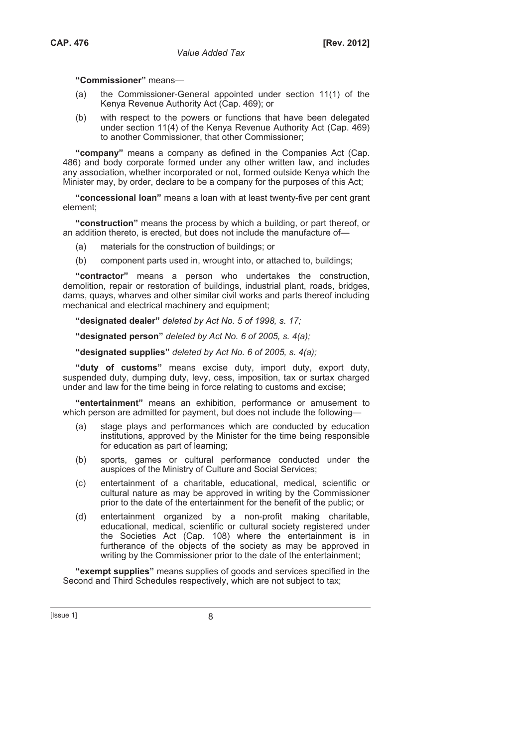**"Commissioner"** means—

- (a) the Commissioner-General appointed under section 11(1) of the Kenya Revenue Authority Act (Cap. 469); or
- (b) with respect to the powers or functions that have been delegated under section 11(4) of the Kenya Revenue Authority Act (Cap. 469) to another Commissioner, that other Commissioner;

**"company"** means a company as defined in the Companies Act (Cap. 486) and body corporate formed under any other written law, and includes any association, whether incorporated or not, formed outside Kenya which the Minister may, by order, declare to be a company for the purposes of this Act;

**"concessional loan"** means a loan with at least twenty-five per cent grant element;

**"construction"** means the process by which a building, or part thereof, or an addition thereto, is erected, but does not include the manufacture of—

- (a) materials for the construction of buildings; or
- (b) component parts used in, wrought into, or attached to, buildings;

**"contractor"** means a person who undertakes the construction, demolition, repair or restoration of buildings, industrial plant, roads, bridges, dams, quays, wharves and other similar civil works and parts thereof including mechanical and electrical machinery and equipment;

**"designated dealer"** *deleted by Act No. 5 of 1998, s. 17;*

**"designated person"** *deleted by Act No. 6 of 2005, s. 4(a);*

**"designated supplies"** *deleted by Act No. 6 of 2005, s. 4(a);*

**"duty of customs"** means excise duty, import duty, export duty, suspended duty, dumping duty, levy, cess, imposition, tax or surtax charged under and law for the time being in force relating to customs and excise;

**"entertainment"** means an exhibition, performance or amusement to which person are admitted for payment, but does not include the following—

- (a) stage plays and performances which are conducted by education institutions, approved by the Minister for the time being responsible for education as part of learning;
- (b) sports, games or cultural performance conducted under the auspices of the Ministry of Culture and Social Services;
- (c) entertainment of a charitable, educational, medical, scientific or cultural nature as may be approved in writing by the Commissioner prior to the date of the entertainment for the benefit of the public; or
- (d) entertainment organized by a non-profit making charitable, educational, medical, scientific or cultural society registered under the Societies Act (Cap. 108) where the entertainment is in furtherance of the objects of the society as may be approved in writing by the Commissioner prior to the date of the entertainment;

**"exempt supplies"** means supplies of goods and services specified in the Second and Third Schedules respectively, which are not subject to tax;

 $[|$ Ssue 1 $|$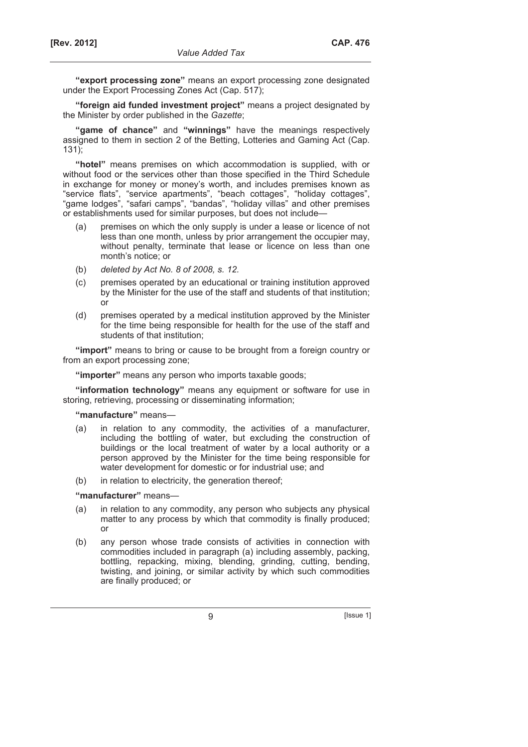**"export processing zone"** means an export processing zone designated under the Export Processing Zones Act (Cap. 517);

**"foreign aid funded investment project"** means a project designated by the Minister by order published in the *Gazette*;

**"game of chance"** and **"winnings"** have the meanings respectively assigned to them in section 2 of the Betting, Lotteries and Gaming Act (Cap. 131);

**"hotel"** means premises on which accommodation is supplied, with or without food or the services other than those specified in the Third Schedule in exchange for money or money's worth, and includes premises known as "service flats", "service apartments", "beach cottages", "holiday cottages", "game lodges", "safari camps", "bandas", "holiday villas" and other premises or establishments used for similar purposes, but does not include—

- (a) premises on which the only supply is under a lease or licence of not less than one month, unless by prior arrangement the occupier may, without penalty, terminate that lease or licence on less than one month's notice; or
- (b) *deleted by Act No. 8 of 2008, s. 12.*
- (c) premises operated by an educational or training institution approved by the Minister for the use of the staff and students of that institution; or
- (d) premises operated by a medical institution approved by the Minister for the time being responsible for health for the use of the staff and students of that institution;

**"import"** means to bring or cause to be brought from a foreign country or from an export processing zone;

**"importer"** means any person who imports taxable goods;

**"information technology"** means any equipment or software for use in storing, retrieving, processing or disseminating information;

**"manufacture"** means—

- (a) in relation to any commodity, the activities of a manufacturer, including the bottling of water, but excluding the construction of buildings or the local treatment of water by a local authority or a person approved by the Minister for the time being responsible for water development for domestic or for industrial use; and
	- (b) in relation to electricity, the generation thereof;

**"manufacturer"** means—

- (a) in relation to any commodity, any person who subjects any physical matter to any process by which that commodity is finally produced; or
- (b) any person whose trade consists of activities in connection with commodities included in paragraph (a) including assembly, packing, bottling, repacking, mixing, blending, grinding, cutting, bending, twisting, and joining, or similar activity by which such commodities are finally produced; or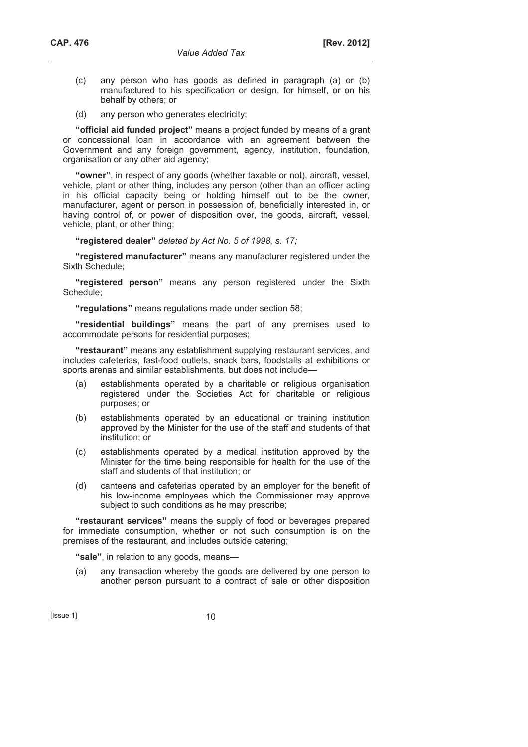- (c) any person who has goods as defined in paragraph (a) or (b) manufactured to his specification or design, for himself, or on his behalf by others; or
- (d) any person who generates electricity;

**"official aid funded project"** means a project funded by means of a grant or concessional loan in accordance with an agreement between the Government and any foreign government, agency, institution, foundation, organisation or any other aid agency;

**"owner"**, in respect of any goods (whether taxable or not), aircraft, vessel, vehicle, plant or other thing, includes any person (other than an officer acting in his official capacity being or holding himself out to be the owner, manufacturer, agent or person in possession of, beneficially interested in, or having control of, or power of disposition over, the goods, aircraft, vessel, vehicle, plant, or other thing;

**"registered dealer"** *deleted by Act No. 5 of 1998, s. 17;*

**"registered manufacturer"** means any manufacturer registered under the Sixth Schedule;

**"registered person"** means any person registered under the Sixth Schedule;

**"regulations"** means regulations made under section 58;

**"residential buildings"** means the part of any premises used to accommodate persons for residential purposes;

**"restaurant"** means any establishment supplying restaurant services, and includes cafeterias, fast-food outlets, snack bars, foodstalls at exhibitions or sports arenas and similar establishments, but does not include—

- (a) establishments operated by a charitable or religious organisation registered under the Societies Act for charitable or religious purposes; or
- (b) establishments operated by an educational or training institution approved by the Minister for the use of the staff and students of that institution; or
- (c) establishments operated by a medical institution approved by the Minister for the time being responsible for health for the use of the staff and students of that institution; or
- (d) canteens and cafeterias operated by an employer for the benefit of his low-income employees which the Commissioner may approve subject to such conditions as he may prescribe;

**"restaurant services"** means the supply of food or beverages prepared for immediate consumption, whether or not such consumption is on the premises of the restaurant, and includes outside catering;

**"sale"**, in relation to any goods, means—

 (a) any transaction whereby the goods are delivered by one person to another person pursuant to a contract of sale or other disposition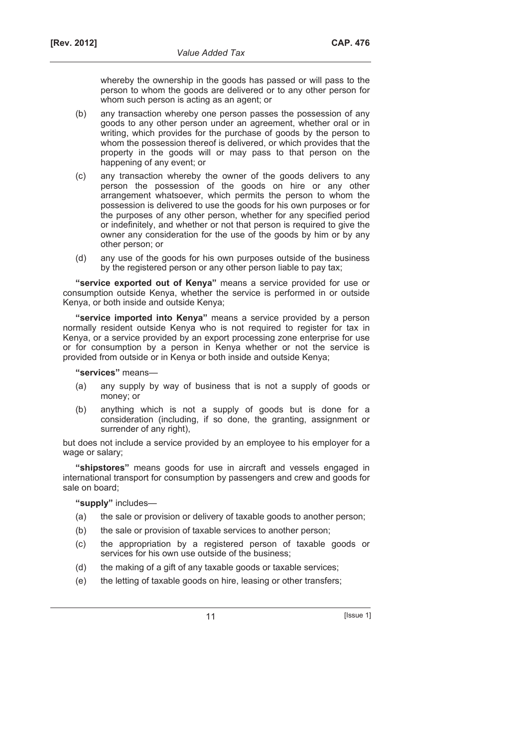whereby the ownership in the goods has passed or will pass to the person to whom the goods are delivered or to any other person for whom such person is acting as an agent; or

- (b) any transaction whereby one person passes the possession of any goods to any other person under an agreement, whether oral or in writing, which provides for the purchase of goods by the person to whom the possession thereof is delivered, or which provides that the property in the goods will or may pass to that person on the happening of any event; or
- (c) any transaction whereby the owner of the goods delivers to any person the possession of the goods on hire or any other arrangement whatsoever, which permits the person to whom the possession is delivered to use the goods for his own purposes or for the purposes of any other person, whether for any specified period or indefinitely, and whether or not that person is required to give the owner any consideration for the use of the goods by him or by any other person; or
- (d) any use of the goods for his own purposes outside of the business by the registered person or any other person liable to pay tax;

**"service exported out of Kenya"** means a service provided for use or consumption outside Kenya, whether the service is performed in or outside Kenya, or both inside and outside Kenya;

**"service imported into Kenya"** means a service provided by a person normally resident outside Kenya who is not required to register for tax in Kenya, or a service provided by an export processing zone enterprise for use or for consumption by a person in Kenya whether or not the service is provided from outside or in Kenya or both inside and outside Kenya;

**"services"** means—

- (a) any supply by way of business that is not a supply of goods or money; or
- (b) anything which is not a supply of goods but is done for a consideration (including, if so done, the granting, assignment or surrender of any right),

but does not include a service provided by an employee to his employer for a wage or salary;

**"shipstores"** means goods for use in aircraft and vessels engaged in international transport for consumption by passengers and crew and goods for sale on board;

**"supply"** includes—

- (a) the sale or provision or delivery of taxable goods to another person;
- (b) the sale or provision of taxable services to another person;
- (c) the appropriation by a registered person of taxable goods or services for his own use outside of the business;
- (d) the making of a gift of any taxable goods or taxable services;
- (e) the letting of taxable goods on hire, leasing or other transfers;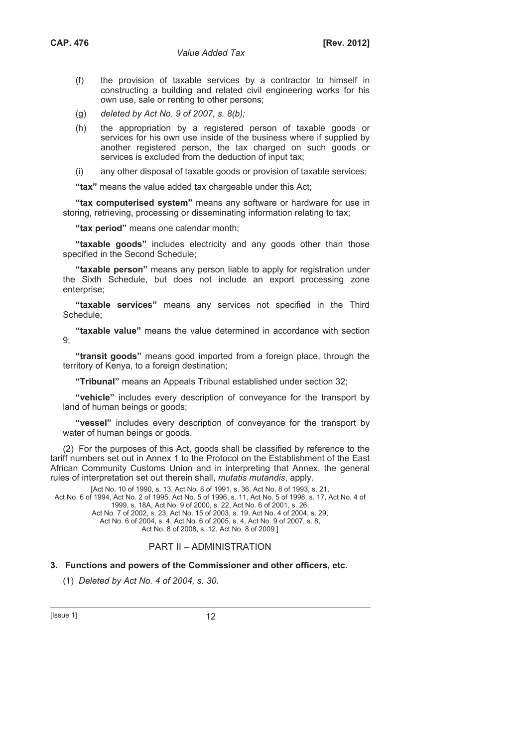- (f) the provision of taxable services by a contractor to himself in constructing a building and related civil engineering works for his own use, sale or renting to other persons;
- (g) *deleted by Act No. 9 of 2007, s. 8(b);*
- (h) the appropriation by a registered person of taxable goods or services for his own use inside of the business where if supplied by another registered person, the tax charged on such goods or services is excluded from the deduction of input tax;
- (i) any other disposal of taxable goods or provision of taxable services;

**"tax"** means the value added tax chargeable under this Act;

**"tax computerised system"** means any software or hardware for use in storing, retrieving, processing or disseminating information relating to tax;

**"tax period"** means one calendar month;

**"taxable goods"** includes electricity and any goods other than those specified in the Second Schedule;

**"taxable person"** means any person liable to apply for registration under the Sixth Schedule, but does not include an export processing zone enterprise:

**"taxable services"** means any services not specified in the Third Schedule;

**"taxable value"** means the value determined in accordance with section 9;

**"transit goods"** means good imported from a foreign place, through the territory of Kenya, to a foreign destination;

**"Tribunal"** means an Appeals Tribunal established under section 32;

**"vehicle"** includes every description of conveyance for the transport by land of human beings or goods;

**"vessel"** includes every description of conveyance for the transport by water of human beings or goods.

(2) For the purposes of this Act, goods shall be classified by reference to the tariff numbers set out in Annex 1 to the Protocol on the Establishment of the East African Community Customs Union and in interpreting that Annex, the general rules of interpretation set out therein shall, *mutatis mutandis*, apply.

[Act No. 10 of 1990, s. 13, Act No. 8 of 1991, s. 36, Act No. 8 of 1993, s. 21, Act No. 6 of 1994, Act No. 2 of 1995, Act No. 5 of 1996, s. 11, Act No. 5 of 1998, s. 17, Act No. 4 of 1999, s. 18A, Act No. 9 of 2000, s. 22, Act No. 6 of 2001, s. 26, Act No. 7 of 2002, s. 23, Act No. 15 of 2003, s. 19, Act No. 4 of 2004, s. 29, Act No. 6 of 2004, s. 4, Act No. 6 of 2005, s. 4, Act No. 9 of 2007, s. 8, Act No. 8 of 2008, s. 12, Act No. 8 of 2009.]

# PART II – ADMINISTRATION

#### **3. Functions and powers of the Commissioner and other officers, etc.**

(1) *Deleted by Act No. 4 of 2004, s. 30.*

 $[|$  Issue 1 $|$  12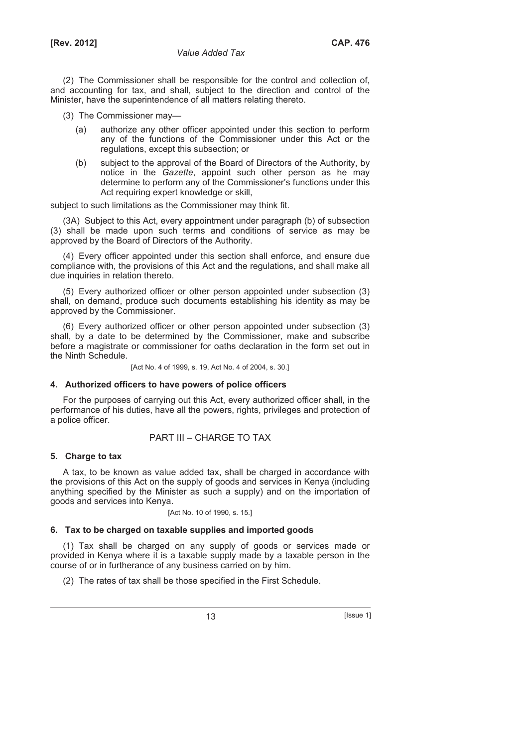(2) The Commissioner shall be responsible for the control and collection of, and accounting for tax, and shall, subject to the direction and control of the Minister, have the superintendence of all matters relating thereto.

- (3) The Commissioner may—
	- (a) authorize any other officer appointed under this section to perform any of the functions of the Commissioner under this Act or the regulations, except this subsection; or
	- (b) subject to the approval of the Board of Directors of the Authority, by notice in the *Gazette*, appoint such other person as he may determine to perform any of the Commissioner's functions under this Act requiring expert knowledge or skill,

subject to such limitations as the Commissioner may think fit.

(3A) Subject to this Act, every appointment under paragraph (b) of subsection (3) shall be made upon such terms and conditions of service as may be approved by the Board of Directors of the Authority.

(4) Every officer appointed under this section shall enforce, and ensure due compliance with, the provisions of this Act and the regulations, and shall make all due inquiries in relation thereto.

(5) Every authorized officer or other person appointed under subsection (3) shall, on demand, produce such documents establishing his identity as may be approved by the Commissioner.

(6) Every authorized officer or other person appointed under subsection (3) shall, by a date to be determined by the Commissioner, make and subscribe before a magistrate or commissioner for oaths declaration in the form set out in the Ninth Schedule.

[Act No. 4 of 1999, s. 19, Act No. 4 of 2004, s. 30.]

# **4. Authorized officers to have powers of police officers**

For the purposes of carrying out this Act, every authorized officer shall, in the performance of his duties, have all the powers, rights, privileges and protection of a police officer.

# PART III – CHARGE TO TAX

# **5. Charge to tax**

A tax, to be known as value added tax, shall be charged in accordance with the provisions of this Act on the supply of goods and services in Kenya (including anything specified by the Minister as such a supply) and on the importation of goods and services into Kenya.

[Act No. 10 of 1990, s. 15.]

# **6. Tax to be charged on taxable supplies and imported goods**

(1) Tax shall be charged on any supply of goods or services made or provided in Kenya where it is a taxable supply made by a taxable person in the course of or in furtherance of any business carried on by him.

(2) The rates of tax shall be those specified in the First Schedule.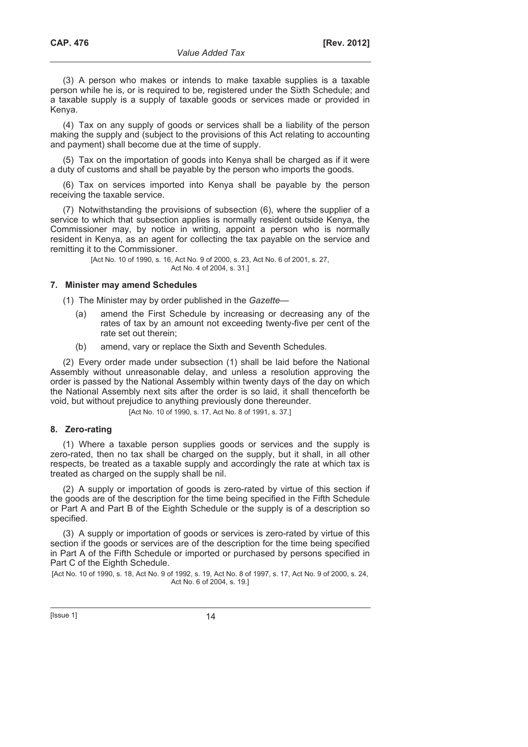(3) A person who makes or intends to make taxable supplies is a taxable person while he is, or is required to be, registered under the Sixth Schedule; and a taxable supply is a supply of taxable goods or services made or provided in Kenya.

(4) Tax on any supply of goods or services shall be a liability of the person making the supply and (subject to the provisions of this Act relating to accounting and payment) shall become due at the time of supply.

(5) Tax on the importation of goods into Kenya shall be charged as if it were a duty of customs and shall be payable by the person who imports the goods.

(6) Tax on services imported into Kenya shall be payable by the person receiving the taxable service.

(7) Notwithstanding the provisions of subsection (6), where the supplier of a service to which that subsection applies is normally resident outside Kenya, the Commissioner may, by notice in writing, appoint a person who is normally resident in Kenya, as an agent for collecting the tax payable on the service and remitting it to the Commissioner.

> [Act No. 10 of 1990, s. 16, Act No. 9 of 2000, s. 23, Act No. 6 of 2001, s. 27, Act No. 4 of 2004, s. 31.]

# **7. Minister may amend Schedules**

(1) The Minister may by order published in the *Gazette*—

- (a) amend the First Schedule by increasing or decreasing any of the rates of tax by an amount not exceeding twenty-five per cent of the rate set out therein;
- (b) amend, vary or replace the Sixth and Seventh Schedules.

(2) Every order made under subsection (1) shall be laid before the National Assembly without unreasonable delay, and unless a resolution approving the order is passed by the National Assembly within twenty days of the day on which the National Assembly next sits after the order is so laid, it shall thenceforth be void, but without prejudice to anything previously done thereunder.

[Act No. 10 of 1990, s. 17, Act No. 8 of 1991, s. 37.]

#### **8. Zero-rating**

(1) Where a taxable person supplies goods or services and the supply is zero-rated, then no tax shall be charged on the supply, but it shall, in all other respects, be treated as a taxable supply and accordingly the rate at which tax is treated as charged on the supply shall be nil.

(2) A supply or importation of goods is zero-rated by virtue of this section if the goods are of the description for the time being specified in the Fifth Schedule or Part A and Part B of the Eighth Schedule or the supply is of a description so specified.

(3) A supply or importation of goods or services is zero-rated by virtue of this section if the goods or services are of the description for the time being specified in Part A of the Fifth Schedule or imported or purchased by persons specified in Part C of the Eighth Schedule.

[Act No. 10 of 1990, s. 18, Act No. 9 of 1992, s. 19, Act No. 8 of 1997, s. 17, Act No. 9 of 2000, s. 24, Act No. 6 of 2004, s. 19.]

 $[|$ Ssue 1 $]$  14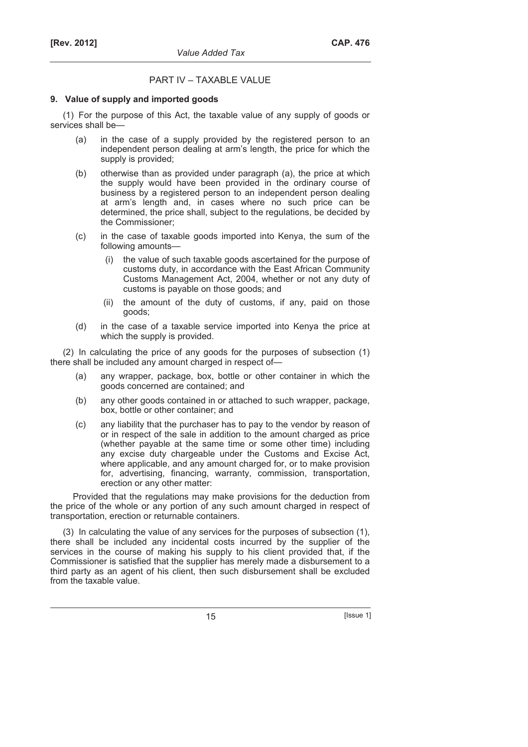# PART IV – TAXABLE VALUE

### **9. Value of supply and imported goods**

(1) For the purpose of this Act, the taxable value of any supply of goods or services shall be—

- (a) in the case of a supply provided by the registered person to an independent person dealing at arm's length, the price for which the supply is provided;
- (b) otherwise than as provided under paragraph (a), the price at which the supply would have been provided in the ordinary course of business by a registered person to an independent person dealing at arm's length and, in cases where no such price can be determined, the price shall, subject to the regulations, be decided by the Commissioner;
- (c) in the case of taxable goods imported into Kenya, the sum of the following amounts—
	- (i) the value of such taxable goods ascertained for the purpose of customs duty, in accordance with the East African Community Customs Management Act, 2004, whether or not any duty of customs is payable on those goods; and
	- (ii) the amount of the duty of customs, if any, paid on those goods;
- (d) in the case of a taxable service imported into Kenya the price at which the supply is provided.

(2) In calculating the price of any goods for the purposes of subsection (1) there shall be included any amount charged in respect of—

- (a) any wrapper, package, box, bottle or other container in which the goods concerned are contained; and
- (b) any other goods contained in or attached to such wrapper, package, box, bottle or other container; and
- (c) any liability that the purchaser has to pay to the vendor by reason of or in respect of the sale in addition to the amount charged as price (whether payable at the same time or some other time) including any excise duty chargeable under the Customs and Excise Act, where applicable, and any amount charged for, or to make provision for, advertising, financing, warranty, commission, transportation, erection or any other matter:

Provided that the regulations may make provisions for the deduction from the price of the whole or any portion of any such amount charged in respect of transportation, erection or returnable containers.

(3) In calculating the value of any services for the purposes of subsection (1), there shall be included any incidental costs incurred by the supplier of the services in the course of making his supply to his client provided that, if the Commissioner is satisfied that the supplier has merely made a disbursement to a third party as an agent of his client, then such disbursement shall be excluded from the taxable value.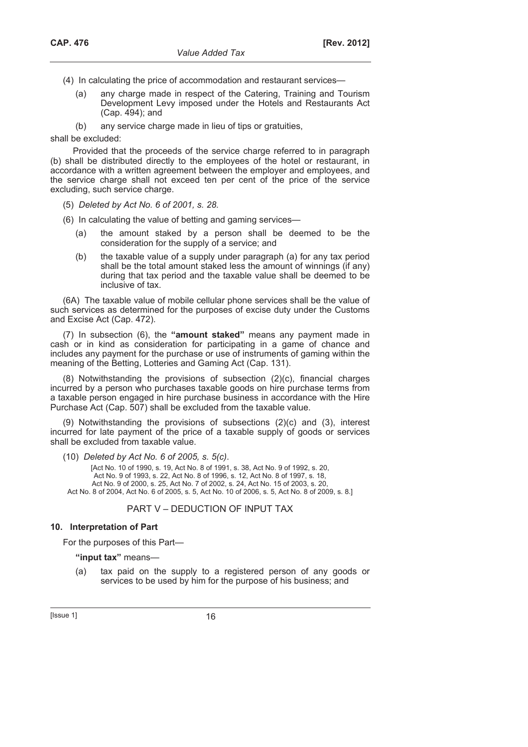- (4) In calculating the price of accommodation and restaurant services—
	- (a) any charge made in respect of the Catering, Training and Tourism Development Levy imposed under the Hotels and Restaurants Act (Cap. 494); and
	- (b) any service charge made in lieu of tips or gratuities,

shall be excluded:

Provided that the proceeds of the service charge referred to in paragraph (b) shall be distributed directly to the employees of the hotel or restaurant, in accordance with a written agreement between the employer and employees, and the service charge shall not exceed ten per cent of the price of the service excluding, such service charge.

(5) *Deleted by Act No. 6 of 2001, s. 28.*

(6) In calculating the value of betting and gaming services—

- (a) the amount staked by a person shall be deemed to be the consideration for the supply of a service; and
- (b) the taxable value of a supply under paragraph (a) for any tax period shall be the total amount staked less the amount of winnings (if any) during that tax period and the taxable value shall be deemed to be inclusive of tax.

(6A) The taxable value of mobile cellular phone services shall be the value of such services as determined for the purposes of excise duty under the Customs and Excise Act (Cap. 472).

(7) In subsection (6), the **"amount staked"** means any payment made in cash or in kind as consideration for participating in a game of chance and includes any payment for the purchase or use of instruments of gaming within the meaning of the Betting, Lotteries and Gaming Act (Cap. 131).

(8) Notwithstanding the provisions of subsection (2)(c), financial charges incurred by a person who purchases taxable goods on hire purchase terms from a taxable person engaged in hire purchase business in accordance with the Hire Purchase Act (Cap. 507) shall be excluded from the taxable value.

(9) Notwithstanding the provisions of subsections (2)(c) and (3), interest incurred for late payment of the price of a taxable supply of goods or services shall be excluded from taxable value.

(10) *Deleted by Act No. 6 of 2005, s. 5(c)*.

[Act No. 10 of 1990, s. 19, Act No. 8 of 1991, s. 38, Act No. 9 of 1992, s. 20, Act No. 9 of 1993, s. 22, Act No. 8 of 1996, s. 12, Act No. 8 of 1997, s. 18, Act No. 9 of 2000, s. 25, Act No. 7 of 2002, s. 24, Act No. 15 of 2003, s. 20, Act No. 8 of 2004, Act No. 6 of 2005, s. 5, Act No. 10 of 2006, s. 5, Act No. 8 of 2009, s. 8.]

# PART V – DEDUCTION OF INPUT TAX

### **10. Interpretation of Part**

For the purposes of this Part—

#### **"input tax"** means—

 (a) tax paid on the supply to a registered person of any goods or services to be used by him for the purpose of his business; and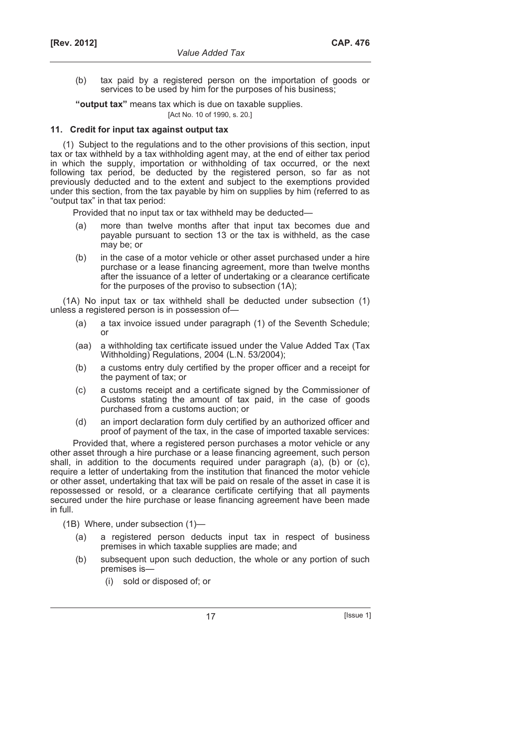(b) tax paid by a registered person on the importation of goods or services to be used by him for the purposes of his business;

**"output tax"** means tax which is due on taxable supplies.

#### [Act No. 10 of 1990, s. 20.]

# **11. Credit for input tax against output tax**

(1) Subject to the regulations and to the other provisions of this section, input tax or tax withheld by a tax withholding agent may, at the end of either tax period in which the supply, importation or withholding of tax occurred, or the next following tax period, be deducted by the registered person, so far as not previously deducted and to the extent and subject to the exemptions provided under this section, from the tax payable by him on supplies by him (referred to as "output tax" in that tax period:

Provided that no input tax or tax withheld may be deducted—

- (a) more than twelve months after that input tax becomes due and payable pursuant to section 13 or the tax is withheld, as the case may be; or
- (b) in the case of a motor vehicle or other asset purchased under a hire purchase or a lease financing agreement, more than twelve months after the issuance of a letter of undertaking or a clearance certificate for the purposes of the proviso to subsection (1A);

(1A) No input tax or tax withheld shall be deducted under subsection (1) unless a registered person is in possession of—

- (a) a tax invoice issued under paragraph (1) of the Seventh Schedule; or
- (aa) a withholding tax certificate issued under the Value Added Tax (Tax Withholding) Regulations, 2004 (L.N. 53/2004);
- (b) a customs entry duly certified by the proper officer and a receipt for the payment of tax; or
- (c) a customs receipt and a certificate signed by the Commissioner of Customs stating the amount of tax paid, in the case of goods purchased from a customs auction; or
- (d) an import declaration form duly certified by an authorized officer and proof of payment of the tax, in the case of imported taxable services:

Provided that, where a registered person purchases a motor vehicle or any other asset through a hire purchase or a lease financing agreement, such person shall, in addition to the documents required under paragraph (a), (b) or (c), require a letter of undertaking from the institution that financed the motor vehicle or other asset, undertaking that tax will be paid on resale of the asset in case it is repossessed or resold, or a clearance certificate certifying that all payments secured under the hire purchase or lease financing agreement have been made in full.

(1B) Where, under subsection (1)—

- (a) a registered person deducts input tax in respect of business premises in which taxable supplies are made; and
- (b) subsequent upon such deduction, the whole or any portion of such premises is—
	- (i) sold or disposed of; or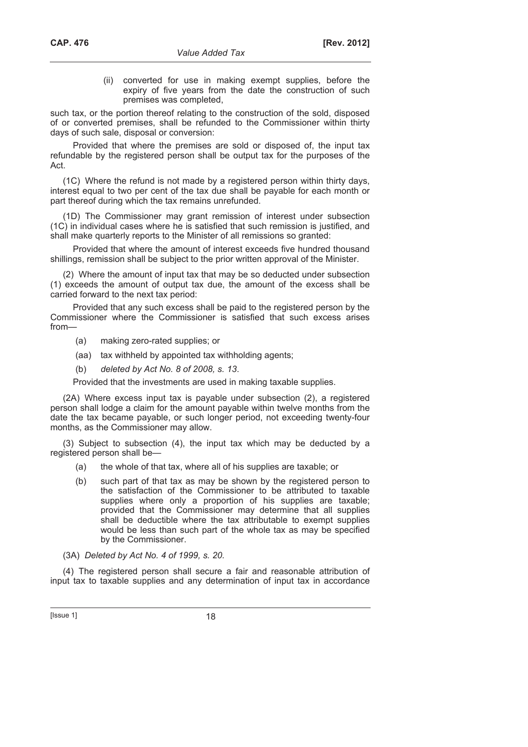(ii) converted for use in making exempt supplies, before the expiry of five years from the date the construction of such premises was completed,

such tax, or the portion thereof relating to the construction of the sold, disposed of or converted premises, shall be refunded to the Commissioner within thirty days of such sale, disposal or conversion:

Provided that where the premises are sold or disposed of, the input tax refundable by the registered person shall be output tax for the purposes of the Act.

(1C) Where the refund is not made by a registered person within thirty days, interest equal to two per cent of the tax due shall be payable for each month or part thereof during which the tax remains unrefunded.

(1D) The Commissioner may grant remission of interest under subsection (1C) in individual cases where he is satisfied that such remission is justified, and shall make quarterly reports to the Minister of all remissions so granted:

Provided that where the amount of interest exceeds five hundred thousand shillings, remission shall be subject to the prior written approval of the Minister.

(2) Where the amount of input tax that may be so deducted under subsection (1) exceeds the amount of output tax due, the amount of the excess shall be carried forward to the next tax period:

Provided that any such excess shall be paid to the registered person by the Commissioner where the Commissioner is satisfied that such excess arises from—

- (a) making zero-rated supplies; or
- (aa) tax withheld by appointed tax withholding agents;
- (b) *deleted by Act No. 8 of 2008, s. 13*.

Provided that the investments are used in making taxable supplies.

(2A) Where excess input tax is payable under subsection (2), a registered person shall lodge a claim for the amount payable within twelve months from the date the tax became payable, or such longer period, not exceeding twenty-four months, as the Commissioner may allow.

(3) Subject to subsection (4), the input tax which may be deducted by a registered person shall be—

- (a) the whole of that tax, where all of his supplies are taxable; or
- (b) such part of that tax as may be shown by the registered person to the satisfaction of the Commissioner to be attributed to taxable supplies where only a proportion of his supplies are taxable; provided that the Commissioner may determine that all supplies shall be deductible where the tax attributable to exempt supplies would be less than such part of the whole tax as may be specified by the Commissioner.

(3A) *Deleted by Act No. 4 of 1999, s. 20.*

(4) The registered person shall secure a fair and reasonable attribution of input tax to taxable supplies and any determination of input tax in accordance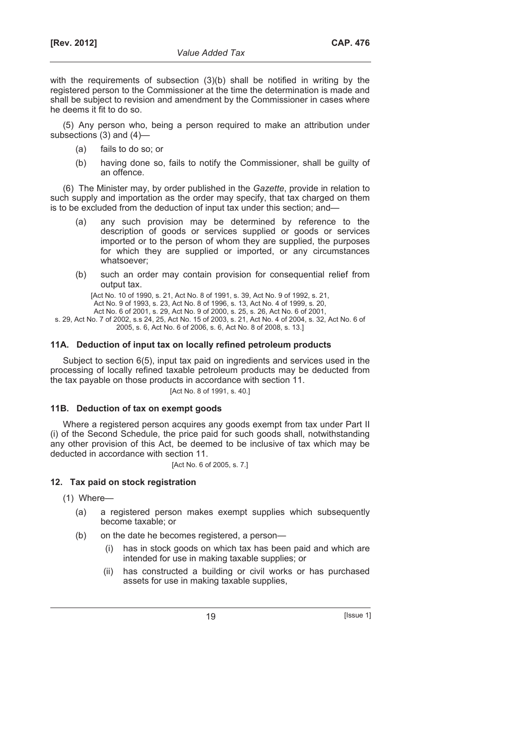with the requirements of subsection (3)(b) shall be notified in writing by the registered person to the Commissioner at the time the determination is made and shall be subject to revision and amendment by the Commissioner in cases where he deems it fit to do so.

(5) Any person who, being a person required to make an attribution under subsections (3) and (4)—

- (a) fails to do so; or
- (b) having done so, fails to notify the Commissioner, shall be guilty of an offence.

(6) The Minister may, by order published in the *Gazette*, provide in relation to such supply and importation as the order may specify, that tax charged on them is to be excluded from the deduction of input tax under this section; and—

- (a) any such provision may be determined by reference to the description of goods or services supplied or goods or services imported or to the person of whom they are supplied, the purposes for which they are supplied or imported, or any circumstances whatsoever;
- (b) such an order may contain provision for consequential relief from output tax.

[Act No. 10 of 1990, s. 21, Act No. 8 of 1991, s. 39, Act No. 9 of 1992, s. 21,

Act No. 9 of 1993, s. 23, Act No. 8 of 1996, s. 13, Act No. 4 of 1999, s. 20, Act No. 6 of 2001, s. 29, Act No. 9 of 2000, s. 25, s. 26, Act No. 6 of 2001,

s. 29, Act No. 7 of 2002, s.s 24, 25, Act No. 15 of 2003, s. 21, Act No. 4 of 2004, s. 32, Act No. 6 of 2005, s. 6, Act No. 6 of 2006, s. 6, Act No. 8 of 2008, s. 13.]

# **11A. Deduction of input tax on locally refined petroleum products**

Subject to section 6(5), input tax paid on ingredients and services used in the processing of locally refined taxable petroleum products may be deducted from the tax payable on those products in accordance with section 11.

[Act No. 8 of 1991, s. 40.]

# **11B. Deduction of tax on exempt goods**

Where a registered person acquires any goods exempt from tax under Part II (i) of the Second Schedule, the price paid for such goods shall, notwithstanding any other provision of this Act, be deemed to be inclusive of tax which may be deducted in accordance with section 11.

[Act No. 6 of 2005, s. 7.]

# **12. Tax paid on stock registration**

(1) Where—

- (a) a registered person makes exempt supplies which subsequently become taxable; or
- (b) on the date he becomes registered, a person—
	- (i) has in stock goods on which tax has been paid and which are intended for use in making taxable supplies; or
	- (ii) has constructed a building or civil works or has purchased assets for use in making taxable supplies,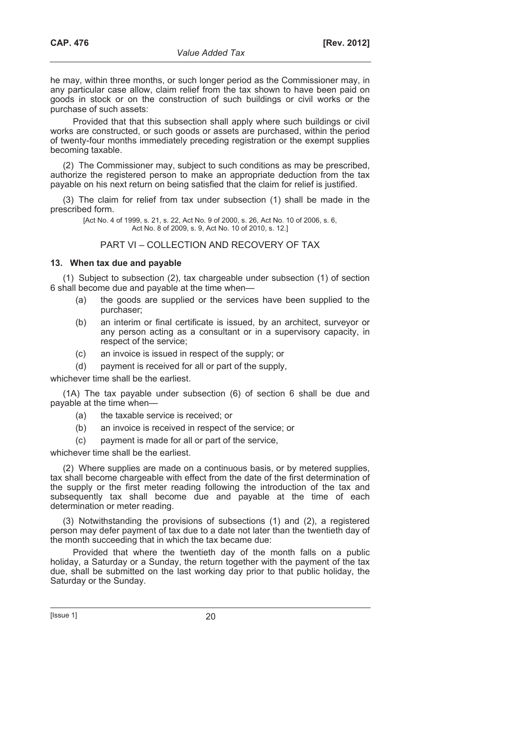he may, within three months, or such longer period as the Commissioner may, in any particular case allow, claim relief from the tax shown to have been paid on goods in stock or on the construction of such buildings or civil works or the purchase of such assets:

Provided that that this subsection shall apply where such buildings or civil works are constructed, or such goods or assets are purchased, within the period of twenty-four months immediately preceding registration or the exempt supplies becoming taxable.

(2) The Commissioner may, subject to such conditions as may be prescribed, authorize the registered person to make an appropriate deduction from the tax payable on his next return on being satisfied that the claim for relief is justified.

(3) The claim for relief from tax under subsection (1) shall be made in the prescribed form.

> [Act No. 4 of 1999, s. 21, s. 22, Act No. 9 of 2000, s. 26, Act No. 10 of 2006, s. 6, Act No. 8 of 2009, s. 9, Act No. 10 of 2010, s. 12.]

# PART VI – COLLECTION AND RECOVERY OF TAX

# **13. When tax due and payable**

(1) Subject to subsection (2), tax chargeable under subsection (1) of section 6 shall become due and payable at the time when—

- (a) the goods are supplied or the services have been supplied to the purchaser;
- (b) an interim or final certificate is issued, by an architect, surveyor or any person acting as a consultant or in a supervisory capacity, in respect of the service;
- (c) an invoice is issued in respect of the supply; or
- (d) payment is received for all or part of the supply,

whichever time shall be the earliest.

(1A) The tax payable under subsection (6) of section 6 shall be due and payable at the time when—

- (a) the taxable service is received; or
- (b) an invoice is received in respect of the service; or
- (c) payment is made for all or part of the service,

whichever time shall be the earliest.

(2) Where supplies are made on a continuous basis, or by metered supplies, tax shall become chargeable with effect from the date of the first determination of the supply or the first meter reading following the introduction of the tax and subsequently tax shall become due and payable at the time of each determination or meter reading.

(3) Notwithstanding the provisions of subsections (1) and (2), a registered person may defer payment of tax due to a date not later than the twentieth day of the month succeeding that in which the tax became due:

Provided that where the twentieth day of the month falls on a public holiday, a Saturday or a Sunday, the return together with the payment of the tax due, shall be submitted on the last working day prior to that public holiday, the Saturday or the Sunday.

[Issue 1] 20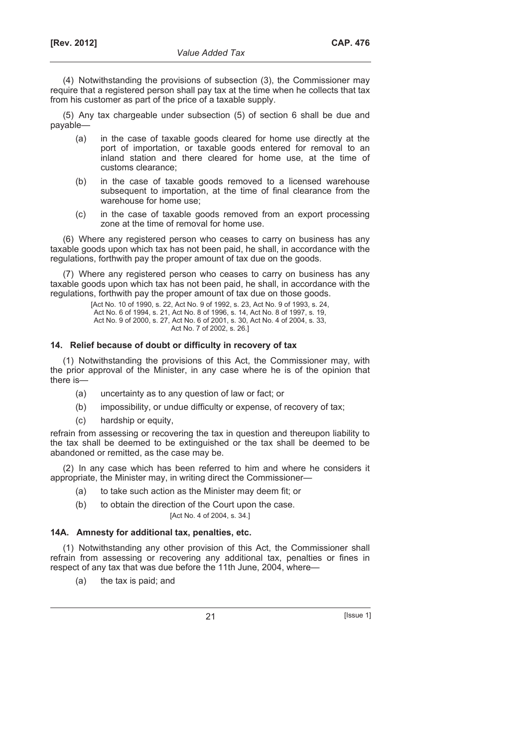(4) Notwithstanding the provisions of subsection (3), the Commissioner may require that a registered person shall pay tax at the time when he collects that tax from his customer as part of the price of a taxable supply.

(5) Any tax chargeable under subsection (5) of section 6 shall be due and payable—

- (a) in the case of taxable goods cleared for home use directly at the port of importation, or taxable goods entered for removal to an inland station and there cleared for home use, at the time of customs clearance;
- (b) in the case of taxable goods removed to a licensed warehouse subsequent to importation, at the time of final clearance from the warehouse for home use;
- (c) in the case of taxable goods removed from an export processing zone at the time of removal for home use.

(6) Where any registered person who ceases to carry on business has any taxable goods upon which tax has not been paid, he shall, in accordance with the regulations, forthwith pay the proper amount of tax due on the goods.

(7) Where any registered person who ceases to carry on business has any taxable goods upon which tax has not been paid, he shall, in accordance with the regulations, forthwith pay the proper amount of tax due on those goods.

[Act No. 10 of 1990, s. 22, Act No. 9 of 1992, s. 23, Act No. 9 of 1993, s. 24, Act No. 6 of 1994, s. 21, Act No. 8 of 1996, s. 14, Act No. 8 of 1997, s. 19, Act No. 9 of 2000, s. 27, Act No. 6 of 2001, s. 30, Act No. 4 of 2004, s. 33, Act No. 7 of 2002, s. 26.]

# **14. Relief because of doubt or difficulty in recovery of tax**

(1) Notwithstanding the provisions of this Act, the Commissioner may, with the prior approval of the Minister, in any case where he is of the opinion that there is—

- (a) uncertainty as to any question of law or fact; or
- (b) impossibility, or undue difficulty or expense, of recovery of tax;
- (c) hardship or equity,

refrain from assessing or recovering the tax in question and thereupon liability to the tax shall be deemed to be extinguished or the tax shall be deemed to be abandoned or remitted, as the case may be.

(2) In any case which has been referred to him and where he considers it appropriate, the Minister may, in writing direct the Commissioner—

- (a) to take such action as the Minister may deem fit; or
- (b) to obtain the direction of the Court upon the case. [Act No. 4 of 2004, s. 34.]

#### **14A. Amnesty for additional tax, penalties, etc.**

(1) Notwithstanding any other provision of this Act, the Commissioner shall refrain from assessing or recovering any additional tax, penalties or fines in respect of any tax that was due before the 11th June, 2004, where—

(a) the tax is paid; and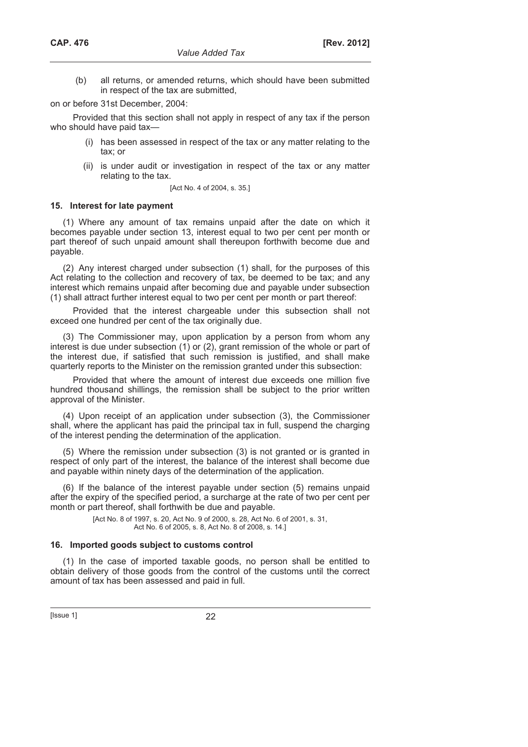(b) all returns, or amended returns, which should have been submitted in respect of the tax are submitted,

on or before 31st December, 2004:

Provided that this section shall not apply in respect of any tax if the person who should have paid tax-

- (i) has been assessed in respect of the tax or any matter relating to the tax; or
- (ii) is under audit or investigation in respect of the tax or any matter relating to the tax.

[Act No. 4 of 2004, s. 35.]

#### **15. Interest for late payment**

(1) Where any amount of tax remains unpaid after the date on which it becomes payable under section 13, interest equal to two per cent per month or part thereof of such unpaid amount shall thereupon forthwith become due and payable.

(2) Any interest charged under subsection (1) shall, for the purposes of this Act relating to the collection and recovery of tax, be deemed to be tax; and any interest which remains unpaid after becoming due and payable under subsection (1) shall attract further interest equal to two per cent per month or part thereof:

Provided that the interest chargeable under this subsection shall not exceed one hundred per cent of the tax originally due.

(3) The Commissioner may, upon application by a person from whom any interest is due under subsection (1) or (2), grant remission of the whole or part of the interest due, if satisfied that such remission is justified, and shall make quarterly reports to the Minister on the remission granted under this subsection:

Provided that where the amount of interest due exceeds one million five hundred thousand shillings, the remission shall be subject to the prior written approval of the Minister.

(4) Upon receipt of an application under subsection (3), the Commissioner shall, where the applicant has paid the principal tax in full, suspend the charging of the interest pending the determination of the application.

(5) Where the remission under subsection (3) is not granted or is granted in respect of only part of the interest, the balance of the interest shall become due and payable within ninety days of the determination of the application.

(6) If the balance of the interest payable under section (5) remains unpaid after the expiry of the specified period, a surcharge at the rate of two per cent per month or part thereof, shall forthwith be due and payable.

> [Act No. 8 of 1997, s. 20, Act No. 9 of 2000, s. 28, Act No. 6 of 2001, s. 31, Act No. 6 of 2005, s. 8, Act No. 8 of 2008, s. 14.]

#### **16. Imported goods subject to customs control**

(1) In the case of imported taxable goods, no person shall be entitled to obtain delivery of those goods from the control of the customs until the correct amount of tax has been assessed and paid in full.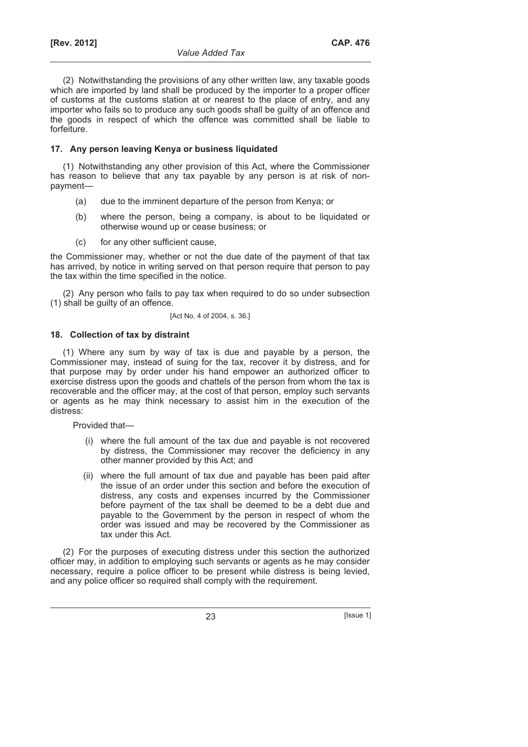(2) Notwithstanding the provisions of any other written law, any taxable goods which are imported by land shall be produced by the importer to a proper officer of customs at the customs station at or nearest to the place of entry, and any importer who fails so to produce any such goods shall be guilty of an offence and the goods in respect of which the offence was committed shall be liable to forfeiture.

# **17. Any person leaving Kenya or business liquidated**

(1) Notwithstanding any other provision of this Act, where the Commissioner has reason to believe that any tax payable by any person is at risk of nonpayment—

- (a) due to the imminent departure of the person from Kenya; or
- (b) where the person, being a company, is about to be liquidated or otherwise wound up or cease business; or
- (c) for any other sufficient cause,

the Commissioner may, whether or not the due date of the payment of that tax has arrived, by notice in writing served on that person require that person to pay the tax within the time specified in the notice.

(2) Any person who fails to pay tax when required to do so under subsection (1) shall be guilty of an offence.

# [Act No. 4 of 2004, s. 36.]

# **18. Collection of tax by distraint**

(1) Where any sum by way of tax is due and payable by a person, the Commissioner may, instead of suing for the tax, recover it by distress, and for that purpose may by order under his hand empower an authorized officer to exercise distress upon the goods and chattels of the person from whom the tax is recoverable and the officer may, at the cost of that person, employ such servants or agents as he may think necessary to assist him in the execution of the distress:

Provided that—

- (i) where the full amount of the tax due and payable is not recovered by distress, the Commissioner may recover the deficiency in any other manner provided by this Act; and
- (ii) where the full amount of tax due and payable has been paid after the issue of an order under this section and before the execution of distress, any costs and expenses incurred by the Commissioner before payment of the tax shall be deemed to be a debt due and payable to the Government by the person in respect of whom the order was issued and may be recovered by the Commissioner as tax under this Act.

(2) For the purposes of executing distress under this section the authorized officer may, in addition to employing such servants or agents as he may consider necessary, require a police officer to be present while distress is being levied, and any police officer so required shall comply with the requirement.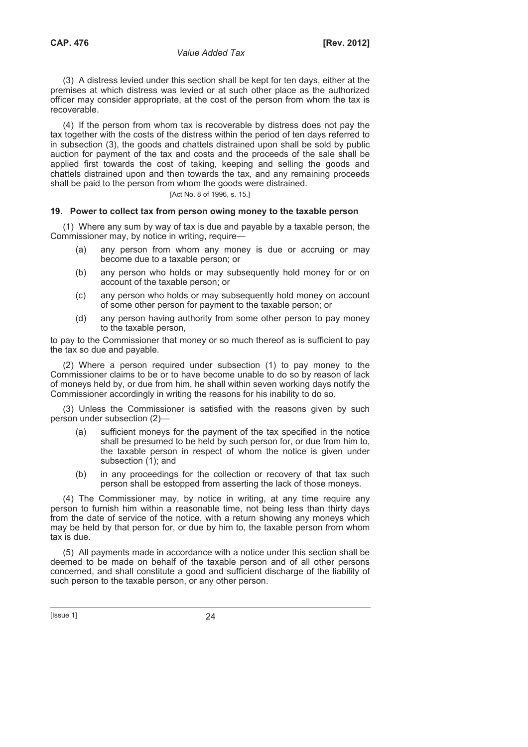(3) A distress levied under this section shall be kept for ten days, either at the premises at which distress was levied or at such other place as the authorized officer may consider appropriate, at the cost of the person from whom the tax is recoverable.

(4) If the person from whom tax is recoverable by distress does not pay the tax together with the costs of the distress within the period of ten days referred to in subsection (3), the goods and chattels distrained upon shall be sold by public auction for payment of the tax and costs and the proceeds of the sale shall be applied first towards the cost of taking, keeping and selling the goods and chattels distrained upon and then towards the tax, and any remaining proceeds shall be paid to the person from whom the goods were distrained.

# [Act No. 8 of 1996, s. 15.]

# **19. Power to collect tax from person owing money to the taxable person**

(1) Where any sum by way of tax is due and payable by a taxable person, the Commissioner may, by notice in writing, require—

- (a) any person from whom any money is due or accruing or may become due to a taxable person; or
- (b) any person who holds or may subsequently hold money for or on account of the taxable person; or
- (c) any person who holds or may subsequently hold money on account of some other person for payment to the taxable person; or
- (d) any person having authority from some other person to pay money to the taxable person,

to pay to the Commissioner that money or so much thereof as is sufficient to pay the tax so due and payable.

(2) Where a person required under subsection (1) to pay money to the Commissioner claims to be or to have become unable to do so by reason of lack of moneys held by, or due from him, he shall within seven working days notify the Commissioner accordingly in writing the reasons for his inability to do so.

(3) Unless the Commissioner is satisfied with the reasons given by such person under subsection (2)—

- (a) sufficient moneys for the payment of the tax specified in the notice shall be presumed to be held by such person for, or due from him to, the taxable person in respect of whom the notice is given under subsection  $(1)$ ; and
- (b) in any proceedings for the collection or recovery of that tax such person shall be estopped from asserting the lack of those moneys.

(4) The Commissioner may, by notice in writing, at any time require any person to furnish him within a reasonable time, not being less than thirty days from the date of service of the notice, with a return showing any moneys which may be held by that person for, or due by him to, the taxable person from whom tax is due.

(5) All payments made in accordance with a notice under this section shall be deemed to be made on behalf of the taxable person and of all other persons concerned, and shall constitute a good and sufficient discharge of the liability of such person to the taxable person, or any other person.

 $[|$ Ssue 1 $]$  24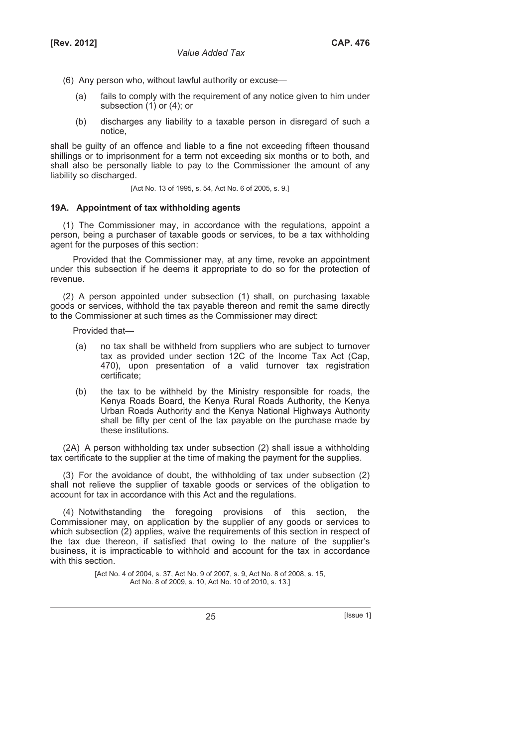- (6) Any person who, without lawful authority or excuse—
	- (a) fails to comply with the requirement of any notice given to him under subsection (1) or (4); or
	- (b) discharges any liability to a taxable person in disregard of such a notice,

shall be guilty of an offence and liable to a fine not exceeding fifteen thousand shillings or to imprisonment for a term not exceeding six months or to both, and shall also be personally liable to pay to the Commissioner the amount of any liability so discharged.

[Act No. 13 of 1995, s. 54, Act No. 6 of 2005, s. 9.]

#### **19A. Appointment of tax withholding agents**

(1) The Commissioner may, in accordance with the regulations, appoint a person, being a purchaser of taxable goods or services, to be a tax withholding agent for the purposes of this section:

Provided that the Commissioner may, at any time, revoke an appointment under this subsection if he deems it appropriate to do so for the protection of revenue.

(2) A person appointed under subsection (1) shall, on purchasing taxable goods or services, withhold the tax payable thereon and remit the same directly to the Commissioner at such times as the Commissioner may direct:

Provided that—

- (a) no tax shall be withheld from suppliers who are subject to turnover tax as provided under section 12C of the Income Tax Act (Cap, 470), upon presentation of a valid turnover tax registration certificate;
- (b) the tax to be withheld by the Ministry responsible for roads, the Kenya Roads Board, the Kenya Rural Roads Authority, the Kenya Urban Roads Authority and the Kenya National Highways Authority shall be fifty per cent of the tax payable on the purchase made by these institutions.

(2A) A person withholding tax under subsection (2) shall issue a withholding tax certificate to the supplier at the time of making the payment for the supplies.

(3) For the avoidance of doubt, the withholding of tax under subsection (2) shall not relieve the supplier of taxable goods or services of the obligation to account for tax in accordance with this Act and the regulations.

(4) Notwithstanding the foregoing provisions of this section, the Commissioner may, on application by the supplier of any goods or services to which subsection (2) applies, waive the requirements of this section in respect of the tax due thereon, if satisfied that owing to the nature of the supplier's business, it is impracticable to withhold and account for the tax in accordance with this section.

> [Act No. 4 of 2004, s. 37, Act No. 9 of 2007, s. 9, Act No. 8 of 2008, s. 15, Act No. 8 of 2009, s. 10, Act No. 10 of 2010, s. 13.]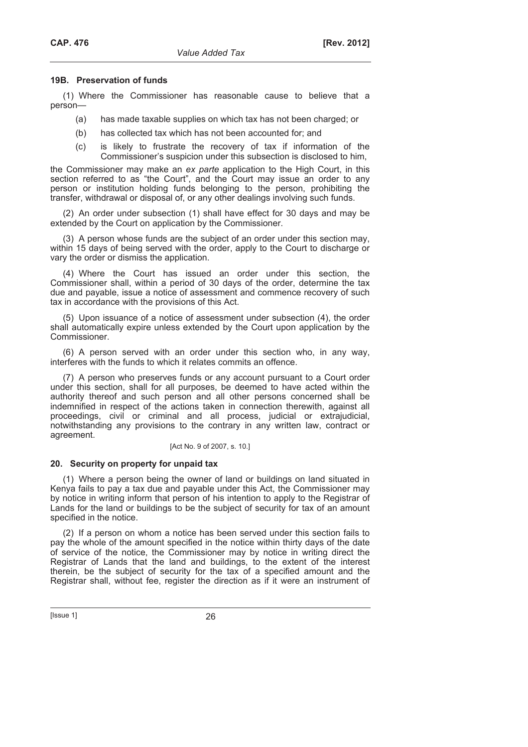#### **19B. Preservation of funds**

(1) Where the Commissioner has reasonable cause to believe that a person—

- (a) has made taxable supplies on which tax has not been charged; or
- (b) has collected tax which has not been accounted for; and
- (c) is likely to frustrate the recovery of tax if information of the Commissioner's suspicion under this subsection is disclosed to him,

the Commissioner may make an *ex parte* application to the High Court, in this section referred to as "the Court", and the Court may issue an order to any person or institution holding funds belonging to the person, prohibiting the transfer, withdrawal or disposal of, or any other dealings involving such funds.

(2) An order under subsection (1) shall have effect for 30 days and may be extended by the Court on application by the Commissioner.

(3) A person whose funds are the subject of an order under this section may, within 15 days of being served with the order, apply to the Court to discharge or vary the order or dismiss the application.

(4) Where the Court has issued an order under this section, the Commissioner shall, within a period of 30 days of the order, determine the tax due and payable, issue a notice of assessment and commence recovery of such tax in accordance with the provisions of this Act.

(5) Upon issuance of a notice of assessment under subsection (4), the order shall automatically expire unless extended by the Court upon application by the Commissioner.

(6) A person served with an order under this section who, in any way, interferes with the funds to which it relates commits an offence.

(7) A person who preserves funds or any account pursuant to a Court order under this section, shall for all purposes, be deemed to have acted within the authority thereof and such person and all other persons concerned shall be indemnified in respect of the actions taken in connection therewith, against all proceedings, civil or criminal and all process, judicial or extrajudicial, notwithstanding any provisions to the contrary in any written law, contract or agreement.

### [Act No. 9 of 2007, s. 10.]

#### **20. Security on property for unpaid tax**

(1) Where a person being the owner of land or buildings on land situated in Kenya fails to pay a tax due and payable under this Act, the Commissioner may by notice in writing inform that person of his intention to apply to the Registrar of Lands for the land or buildings to be the subject of security for tax of an amount specified in the notice.

(2) If a person on whom a notice has been served under this section fails to pay the whole of the amount specified in the notice within thirty days of the date of service of the notice, the Commissioner may by notice in writing direct the Registrar of Lands that the land and buildings, to the extent of the interest therein, be the subject of security for the tax of a specified amount and the Registrar shall, without fee, register the direction as if it were an instrument of

[Issue 1] 26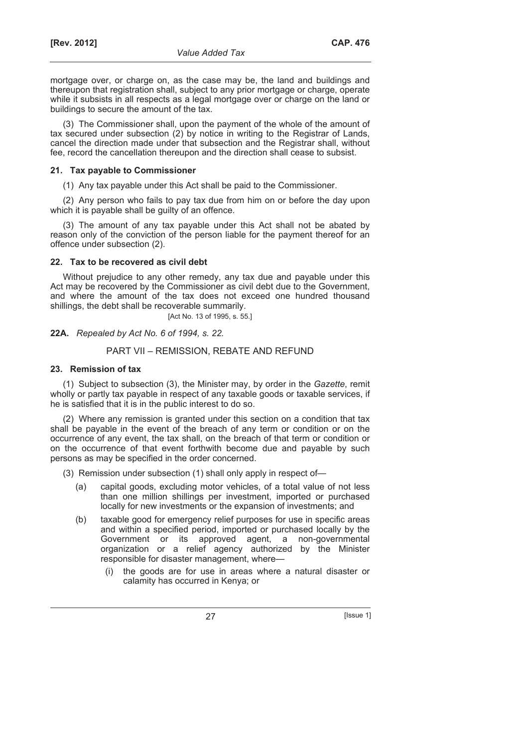mortgage over, or charge on, as the case may be, the land and buildings and thereupon that registration shall, subject to any prior mortgage or charge, operate while it subsists in all respects as a legal mortgage over or charge on the land or buildings to secure the amount of the tax.

(3) The Commissioner shall, upon the payment of the whole of the amount of tax secured under subsection (2) by notice in writing to the Registrar of Lands, cancel the direction made under that subsection and the Registrar shall, without fee, record the cancellation thereupon and the direction shall cease to subsist.

# **21. Tax payable to Commissioner**

(1) Any tax payable under this Act shall be paid to the Commissioner.

(2) Any person who fails to pay tax due from him on or before the day upon which it is payable shall be guilty of an offence.

(3) The amount of any tax payable under this Act shall not be abated by reason only of the conviction of the person liable for the payment thereof for an offence under subsection (2).

# **22. Tax to be recovered as civil debt**

Without prejudice to any other remedy, any tax due and payable under this Act may be recovered by the Commissioner as civil debt due to the Government, and where the amount of the tax does not exceed one hundred thousand shillings, the debt shall be recoverable summarily.

[Act No. 13 of 1995, s. 55.]

# **22A.** *Repealed by Act No. 6 of 1994, s. 22.*

# PART VII – REMISSION, REBATE AND REFUND

# **23. Remission of tax**

(1) Subject to subsection (3), the Minister may, by order in the *Gazette*, remit wholly or partly tax payable in respect of any taxable goods or taxable services, if he is satisfied that it is in the public interest to do so.

(2) Where any remission is granted under this section on a condition that tax shall be payable in the event of the breach of any term or condition or on the occurrence of any event, the tax shall, on the breach of that term or condition or on the occurrence of that event forthwith become due and payable by such persons as may be specified in the order concerned.

(3) Remission under subsection (1) shall only apply in respect of—

- (a) capital goods, excluding motor vehicles, of a total value of not less than one million shillings per investment, imported or purchased locally for new investments or the expansion of investments; and
- (b) taxable good for emergency relief purposes for use in specific areas and within a specified period, imported or purchased locally by the Government or its approved agent, a non-governmental organization or a relief agency authorized by the Minister responsible for disaster management, where—
	- (i) the goods are for use in areas where a natural disaster or calamity has occurred in Kenya; or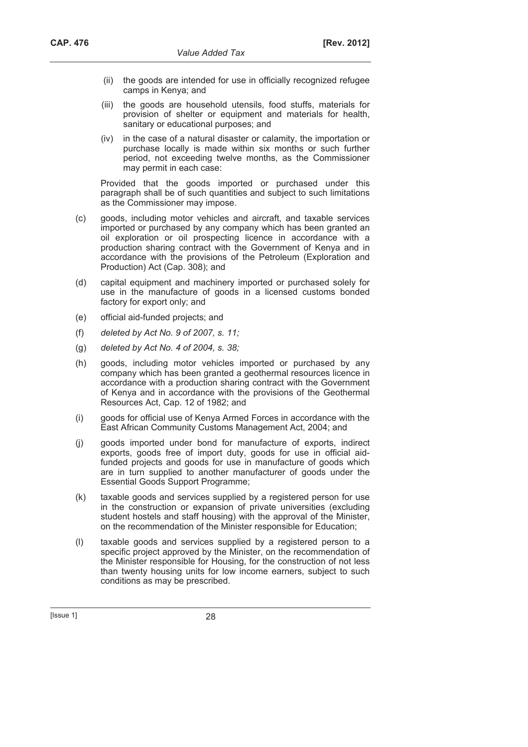- (ii) the goods are intended for use in officially recognized refugee camps in Kenya; and
- (iii) the goods are household utensils, food stuffs, materials for provision of shelter or equipment and materials for health, sanitary or educational purposes; and
- (iv) in the case of a natural disaster or calamity, the importation or purchase locally is made within six months or such further period, not exceeding twelve months, as the Commissioner may permit in each case:

 Provided that the goods imported or purchased under this paragraph shall be of such quantities and subject to such limitations as the Commissioner may impose.

- (c) goods, including motor vehicles and aircraft, and taxable services imported or purchased by any company which has been granted an oil exploration or oil prospecting licence in accordance with a production sharing contract with the Government of Kenya and in accordance with the provisions of the Petroleum (Exploration and Production) Act (Cap. 308); and
- (d) capital equipment and machinery imported or purchased solely for use in the manufacture of goods in a licensed customs bonded factory for export only; and
- (e) official aid-funded projects; and
- (f) *deleted by Act No. 9 of 2007, s. 11;*
- (g) *deleted by Act No. 4 of 2004, s. 38;*
- (h) goods, including motor vehicles imported or purchased by any company which has been granted a geothermal resources licence in accordance with a production sharing contract with the Government of Kenya and in accordance with the provisions of the Geothermal Resources Act, Cap. 12 of 1982; and
- (i) goods for official use of Kenya Armed Forces in accordance with the East African Community Customs Management Act, 2004; and
- (j) goods imported under bond for manufacture of exports, indirect exports, goods free of import duty, goods for use in official aidfunded projects and goods for use in manufacture of goods which are in turn supplied to another manufacturer of goods under the Essential Goods Support Programme;
- (k) taxable goods and services supplied by a registered person for use in the construction or expansion of private universities (excluding student hostels and staff housing) with the approval of the Minister, on the recommendation of the Minister responsible for Education;
- (l) taxable goods and services supplied by a registered person to a specific project approved by the Minister, on the recommendation of the Minister responsible for Housing, for the construction of not less than twenty housing units for low income earners, subject to such conditions as may be prescribed.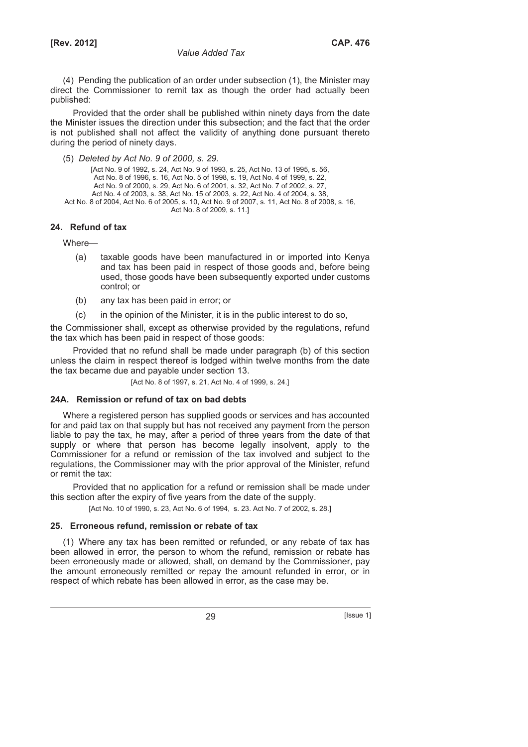(4) Pending the publication of an order under subsection (1), the Minister may direct the Commissioner to remit tax as though the order had actually been published:

Provided that the order shall be published within ninety days from the date the Minister issues the direction under this subsection; and the fact that the order is not published shall not affect the validity of anything done pursuant thereto during the period of ninety days.

(5) *Deleted by Act No. 9 of 2000, s. 29.*

[Act No. 9 of 1992, s. 24, Act No. 9 of 1993, s. 25, Act No. 13 of 1995, s. 56, Act No. 8 of 1996, s. 16, Act No. 5 of 1998, s. 19, Act No. 4 of 1999, s. 22, Act No. 9 of 2000, s. 29, Act No. 6 of 2001, s. 32, Act No. 7 of 2002, s. 27, Act No. 4 of 2003, s. 38, Act No. 15 of 2003, s. 22, Act No. 4 of 2004, s. 38, Act No. 8 of 2004, Act No. 6 of 2005, s. 10, Act No. 9 of 2007, s. 11, Act No. 8 of 2008, s. 16, Act No. 8 of 2009, s. 11.]

# **24. Refund of tax**

Where—

- (a) taxable goods have been manufactured in or imported into Kenya and tax has been paid in respect of those goods and, before being used, those goods have been subsequently exported under customs control; or
- (b) any tax has been paid in error; or
- (c) in the opinion of the Minister, it is in the public interest to do so,

the Commissioner shall, except as otherwise provided by the regulations, refund the tax which has been paid in respect of those goods:

Provided that no refund shall be made under paragraph (b) of this section unless the claim in respect thereof is lodged within twelve months from the date the tax became due and payable under section 13.

[Act No. 8 of 1997, s. 21, Act No. 4 of 1999, s. 24.]

# **24A. Remission or refund of tax on bad debts**

Where a registered person has supplied goods or services and has accounted for and paid tax on that supply but has not received any payment from the person liable to pay the tax, he may, after a period of three years from the date of that supply or where that person has become legally insolvent, apply to the Commissioner for a refund or remission of the tax involved and subject to the regulations, the Commissioner may with the prior approval of the Minister, refund or remit the tax:

Provided that no application for a refund or remission shall be made under this section after the expiry of five years from the date of the supply.

[Act No. 10 of 1990, s. 23, Act No. 6 of 1994, s. 23. Act No. 7 of 2002, s. 28.]

# **25. Erroneous refund, remission or rebate of tax**

(1) Where any tax has been remitted or refunded, or any rebate of tax has been allowed in error, the person to whom the refund, remission or rebate has been erroneously made or allowed, shall, on demand by the Commissioner, pay the amount erroneously remitted or repay the amount refunded in error, or in respect of which rebate has been allowed in error, as the case may be.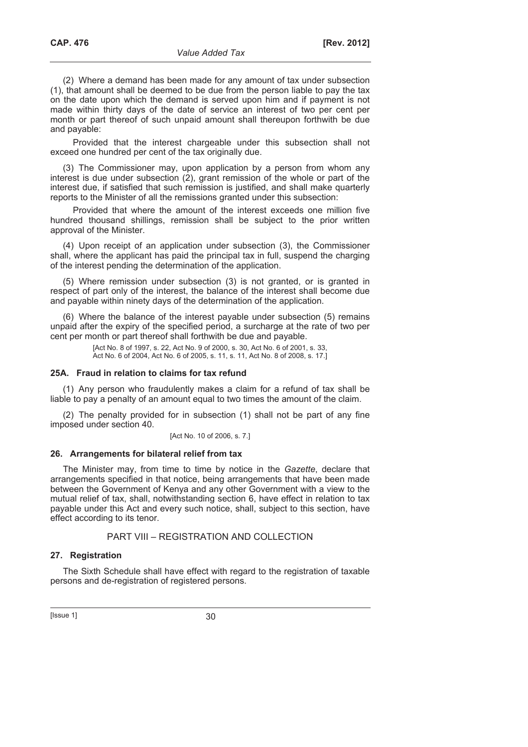(2) Where a demand has been made for any amount of tax under subsection (1), that amount shall be deemed to be due from the person liable to pay the tax on the date upon which the demand is served upon him and if payment is not made within thirty days of the date of service an interest of two per cent per month or part thereof of such unpaid amount shall thereupon forthwith be due and payable:

Provided that the interest chargeable under this subsection shall not exceed one hundred per cent of the tax originally due.

(3) The Commissioner may, upon application by a person from whom any interest is due under subsection (2), grant remission of the whole or part of the interest due, if satisfied that such remission is justified, and shall make quarterly reports to the Minister of all the remissions granted under this subsection:

Provided that where the amount of the interest exceeds one million five hundred thousand shillings, remission shall be subject to the prior written approval of the Minister.

(4) Upon receipt of an application under subsection (3), the Commissioner shall, where the applicant has paid the principal tax in full, suspend the charging of the interest pending the determination of the application.

(5) Where remission under subsection (3) is not granted, or is granted in respect of part only of the interest, the balance of the interest shall become due and payable within ninety days of the determination of the application.

(6) Where the balance of the interest payable under subsection (5) remains unpaid after the expiry of the specified period, a surcharge at the rate of two per cent per month or part thereof shall forthwith be due and payable.

> [Act No. 8 of 1997, s. 22, Act No. 9 of 2000, s. 30, Act No. 6 of 2001, s. 33, Act No. 6 of 2004, Act No. 6 of 2005, s. 11, s. 11, Act No. 8 of 2008, s. 17, I

#### **25A. Fraud in relation to claims for tax refund**

(1) Any person who fraudulently makes a claim for a refund of tax shall be liable to pay a penalty of an amount equal to two times the amount of the claim.

(2) The penalty provided for in subsection (1) shall not be part of any fine imposed under section 40.

[Act No. 10 of 2006, s. 7.]

#### **26. Arrangements for bilateral relief from tax**

The Minister may, from time to time by notice in the *Gazette*, declare that arrangements specified in that notice, being arrangements that have been made between the Government of Kenya and any other Government with a view to the mutual relief of tax, shall, notwithstanding section 6, have effect in relation to tax payable under this Act and every such notice, shall, subject to this section, have effect according to its tenor.

#### PART VIII – REGISTRATION AND COLLECTION

#### **27. Registration**

The Sixth Schedule shall have effect with regard to the registration of taxable persons and de-registration of registered persons.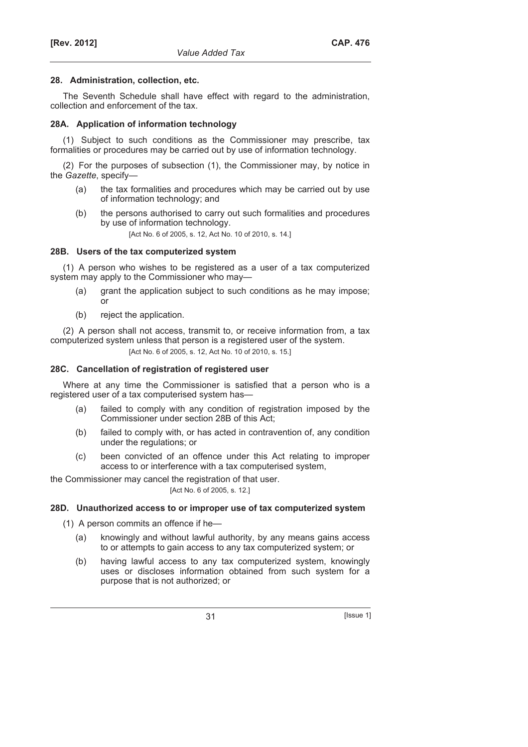# **28. Administration, collection, etc.**

The Seventh Schedule shall have effect with regard to the administration, collection and enforcement of the tax.

### **28A. Application of information technology**

(1) Subject to such conditions as the Commissioner may prescribe, tax formalities or procedures may be carried out by use of information technology.

(2) For the purposes of subsection (1), the Commissioner may, by notice in the *Gazette*, specify—

- (a) the tax formalities and procedures which may be carried out by use of information technology; and
- (b) the persons authorised to carry out such formalities and procedures by use of information technology.

[Act No. 6 of 2005, s. 12, Act No. 10 of 2010, s. 14.]

# **28B. Users of the tax computerized system**

(1) A person who wishes to be registered as a user of a tax computerized system may apply to the Commissioner who may—

- (a) grant the application subject to such conditions as he may impose; or
- (b) reject the application.

(2) A person shall not access, transmit to, or receive information from, a tax computerized system unless that person is a registered user of the system.

[Act No. 6 of 2005, s. 12, Act No. 10 of 2010, s. 15.]

### **28C. Cancellation of registration of registered user**

Where at any time the Commissioner is satisfied that a person who is a registered user of a tax computerised system has—

- (a) failed to comply with any condition of registration imposed by the Commissioner under section 28B of this Act;
- (b) failed to comply with, or has acted in contravention of, any condition under the regulations; or
- (c) been convicted of an offence under this Act relating to improper access to or interference with a tax computerised system,

the Commissioner may cancel the registration of that user.

# [Act No. 6 of 2005, s. 12.]

# **28D. Unauthorized access to or improper use of tax computerized system**

- (1) A person commits an offence if he—
	- (a) knowingly and without lawful authority, by any means gains access to or attempts to gain access to any tax computerized system; or
	- (b) having lawful access to any tax computerized system, knowingly uses or discloses information obtained from such system for a purpose that is not authorized; or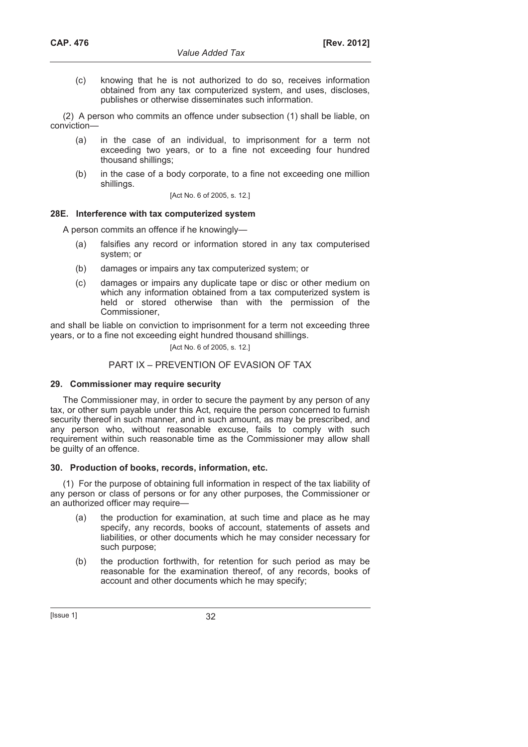(c) knowing that he is not authorized to do so, receives information obtained from any tax computerized system, and uses, discloses, publishes or otherwise disseminates such information.

(2) A person who commits an offence under subsection (1) shall be liable, on conviction—

- (a) in the case of an individual, to imprisonment for a term not exceeding two years, or to a fine not exceeding four hundred thousand shillings;
- (b) in the case of a body corporate, to a fine not exceeding one million shillings.

[Act No. 6 of 2005, s. 12.]

# **28E. Interference with tax computerized system**

A person commits an offence if he knowingly—

- (a) falsifies any record or information stored in any tax computerised system; or
- (b) damages or impairs any tax computerized system; or
- (c) damages or impairs any duplicate tape or disc or other medium on which any information obtained from a tax computerized system is held or stored otherwise than with the permission of the Commissioner,

and shall be liable on conviction to imprisonment for a term not exceeding three years, or to a fine not exceeding eight hundred thousand shillings.

# [Act No. 6 of 2005, s. 12.]

# PART IX – PREVENTION OF EVASION OF TAX

# **29. Commissioner may require security**

The Commissioner may, in order to secure the payment by any person of any tax, or other sum payable under this Act, require the person concerned to furnish security thereof in such manner, and in such amount, as may be prescribed, and any person who, without reasonable excuse, fails to comply with such requirement within such reasonable time as the Commissioner may allow shall be guilty of an offence.

# **30. Production of books, records, information, etc.**

(1) For the purpose of obtaining full information in respect of the tax liability of any person or class of persons or for any other purposes, the Commissioner or an authorized officer may require—

- (a) the production for examination, at such time and place as he may specify, any records, books of account, statements of assets and liabilities, or other documents which he may consider necessary for such purpose;
- (b) the production forthwith, for retention for such period as may be reasonable for the examination thereof, of any records, books of account and other documents which he may specify;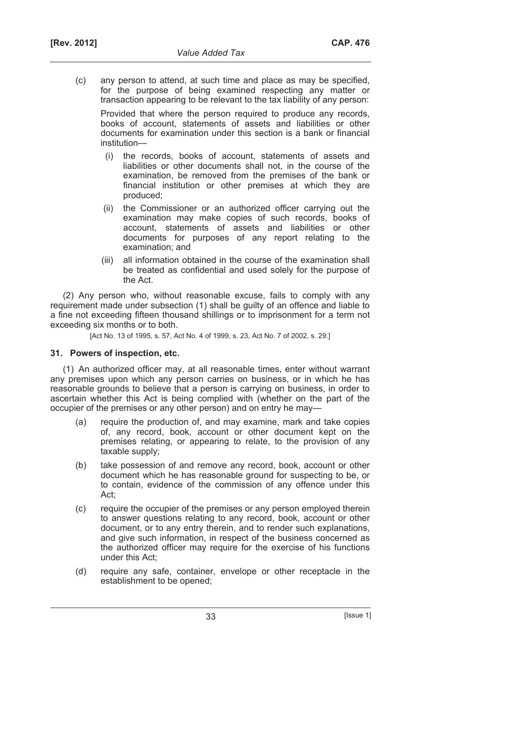(c) any person to attend, at such time and place as may be specified, for the purpose of being examined respecting any matter or transaction appearing to be relevant to the tax liability of any person:

 Provided that where the person required to produce any records, books of account, statements of assets and liabilities or other documents for examination under this section is a bank or financial institution—

- (i) the records, books of account, statements of assets and liabilities or other documents shall not, in the course of the examination, be removed from the premises of the bank or financial institution or other premises at which they are produced;
- (ii) the Commissioner or an authorized officer carrying out the examination may make copies of such records, books of account, statements of assets and liabilities or other documents for purposes of any report relating to the examination; and
- (iii) all information obtained in the course of the examination shall be treated as confidential and used solely for the purpose of the Act.

(2) Any person who, without reasonable excuse, fails to comply with any requirement made under subsection (1) shall be guilty of an offence and liable to a fine not exceeding fifteen thousand shillings or to imprisonment for a term not exceeding six months or to both.

[Act No. 13 of 1995, s. 57, Act No. 4 of 1999, s. 23, Act No. 7 of 2002, s. 29.]

# **31. Powers of inspection, etc.**

(1) An authorized officer may, at all reasonable times, enter without warrant any premises upon which any person carries on business, or in which he has reasonable grounds to believe that a person is carrying on business, in order to ascertain whether this Act is being complied with (whether on the part of the occupier of the premises or any other person) and on entry he may-

- (a) require the production of, and may examine, mark and take copies of, any record, book, account or other document kept on the premises relating, or appearing to relate, to the provision of any taxable supply;
- (b) take possession of and remove any record, book, account or other document which he has reasonable ground for suspecting to be, or to contain, evidence of the commission of any offence under this Act;
- (c) require the occupier of the premises or any person employed therein to answer questions relating to any record, book, account or other document, or to any entry therein, and to render such explanations, and give such information, in respect of the business concerned as the authorized officer may require for the exercise of his functions under this Act;
- (d) require any safe, container, envelope or other receptacle in the establishment to be opened;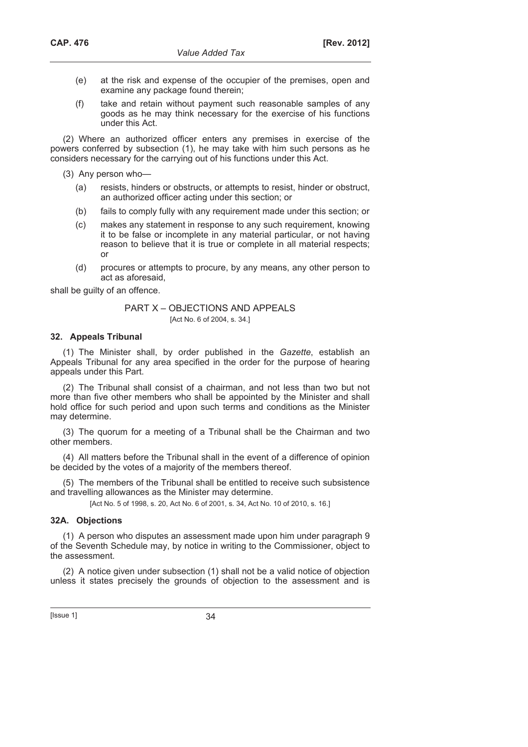- (e) at the risk and expense of the occupier of the premises, open and examine any package found therein;
- (f) take and retain without payment such reasonable samples of any goods as he may think necessary for the exercise of his functions under this Act.

(2) Where an authorized officer enters any premises in exercise of the powers conferred by subsection (1), he may take with him such persons as he considers necessary for the carrying out of his functions under this Act.

(3) Any person who—

- (a) resists, hinders or obstructs, or attempts to resist, hinder or obstruct, an authorized officer acting under this section; or
- (b) fails to comply fully with any requirement made under this section; or
- (c) makes any statement in response to any such requirement, knowing it to be false or incomplete in any material particular, or not having reason to believe that it is true or complete in all material respects; or
- (d) procures or attempts to procure, by any means, any other person to act as aforesaid,

shall be guilty of an offence.

# PART X – OBJECTIONS AND APPEALS

[Act No. 6 of 2004, s. 34.]

# **32. Appeals Tribunal**

(1) The Minister shall, by order published in the *Gazette*, establish an Appeals Tribunal for any area specified in the order for the purpose of hearing appeals under this Part.

(2) The Tribunal shall consist of a chairman, and not less than two but not more than five other members who shall be appointed by the Minister and shall hold office for such period and upon such terms and conditions as the Minister may determine.

(3) The quorum for a meeting of a Tribunal shall be the Chairman and two other members.

(4) All matters before the Tribunal shall in the event of a difference of opinion be decided by the votes of a majority of the members thereof.

(5) The members of the Tribunal shall be entitled to receive such subsistence and travelling allowances as the Minister may determine.

[Act No. 5 of 1998, s. 20, Act No. 6 of 2001, s. 34, Act No. 10 of 2010, s. 16.]

# **32A. Objections**

(1) A person who disputes an assessment made upon him under paragraph 9 of the Seventh Schedule may, by notice in writing to the Commissioner, object to the assessment.

(2) A notice given under subsection (1) shall not be a valid notice of objection unless it states precisely the grounds of objection to the assessment and is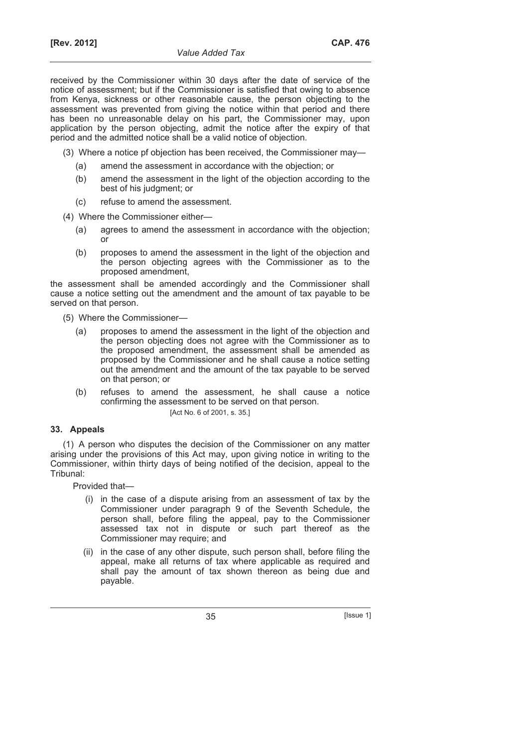received by the Commissioner within 30 days after the date of service of the notice of assessment; but if the Commissioner is satisfied that owing to absence from Kenya, sickness or other reasonable cause, the person objecting to the assessment was prevented from giving the notice within that period and there has been no unreasonable delay on his part, the Commissioner may, upon application by the person objecting, admit the notice after the expiry of that period and the admitted notice shall be a valid notice of objection.

- (3) Where a notice pf objection has been received, the Commissioner may—
	- (a) amend the assessment in accordance with the objection; or
	- (b) amend the assessment in the light of the objection according to the best of his judgment; or
	- (c) refuse to amend the assessment.
- (4) Where the Commissioner either—
	- (a) agrees to amend the assessment in accordance with the objection; or
	- (b) proposes to amend the assessment in the light of the objection and the person objecting agrees with the Commissioner as to the proposed amendment,

the assessment shall be amended accordingly and the Commissioner shall cause a notice setting out the amendment and the amount of tax payable to be served on that person.

- (5) Where the Commissioner—
	- (a) proposes to amend the assessment in the light of the objection and the person objecting does not agree with the Commissioner as to the proposed amendment, the assessment shall be amended as proposed by the Commissioner and he shall cause a notice setting out the amendment and the amount of the tax payable to be served on that person; or
	- (b) refuses to amend the assessment, he shall cause a notice confirming the assessment to be served on that person. [Act No. 6 of 2001, s. 35.]

# **33. Appeals**

(1) A person who disputes the decision of the Commissioner on any matter arising under the provisions of this Act may, upon giving notice in writing to the Commissioner, within thirty days of being notified of the decision, appeal to the Tribunal:

Provided that—

- (i) in the case of a dispute arising from an assessment of tax by the Commissioner under paragraph 9 of the Seventh Schedule, the person shall, before filing the appeal, pay to the Commissioner assessed tax not in dispute or such part thereof as the Commissioner may require; and
- (ii) in the case of any other dispute, such person shall, before filing the appeal, make all returns of tax where applicable as required and shall pay the amount of tax shown thereon as being due and payable.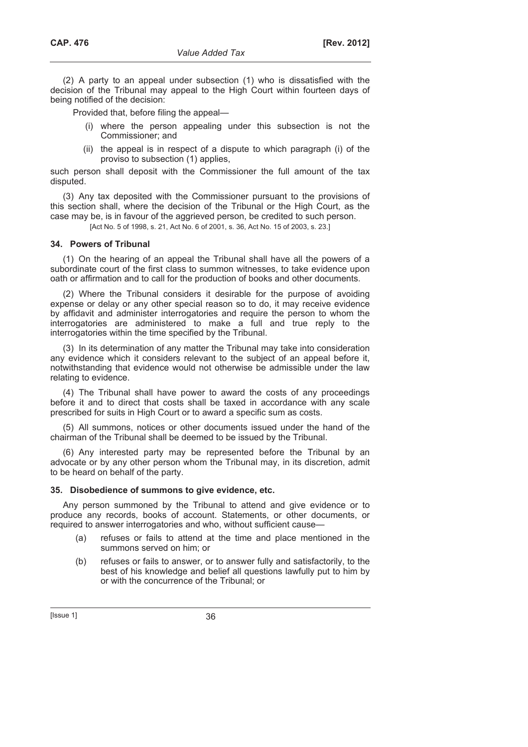(2) A party to an appeal under subsection (1) who is dissatisfied with the decision of the Tribunal may appeal to the High Court within fourteen days of being notified of the decision:

Provided that, before filing the appeal—

- (i) where the person appealing under this subsection is not the Commissioner; and
- (ii) the appeal is in respect of a dispute to which paragraph (i) of the proviso to subsection (1) applies,

such person shall deposit with the Commissioner the full amount of the tax disputed.

(3) Any tax deposited with the Commissioner pursuant to the provisions of this section shall, where the decision of the Tribunal or the High Court, as the case may be, is in favour of the aggrieved person, be credited to such person.

[Act No. 5 of 1998, s. 21, Act No. 6 of 2001, s. 36, Act No. 15 of 2003, s. 23.]

#### **34. Powers of Tribunal**

(1) On the hearing of an appeal the Tribunal shall have all the powers of a subordinate court of the first class to summon witnesses, to take evidence upon oath or affirmation and to call for the production of books and other documents.

(2) Where the Tribunal considers it desirable for the purpose of avoiding expense or delay or any other special reason so to do, it may receive evidence by affidavit and administer interrogatories and require the person to whom the interrogatories are administered to make a full and true reply to the interrogatories within the time specified by the Tribunal.

(3) In its determination of any matter the Tribunal may take into consideration any evidence which it considers relevant to the subject of an appeal before it, notwithstanding that evidence would not otherwise be admissible under the law relating to evidence.

(4) The Tribunal shall have power to award the costs of any proceedings before it and to direct that costs shall be taxed in accordance with any scale prescribed for suits in High Court or to award a specific sum as costs.

(5) All summons, notices or other documents issued under the hand of the chairman of the Tribunal shall be deemed to be issued by the Tribunal.

(6) Any interested party may be represented before the Tribunal by an advocate or by any other person whom the Tribunal may, in its discretion, admit to be heard on behalf of the party.

# **35. Disobedience of summons to give evidence, etc.**

Any person summoned by the Tribunal to attend and give evidence or to produce any records, books of account. Statements, or other documents, or required to answer interrogatories and who, without sufficient cause—

- (a) refuses or fails to attend at the time and place mentioned in the summons served on him; or
- (b) refuses or fails to answer, or to answer fully and satisfactorily, to the best of his knowledge and belief all questions lawfully put to him by or with the concurrence of the Tribunal; or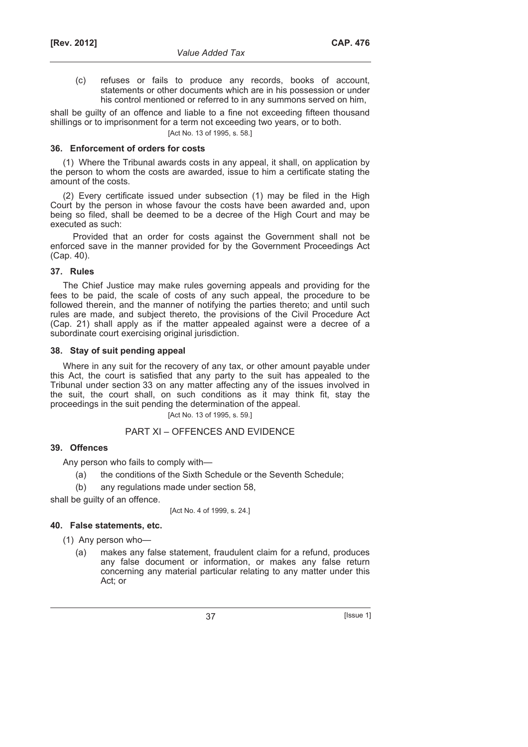(c) refuses or fails to produce any records, books of account, statements or other documents which are in his possession or under his control mentioned or referred to in any summons served on him,

shall be guilty of an offence and liable to a fine not exceeding fifteen thousand shillings or to imprisonment for a term not exceeding two years, or to both.

[Act No. 13 of 1995, s. 58.]

## **36. Enforcement of orders for costs**

(1) Where the Tribunal awards costs in any appeal, it shall, on application by the person to whom the costs are awarded, issue to him a certificate stating the amount of the costs.

(2) Every certificate issued under subsection (1) may be filed in the High Court by the person in whose favour the costs have been awarded and, upon being so filed, shall be deemed to be a decree of the High Court and may be executed as such:

Provided that an order for costs against the Government shall not be enforced save in the manner provided for by the Government Proceedings Act (Cap. 40).

## **37. Rules**

The Chief Justice may make rules governing appeals and providing for the fees to be paid, the scale of costs of any such appeal, the procedure to be followed therein, and the manner of notifying the parties thereto; and until such rules are made, and subject thereto, the provisions of the Civil Procedure Act (Cap. 21) shall apply as if the matter appealed against were a decree of a subordinate court exercising original jurisdiction.

## **38. Stay of suit pending appeal**

Where in any suit for the recovery of any tax, or other amount payable under this Act, the court is satisfied that any party to the suit has appealed to the Tribunal under section 33 on any matter affecting any of the issues involved in the suit, the court shall, on such conditions as it may think fit, stay the proceedings in the suit pending the determination of the appeal.

[Act No. 13 of 1995, s. 59.]

## PART XI – OFFENCES AND EVIDENCE

## **39. Offences**

Any person who fails to comply with—

- (a) the conditions of the Sixth Schedule or the Seventh Schedule;
- (b) any regulations made under section 58,

shall be guilty of an offence.

[Act No. 4 of 1999, s. 24.]

## **40. False statements, etc.**

(1) Any person who—

 (a) makes any false statement, fraudulent claim for a refund, produces any false document or information, or makes any false return concerning any material particular relating to any matter under this Act; or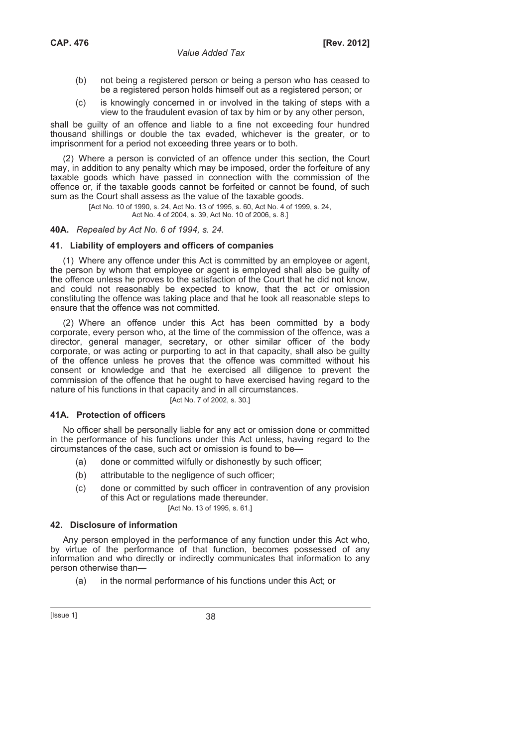- (b) not being a registered person or being a person who has ceased to be a registered person holds himself out as a registered person; or
- (c) is knowingly concerned in or involved in the taking of steps with a view to the fraudulent evasion of tax by him or by any other person,

shall be guilty of an offence and liable to a fine not exceeding four hundred thousand shillings or double the tax evaded, whichever is the greater, or to imprisonment for a period not exceeding three years or to both.

(2) Where a person is convicted of an offence under this section, the Court may, in addition to any penalty which may be imposed, order the forfeiture of any taxable goods which have passed in connection with the commission of the offence or, if the taxable goods cannot be forfeited or cannot be found, of such sum as the Court shall assess as the value of the taxable goods.

> [Act No. 10 of 1990, s. 24, Act No. 13 of 1995, s. 60, Act No. 4 of 1999, s. 24, Act No. 4 of 2004, s. 39, Act No. 10 of 2006, s. 8.]

#### **40A.** *Repealed by Act No. 6 of 1994, s. 24.*

#### **41. Liability of employers and officers of companies**

(1) Where any offence under this Act is committed by an employee or agent, the person by whom that employee or agent is employed shall also be guilty of the offence unless he proves to the satisfaction of the Court that he did not know, and could not reasonably be expected to know, that the act or omission constituting the offence was taking place and that he took all reasonable steps to ensure that the offence was not committed.

(2) Where an offence under this Act has been committed by a body corporate, every person who, at the time of the commission of the offence, was a director, general manager, secretary, or other similar officer of the body corporate, or was acting or purporting to act in that capacity, shall also be guilty of the offence unless he proves that the offence was committed without his consent or knowledge and that he exercised all diligence to prevent the commission of the offence that he ought to have exercised having regard to the nature of his functions in that capacity and in all circumstances.

[Act No. 7 of 2002, s. 30.]

### **41A. Protection of officers**

No officer shall be personally liable for any act or omission done or committed in the performance of his functions under this Act unless, having regard to the circumstances of the case, such act or omission is found to be—

- (a) done or committed wilfully or dishonestly by such officer;
- (b) attributable to the negligence of such officer;
- (c) done or committed by such officer in contravention of any provision of this Act or regulations made thereunder.

[Act No. 13 of 1995, s. 61.]

#### **42. Disclosure of information**

Any person employed in the performance of any function under this Act who, by virtue of the performance of that function, becomes possessed of any information and who directly or indirectly communicates that information to any person otherwise than—

(a) in the normal performance of his functions under this Act; or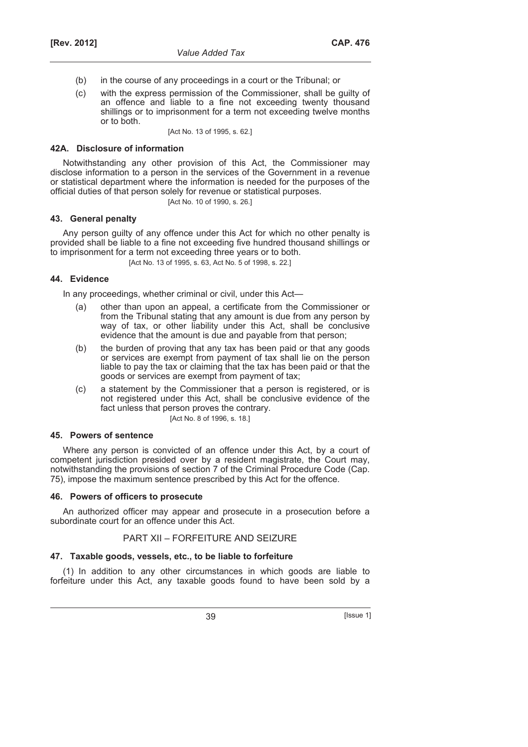- (b) in the course of any proceedings in a court or the Tribunal; or
- (c) with the express permission of the Commissioner, shall be guilty of an offence and liable to a fine not exceeding twenty thousand shillings or to imprisonment for a term not exceeding twelve months or to both.

[Act No. 13 of 1995, s. 62.]

## **42A. Disclosure of information**

Notwithstanding any other provision of this Act, the Commissioner may disclose information to a person in the services of the Government in a revenue or statistical department where the information is needed for the purposes of the official duties of that person solely for revenue or statistical purposes.

[Act No. 10 of 1990, s. 26.]

## **43. General penalty**

Any person guilty of any offence under this Act for which no other penalty is provided shall be liable to a fine not exceeding five hundred thousand shillings or to imprisonment for a term not exceeding three years or to both.

[Act No. 13 of 1995, s. 63, Act No. 5 of 1998, s. 22.]

### **44. Evidence**

In any proceedings, whether criminal or civil, under this Act—

- (a) other than upon an appeal, a certificate from the Commissioner or from the Tribunal stating that any amount is due from any person by way of tax, or other liability under this Act, shall be conclusive evidence that the amount is due and payable from that person;
- (b) the burden of proving that any tax has been paid or that any goods or services are exempt from payment of tax shall lie on the person liable to pay the tax or claiming that the tax has been paid or that the goods or services are exempt from payment of tax;
- (c) a statement by the Commissioner that a person is registered, or is not registered under this Act, shall be conclusive evidence of the fact unless that person proves the contrary. [Act No. 8 of 1996, s. 18.]

### **45. Powers of sentence**

Where any person is convicted of an offence under this Act, by a court of competent jurisdiction presided over by a resident magistrate, the Court may, notwithstanding the provisions of section 7 of the Criminal Procedure Code (Cap. 75), impose the maximum sentence prescribed by this Act for the offence.

### **46. Powers of officers to prosecute**

An authorized officer may appear and prosecute in a prosecution before a subordinate court for an offence under this Act.

## PART XII – FORFEITURE AND SEIZURE

### **47. Taxable goods, vessels, etc., to be liable to forfeiture**

(1) In addition to any other circumstances in which goods are liable to forfeiture under this Act, any taxable goods found to have been sold by a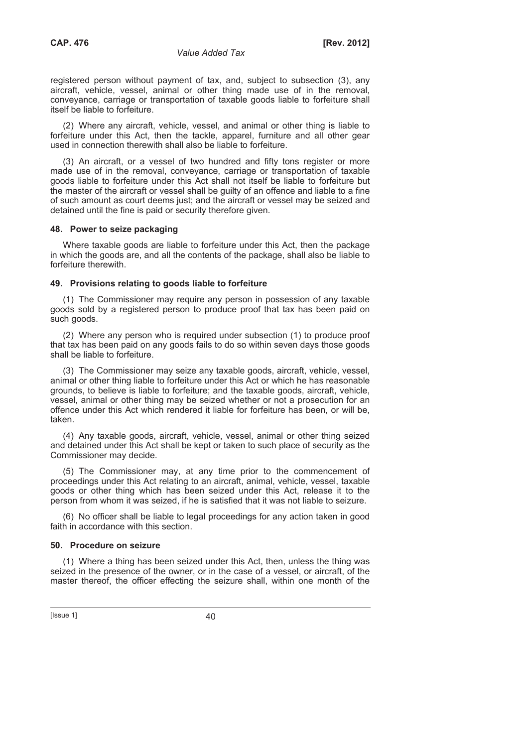registered person without payment of tax, and, subject to subsection (3), any aircraft, vehicle, vessel, animal or other thing made use of in the removal, conveyance, carriage or transportation of taxable goods liable to forfeiture shall itself be liable to forfeiture.

(2) Where any aircraft, vehicle, vessel, and animal or other thing is liable to forfeiture under this Act, then the tackle, apparel, furniture and all other gear used in connection therewith shall also be liable to forfeiture.

(3) An aircraft, or a vessel of two hundred and fifty tons register or more made use of in the removal, conveyance, carriage or transportation of taxable goods liable to forfeiture under this Act shall not itself be liable to forfeiture but the master of the aircraft or vessel shall be guilty of an offence and liable to a fine of such amount as court deems just; and the aircraft or vessel may be seized and detained until the fine is paid or security therefore given.

## **48. Power to seize packaging**

Where taxable goods are liable to forfeiture under this Act, then the package in which the goods are, and all the contents of the package, shall also be liable to forfeiture therewith.

## **49. Provisions relating to goods liable to forfeiture**

(1) The Commissioner may require any person in possession of any taxable goods sold by a registered person to produce proof that tax has been paid on such goods.

(2) Where any person who is required under subsection (1) to produce proof that tax has been paid on any goods fails to do so within seven days those goods shall be liable to forfeiture.

(3) The Commissioner may seize any taxable goods, aircraft, vehicle, vessel, animal or other thing liable to forfeiture under this Act or which he has reasonable grounds, to believe is liable to forfeiture; and the taxable goods, aircraft, vehicle, vessel, animal or other thing may be seized whether or not a prosecution for an offence under this Act which rendered it liable for forfeiture has been, or will be, taken.

(4) Any taxable goods, aircraft, vehicle, vessel, animal or other thing seized and detained under this Act shall be kept or taken to such place of security as the Commissioner may decide.

(5) The Commissioner may, at any time prior to the commencement of proceedings under this Act relating to an aircraft, animal, vehicle, vessel, taxable goods or other thing which has been seized under this Act, release it to the person from whom it was seized, if he is satisfied that it was not liable to seizure.

(6) No officer shall be liable to legal proceedings for any action taken in good faith in accordance with this section.

### **50. Procedure on seizure**

(1) Where a thing has been seized under this Act, then, unless the thing was seized in the presence of the owner, or in the case of a vessel, or aircraft, of the master thereof, the officer effecting the seizure shall, within one month of the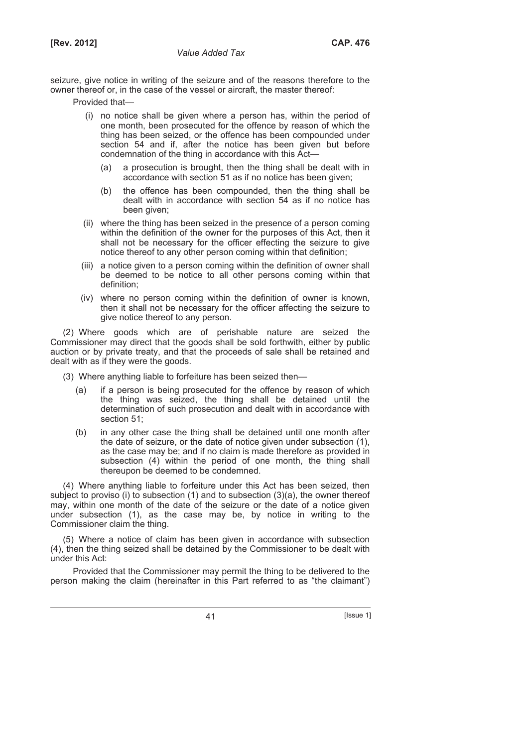seizure, give notice in writing of the seizure and of the reasons therefore to the owner thereof or, in the case of the vessel or aircraft, the master thereof:

Provided that—

- (i) no notice shall be given where a person has, within the period of one month, been prosecuted for the offence by reason of which the thing has been seized, or the offence has been compounded under section 54 and if, after the notice has been given but before condemnation of the thing in accordance with this Act—
	- (a) a prosecution is brought, then the thing shall be dealt with in accordance with section 51 as if no notice has been given;
	- (b) the offence has been compounded, then the thing shall be dealt with in accordance with section 54 as if no notice has been given;
- (ii) where the thing has been seized in the presence of a person coming within the definition of the owner for the purposes of this Act, then it shall not be necessary for the officer effecting the seizure to give notice thereof to any other person coming within that definition;
- (iii) a notice given to a person coming within the definition of owner shall be deemed to be notice to all other persons coming within that definition;
- (iv) where no person coming within the definition of owner is known, then it shall not be necessary for the officer affecting the seizure to give notice thereof to any person.

(2) Where goods which are of perishable nature are seized the Commissioner may direct that the goods shall be sold forthwith, either by public auction or by private treaty, and that the proceeds of sale shall be retained and dealt with as if they were the goods.

(3) Where anything liable to forfeiture has been seized then—

- (a) if a person is being prosecuted for the offence by reason of which the thing was seized, the thing shall be detained until the determination of such prosecution and dealt with in accordance with section 51;
- (b) in any other case the thing shall be detained until one month after the date of seizure, or the date of notice given under subsection (1), as the case may be; and if no claim is made therefore as provided in subsection (4) within the period of one month, the thing shall thereupon be deemed to be condemned.

(4) Where anything liable to forfeiture under this Act has been seized, then subject to proviso (i) to subsection  $(1)$  and to subsection  $(3)(a)$ , the owner thereof may, within one month of the date of the seizure or the date of a notice given under subsection (1), as the case may be, by notice in writing to the Commissioner claim the thing.

(5) Where a notice of claim has been given in accordance with subsection (4), then the thing seized shall be detained by the Commissioner to be dealt with under this Act:

Provided that the Commissioner may permit the thing to be delivered to the person making the claim (hereinafter in this Part referred to as "the claimant")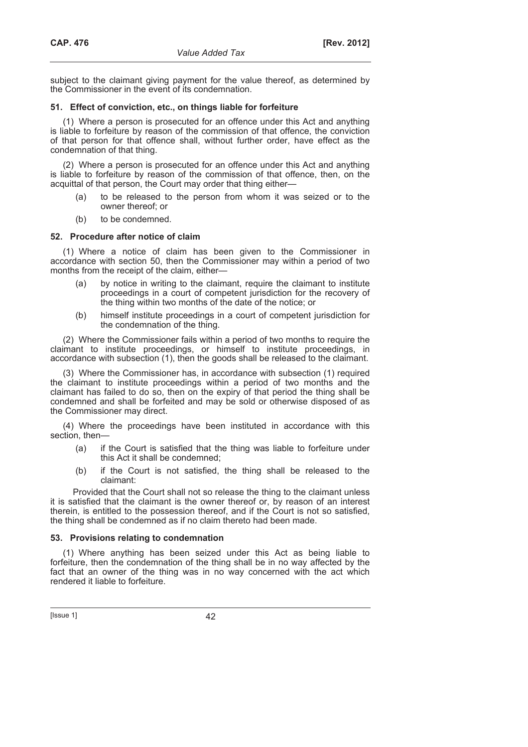subject to the claimant giving payment for the value thereof, as determined by the Commissioner in the event of its condemnation.

## **51. Effect of conviction, etc., on things liable for forfeiture**

(1) Where a person is prosecuted for an offence under this Act and anything is liable to forfeiture by reason of the commission of that offence, the conviction of that person for that offence shall, without further order, have effect as the condemnation of that thing.

(2) Where a person is prosecuted for an offence under this Act and anything is liable to forfeiture by reason of the commission of that offence, then, on the acquittal of that person, the Court may order that thing either—

- to be released to the person from whom it was seized or to the owner thereof; or
- (b) to be condemned.

## **52. Procedure after notice of claim**

(1) Where a notice of claim has been given to the Commissioner in accordance with section 50, then the Commissioner may within a period of two months from the receipt of the claim, either—

- (a) by notice in writing to the claimant, require the claimant to institute proceedings in a court of competent jurisdiction for the recovery of the thing within two months of the date of the notice; or
- (b) himself institute proceedings in a court of competent jurisdiction for the condemnation of the thing.

(2) Where the Commissioner fails within a period of two months to require the claimant to institute proceedings, or himself to institute proceedings, in accordance with subsection (1), then the goods shall be released to the claimant.

(3) Where the Commissioner has, in accordance with subsection (1) required the claimant to institute proceedings within a period of two months and the claimant has failed to do so, then on the expiry of that period the thing shall be condemned and shall be forfeited and may be sold or otherwise disposed of as the Commissioner may direct.

(4) Where the proceedings have been instituted in accordance with this section, then—

- (a) if the Court is satisfied that the thing was liable to forfeiture under this Act it shall be condemned;
- (b) if the Court is not satisfied, the thing shall be released to the claimant:

Provided that the Court shall not so release the thing to the claimant unless it is satisfied that the claimant is the owner thereof or, by reason of an interest therein, is entitled to the possession thereof, and if the Court is not so satisfied, the thing shall be condemned as if no claim thereto had been made.

### **53. Provisions relating to condemnation**

(1) Where anything has been seized under this Act as being liable to forfeiture, then the condemnation of the thing shall be in no way affected by the fact that an owner of the thing was in no way concerned with the act which rendered it liable to forfeiture.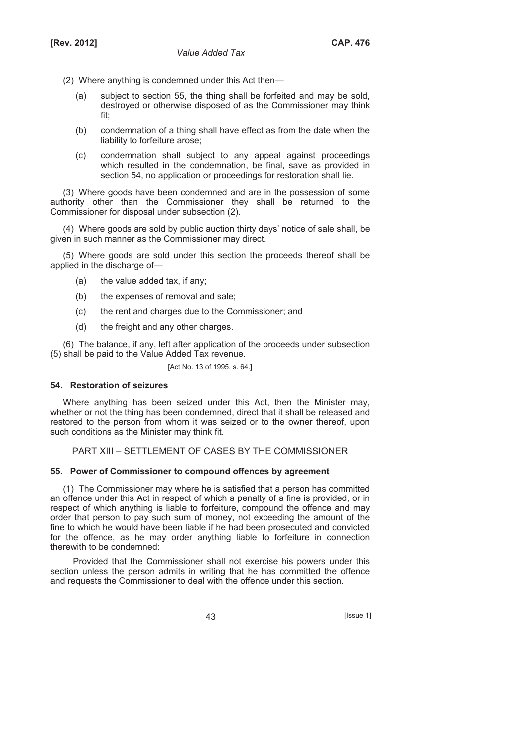- (2) Where anything is condemned under this Act then—
	- (a) subject to section 55, the thing shall be forfeited and may be sold, destroyed or otherwise disposed of as the Commissioner may think fit;
	- (b) condemnation of a thing shall have effect as from the date when the liability to forfeiture arose;
	- (c) condemnation shall subject to any appeal against proceedings which resulted in the condemnation, be final, save as provided in section 54, no application or proceedings for restoration shall lie.

(3) Where goods have been condemned and are in the possession of some authority other than the Commissioner they shall be returned to the Commissioner for disposal under subsection (2).

(4) Where goods are sold by public auction thirty days' notice of sale shall, be given in such manner as the Commissioner may direct.

(5) Where goods are sold under this section the proceeds thereof shall be applied in the discharge of—

- (a) the value added tax, if any;
- (b) the expenses of removal and sale;
- (c) the rent and charges due to the Commissioner; and
- (d) the freight and any other charges.

(6) The balance, if any, left after application of the proceeds under subsection (5) shall be paid to the Value Added Tax revenue.

[Act No. 13 of 1995, s. 64.]

### **54. Restoration of seizures**

Where anything has been seized under this Act, then the Minister may, whether or not the thing has been condemned, direct that it shall be released and restored to the person from whom it was seized or to the owner thereof, upon such conditions as the Minister may think fit.

PART XIII – SETTLEMENT OF CASES BY THE COMMISSIONER

#### **55. Power of Commissioner to compound offences by agreement**

(1) The Commissioner may where he is satisfied that a person has committed an offence under this Act in respect of which a penalty of a fine is provided, or in respect of which anything is liable to forfeiture, compound the offence and may order that person to pay such sum of money, not exceeding the amount of the fine to which he would have been liable if he had been prosecuted and convicted for the offence, as he may order anything liable to forfeiture in connection therewith to be condemned:

Provided that the Commissioner shall not exercise his powers under this section unless the person admits in writing that he has committed the offence and requests the Commissioner to deal with the offence under this section.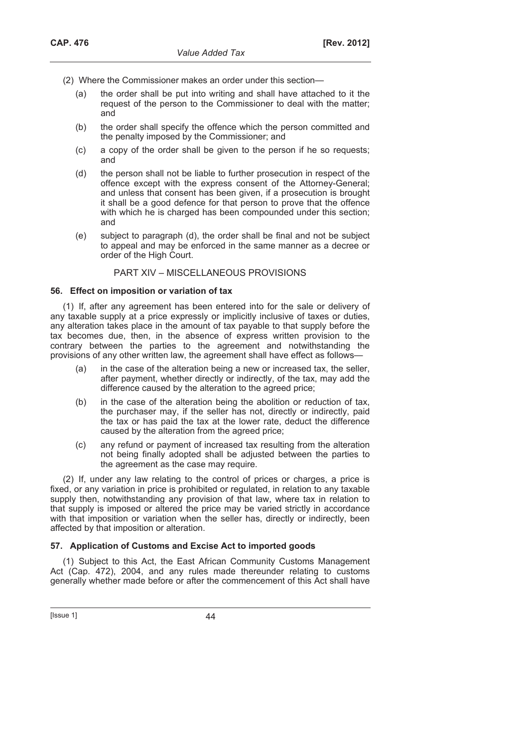- (2) Where the Commissioner makes an order under this section—
	- (a) the order shall be put into writing and shall have attached to it the request of the person to the Commissioner to deal with the matter; and
	- (b) the order shall specify the offence which the person committed and the penalty imposed by the Commissioner; and
	- (c) a copy of the order shall be given to the person if he so requests; and
	- (d) the person shall not be liable to further prosecution in respect of the offence except with the express consent of the Attorney-General; and unless that consent has been given, if a prosecution is brought it shall be a good defence for that person to prove that the offence with which he is charged has been compounded under this section; and
	- (e) subject to paragraph (d), the order shall be final and not be subject to appeal and may be enforced in the same manner as a decree or order of the High Court.

## PART XIV – MISCELLANEOUS PROVISIONS

### **56. Effect on imposition or variation of tax**

(1) If, after any agreement has been entered into for the sale or delivery of any taxable supply at a price expressly or implicitly inclusive of taxes or duties, any alteration takes place in the amount of tax payable to that supply before the tax becomes due, then, in the absence of express written provision to the contrary between the parties to the agreement and notwithstanding the provisions of any other written law, the agreement shall have effect as follows—

- (a) in the case of the alteration being a new or increased tax, the seller, after payment, whether directly or indirectly, of the tax, may add the difference caused by the alteration to the agreed price;
- (b) in the case of the alteration being the abolition or reduction of tax, the purchaser may, if the seller has not, directly or indirectly, paid the tax or has paid the tax at the lower rate, deduct the difference caused by the alteration from the agreed price;
- (c) any refund or payment of increased tax resulting from the alteration not being finally adopted shall be adjusted between the parties to the agreement as the case may require.

(2) If, under any law relating to the control of prices or charges, a price is fixed, or any variation in price is prohibited or regulated, in relation to any taxable supply then, notwithstanding any provision of that law, where tax in relation to that supply is imposed or altered the price may be varied strictly in accordance with that imposition or variation when the seller has, directly or indirectly, been affected by that imposition or alteration.

### **57. Application of Customs and Excise Act to imported goods**

(1) Subject to this Act, the East African Community Customs Management Act (Cap. 472), 2004, and any rules made thereunder relating to customs generally whether made before or after the commencement of this Act shall have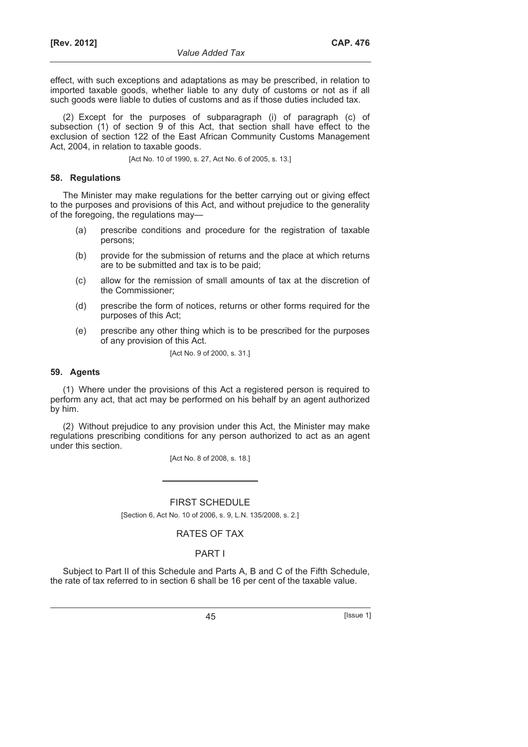effect, with such exceptions and adaptations as may be prescribed, in relation to imported taxable goods, whether liable to any duty of customs or not as if all such goods were liable to duties of customs and as if those duties included tax.

(2) Except for the purposes of subparagraph (i) of paragraph (c) of subsection (1) of section 9 of this Act, that section shall have effect to the exclusion of section 122 of the East African Community Customs Management Act, 2004, in relation to taxable goods.

[Act No. 10 of 1990, s. 27, Act No. 6 of 2005, s. 13.]

#### **58. Regulations**

The Minister may make regulations for the better carrying out or giving effect to the purposes and provisions of this Act, and without prejudice to the generality of the foregoing, the regulations may—

- (a) prescribe conditions and procedure for the registration of taxable persons;
- (b) provide for the submission of returns and the place at which returns are to be submitted and tax is to be paid;
- (c) allow for the remission of small amounts of tax at the discretion of the Commissioner;
- (d) prescribe the form of notices, returns or other forms required for the purposes of this Act;
- (e) prescribe any other thing which is to be prescribed for the purposes of any provision of this Act.

[Act No. 9 of 2000, s. 31.]

#### **59. Agents**

(1) Where under the provisions of this Act a registered person is required to perform any act, that act may be performed on his behalf by an agent authorized by him.

(2) Without prejudice to any provision under this Act, the Minister may make regulations prescribing conditions for any person authorized to act as an agent under this section.

[Act No. 8 of 2008, s. 18.]

### FIRST SCHEDULE

[Section 6, Act No. 10 of 2006, s. 9, L.N. 135/2008, s. 2.]

## RATES OF TAX

## PART I

Subject to Part II of this Schedule and Parts A, B and C of the Fifth Schedule, the rate of tax referred to in section 6 shall be 16 per cent of the taxable value.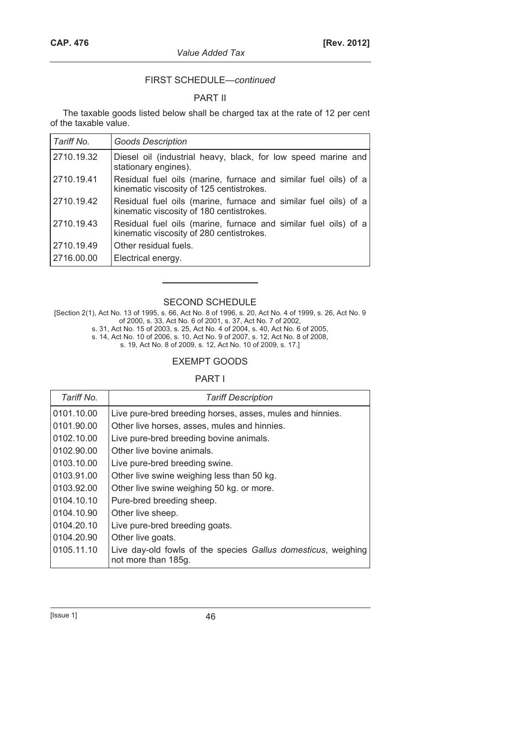## FIRST SCHEDULE—*continued*

## PART II

The taxable goods listed below shall be charged tax at the rate of 12 per cent of the taxable value.

| Tariff No. | <b>Goods Description</b>                                                                                    |
|------------|-------------------------------------------------------------------------------------------------------------|
| 2710.19.32 | Diesel oil (industrial heavy, black, for low speed marine and<br>stationary engines).                       |
| 2710.19.41 | Residual fuel oils (marine, furnace and similar fuel oils) of a<br>kinematic viscosity of 125 centistrokes. |
| 2710.19.42 | Residual fuel oils (marine, furnace and similar fuel oils) of a<br>kinematic viscosity of 180 centistrokes. |
| 2710.19.43 | Residual fuel oils (marine, furnace and similar fuel oils) of a<br>kinematic viscosity of 280 centistrokes. |
| 2710.19.49 | Other residual fuels.                                                                                       |
| 2716.00.00 | Electrical energy.                                                                                          |

## SECOND SCHEDULE

[Section 2(1), Act No. 13 of 1995, s. 66, Act No. 8 of 1996, s. 20, Act No. 4 of 1999, s. 26, Act No. 9 of 2000, s. 33, Act No. 6 of 2001, s. 37, Act No. 7 of 2002,

s. 31, Act No. 15 of 2003, s. 25, Act No. 4 of 2004, s. 40, Act No. 6 of 2005,

s. 14, Act No. 10 of 2006, s. 10, Act No. 9 of 2007, s. 12, Act No. 8 of 2008,

s. 19, Act No. 8 of 2009, s. 12, Act No. 10 of 2009, s. 17.]

## EXEMPT GOODS

## PART I

| Tariff No. | <b>Tariff Description</b>                                                            |  |
|------------|--------------------------------------------------------------------------------------|--|
| 0101.10.00 | Live pure-bred breeding horses, asses, mules and hinnies.                            |  |
| 0101.90.00 | Other live horses, asses, mules and hinnies.                                         |  |
| 0102.10.00 | Live pure-bred breeding bovine animals.                                              |  |
| 0102.90.00 | Other live bovine animals.                                                           |  |
| 0103.10.00 | Live pure-bred breeding swine.                                                       |  |
| 0103.91.00 | Other live swine weighing less than 50 kg.                                           |  |
| 0103.92.00 | Other live swine weighing 50 kg. or more.                                            |  |
| 0104.10.10 | Pure-bred breeding sheep.                                                            |  |
| 0104.10.90 | Other live sheep.                                                                    |  |
| 0104.20.10 | Live pure-bred breeding goats.                                                       |  |
| 0104.20.90 | Other live goats.                                                                    |  |
| 0105.11.10 | Live day-old fowls of the species Gallus domesticus, weighing<br>not more than 185g. |  |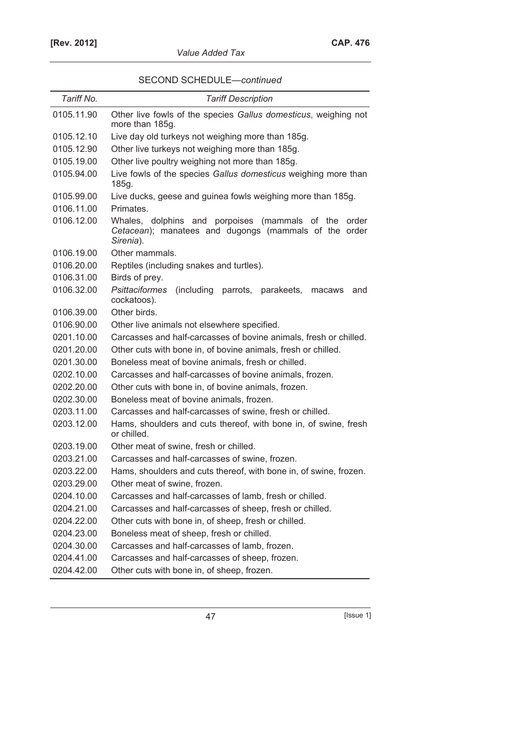|  |  |  | SECOND SCHEDULE-continued |
|--|--|--|---------------------------|
|--|--|--|---------------------------|

| Tariff No. | <b>Tariff Description</b>                                                                                                        |  |
|------------|----------------------------------------------------------------------------------------------------------------------------------|--|
| 0105.11.90 | Other live fowls of the species Gallus domesticus, weighing not<br>more than 185g.                                               |  |
| 0105.12.10 | Live day old turkeys not weighing more than 185g.                                                                                |  |
| 0105.12.90 | Other live turkeys not weighing more than 185g.                                                                                  |  |
| 0105.19.00 | Other live poultry weighing not more than 185g.                                                                                  |  |
| 0105.94.00 | Live fowls of the species Gallus domesticus weighing more than<br>185g.                                                          |  |
| 0105.99.00 | Live ducks, geese and guinea fowls weighing more than 185g.                                                                      |  |
| 0106.11.00 | Primates.                                                                                                                        |  |
| 0106.12.00 | Whales, dolphins and porpoises (mammals<br>of the<br>order<br>Cetacean); manatees and dugongs (mammals of the order<br>Sirenia). |  |
| 0106.19.00 | Other mammals.                                                                                                                   |  |
| 0106.20.00 | Reptiles (including snakes and turtles).                                                                                         |  |
| 0106.31.00 | Birds of prey.                                                                                                                   |  |
| 0106.32.00 | <b>Psittaciformes</b><br>(including<br>parrots, parakeets,<br>macaws<br>and<br>cockatoos).                                       |  |
| 0106.39.00 | Other birds.                                                                                                                     |  |
| 0106.90.00 | Other live animals not elsewhere specified.                                                                                      |  |
| 0201.10.00 | Carcasses and half-carcasses of bovine animals, fresh or chilled.                                                                |  |
| 0201.20.00 | Other cuts with bone in, of bovine animals, fresh or chilled.                                                                    |  |
| 0201.30.00 | Boneless meat of bovine animals, fresh or chilled.                                                                               |  |
| 0202.10.00 | Carcasses and half-carcasses of bovine animals, frozen.                                                                          |  |
| 0202.20.00 | Other cuts with bone in, of bovine animals, frozen.                                                                              |  |
| 0202.30.00 | Boneless meat of bovine animals, frozen.                                                                                         |  |
| 0203.11.00 | Carcasses and half-carcasses of swine, fresh or chilled.                                                                         |  |
| 0203.12.00 | Hams, shoulders and cuts thereof, with bone in, of swine, fresh<br>or chilled.                                                   |  |
| 0203.19.00 | Other meat of swine, fresh or chilled.                                                                                           |  |
| 0203.21.00 | Carcasses and half-carcasses of swine, frozen.                                                                                   |  |
| 0203.22.00 | Hams, shoulders and cuts thereof, with bone in, of swine, frozen.                                                                |  |
| 0203.29.00 | Other meat of swine, frozen.                                                                                                     |  |
| 0204.10.00 | Carcasses and half-carcasses of lamb, fresh or chilled.                                                                          |  |
| 0204.21.00 | Carcasses and half-carcasses of sheep, fresh or chilled.                                                                         |  |
| 0204.22.00 | Other cuts with bone in, of sheep, fresh or chilled.                                                                             |  |
| 0204.23.00 | Boneless meat of sheep, fresh or chilled.                                                                                        |  |
| 0204.30.00 | Carcasses and half-carcasses of lamb, frozen.                                                                                    |  |
| 0204.41.00 | Carcasses and half-carcasses of sheep, frozen.                                                                                   |  |
| 0204.42.00 | Other cuts with bone in, of sheep, frozen.                                                                                       |  |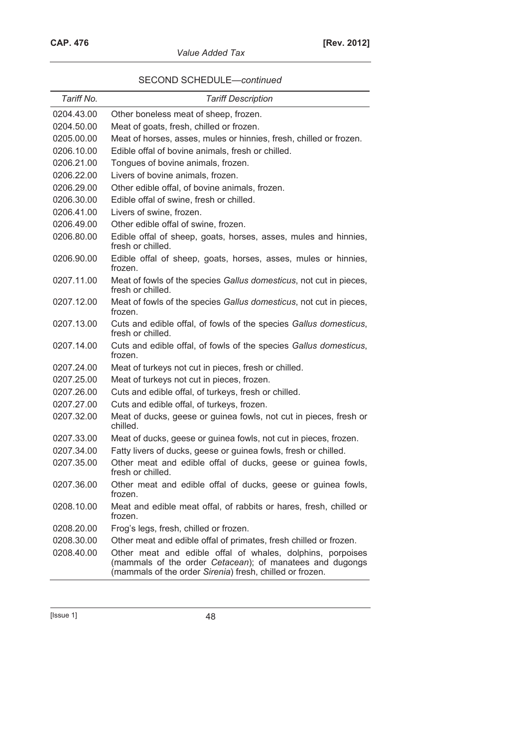|  |  | SECOND SCHEDULE-continued |
|--|--|---------------------------|
|--|--|---------------------------|

| Tariff No. | <b>Tariff Description</b>                                                                                                                                                          |
|------------|------------------------------------------------------------------------------------------------------------------------------------------------------------------------------------|
| 0204.43.00 | Other boneless meat of sheep, frozen.                                                                                                                                              |
| 0204.50.00 | Meat of goats, fresh, chilled or frozen.                                                                                                                                           |
| 0205.00.00 | Meat of horses, asses, mules or hinnies, fresh, chilled or frozen.                                                                                                                 |
| 0206.10.00 | Edible offal of bovine animals, fresh or chilled.                                                                                                                                  |
| 0206.21.00 | Tongues of bovine animals, frozen.                                                                                                                                                 |
| 0206.22.00 | Livers of bovine animals, frozen.                                                                                                                                                  |
| 0206.29.00 | Other edible offal, of bovine animals, frozen.                                                                                                                                     |
| 0206.30.00 | Edible offal of swine, fresh or chilled.                                                                                                                                           |
| 0206.41.00 | Livers of swine, frozen.                                                                                                                                                           |
| 0206.49.00 | Other edible offal of swine, frozen.                                                                                                                                               |
| 0206.80.00 | Edible offal of sheep, goats, horses, asses, mules and hinnies,<br>fresh or chilled.                                                                                               |
| 0206.90.00 | Edible offal of sheep, goats, horses, asses, mules or hinnies,<br>frozen.                                                                                                          |
| 0207.11.00 | Meat of fowls of the species Gallus domesticus, not cut in pieces,<br>fresh or chilled.                                                                                            |
| 0207.12.00 | Meat of fowls of the species Gallus domesticus, not cut in pieces,<br>frozen.                                                                                                      |
| 0207.13.00 | Cuts and edible offal, of fowls of the species Gallus domesticus,<br>fresh or chilled.                                                                                             |
| 0207.14.00 | Cuts and edible offal, of fowls of the species Gallus domesticus,<br>frozen.                                                                                                       |
| 0207.24.00 | Meat of turkeys not cut in pieces, fresh or chilled.                                                                                                                               |
| 0207.25.00 | Meat of turkeys not cut in pieces, frozen.                                                                                                                                         |
| 0207.26.00 | Cuts and edible offal, of turkeys, fresh or chilled.                                                                                                                               |
| 0207.27.00 | Cuts and edible offal, of turkeys, frozen.                                                                                                                                         |
| 0207.32.00 | Meat of ducks, geese or guinea fowls, not cut in pieces, fresh or<br>chilled.                                                                                                      |
| 0207.33.00 | Meat of ducks, geese or guinea fowls, not cut in pieces, frozen.                                                                                                                   |
| 0207.34.00 | Fatty livers of ducks, geese or guinea fowls, fresh or chilled.                                                                                                                    |
| 0207.35.00 | Other meat and edible offal of ducks, geese or guinea fowls,<br>fresh or chilled.                                                                                                  |
| 0207.36.00 | Other meat and edible offal of ducks, geese or guinea fowls,<br>frozen.                                                                                                            |
| 0208.10.00 | Meat and edible meat offal, of rabbits or hares, fresh, chilled or<br>frozen.                                                                                                      |
| 0208.20.00 | Frog's legs, fresh, chilled or frozen.                                                                                                                                             |
| 0208.30.00 | Other meat and edible offal of primates, fresh chilled or frozen.                                                                                                                  |
| 0208.40.00 | Other meat and edible offal of whales, dolphins, porpoises<br>(mammals of the order Cetacean); of manatees and dugongs<br>(mammals of the order Sirenia) fresh, chilled or frozen. |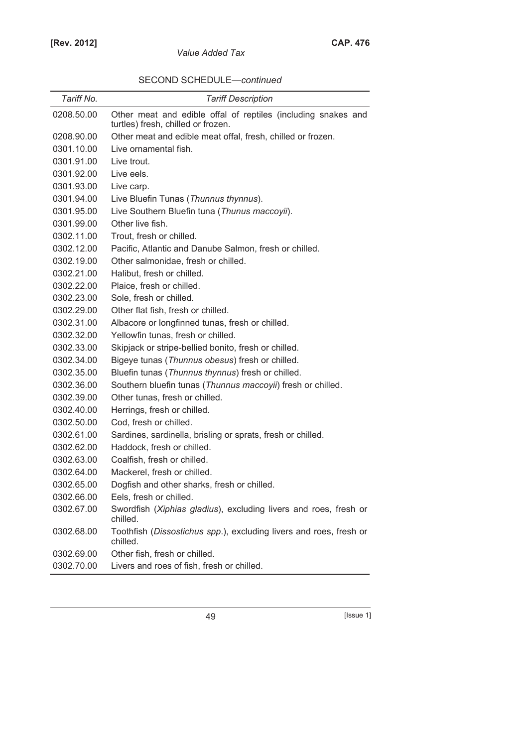| SECOND SCHEDULE-continued |  |
|---------------------------|--|
|---------------------------|--|

| Tariff No. | <b>Tariff Description</b>                                                                           |  |
|------------|-----------------------------------------------------------------------------------------------------|--|
| 0208.50.00 | Other meat and edible offal of reptiles (including snakes and<br>turtles) fresh, chilled or frozen. |  |
| 0208.90.00 | Other meat and edible meat offal, fresh, chilled or frozen.                                         |  |
| 0301.10.00 | Live ornamental fish.                                                                               |  |
| 0301.91.00 | Live trout.                                                                                         |  |
| 0301.92.00 | Live eels.                                                                                          |  |
| 0301.93.00 | Live carp.                                                                                          |  |
| 0301.94.00 | Live Bluefin Tunas (Thunnus thynnus).                                                               |  |
| 0301.95.00 | Live Southern Bluefin tuna (Thunus maccoyii).                                                       |  |
| 0301.99.00 | Other live fish.                                                                                    |  |
| 0302.11.00 | Trout, fresh or chilled.                                                                            |  |
| 0302.12.00 | Pacific, Atlantic and Danube Salmon, fresh or chilled.                                              |  |
| 0302.19.00 | Other salmonidae, fresh or chilled.                                                                 |  |
| 0302.21.00 | Halibut, fresh or chilled.                                                                          |  |
| 0302.22.00 | Plaice, fresh or chilled.                                                                           |  |
| 0302.23.00 | Sole, fresh or chilled.                                                                             |  |
| 0302.29.00 | Other flat fish, fresh or chilled.                                                                  |  |
| 0302.31.00 | Albacore or longfinned tunas, fresh or chilled.                                                     |  |
| 0302.32.00 | Yellowfin tunas, fresh or chilled.                                                                  |  |
| 0302.33.00 | Skipjack or stripe-bellied bonito, fresh or chilled.                                                |  |
| 0302.34.00 | Bigeye tunas (Thunnus obesus) fresh or chilled.                                                     |  |
| 0302.35.00 | Bluefin tunas (Thunnus thynnus) fresh or chilled.                                                   |  |
| 0302.36.00 | Southern bluefin tunas (Thunnus maccoyii) fresh or chilled.                                         |  |
| 0302.39.00 | Other tunas, fresh or chilled.                                                                      |  |
| 0302.40.00 | Herrings, fresh or chilled.                                                                         |  |
| 0302.50.00 | Cod, fresh or chilled.                                                                              |  |
| 0302.61.00 | Sardines, sardinella, brisling or sprats, fresh or chilled.                                         |  |
| 0302.62.00 | Haddock, fresh or chilled.                                                                          |  |
| 0302.63.00 | Coalfish, fresh or chilled.                                                                         |  |
| 0302.64.00 | Mackerel, fresh or chilled.                                                                         |  |
| 0302.65.00 | Dogfish and other sharks, fresh or chilled.                                                         |  |
| 0302.66.00 | Eels, fresh or chilled.                                                                             |  |
| 0302.67.00 | Swordfish (Xiphias gladius), excluding livers and roes, fresh or<br>chilled.                        |  |
| 0302.68.00 | Toothfish (Dissostichus spp.), excluding livers and roes, fresh or<br>chilled.                      |  |
| 0302.69.00 | Other fish, fresh or chilled.                                                                       |  |
| 0302.70.00 | Livers and roes of fish, fresh or chilled.                                                          |  |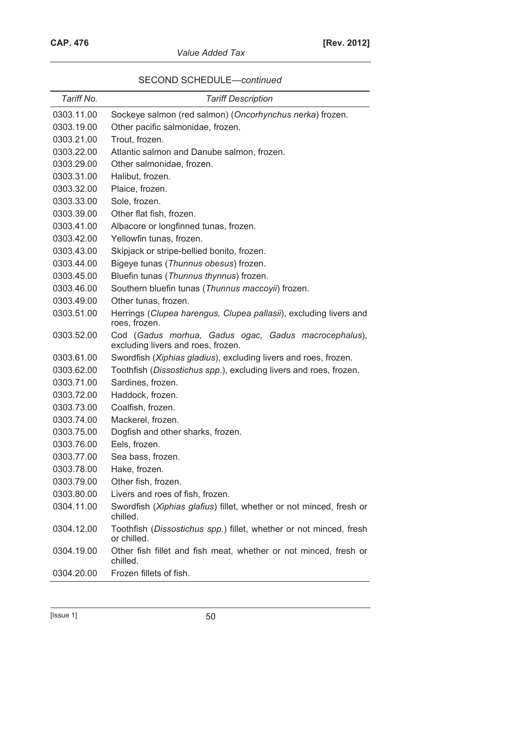|  |  | SECOND SCHEDULE-continued |
|--|--|---------------------------|
|--|--|---------------------------|

| Tariff No. | <b>Tariff Description</b>                                                                  |
|------------|--------------------------------------------------------------------------------------------|
| 0303.11.00 | Sockeye salmon (red salmon) (Oncorhynchus nerka) frozen.                                   |
| 0303.19.00 | Other pacific salmonidae, frozen.                                                          |
| 0303.21.00 | Trout, frozen.                                                                             |
| 0303.22.00 | Atlantic salmon and Danube salmon, frozen.                                                 |
| 0303.29.00 | Other salmonidae, frozen.                                                                  |
| 0303.31.00 | Halibut, frozen.                                                                           |
| 0303.32.00 | Plaice, frozen.                                                                            |
| 0303.33.00 | Sole, frozen.                                                                              |
| 0303.39.00 | Other flat fish, frozen.                                                                   |
| 0303.41.00 | Albacore or longfinned tunas, frozen.                                                      |
| 0303.42.00 | Yellowfin tunas, frozen.                                                                   |
| 0303.43.00 | Skipjack or stripe-bellied bonito, frozen.                                                 |
| 0303.44.00 | Bigeye tunas (Thunnus obesus) frozen.                                                      |
| 0303.45.00 | Bluefin tunas (Thunnus thynnus) frozen.                                                    |
| 0303.46.00 | Southern bluefin tunas (Thunnus maccoyii) frozen.                                          |
| 0303.49.00 | Other tunas, frozen.                                                                       |
| 0303.51.00 | Herrings (Clupea harengus, Clupea pallasii), excluding livers and<br>roes, frozen.         |
| 0303.52.00 | Cod (Gadus morhua, Gadus ogac, Gadus macrocephalus),<br>excluding livers and roes, frozen. |
| 0303.61.00 | Swordfish (Xiphias gladius), excluding livers and roes, frozen.                            |
| 0303.62.00 | Toothfish (Dissostichus spp.), excluding livers and roes, frozen.                          |
| 0303.71.00 | Sardines, frozen.                                                                          |
| 0303.72.00 | Haddock, frozen.                                                                           |
| 0303.73.00 | Coalfish, frozen.                                                                          |
| 0303.74.00 | Mackerel, frozen.                                                                          |
| 0303.75.00 | Dogfish and other sharks, frozen.                                                          |
| 0303.76.00 | Eels, frozen.                                                                              |
| 0303.77.00 | Sea bass, frozen.                                                                          |
| 0303.78.00 | Hake, frozen.                                                                              |
| 0303.79.00 | Other fish, frozen.                                                                        |
| 0303.80.00 | Livers and roes of fish, frozen.                                                           |
| 0304.11.00 | Swordfish (Xiphias glafius) fillet, whether or not minced, fresh or<br>chilled.            |
| 0304.12.00 | Toothfish (Dissostichus spp.) fillet, whether or not minced, fresh<br>or chilled.          |
| 0304.19.00 | Other fish fillet and fish meat, whether or not minced, fresh or<br>chilled.               |
| 0304.20.00 | Frozen fillets of fish.                                                                    |

 $[|{\rm issue} \; 1] \qquad \qquad \textcolor{red}{\textbf{50}}$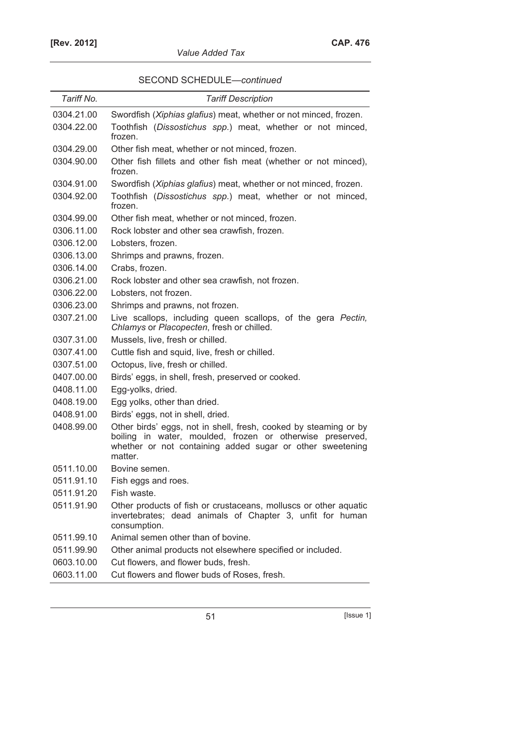| SECOND SCHEDULE-continued |  |
|---------------------------|--|
|---------------------------|--|

| Tariff No. | <b>Tariff Description</b>                                                                                                                                                                             |  |
|------------|-------------------------------------------------------------------------------------------------------------------------------------------------------------------------------------------------------|--|
| 0304.21.00 | Swordfish (Xiphias glafius) meat, whether or not minced, frozen.                                                                                                                                      |  |
| 0304.22.00 | Toothfish (Dissostichus spp.) meat, whether or not minced,<br>frozen.                                                                                                                                 |  |
| 0304.29.00 | Other fish meat, whether or not minced, frozen.                                                                                                                                                       |  |
| 0304.90.00 | Other fish fillets and other fish meat (whether or not minced),<br>frozen.                                                                                                                            |  |
| 0304.91.00 | Swordfish (Xiphias glafius) meat, whether or not minced, frozen.                                                                                                                                      |  |
| 0304.92.00 | Toothfish (Dissostichus spp.) meat, whether or not minced,<br>frozen.                                                                                                                                 |  |
| 0304.99.00 | Other fish meat, whether or not minced, frozen.                                                                                                                                                       |  |
| 0306.11.00 | Rock lobster and other sea crawfish, frozen.                                                                                                                                                          |  |
| 0306.12.00 | Lobsters, frozen.                                                                                                                                                                                     |  |
| 0306.13.00 | Shrimps and prawns, frozen.                                                                                                                                                                           |  |
| 0306.14.00 | Crabs, frozen.                                                                                                                                                                                        |  |
| 0306.21.00 | Rock lobster and other sea crawfish, not frozen.                                                                                                                                                      |  |
| 0306.22.00 | Lobsters, not frozen.                                                                                                                                                                                 |  |
| 0306.23.00 | Shrimps and prawns, not frozen.                                                                                                                                                                       |  |
| 0307.21.00 | Live scallops, including queen scallops, of the gera Pectin,<br>Chlamys or Placopecten, fresh or chilled.                                                                                             |  |
| 0307.31.00 | Mussels, live, fresh or chilled.                                                                                                                                                                      |  |
| 0307.41.00 | Cuttle fish and squid, live, fresh or chilled.                                                                                                                                                        |  |
| 0307.51.00 | Octopus, live, fresh or chilled.                                                                                                                                                                      |  |
| 0407.00.00 | Birds' eggs, in shell, fresh, preserved or cooked.                                                                                                                                                    |  |
| 0408.11.00 | Egg-yolks, dried.                                                                                                                                                                                     |  |
| 0408.19.00 | Egg yolks, other than dried.                                                                                                                                                                          |  |
| 0408.91.00 | Birds' eggs, not in shell, dried.                                                                                                                                                                     |  |
| 0408.99.00 | Other birds' eggs, not in shell, fresh, cooked by steaming or by<br>boiling in water, moulded, frozen or otherwise preserved,<br>whether or not containing added sugar or other sweetening<br>matter. |  |
| 0511.10.00 | Bovine semen.                                                                                                                                                                                         |  |
| 0511.91.10 | Fish eggs and roes.                                                                                                                                                                                   |  |
| 0511.91.20 | Fish waste.                                                                                                                                                                                           |  |
| 0511.91.90 | Other products of fish or crustaceans, molluscs or other aquatic<br>invertebrates; dead animals of Chapter 3, unfit for human<br>consumption.                                                         |  |
| 0511.99.10 | Animal semen other than of bovine.                                                                                                                                                                    |  |
| 0511.99.90 | Other animal products not elsewhere specified or included.                                                                                                                                            |  |
| 0603.10.00 | Cut flowers, and flower buds, fresh.                                                                                                                                                                  |  |
| 0603.11.00 | Cut flowers and flower buds of Roses, fresh.                                                                                                                                                          |  |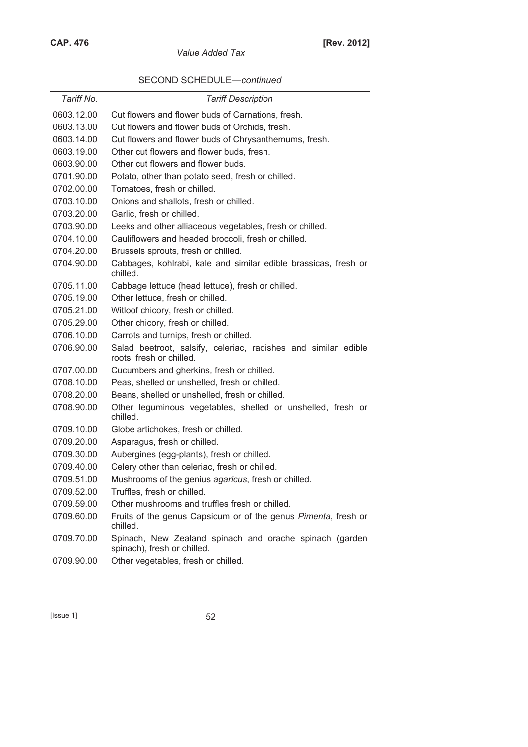|  | SECOND SCHEDULE-continued |  |
|--|---------------------------|--|
|--|---------------------------|--|

| Tariff No. | <b>Tariff Description</b>                                                                  |
|------------|--------------------------------------------------------------------------------------------|
| 0603.12.00 | Cut flowers and flower buds of Carnations, fresh.                                          |
| 0603.13.00 | Cut flowers and flower buds of Orchids, fresh.                                             |
| 0603.14.00 | Cut flowers and flower buds of Chrysanthemums, fresh.                                      |
| 0603.19.00 | Other cut flowers and flower buds, fresh.                                                  |
| 0603.90.00 | Other cut flowers and flower buds.                                                         |
| 0701.90.00 | Potato, other than potato seed, fresh or chilled.                                          |
| 0702.00.00 | Tomatoes, fresh or chilled.                                                                |
| 0703.10.00 | Onions and shallots, fresh or chilled.                                                     |
| 0703.20.00 | Garlic, fresh or chilled.                                                                  |
| 0703.90.00 | Leeks and other alliaceous vegetables, fresh or chilled.                                   |
| 0704.10.00 | Cauliflowers and headed broccoli, fresh or chilled.                                        |
| 0704.20.00 | Brussels sprouts, fresh or chilled.                                                        |
| 0704.90.00 | Cabbages, kohlrabi, kale and similar edible brassicas, fresh or<br>chilled.                |
| 0705.11.00 | Cabbage lettuce (head lettuce), fresh or chilled.                                          |
| 0705.19.00 | Other lettuce, fresh or chilled.                                                           |
| 0705.21.00 | Witloof chicory, fresh or chilled.                                                         |
| 0705.29.00 | Other chicory, fresh or chilled.                                                           |
| 0706.10.00 | Carrots and turnips, fresh or chilled.                                                     |
| 0706.90.00 | Salad beetroot, salsify, celeriac, radishes and similar edible<br>roots, fresh or chilled. |
| 0707.00.00 | Cucumbers and gherkins, fresh or chilled.                                                  |
| 0708.10.00 | Peas, shelled or unshelled, fresh or chilled.                                              |
| 0708.20.00 | Beans, shelled or unshelled, fresh or chilled.                                             |
| 0708.90.00 | Other leguminous vegetables, shelled or unshelled, fresh or<br>chilled.                    |
| 0709.10.00 | Globe artichokes, fresh or chilled.                                                        |
| 0709.20.00 | Asparagus, fresh or chilled.                                                               |
| 0709.30.00 | Aubergines (egg-plants), fresh or chilled.                                                 |
| 0709.40.00 | Celery other than celeriac, fresh or chilled.                                              |
| 0709.51.00 | Mushrooms of the genius agaricus, fresh or chilled.                                        |
| 0709.52.00 | Truffles, fresh or chilled.                                                                |
| 0709.59.00 | Other mushrooms and truffles fresh or chilled.                                             |
| 0709.60.00 | Fruits of the genus Capsicum or of the genus Pimenta, fresh or<br>chilled.                 |
| 0709.70.00 | Spinach, New Zealand spinach and orache spinach (garden<br>spinach), fresh or chilled.     |
| 0709.90.00 | Other vegetables, fresh or chilled.                                                        |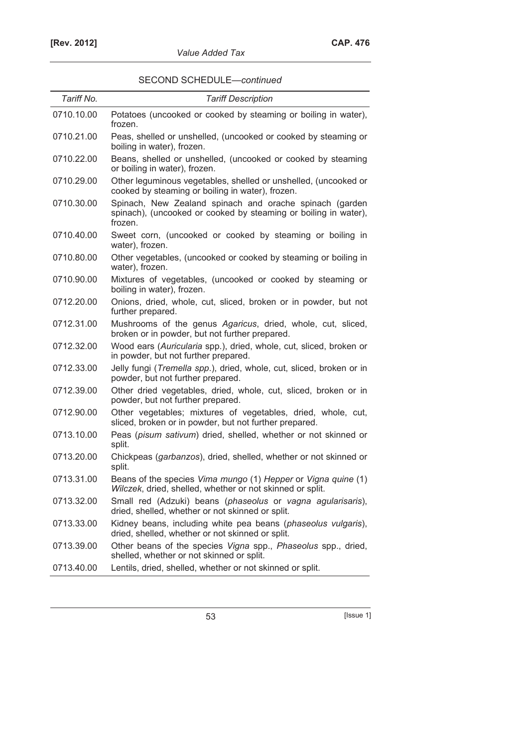| Tariff No. | <b>Tariff Description</b>                                                                                                             |
|------------|---------------------------------------------------------------------------------------------------------------------------------------|
| 0710.10.00 | Potatoes (uncooked or cooked by steaming or boiling in water),<br>frozen.                                                             |
| 0710.21.00 | Peas, shelled or unshelled, (uncooked or cooked by steaming or<br>boiling in water), frozen.                                          |
| 0710.22.00 | Beans, shelled or unshelled, (uncooked or cooked by steaming<br>or boiling in water), frozen.                                         |
| 0710.29.00 | Other leguminous vegetables, shelled or unshelled, (uncooked or<br>cooked by steaming or boiling in water), frozen.                   |
| 0710.30.00 | Spinach, New Zealand spinach and orache spinach (garden<br>spinach), (uncooked or cooked by steaming or boiling in water),<br>frozen. |
| 0710.40.00 | Sweet corn, (uncooked or cooked by steaming or boiling in<br>water), frozen.                                                          |
| 0710.80.00 | Other vegetables, (uncooked or cooked by steaming or boiling in<br>water), frozen.                                                    |
| 0710.90.00 | Mixtures of vegetables, (uncooked or cooked by steaming or<br>boiling in water), frozen.                                              |
| 0712.20.00 | Onions, dried, whole, cut, sliced, broken or in powder, but not<br>further prepared.                                                  |
| 0712.31.00 | Mushrooms of the genus Agaricus, dried, whole, cut, sliced,<br>broken or in powder, but not further prepared.                         |
| 0712.32.00 | Wood ears (Auricularia spp.), dried, whole, cut, sliced, broken or<br>in powder, but not further prepared.                            |
| 0712.33.00 | Jelly fungi (Tremella spp.), dried, whole, cut, sliced, broken or in<br>powder, but not further prepared.                             |
| 0712.39.00 | Other dried vegetables, dried, whole, cut, sliced, broken or in<br>powder, but not further prepared.                                  |
| 0712.90.00 | Other vegetables; mixtures of vegetables, dried, whole, cut,<br>sliced, broken or in powder, but not further prepared.                |
| 0713.10.00 | Peas (pisum sativum) dried, shelled, whether or not skinned or<br>split.                                                              |
| 0713.20.00 | Chickpeas (garbanzos), dried, shelled, whether or not skinned or<br>split.                                                            |
| 0713.31.00 | Beans of the species Vima mungo (1) Hepper or Vigna quine (1)<br>Wilczek, dried, shelled, whether or not skinned or split.            |
| 0713.32.00 | Small red (Adzuki) beans (phaseolus or vagna agularisaris),<br>dried, shelled, whether or not skinned or split.                       |
| 0713.33.00 | Kidney beans, including white pea beans (phaseolus vulgaris),<br>dried, shelled, whether or not skinned or split.                     |
| 0713.39.00 | Other beans of the species Vigna spp., Phaseolus spp., dried,<br>shelled, whether or not skinned or split.                            |
| 0713.40.00 | Lentils, dried, shelled, whether or not skinned or split.                                                                             |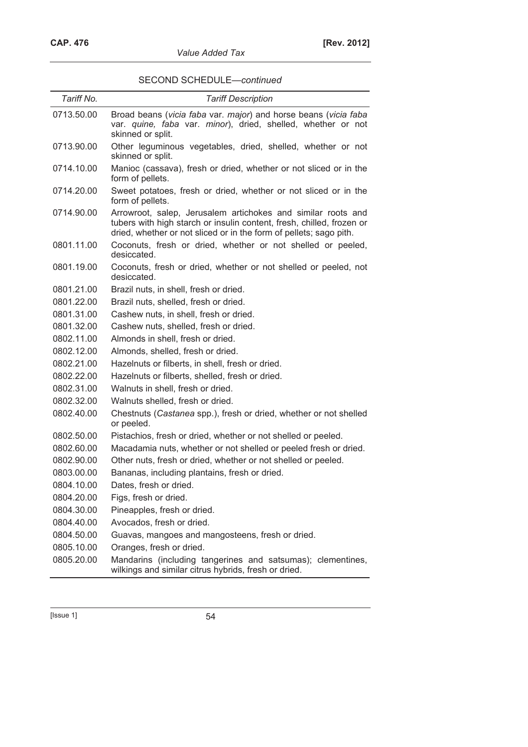| Tariff No. | <b>Tariff Description</b>                                                                                                                                                                                   |  |
|------------|-------------------------------------------------------------------------------------------------------------------------------------------------------------------------------------------------------------|--|
| 0713.50.00 | Broad beans (vicia faba var. major) and horse beans (vicia faba<br>var. quine, faba var. minor), dried, shelled, whether or not<br>skinned or split.                                                        |  |
| 0713.90.00 | Other leguminous vegetables, dried, shelled, whether or not<br>skinned or split.                                                                                                                            |  |
| 0714.10.00 | Manioc (cassava), fresh or dried, whether or not sliced or in the<br>form of pellets.                                                                                                                       |  |
| 0714.20.00 | Sweet potatoes, fresh or dried, whether or not sliced or in the<br>form of pellets.                                                                                                                         |  |
| 0714.90.00 | Arrowroot, salep, Jerusalem artichokes and similar roots and<br>tubers with high starch or insulin content, fresh, chilled, frozen or<br>dried, whether or not sliced or in the form of pellets; sago pith. |  |
| 0801.11.00 | Coconuts, fresh or dried, whether or not shelled or peeled,<br>desiccated.                                                                                                                                  |  |
| 0801.19.00 | Coconuts, fresh or dried, whether or not shelled or peeled, not<br>desiccated.                                                                                                                              |  |
| 0801.21.00 | Brazil nuts, in shell, fresh or dried.                                                                                                                                                                      |  |
| 0801.22.00 | Brazil nuts, shelled, fresh or dried.                                                                                                                                                                       |  |
| 0801.31.00 | Cashew nuts, in shell, fresh or dried.                                                                                                                                                                      |  |
| 0801.32.00 | Cashew nuts, shelled, fresh or dried.                                                                                                                                                                       |  |
| 0802.11.00 | Almonds in shell, fresh or dried.                                                                                                                                                                           |  |
| 0802.12.00 | Almonds, shelled, fresh or dried.                                                                                                                                                                           |  |
| 0802.21.00 | Hazelnuts or filberts, in shell, fresh or dried.                                                                                                                                                            |  |
| 0802.22.00 | Hazelnuts or filberts, shelled, fresh or dried.                                                                                                                                                             |  |
| 0802.31.00 | Walnuts in shell, fresh or dried.                                                                                                                                                                           |  |
| 0802.32.00 | Walnuts shelled, fresh or dried.                                                                                                                                                                            |  |
| 0802.40.00 | Chestnuts (Castanea spp.), fresh or dried, whether or not shelled<br>or peeled.                                                                                                                             |  |
| 0802.50.00 | Pistachios, fresh or dried, whether or not shelled or peeled.                                                                                                                                               |  |
| 0802.60.00 | Macadamia nuts, whether or not shelled or peeled fresh or dried.                                                                                                                                            |  |
| 0802.90.00 | Other nuts, fresh or dried, whether or not shelled or peeled.                                                                                                                                               |  |
| 0803.00.00 | Bananas, including plantains, fresh or dried.                                                                                                                                                               |  |
| 0804.10.00 | Dates, fresh or dried.                                                                                                                                                                                      |  |
| 0804.20.00 | Figs, fresh or dried.                                                                                                                                                                                       |  |
| 0804.30.00 | Pineapples, fresh or dried.                                                                                                                                                                                 |  |
| 0804.40.00 | Avocados, fresh or dried.                                                                                                                                                                                   |  |
| 0804.50.00 | Guavas, mangoes and mangosteens, fresh or dried.                                                                                                                                                            |  |
| 0805.10.00 | Oranges, fresh or dried.                                                                                                                                                                                    |  |
| 0805.20.00 | Mandarins (including tangerines and satsumas); clementines,<br>wilkings and similar citrus hybrids, fresh or dried.                                                                                         |  |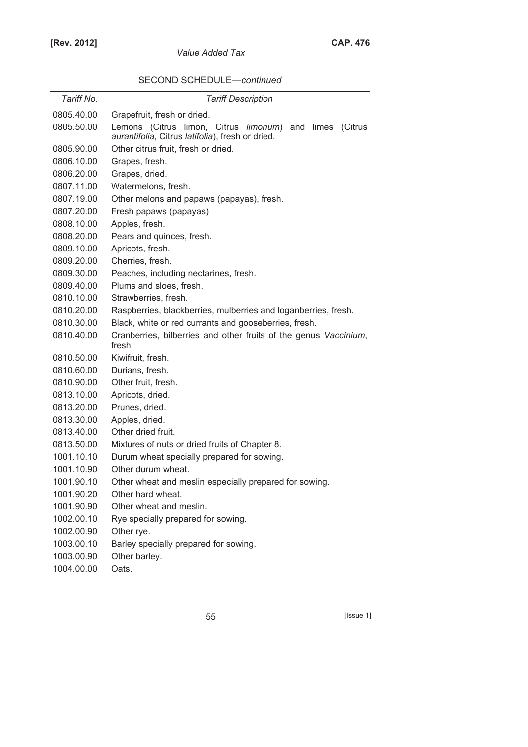| SECOND SCHEDULE-continued |
|---------------------------|
|---------------------------|

| Tariff No. | <b>Tariff Description</b>                                                  |
|------------|----------------------------------------------------------------------------|
| 0805.40.00 | Grapefruit, fresh or dried.                                                |
| 0805.50.00 | Lemons (Citrus limon, Citrus limonum)<br>and<br>(Citrus<br>limes           |
|            | aurantifolia, Citrus latifolia), fresh or dried.                           |
| 0805.90.00 | Other citrus fruit, fresh or dried.                                        |
| 0806.10.00 | Grapes, fresh.                                                             |
| 0806.20.00 | Grapes, dried.                                                             |
| 0807.11.00 | Watermelons, fresh.                                                        |
| 0807.19.00 | Other melons and papaws (papayas), fresh.                                  |
| 0807.20.00 | Fresh papaws (papayas)                                                     |
| 0808.10.00 | Apples, fresh.                                                             |
| 0808.20.00 | Pears and quinces, fresh.                                                  |
| 0809.10.00 | Apricots, fresh.                                                           |
| 0809.20.00 | Cherries, fresh.                                                           |
| 0809.30.00 | Peaches, including nectarines, fresh.                                      |
| 0809.40.00 | Plums and sloes, fresh.                                                    |
| 0810.10.00 | Strawberries, fresh.                                                       |
| 0810.20.00 | Raspberries, blackberries, mulberries and loganberries, fresh.             |
| 0810.30.00 | Black, white or red currants and gooseberries, fresh.                      |
| 0810.40.00 | Cranberries, bilberries and other fruits of the genus Vaccinium,<br>fresh. |
| 0810.50.00 | Kiwifruit, fresh.                                                          |
| 0810.60.00 | Durians, fresh.                                                            |
| 0810.90.00 | Other fruit, fresh.                                                        |
| 0813.10.00 | Apricots, dried.                                                           |
| 0813.20.00 | Prunes, dried.                                                             |
| 0813.30.00 | Apples, dried.                                                             |
| 0813.40.00 | Other dried fruit.                                                         |
| 0813.50.00 | Mixtures of nuts or dried fruits of Chapter 8.                             |
| 1001.10.10 | Durum wheat specially prepared for sowing.                                 |
| 1001.10.90 | Other durum wheat.                                                         |
| 1001.90.10 | Other wheat and meslin especially prepared for sowing.                     |
| 1001.90.20 | Other hard wheat.                                                          |
| 1001.90.90 | Other wheat and meslin.                                                    |
| 1002.00.10 | Rye specially prepared for sowing.                                         |
| 1002.00.90 | Other rye.                                                                 |
| 1003.00.10 | Barley specially prepared for sowing.                                      |
| 1003.00.90 | Other barley.                                                              |
| 1004.00.00 | Oats.                                                                      |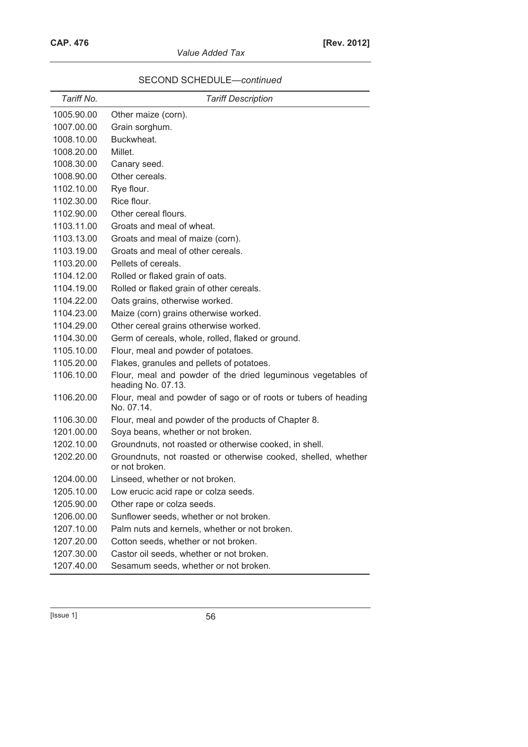| Tariff No. | <b>Tariff Description</b>                                                          |
|------------|------------------------------------------------------------------------------------|
| 1005.90.00 | Other maize (corn).                                                                |
| 1007.00.00 | Grain sorghum.                                                                     |
| 1008.10.00 | Buckwheat.                                                                         |
| 1008.20.00 | Millet.                                                                            |
| 1008.30.00 | Canary seed.                                                                       |
| 1008.90.00 | Other cereals.                                                                     |
| 1102.10.00 | Rye flour.                                                                         |
| 1102.30.00 | Rice flour.                                                                        |
| 1102.90.00 | Other cereal flours.                                                               |
| 1103.11.00 | Groats and meal of wheat.                                                          |
| 1103.13.00 | Groats and meal of maize (corn).                                                   |
| 1103.19.00 | Groats and meal of other cereals.                                                  |
| 1103.20.00 | Pellets of cereals.                                                                |
| 1104.12.00 | Rolled or flaked grain of oats.                                                    |
| 1104.19.00 | Rolled or flaked grain of other cereals.                                           |
| 1104.22.00 | Oats grains, otherwise worked.                                                     |
| 1104.23.00 | Maize (corn) grains otherwise worked.                                              |
| 1104.29.00 | Other cereal grains otherwise worked.                                              |
| 1104.30.00 | Germ of cereals, whole, rolled, flaked or ground.                                  |
| 1105.10.00 | Flour, meal and powder of potatoes.                                                |
| 1105.20.00 | Flakes, granules and pellets of potatoes.                                          |
| 1106.10.00 | Flour, meal and powder of the dried leguminous vegetables of<br>heading No. 07.13. |
| 1106.20.00 | Flour, meal and powder of sago or of roots or tubers of heading<br>No. 07.14.      |
| 1106.30.00 | Flour, meal and powder of the products of Chapter 8.                               |
| 1201.00.00 | Soya beans, whether or not broken.                                                 |
| 1202.10.00 | Groundnuts, not roasted or otherwise cooked, in shell.                             |
| 1202.20.00 | Groundnuts, not roasted or otherwise cooked, shelled, whether<br>or not broken.    |
| 1204.00.00 | Linseed, whether or not broken.                                                    |
| 1205.10.00 | Low erucic acid rape or colza seeds.                                               |
| 1205.90.00 | Other rape or colza seeds.                                                         |
| 1206.00.00 | Sunflower seeds, whether or not broken.                                            |
| 1207.10.00 | Palm nuts and kernels, whether or not broken.                                      |
| 1207.20.00 | Cotton seeds, whether or not broken.                                               |
| 1207.30.00 | Castor oil seeds, whether or not broken.                                           |
| 1207.40.00 | Sesamum seeds, whether or not broken.                                              |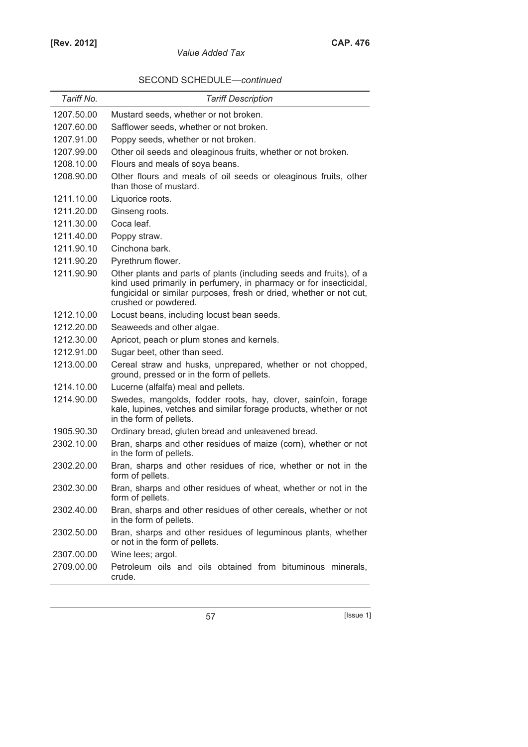| Tariff No. | <b>Tariff Description</b>                                                                                                                                                                                                                |
|------------|------------------------------------------------------------------------------------------------------------------------------------------------------------------------------------------------------------------------------------------|
| 1207.50.00 | Mustard seeds, whether or not broken.                                                                                                                                                                                                    |
| 1207.60.00 | Safflower seeds, whether or not broken.                                                                                                                                                                                                  |
| 1207.91.00 | Poppy seeds, whether or not broken.                                                                                                                                                                                                      |
| 1207.99.00 | Other oil seeds and oleaginous fruits, whether or not broken.                                                                                                                                                                            |
| 1208.10.00 | Flours and meals of soya beans.                                                                                                                                                                                                          |
| 1208.90.00 | Other flours and meals of oil seeds or oleaginous fruits, other<br>than those of mustard.                                                                                                                                                |
| 1211.10.00 | Liquorice roots.                                                                                                                                                                                                                         |
| 1211.20.00 | Ginseng roots.                                                                                                                                                                                                                           |
| 1211.30.00 | Coca leaf.                                                                                                                                                                                                                               |
| 1211.40.00 | Poppy straw.                                                                                                                                                                                                                             |
| 1211.90.10 | Cinchona bark.                                                                                                                                                                                                                           |
| 1211.90.20 | Pyrethrum flower.                                                                                                                                                                                                                        |
| 1211.90.90 | Other plants and parts of plants (including seeds and fruits), of a<br>kind used primarily in perfumery, in pharmacy or for insecticidal,<br>fungicidal or similar purposes, fresh or dried, whether or not cut,<br>crushed or powdered. |
| 1212.10.00 | Locust beans, including locust bean seeds.                                                                                                                                                                                               |
| 1212.20.00 | Seaweeds and other algae.                                                                                                                                                                                                                |
| 1212.30.00 | Apricot, peach or plum stones and kernels.                                                                                                                                                                                               |
| 1212.91.00 | Sugar beet, other than seed.                                                                                                                                                                                                             |
| 1213.00.00 | Cereal straw and husks, unprepared, whether or not chopped,<br>ground, pressed or in the form of pellets.                                                                                                                                |
| 1214.10.00 | Lucerne (alfalfa) meal and pellets.                                                                                                                                                                                                      |
| 1214.90.00 | Swedes, mangolds, fodder roots, hay, clover, sainfoin, forage<br>kale, lupines, vetches and similar forage products, whether or not<br>in the form of pellets.                                                                           |
| 1905.90.30 | Ordinary bread, gluten bread and unleavened bread.                                                                                                                                                                                       |
| 2302.10.00 | Bran, sharps and other residues of maize (corn), whether or not<br>in the form of pellets.                                                                                                                                               |
| 2302.20.00 | Bran, sharps and other residues of rice, whether or not in the<br>form of pellets.                                                                                                                                                       |
| 2302.30.00 | Bran, sharps and other residues of wheat, whether or not in the<br>form of pellets.                                                                                                                                                      |
| 2302.40.00 | Bran, sharps and other residues of other cereals, whether or not<br>in the form of pellets.                                                                                                                                              |
| 2302.50.00 | Bran, sharps and other residues of leguminous plants, whether<br>or not in the form of pellets.                                                                                                                                          |
| 2307.00.00 | Wine lees; argol.                                                                                                                                                                                                                        |
| 2709.00.00 | Petroleum oils and oils obtained from bituminous minerals,<br>crude.                                                                                                                                                                     |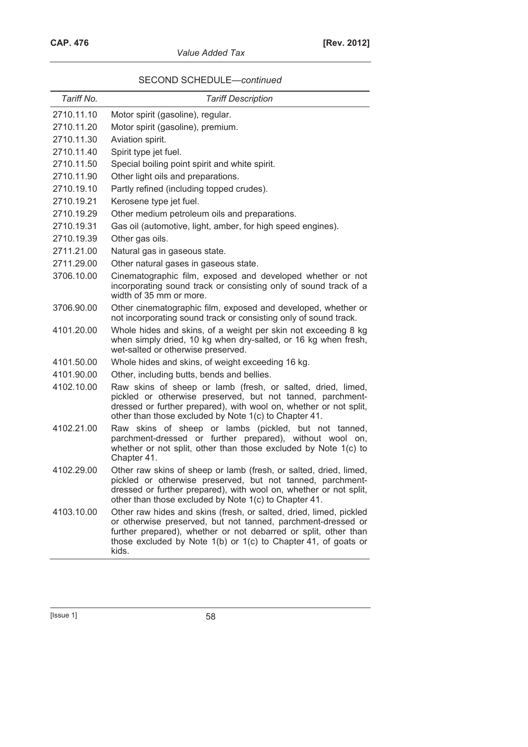| Tariff No. | <b>Tariff Description</b>                                                                                                                                                                                                                                                        |
|------------|----------------------------------------------------------------------------------------------------------------------------------------------------------------------------------------------------------------------------------------------------------------------------------|
| 2710.11.10 | Motor spirit (gasoline), regular.                                                                                                                                                                                                                                                |
| 2710.11.20 | Motor spirit (gasoline), premium.                                                                                                                                                                                                                                                |
| 2710.11.30 | Aviation spirit.                                                                                                                                                                                                                                                                 |
| 2710.11.40 | Spirit type jet fuel.                                                                                                                                                                                                                                                            |
| 2710.11.50 | Special boiling point spirit and white spirit.                                                                                                                                                                                                                                   |
| 2710.11.90 | Other light oils and preparations.                                                                                                                                                                                                                                               |
| 2710.19.10 | Partly refined (including topped crudes).                                                                                                                                                                                                                                        |
| 2710.19.21 | Kerosene type jet fuel.                                                                                                                                                                                                                                                          |
| 2710.19.29 | Other medium petroleum oils and preparations.                                                                                                                                                                                                                                    |
| 2710.19.31 | Gas oil (automotive, light, amber, for high speed engines).                                                                                                                                                                                                                      |
| 2710.19.39 | Other gas oils.                                                                                                                                                                                                                                                                  |
| 2711.21.00 | Natural gas in gaseous state.                                                                                                                                                                                                                                                    |
| 2711.29.00 | Other natural gases in gaseous state.                                                                                                                                                                                                                                            |
| 3706.10.00 | Cinematographic film, exposed and developed whether or not<br>incorporating sound track or consisting only of sound track of a<br>width of 35 mm or more.                                                                                                                        |
| 3706.90.00 | Other cinematographic film, exposed and developed, whether or<br>not incorporating sound track or consisting only of sound track.                                                                                                                                                |
| 4101.20.00 | Whole hides and skins, of a weight per skin not exceeding 8 kg<br>when simply dried, 10 kg when dry-salted, or 16 kg when fresh,<br>wet-salted or otherwise preserved.                                                                                                           |
| 4101.50.00 | Whole hides and skins, of weight exceeding 16 kg.                                                                                                                                                                                                                                |
| 4101.90.00 | Other, including butts, bends and bellies.                                                                                                                                                                                                                                       |
| 4102.10.00 | Raw skins of sheep or lamb (fresh, or salted, dried, limed,<br>pickled or otherwise preserved, but not tanned, parchment-<br>dressed or further prepared), with wool on, whether or not split,<br>other than those excluded by Note 1(c) to Chapter 41.                          |
| 4102.21.00 | Raw skins of sheep or lambs (pickled, but not tanned,<br>parchment-dressed or further prepared), without wool on,<br>whether or not split, other than those excluded by Note 1(c) to<br>Chapter 41.                                                                              |
| 4102.29.00 | Other raw skins of sheep or lamb (fresh, or salted, dried, limed,<br>pickled or otherwise preserved, but not tanned, parchment-<br>dressed or further prepared), with wool on, whether or not split,<br>other than those excluded by Note 1(c) to Chapter 41.                    |
| 4103.10.00 | Other raw hides and skins (fresh, or salted, dried, limed, pickled<br>or otherwise preserved, but not tanned, parchment-dressed or<br>further prepared), whether or not debarred or split, other than<br>those excluded by Note 1(b) or 1(c) to Chapter 41, of goats or<br>kids. |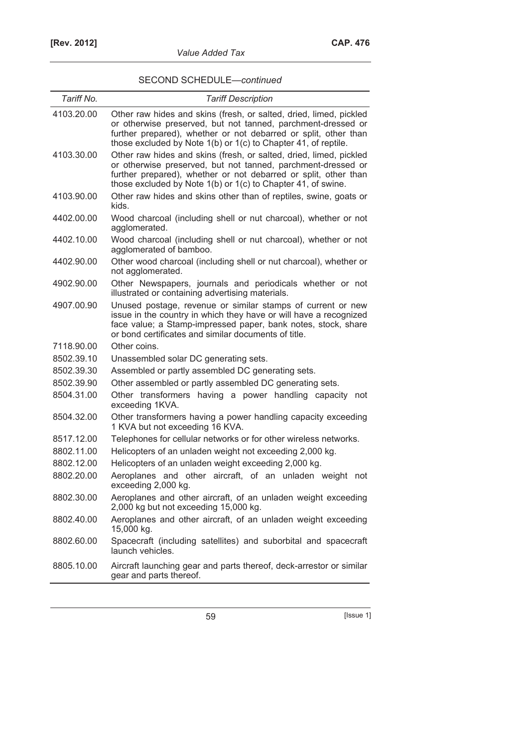| Tariff No. | <b>Tariff Description</b>                                                                                                                                                                                                                                               |
|------------|-------------------------------------------------------------------------------------------------------------------------------------------------------------------------------------------------------------------------------------------------------------------------|
| 4103.20.00 | Other raw hides and skins (fresh, or salted, dried, limed, pickled<br>or otherwise preserved, but not tanned, parchment-dressed or<br>further prepared), whether or not debarred or split, other than<br>those excluded by Note 1(b) or 1(c) to Chapter 41, of reptile. |
| 4103.30.00 | Other raw hides and skins (fresh, or salted, dried, limed, pickled<br>or otherwise preserved, but not tanned, parchment-dressed or<br>further prepared), whether or not debarred or split, other than<br>those excluded by Note 1(b) or 1(c) to Chapter 41, of swine.   |
| 4103.90.00 | Other raw hides and skins other than of reptiles, swine, goats or<br>kids.                                                                                                                                                                                              |
| 4402.00.00 | Wood charcoal (including shell or nut charcoal), whether or not<br>agglomerated.                                                                                                                                                                                        |
| 4402.10.00 | Wood charcoal (including shell or nut charcoal), whether or not<br>agglomerated of bamboo.                                                                                                                                                                              |
| 4402.90.00 | Other wood charcoal (including shell or nut charcoal), whether or<br>not agglomerated.                                                                                                                                                                                  |
| 4902.90.00 | Other Newspapers, journals and periodicals whether or not<br>illustrated or containing advertising materials.                                                                                                                                                           |
| 4907.00.90 | Unused postage, revenue or similar stamps of current or new<br>issue in the country in which they have or will have a recognized<br>face value; a Stamp-impressed paper, bank notes, stock, share<br>or bond certificates and similar documents of title.               |
| 7118.90.00 | Other coins.                                                                                                                                                                                                                                                            |
| 8502.39.10 | Unassembled solar DC generating sets.                                                                                                                                                                                                                                   |
| 8502.39.30 | Assembled or partly assembled DC generating sets.                                                                                                                                                                                                                       |
| 8502.39.90 | Other assembled or partly assembled DC generating sets.                                                                                                                                                                                                                 |
| 8504.31.00 | Other transformers having a power handling capacity not<br>exceeding 1KVA.                                                                                                                                                                                              |
| 8504.32.00 | Other transformers having a power handling capacity exceeding<br>1 KVA but not exceeding 16 KVA.                                                                                                                                                                        |
| 8517.12.00 | Telephones for cellular networks or for other wireless networks.                                                                                                                                                                                                        |
| 8802.11.00 | Helicopters of an unladen weight not exceeding 2,000 kg.                                                                                                                                                                                                                |
| 8802.12.00 | Helicopters of an unladen weight exceeding 2,000 kg.                                                                                                                                                                                                                    |
| 8802.20.00 | Aeroplanes and other aircraft, of an unladen weight not<br>exceeding 2,000 kg.                                                                                                                                                                                          |
| 8802.30.00 | Aeroplanes and other aircraft, of an unladen weight exceeding<br>2,000 kg but not exceeding 15,000 kg.                                                                                                                                                                  |
| 8802.40.00 | Aeroplanes and other aircraft, of an unladen weight exceeding<br>15,000 kg.                                                                                                                                                                                             |
| 8802.60.00 | Spacecraft (including satellites) and suborbital and spacecraft<br>launch vehicles.                                                                                                                                                                                     |
| 8805.10.00 | Aircraft launching gear and parts thereof, deck-arrestor or similar<br>gear and parts thereof.                                                                                                                                                                          |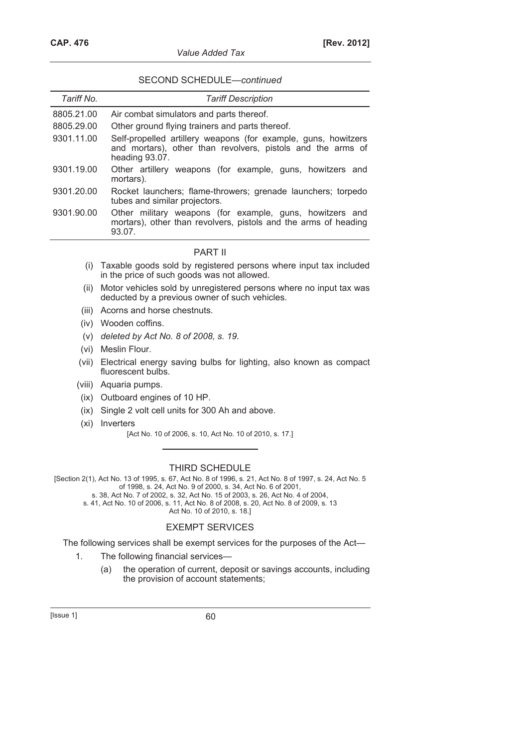| Tariff No. | <b>Tariff Description</b>                                                                                                                       |
|------------|-------------------------------------------------------------------------------------------------------------------------------------------------|
| 8805.21.00 | Air combat simulators and parts thereof.                                                                                                        |
| 8805.29.00 | Other ground flying trainers and parts thereof.                                                                                                 |
| 9301.11.00 | Self-propelled artillery weapons (for example, guns, howitzers<br>and mortars), other than revolvers, pistols and the arms of<br>heading 93.07. |
| 9301.19.00 | Other artillery weapons (for example, guns, howitzers and<br>mortars).                                                                          |
| 9301.20.00 | Rocket launchers; flame-throwers; grenade launchers; torpedo<br>tubes and similar projectors.                                                   |
| 9301.90.00 | Other military weapons (for example, guns, howitzers and<br>mortars), other than revolvers, pistols and the arms of heading<br>93.07.           |
|            | PART II                                                                                                                                         |

- (i) Taxable goods sold by registered persons where input tax included in the price of such goods was not allowed.
- (ii) Motor vehicles sold by unregistered persons where no input tax was deducted by a previous owner of such vehicles.
- (iii) Acorns and horse chestnuts.
- (iv) Wooden coffins.
- (v) *deleted by Act No. 8 of 2008, s. 19.*
- (vi) Meslin Flour.
- (vii) Electrical energy saving bulbs for lighting, also known as compact fluorescent bulbs.
- (viii) Aquaria pumps.
- (ix) Outboard engines of 10 HP.
- (ix) Single 2 volt cell units for 300 Ah and above.
- (xi) Inverters
	- [Act No. 10 of 2006, s. 10, Act No. 10 of 2010, s. 17.]

## THIRD SCHEDULE

[Section 2(1), Act No. 13 of 1995, s. 67, Act No. 8 of 1996, s. 21, Act No. 8 of 1997, s. 24, Act No. 5 of 1998, s. 24, Act No. 9 of 2000, s. 34, Act No. 6 of 2001,

s. 38, Act No. 7 of 2002, s. 32, Act No. 15 of 2003, s. 26, Act No. 4 of 2004,

s. 41, Act No. 10 of 2006, s. 11, Act No. 8 of 2008, s. 20, Act No. 8 of 2009, s. 13 Act No. 10 of 2010, s. 18.]

## EXEMPT SERVICES

The following services shall be exempt services for the purposes of the Act—

- 1. The following financial services—
	- (a) the operation of current, deposit or savings accounts, including the provision of account statements;

 $[|$ ssue 1 $]$  60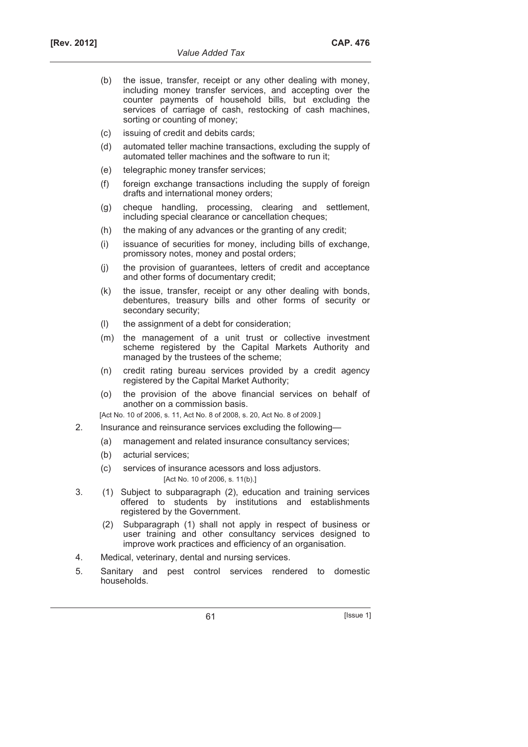- (b) the issue, transfer, receipt or any other dealing with money, including money transfer services, and accepting over the counter payments of household bills, but excluding the services of carriage of cash, restocking of cash machines, sorting or counting of money;
- (c) issuing of credit and debits cards;
- (d) automated teller machine transactions, excluding the supply of automated teller machines and the software to run it;
- (e) telegraphic money transfer services;
- (f) foreign exchange transactions including the supply of foreign drafts and international money orders;
- (g) cheque handling, processing, clearing and settlement, including special clearance or cancellation cheques;
- (h) the making of any advances or the granting of any credit;
- (i) issuance of securities for money, including bills of exchange, promissory notes, money and postal orders;
- (j) the provision of guarantees, letters of credit and acceptance and other forms of documentary credit;
- (k) the issue, transfer, receipt or any other dealing with bonds, debentures, treasury bills and other forms of security or secondary security;
- (l) the assignment of a debt for consideration;
- (m) the management of a unit trust or collective investment scheme registered by the Capital Markets Authority and managed by the trustees of the scheme;
- (n) credit rating bureau services provided by a credit agency registered by the Capital Market Authority;
- (o) the provision of the above financial services on behalf of another on a commission basis.

[Act No. 10 of 2006, s. 11, Act No. 8 of 2008, s. 20, Act No. 8 of 2009.]

- 2. Insurance and reinsurance services excluding the following—
	- (a) management and related insurance consultancy services;
	- (b) acturial services;
	- (c) services of insurance acessors and loss adjustors. [Act No. 10 of 2006, s. 11(b).]
- 3. (1) Subject to subparagraph (2), education and training services offered to students by institutions and establishments registered by the Government.
	- (2) Subparagraph (1) shall not apply in respect of business or user training and other consultancy services designed to improve work practices and efficiency of an organisation.
- 4. Medical, veterinary, dental and nursing services.
- 5. Sanitary and pest control services rendered to domestic households.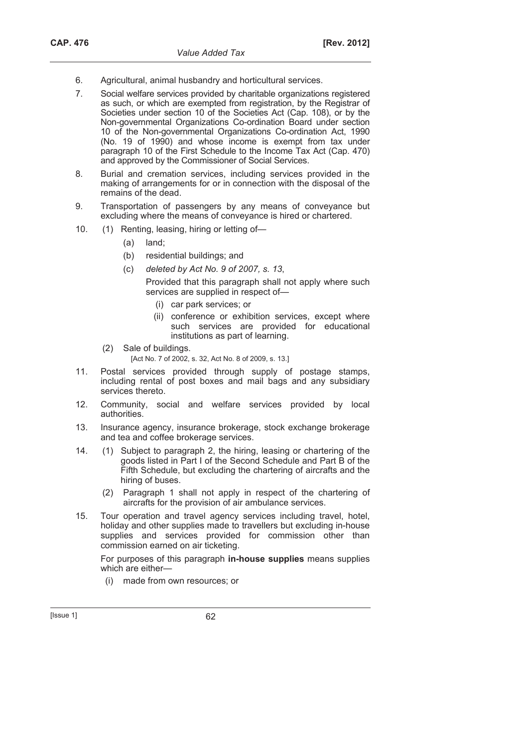- 6. Agricultural, animal husbandry and horticultural services.
- 7. Social welfare services provided by charitable organizations registered as such, or which are exempted from registration, by the Registrar of Societies under section 10 of the Societies Act (Cap. 108), or by the Non-governmental Organizations Co-ordination Board under section 10 of the Non-governmental Organizations Co-ordination Act, 1990 (No. 19 of 1990) and whose income is exempt from tax under paragraph 10 of the First Schedule to the Income Tax Act (Cap. 470) and approved by the Commissioner of Social Services.
- 8. Burial and cremation services, including services provided in the making of arrangements for or in connection with the disposal of the remains of the dead.
- 9. Transportation of passengers by any means of conveyance but excluding where the means of conveyance is hired or chartered.
- 10. (1) Renting, leasing, hiring or letting of—
	- (a) land;
	- (b) residential buildings; and
	- (c) *deleted by Act No. 9 of 2007, s. 13*,

 Provided that this paragraph shall not apply where such services are supplied in respect of—

- (i) car park services; or
- (ii) conference or exhibition services, except where such services are provided for educational institutions as part of learning.
- (2) Sale of buildings.
	- [Act No. 7 of 2002, s. 32, Act No. 8 of 2009, s. 13.]
- 11. Postal services provided through supply of postage stamps, including rental of post boxes and mail bags and any subsidiary services thereto.
- 12. Community, social and welfare services provided by local authorities.
- 13. Insurance agency, insurance brokerage, stock exchange brokerage and tea and coffee brokerage services.
- 14. (1) Subject to paragraph 2, the hiring, leasing or chartering of the goods listed in Part I of the Second Schedule and Part B of the Fifth Schedule, but excluding the chartering of aircrafts and the hiring of buses.
	- (2) Paragraph 1 shall not apply in respect of the chartering of aircrafts for the provision of air ambulance services.
- 15. Tour operation and travel agency services including travel, hotel, holiday and other supplies made to travellers but excluding in-house supplies and services provided for commission other than commission earned on air ticketing.

 For purposes of this paragraph **in-house supplies** means supplies which are either—

(i) made from own resources; or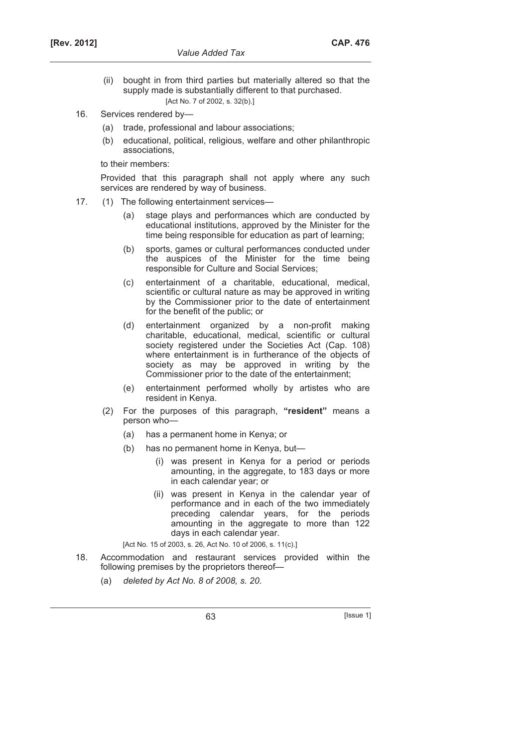- (ii) bought in from third parties but materially altered so that the supply made is substantially different to that purchased. [Act No. 7 of 2002, s. 32(b).]
- 16. Services rendered by—
	- (a) trade, professional and labour associations;
	- (b) educational, political, religious, welfare and other philanthropic associations,

to their members:

 Provided that this paragraph shall not apply where any such services are rendered by way of business.

- 17. (1) The following entertainment services—
	- (a) stage plays and performances which are conducted by educational institutions, approved by the Minister for the time being responsible for education as part of learning;
	- (b) sports, games or cultural performances conducted under the auspices of the Minister for the time being responsible for Culture and Social Services;
	- (c) entertainment of a charitable, educational, medical, scientific or cultural nature as may be approved in writing by the Commissioner prior to the date of entertainment for the benefit of the public; or
	- (d) entertainment organized by a non-profit making charitable, educational, medical, scientific or cultural society registered under the Societies Act (Cap. 108) where entertainment is in furtherance of the objects of society as may be approved in writing by the Commissioner prior to the date of the entertainment;
	- (e) entertainment performed wholly by artistes who are resident in Kenya.
	- (2) For the purposes of this paragraph, **"resident"** means a person who—
		- (a) has a permanent home in Kenya; or
		- (b) has no permanent home in Kenya, but—
			- (i) was present in Kenya for a period or periods amounting, in the aggregate, to 183 days or more in each calendar year; or
			- (ii) was present in Kenya in the calendar year of performance and in each of the two immediately preceding calendar years, for the periods amounting in the aggregate to more than 122 days in each calendar year.

[Act No. 15 of 2003, s. 26, Act No. 10 of 2006, s. 11(c).]

- 18. Accommodation and restaurant services provided within the following premises by the proprietors thereof—
	- (a) *deleted by Act No. 8 of 2008, s. 20*.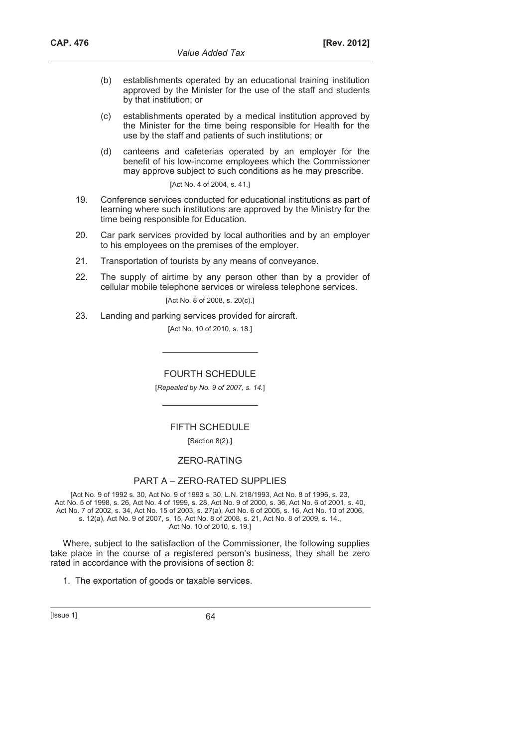- (b) establishments operated by an educational training institution approved by the Minister for the use of the staff and students by that institution; or
- (c) establishments operated by a medical institution approved by the Minister for the time being responsible for Health for the use by the staff and patients of such institutions; or
- (d) canteens and cafeterias operated by an employer for the benefit of his low-income employees which the Commissioner may approve subject to such conditions as he may prescribe.

[Act No. 4 of 2004, s. 41.]

- 19. Conference services conducted for educational institutions as part of learning where such institutions are approved by the Ministry for the time being responsible for Education.
- 20. Car park services provided by local authorities and by an employer to his employees on the premises of the employer.
- 21. Transportation of tourists by any means of conveyance.
- 22. The supply of airtime by any person other than by a provider of cellular mobile telephone services or wireless telephone services.

[Act No. 8 of 2008, s. 20(c).]

23. Landing and parking services provided for aircraft.

[Act No. 10 of 2010, s. 18.]

FOURTH SCHEDULE

[*Repealed by No. 9 of 2007, s. 14.*]

### FIFTH SCHEDULE

[Section 8(2).]

### ZERO-RATING

## PART A – ZERO-RATED SUPPLIES

[Act No. 9 of 1992 s. 30, Act No. 9 of 1993 s. 30, L.N. 218/1993, Act No. 8 of 1996, s. 23, Act No. 5 of 1998, s. 26, Act No. 4 of 1999, s. 28, Act No. 9 of 2000, s. 36, Act No. 6 of 2001, s. 40, Act No. 7 of 2002, s. 34, Act No. 15 of 2003, s. 27(a), Act No. 6 of 2005, s. 16, Act No. 10 of 2006, s. 12(a), Act No. 9 of 2007, s. 15, Act No. 8 of 2008, s. 21, Act No. 8 of 2009, s. 14., Act No. 10 of 2010, s. 19.]

Where, subject to the satisfaction of the Commissioner, the following supplies take place in the course of a registered person's business, they shall be zero rated in accordance with the provisions of section 8:

1. The exportation of goods or taxable services.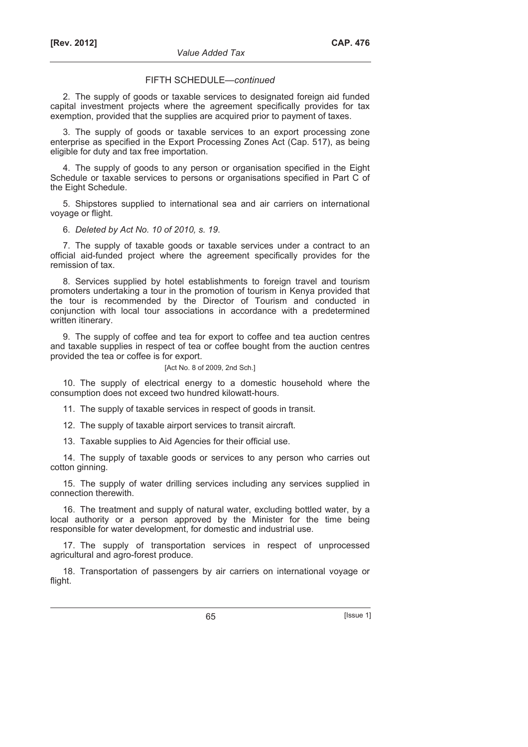### FIFTH SCHEDULE—*continued*

2. The supply of goods or taxable services to designated foreign aid funded capital investment projects where the agreement specifically provides for tax exemption, provided that the supplies are acquired prior to payment of taxes.

3. The supply of goods or taxable services to an export processing zone enterprise as specified in the Export Processing Zones Act (Cap. 517), as being eligible for duty and tax free importation.

4. The supply of goods to any person or organisation specified in the Eight Schedule or taxable services to persons or organisations specified in Part C of the Eight Schedule.

5. Shipstores supplied to international sea and air carriers on international voyage or flight.

#### 6. *Deleted by Act No. 10 of 2010, s. 19*.

7. The supply of taxable goods or taxable services under a contract to an official aid-funded project where the agreement specifically provides for the remission of tax.

8. Services supplied by hotel establishments to foreign travel and tourism promoters undertaking a tour in the promotion of tourism in Kenya provided that the tour is recommended by the Director of Tourism and conducted in conjunction with local tour associations in accordance with a predetermined written itinerary.

9. The supply of coffee and tea for export to coffee and tea auction centres and taxable supplies in respect of tea or coffee bought from the auction centres provided the tea or coffee is for export.

#### [Act No. 8 of 2009, 2nd Sch.]

10. The supply of electrical energy to a domestic household where the consumption does not exceed two hundred kilowatt-hours.

11. The supply of taxable services in respect of goods in transit.

12. The supply of taxable airport services to transit aircraft.

13. Taxable supplies to Aid Agencies for their official use.

14. The supply of taxable goods or services to any person who carries out cotton ginning.

15. The supply of water drilling services including any services supplied in connection therewith.

16. The treatment and supply of natural water, excluding bottled water, by a local authority or a person approved by the Minister for the time being responsible for water development, for domestic and industrial use.

17. The supply of transportation services in respect of unprocessed agricultural and agro-forest produce.

18. Transportation of passengers by air carriers on international voyage or flight.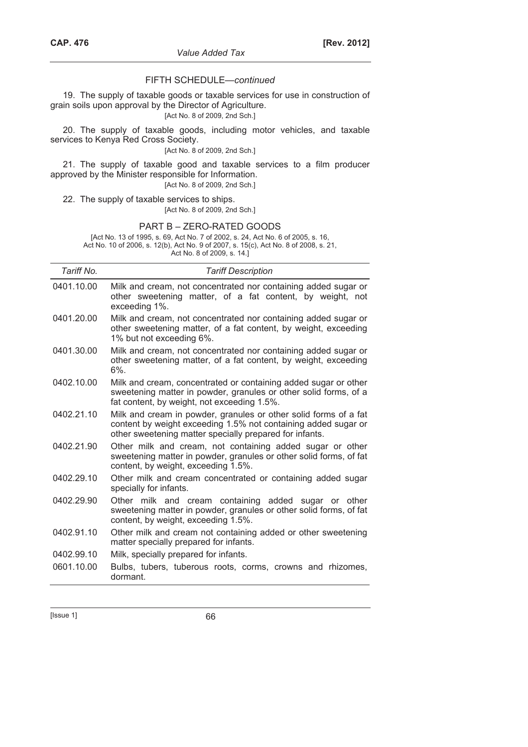### FIFTH SCHEDULE—*continued*

19. The supply of taxable goods or taxable services for use in construction of grain soils upon approval by the Director of Agriculture.

## [Act No. 8 of 2009, 2nd Sch.]

20. The supply of taxable goods, including motor vehicles, and taxable services to Kenya Red Cross Society.

[Act No. 8 of 2009, 2nd Sch.]

21. The supply of taxable good and taxable services to a film producer approved by the Minister responsible for Information.

[Act No. 8 of 2009, 2nd Sch.]

22. The supply of taxable services to ships.

[Act No. 8 of 2009, 2nd Sch.]

#### PART B – ZERO-RATED GOODS

[Act No. 13 of 1995, s. 69, Act No. 7 of 2002, s. 24, Act No. 6 of 2005, s. 16, Act No. 10 of 2006, s. 12(b), Act No. 9 of 2007, s. 15(c), Act No. 8 of 2008, s. 21, Act No. 8 of 2009, s. 14.]

| Tariff No. | <b>Tariff Description</b>                                                                                                                                                                     |  |  |
|------------|-----------------------------------------------------------------------------------------------------------------------------------------------------------------------------------------------|--|--|
| 0401.10.00 | Milk and cream, not concentrated nor containing added sugar or<br>other sweetening matter, of a fat content, by weight, not<br>exceeding 1%.                                                  |  |  |
| 0401.20.00 | Milk and cream, not concentrated nor containing added sugar or<br>other sweetening matter, of a fat content, by weight, exceeding<br>1% but not exceeding 6%.                                 |  |  |
| 0401.30.00 | Milk and cream, not concentrated nor containing added sugar or<br>other sweetening matter, of a fat content, by weight, exceeding<br>$6\%$ .                                                  |  |  |
| 0402.10.00 | Milk and cream, concentrated or containing added sugar or other<br>sweetening matter in powder, granules or other solid forms, of a<br>fat content, by weight, not exceeding 1.5%.            |  |  |
| 0402.21.10 | Milk and cream in powder, granules or other solid forms of a fat<br>content by weight exceeding 1.5% not containing added sugar or<br>other sweetening matter specially prepared for infants. |  |  |
| 0402.21.90 | Other milk and cream, not containing added sugar or other<br>sweetening matter in powder, granules or other solid forms, of fat<br>content, by weight, exceeding 1.5%.                        |  |  |
| 0402.29.10 | Other milk and cream concentrated or containing added sugar<br>specially for infants.                                                                                                         |  |  |
| 0402.29.90 | Other milk and cream containing added sugar or other<br>sweetening matter in powder, granules or other solid forms, of fat<br>content, by weight, exceeding 1.5%.                             |  |  |
| 0402.91.10 | Other milk and cream not containing added or other sweetening<br>matter specially prepared for infants.                                                                                       |  |  |
| 0402.99.10 | Milk, specially prepared for infants.                                                                                                                                                         |  |  |
| 0601.10.00 | Bulbs, tubers, tuberous roots, corms, crowns and rhizomes,<br>dormant.                                                                                                                        |  |  |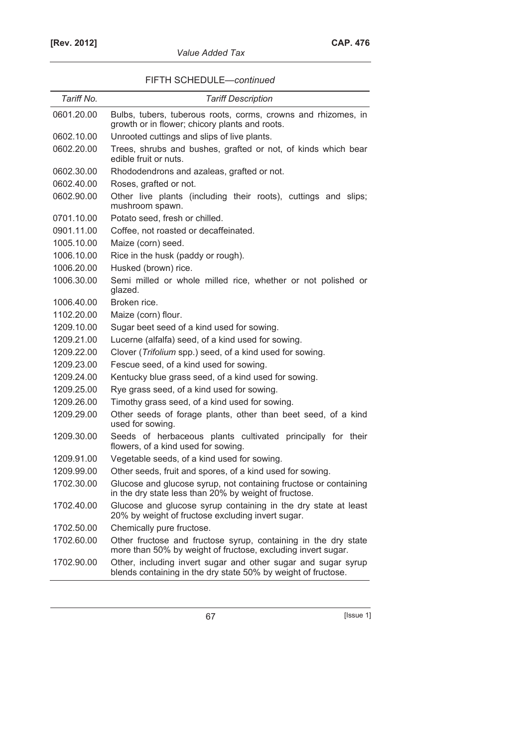| FIFTH SCHEDULE-continued |  |
|--------------------------|--|
|--------------------------|--|

| Tariff No. | <b>Tariff Description</b>                                                                                                      |  |  |
|------------|--------------------------------------------------------------------------------------------------------------------------------|--|--|
| 0601.20.00 | Bulbs, tubers, tuberous roots, corms, crowns and rhizomes, in<br>growth or in flower; chicory plants and roots.                |  |  |
| 0602.10.00 | Unrooted cuttings and slips of live plants.                                                                                    |  |  |
| 0602.20.00 | Trees, shrubs and bushes, grafted or not, of kinds which bear<br>edible fruit or nuts.                                         |  |  |
| 0602.30.00 | Rhododendrons and azaleas, grafted or not.                                                                                     |  |  |
| 0602.40.00 | Roses, grafted or not.                                                                                                         |  |  |
| 0602.90.00 | Other live plants (including their roots), cuttings and slips;<br>mushroom spawn.                                              |  |  |
| 0701.10.00 | Potato seed, fresh or chilled.                                                                                                 |  |  |
| 0901.11.00 | Coffee, not roasted or decaffeinated.                                                                                          |  |  |
| 1005.10.00 | Maize (corn) seed.                                                                                                             |  |  |
| 1006.10.00 | Rice in the husk (paddy or rough).                                                                                             |  |  |
| 1006.20.00 | Husked (brown) rice.                                                                                                           |  |  |
| 1006.30.00 | Semi milled or whole milled rice, whether or not polished or<br>glazed.                                                        |  |  |
| 1006.40.00 | Broken rice.                                                                                                                   |  |  |
| 1102.20.00 | Maize (corn) flour.                                                                                                            |  |  |
| 1209.10.00 | Sugar beet seed of a kind used for sowing.                                                                                     |  |  |
| 1209.21.00 | Lucerne (alfalfa) seed, of a kind used for sowing.                                                                             |  |  |
| 1209.22.00 | Clover (Trifolium spp.) seed, of a kind used for sowing.                                                                       |  |  |
| 1209.23.00 | Fescue seed, of a kind used for sowing.                                                                                        |  |  |
| 1209.24.00 | Kentucky blue grass seed, of a kind used for sowing.                                                                           |  |  |
| 1209.25.00 | Rye grass seed, of a kind used for sowing.                                                                                     |  |  |
| 1209.26.00 | Timothy grass seed, of a kind used for sowing.                                                                                 |  |  |
| 1209.29.00 | Other seeds of forage plants, other than beet seed, of a kind<br>used for sowing.                                              |  |  |
| 1209.30.00 | Seeds of herbaceous plants cultivated principally for their<br>flowers, of a kind used for sowing.                             |  |  |
| 1209.91.00 | Vegetable seeds, of a kind used for sowing.                                                                                    |  |  |
| 1209.99.00 | Other seeds, fruit and spores, of a kind used for sowing.                                                                      |  |  |
| 1702.30.00 | Glucose and glucose syrup, not containing fructose or containing<br>in the dry state less than 20% by weight of fructose.      |  |  |
| 1702.40.00 | Glucose and glucose syrup containing in the dry state at least<br>20% by weight of fructose excluding invert sugar.            |  |  |
| 1702.50.00 | Chemically pure fructose.                                                                                                      |  |  |
| 1702.60.00 | Other fructose and fructose syrup, containing in the dry state<br>more than 50% by weight of fructose, excluding invert sugar. |  |  |
| 1702.90.00 | Other, including invert sugar and other sugar and sugar syrup<br>blends containing in the dry state 50% by weight of fructose. |  |  |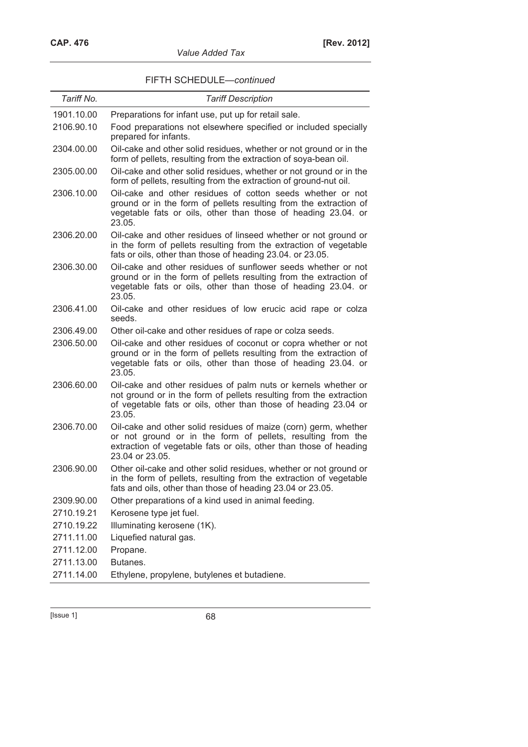## *Value Added Tax*

## FIFTH SCHEDULE—*continued*

| Tariff No. | <b>Tariff Description</b>                                                                                                                                                                                              |
|------------|------------------------------------------------------------------------------------------------------------------------------------------------------------------------------------------------------------------------|
| 1901.10.00 | Preparations for infant use, put up for retail sale.                                                                                                                                                                   |
| 2106.90.10 | Food preparations not elsewhere specified or included specially<br>prepared for infants.                                                                                                                               |
| 2304.00.00 | Oil-cake and other solid residues, whether or not ground or in the<br>form of pellets, resulting from the extraction of soya-bean oil.                                                                                 |
| 2305.00.00 | Oil-cake and other solid residues, whether or not ground or in the<br>form of pellets, resulting from the extraction of ground-nut oil.                                                                                |
| 2306.10.00 | Oil-cake and other residues of cotton seeds whether or not<br>ground or in the form of pellets resulting from the extraction of<br>vegetable fats or oils, other than those of heading 23.04. or<br>23.05.             |
| 2306.20.00 | Oil-cake and other residues of linseed whether or not ground or<br>in the form of pellets resulting from the extraction of vegetable<br>fats or oils, other than those of heading 23.04. or 23.05.                     |
| 2306.30.00 | Oil-cake and other residues of sunflower seeds whether or not<br>ground or in the form of pellets resulting from the extraction of<br>vegetable fats or oils, other than those of heading 23.04. or<br>23.05.          |
| 2306.41.00 | Oil-cake and other residues of low erucic acid rape or colza<br>seeds.                                                                                                                                                 |
| 2306.49.00 | Other oil-cake and other residues of rape or colza seeds.                                                                                                                                                              |
| 2306.50.00 | Oil-cake and other residues of coconut or copra whether or not<br>ground or in the form of pellets resulting from the extraction of<br>vegetable fats or oils, other than those of heading 23.04. or<br>23.05.         |
| 2306.60.00 | Oil-cake and other residues of palm nuts or kernels whether or<br>not ground or in the form of pellets resulting from the extraction<br>of vegetable fats or oils, other than those of heading 23.04 or<br>23.05.      |
| 2306.70.00 | Oil-cake and other solid residues of maize (corn) germ, whether<br>or not ground or in the form of pellets, resulting from the<br>extraction of vegetable fats or oils, other than those of heading<br>23.04 or 23.05. |
| 2306.90.00 | Other oil-cake and other solid residues, whether or not ground or<br>in the form of pellets, resulting from the extraction of vegetable<br>fats and oils, other than those of heading 23.04 or 23.05.                  |
| 2309.90.00 | Other preparations of a kind used in animal feeding.                                                                                                                                                                   |
| 2710.19.21 | Kerosene type jet fuel.                                                                                                                                                                                                |
| 2710.19.22 | Illuminating kerosene (1K).                                                                                                                                                                                            |
| 2711.11.00 | Liquefied natural gas.                                                                                                                                                                                                 |
| 2711.12.00 | Propane.                                                                                                                                                                                                               |
| 2711.13.00 | Butanes.                                                                                                                                                                                                               |
| 2711.14.00 | Ethylene, propylene, butylenes et butadiene.                                                                                                                                                                           |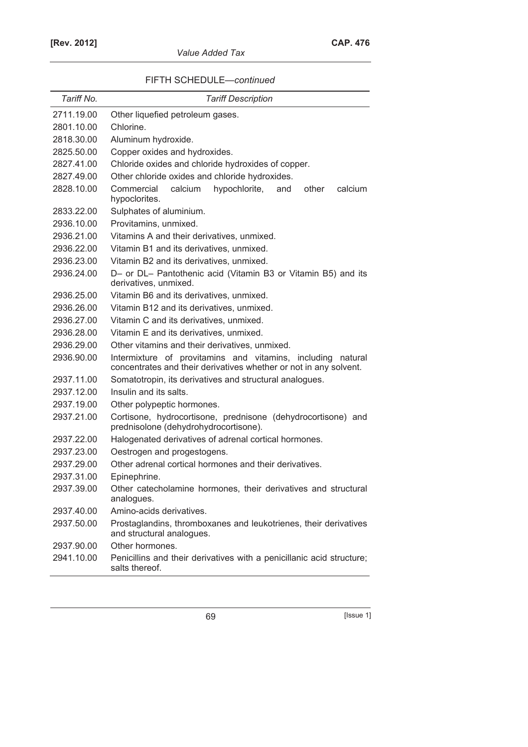| Value Added Tax |  |  |
|-----------------|--|--|
|-----------------|--|--|

| FIFTH SCHEDULE-continued |  |
|--------------------------|--|
|--------------------------|--|

| Tariff No. | <b>Tariff Description</b>                                                                                                           |  |  |
|------------|-------------------------------------------------------------------------------------------------------------------------------------|--|--|
| 2711.19.00 | Other liquefied petroleum gases.                                                                                                    |  |  |
| 2801.10.00 | Chlorine.                                                                                                                           |  |  |
| 2818.30.00 | Aluminum hydroxide.                                                                                                                 |  |  |
| 2825.50.00 | Copper oxides and hydroxides.                                                                                                       |  |  |
| 2827.41.00 | Chloride oxides and chloride hydroxides of copper.                                                                                  |  |  |
| 2827.49.00 | Other chloride oxides and chloride hydroxides.                                                                                      |  |  |
| 2828.10.00 | calcium<br>Commercial<br>hypochlorite,<br>and<br>other<br>calcium<br>hypoclorites.                                                  |  |  |
| 2833.22.00 | Sulphates of aluminium.                                                                                                             |  |  |
| 2936.10.00 | Provitamins, unmixed.                                                                                                               |  |  |
| 2936.21.00 | Vitamins A and their derivatives, unmixed.                                                                                          |  |  |
| 2936.22.00 | Vitamin B1 and its derivatives, unmixed.                                                                                            |  |  |
| 2936.23.00 | Vitamin B2 and its derivatives, unmixed.                                                                                            |  |  |
| 2936.24.00 | D- or DL- Pantothenic acid (Vitamin B3 or Vitamin B5) and its<br>derivatives, unmixed.                                              |  |  |
| 2936.25.00 | Vitamin B6 and its derivatives, unmixed.                                                                                            |  |  |
| 2936.26.00 | Vitamin B12 and its derivatives, unmixed.                                                                                           |  |  |
| 2936.27.00 | Vitamin C and its derivatives, unmixed.                                                                                             |  |  |
| 2936.28.00 | Vitamin E and its derivatives, unmixed.                                                                                             |  |  |
| 2936.29.00 | Other vitamins and their derivatives, unmixed.                                                                                      |  |  |
| 2936.90.00 | Intermixture of provitamins and vitamins, including<br>natural<br>concentrates and their derivatives whether or not in any solvent. |  |  |
| 2937.11.00 | Somatotropin, its derivatives and structural analogues.                                                                             |  |  |
| 2937.12.00 | Insulin and its salts.                                                                                                              |  |  |
| 2937.19.00 | Other polypeptic hormones.                                                                                                          |  |  |
| 2937.21.00 | Cortisone, hydrocortisone, prednisone (dehydrocortisone) and<br>prednisolone (dehydrohydrocortisone).                               |  |  |
| 2937.22.00 | Halogenated derivatives of adrenal cortical hormones.                                                                               |  |  |
| 2937.23.00 | Oestrogen and progestogens.                                                                                                         |  |  |
| 2937.29.00 | Other adrenal cortical hormones and their derivatives.                                                                              |  |  |
| 2937.31.00 | Epinephrine.                                                                                                                        |  |  |
| 2937.39.00 | Other catecholamine hormones, their derivatives and structural<br>analogues.                                                        |  |  |
| 2937.40.00 | Amino-acids derivatives.                                                                                                            |  |  |
| 2937.50.00 | Prostaglandins, thromboxanes and leukotrienes, their derivatives<br>and structural analogues.                                       |  |  |
| 2937.90.00 | Other hormones.                                                                                                                     |  |  |
| 2941.10.00 | Penicillins and their derivatives with a penicillanic acid structure;<br>salts thereof.                                             |  |  |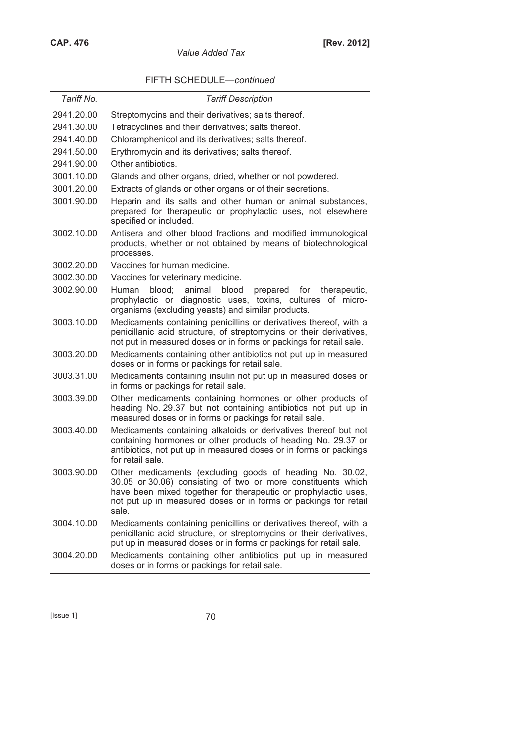|  | <i><b>Value Added Tax</b></i> |  |
|--|-------------------------------|--|
|  |                               |  |

|  | FIFTH SCHEDULE-continued |  |  |
|--|--------------------------|--|--|
|--|--------------------------|--|--|

| Tariff No. | <b>Tariff Description</b>                                                                                                                                                                                                                                              |
|------------|------------------------------------------------------------------------------------------------------------------------------------------------------------------------------------------------------------------------------------------------------------------------|
| 2941.20.00 | Streptomycins and their derivatives; salts thereof.                                                                                                                                                                                                                    |
| 2941.30.00 | Tetracyclines and their derivatives; salts thereof.                                                                                                                                                                                                                    |
| 2941.40.00 | Chloramphenicol and its derivatives; salts thereof.                                                                                                                                                                                                                    |
| 2941.50.00 | Erythromycin and its derivatives; salts thereof.                                                                                                                                                                                                                       |
| 2941.90.00 | Other antibiotics.                                                                                                                                                                                                                                                     |
| 3001.10.00 | Glands and other organs, dried, whether or not powdered.                                                                                                                                                                                                               |
| 3001.20.00 | Extracts of glands or other organs or of their secretions.                                                                                                                                                                                                             |
| 3001.90.00 | Heparin and its salts and other human or animal substances,<br>prepared for therapeutic or prophylactic uses, not elsewhere<br>specified or included.                                                                                                                  |
| 3002.10.00 | Antisera and other blood fractions and modified immunological<br>products, whether or not obtained by means of biotechnological<br>processes.                                                                                                                          |
| 3002.20.00 | Vaccines for human medicine.                                                                                                                                                                                                                                           |
| 3002.30.00 | Vaccines for veterinary medicine.                                                                                                                                                                                                                                      |
| 3002.90.00 | blood;<br>Human<br>animal<br>blood<br>prepared<br>therapeutic,<br>for<br>prophylactic or diagnostic uses, toxins, cultures of micro-<br>organisms (excluding yeasts) and similar products.                                                                             |
| 3003.10.00 | Medicaments containing penicillins or derivatives thereof, with a<br>penicillanic acid structure, of streptomycins or their derivatives,<br>not put in measured doses or in forms or packings for retail sale.                                                         |
| 3003.20.00 | Medicaments containing other antibiotics not put up in measured<br>doses or in forms or packings for retail sale.                                                                                                                                                      |
| 3003.31.00 | Medicaments containing insulin not put up in measured doses or<br>in forms or packings for retail sale.                                                                                                                                                                |
| 3003.39.00 | Other medicaments containing hormones or other products of<br>heading No. 29.37 but not containing antibiotics not put up in<br>measured doses or in forms or packings for retail sale.                                                                                |
| 3003.40.00 | Medicaments containing alkaloids or derivatives thereof but not<br>containing hormones or other products of heading No. 29.37 or<br>antibiotics, not put up in measured doses or in forms or packings<br>for retail sale.                                              |
| 3003.90.00 | Other medicaments (excluding goods of heading No. 30.02,<br>30.05 or 30.06) consisting of two or more constituents which<br>have been mixed together for therapeutic or prophylactic uses,<br>not put up in measured doses or in forms or packings for retail<br>sale. |
| 3004.10.00 | Medicaments containing penicillins or derivatives thereof, with a<br>penicillanic acid structure, or streptomycins or their derivatives,<br>put up in measured doses or in forms or packings for retail sale.                                                          |
| 3004.20.00 | Medicaments containing other antibiotics put up in measured<br>doses or in forms or packings for retail sale.                                                                                                                                                          |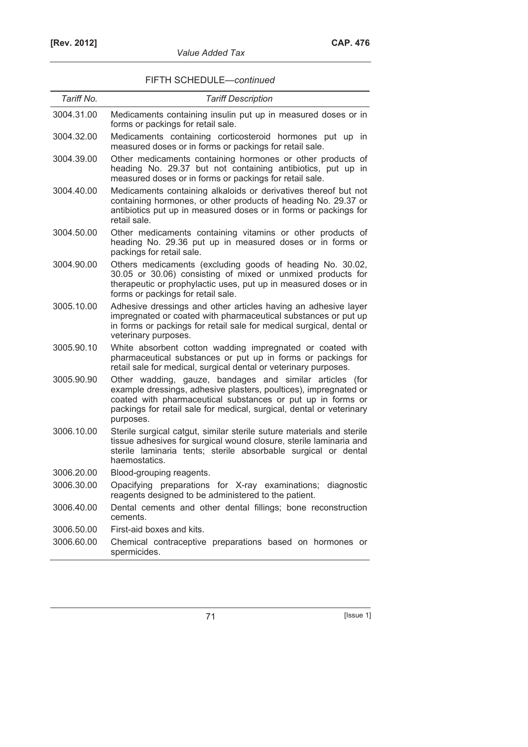## FIFTH SCHEDULE—*continued*

*Value Added Tax* 

| Tariff No. | <b>Tariff Description</b>                                                                                                                                                                                                                                                        |
|------------|----------------------------------------------------------------------------------------------------------------------------------------------------------------------------------------------------------------------------------------------------------------------------------|
| 3004.31.00 | Medicaments containing insulin put up in measured doses or in<br>forms or packings for retail sale.                                                                                                                                                                              |
| 3004.32.00 | Medicaments containing corticosteroid hormones put up in<br>measured doses or in forms or packings for retail sale.                                                                                                                                                              |
| 3004.39.00 | Other medicaments containing hormones or other products of<br>heading No. 29.37 but not containing antibiotics, put up in<br>measured doses or in forms or packings for retail sale.                                                                                             |
| 3004.40.00 | Medicaments containing alkaloids or derivatives thereof but not<br>containing hormones, or other products of heading No. 29.37 or<br>antibiotics put up in measured doses or in forms or packings for<br>retail sale.                                                            |
| 3004.50.00 | Other medicaments containing vitamins or other products of<br>heading No. 29.36 put up in measured doses or in forms or<br>packings for retail sale.                                                                                                                             |
| 3004.90.00 | Others medicaments (excluding goods of heading No. 30.02,<br>30.05 or 30.06) consisting of mixed or unmixed products for<br>therapeutic or prophylactic uses, put up in measured doses or in<br>forms or packings for retail sale.                                               |
| 3005.10.00 | Adhesive dressings and other articles having an adhesive layer<br>impregnated or coated with pharmaceutical substances or put up<br>in forms or packings for retail sale for medical surgical, dental or<br>veterinary purposes.                                                 |
| 3005.90.10 | White absorbent cotton wadding impregnated or coated with<br>pharmaceutical substances or put up in forms or packings for<br>retail sale for medical, surgical dental or veterinary purposes.                                                                                    |
| 3005.90.90 | Other wadding, gauze, bandages and similar articles (for<br>example dressings, adhesive plasters, poultices), impregnated or<br>coated with pharmaceutical substances or put up in forms or<br>packings for retail sale for medical, surgical, dental or veterinary<br>purposes. |
| 3006.10.00 | Sterile surgical catgut, similar sterile suture materials and sterile<br>tissue adhesives for surgical wound closure, sterile laminaria and<br>sterile laminaria tents; sterile absorbable surgical or dental<br>haemostatics.                                                   |
| 3006.20.00 | Blood-grouping reagents.                                                                                                                                                                                                                                                         |
| 3006.30.00 | Opacifying preparations for X-ray examinations; diagnostic<br>reagents designed to be administered to the patient.                                                                                                                                                               |
| 3006.40.00 | Dental cements and other dental fillings; bone reconstruction<br>cements.                                                                                                                                                                                                        |
| 3006.50.00 | First-aid boxes and kits.                                                                                                                                                                                                                                                        |
| 3006.60.00 | Chemical contraceptive preparations based on hormones or<br>spermicides.                                                                                                                                                                                                         |
|            |                                                                                                                                                                                                                                                                                  |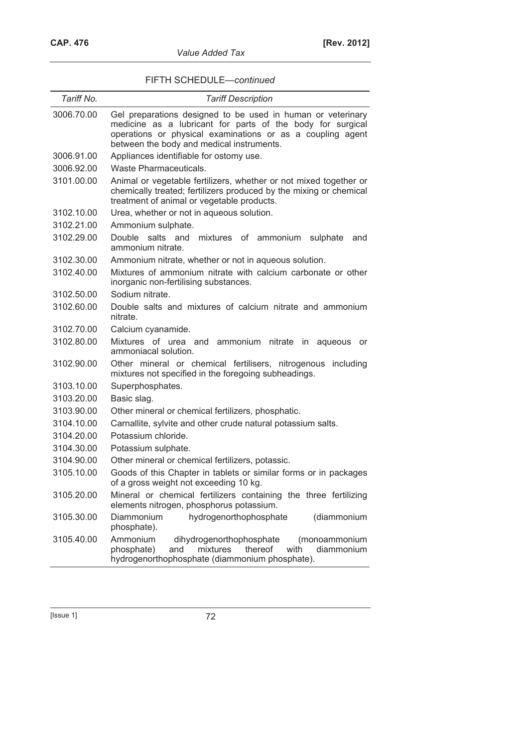| <i><b>Value Added Tax</b></i> |  |
|-------------------------------|--|
|-------------------------------|--|

## FIFTH SCHEDULE—*continued*

| Tariff No. | <b>Tariff Description</b>                                                                                                                                                                                                            |
|------------|--------------------------------------------------------------------------------------------------------------------------------------------------------------------------------------------------------------------------------------|
| 3006.70.00 | Gel preparations designed to be used in human or veterinary<br>medicine as a lubricant for parts of the body for surgical<br>operations or physical examinations or as a coupling agent<br>between the body and medical instruments. |
| 3006.91.00 | Appliances identifiable for ostomy use.                                                                                                                                                                                              |
| 3006.92.00 | Waste Pharmaceuticals.                                                                                                                                                                                                               |
| 3101.00.00 | Animal or vegetable fertilizers, whether or not mixed together or<br>chemically treated; fertilizers produced by the mixing or chemical<br>treatment of animal or vegetable products.                                                |
| 3102.10.00 | Urea, whether or not in aqueous solution.                                                                                                                                                                                            |
| 3102.21.00 | Ammonium sulphate.                                                                                                                                                                                                                   |
| 3102.29.00 | Double<br>salts and<br>mixtures of ammonium sulphate<br>and<br>ammonium nitrate.                                                                                                                                                     |
| 3102.30.00 | Ammonium nitrate, whether or not in aqueous solution.                                                                                                                                                                                |
| 3102.40.00 | Mixtures of ammonium nitrate with calcium carbonate or other<br>inorganic non-fertilising substances.                                                                                                                                |
| 3102.50.00 | Sodium nitrate.                                                                                                                                                                                                                      |
| 3102.60.00 | Double salts and mixtures of calcium nitrate and ammonium<br>nitrate.                                                                                                                                                                |
| 3102.70.00 | Calcium cyanamide.                                                                                                                                                                                                                   |
| 3102.80.00 | Mixtures of urea and ammonium nitrate in<br>aqueous<br>or<br>ammoniacal solution.                                                                                                                                                    |
| 3102.90.00 | Other mineral or chemical fertilisers, nitrogenous<br>including<br>mixtures not specified in the foregoing subheadings.                                                                                                              |
| 3103.10.00 | Superphosphates.                                                                                                                                                                                                                     |
| 3103.20.00 | Basic slag.                                                                                                                                                                                                                          |
| 3103.90.00 | Other mineral or chemical fertilizers, phosphatic.                                                                                                                                                                                   |
| 3104.10.00 | Carnallite, sylvite and other crude natural potassium salts.                                                                                                                                                                         |
| 3104.20.00 | Potassium chloride.                                                                                                                                                                                                                  |
| 3104.30.00 | Potassium sulphate.                                                                                                                                                                                                                  |
| 3104.90.00 | Other mineral or chemical fertilizers, potassic.                                                                                                                                                                                     |
| 3105.10.00 | Goods of this Chapter in tablets or similar forms or in packages<br>of a gross weight not exceeding 10 kg.                                                                                                                           |
| 3105.20.00 | Mineral or chemical fertilizers containing the three fertilizing<br>elements nitrogen, phosphorus potassium.                                                                                                                         |
| 3105.30.00 | Diammonium<br>hydrogenorthophosphate<br>(diammonium<br>phosphate).                                                                                                                                                                   |
| 3105.40.00 | Ammonium<br>dihydrogenorthophosphate<br>(monoammonium<br>phosphate)<br>mixtures<br>thereof<br>with<br>diammonium<br>and<br>hydrogenorthophosphate (diammonium phosphate).                                                            |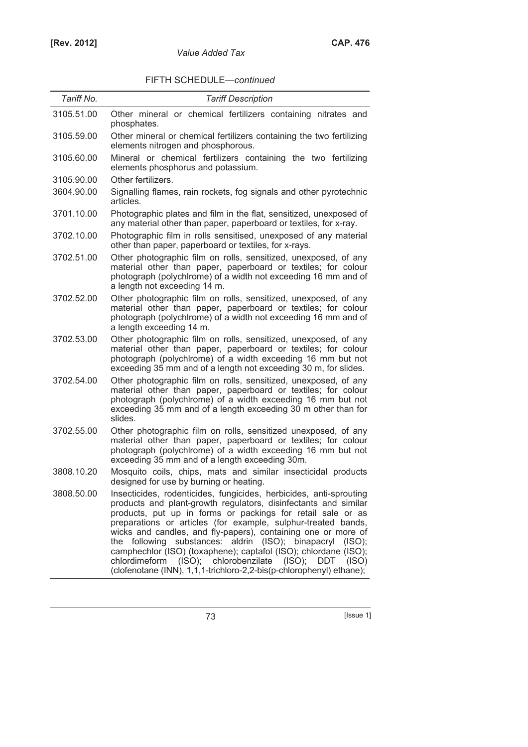| Tariff No. | <b>Tariff Description</b>                                                                                                                                                                                                                                                                                                                                                                                                                                                                                                                                                                                     |
|------------|---------------------------------------------------------------------------------------------------------------------------------------------------------------------------------------------------------------------------------------------------------------------------------------------------------------------------------------------------------------------------------------------------------------------------------------------------------------------------------------------------------------------------------------------------------------------------------------------------------------|
| 3105.51.00 | Other mineral or chemical fertilizers containing nitrates and<br>phosphates.                                                                                                                                                                                                                                                                                                                                                                                                                                                                                                                                  |
| 3105.59.00 | Other mineral or chemical fertilizers containing the two fertilizing<br>elements nitrogen and phosphorous.                                                                                                                                                                                                                                                                                                                                                                                                                                                                                                    |
| 3105.60.00 | Mineral or chemical fertilizers containing the two fertilizing<br>elements phosphorus and potassium.                                                                                                                                                                                                                                                                                                                                                                                                                                                                                                          |
| 3105.90.00 | Other fertilizers.                                                                                                                                                                                                                                                                                                                                                                                                                                                                                                                                                                                            |
| 3604.90.00 | Signalling flames, rain rockets, fog signals and other pyrotechnic<br>articles.                                                                                                                                                                                                                                                                                                                                                                                                                                                                                                                               |
| 3701.10.00 | Photographic plates and film in the flat, sensitized, unexposed of<br>any material other than paper, paperboard or textiles, for x-ray.                                                                                                                                                                                                                                                                                                                                                                                                                                                                       |
| 3702.10.00 | Photographic film in rolls sensitised, unexposed of any material<br>other than paper, paperboard or textiles, for x-rays.                                                                                                                                                                                                                                                                                                                                                                                                                                                                                     |
| 3702.51.00 | Other photographic film on rolls, sensitized, unexposed, of any<br>material other than paper, paperboard or textiles; for colour<br>photograph (polychlrome) of a width not exceeding 16 mm and of<br>a length not exceeding 14 m.                                                                                                                                                                                                                                                                                                                                                                            |
| 3702.52.00 | Other photographic film on rolls, sensitized, unexposed, of any<br>material other than paper, paperboard or textiles; for colour<br>photograph (polychlrome) of a width not exceeding 16 mm and of<br>a length exceeding 14 m.                                                                                                                                                                                                                                                                                                                                                                                |
| 3702.53.00 | Other photographic film on rolls, sensitized, unexposed, of any<br>material other than paper, paperboard or textiles; for colour<br>photograph (polychlrome) of a width exceeding 16 mm but not<br>exceeding 35 mm and of a length not exceeding 30 m, for slides.                                                                                                                                                                                                                                                                                                                                            |
| 3702.54.00 | Other photographic film on rolls, sensitized, unexposed, of any<br>material other than paper, paperboard or textiles; for colour<br>photograph (polychlrome) of a width exceeding 16 mm but not<br>exceeding 35 mm and of a length exceeding 30 m other than for<br>slides.                                                                                                                                                                                                                                                                                                                                   |
| 3702.55.00 | Other photographic film on rolls, sensitized unexposed, of any<br>material other than paper, paperboard or textiles; for colour<br>photograph (polychlrome) of a width exceeding 16 mm but not<br>exceeding 35 mm and of a length exceeding 30m.                                                                                                                                                                                                                                                                                                                                                              |
| 3808.10.20 | Mosquito coils, chips, mats and similar insecticidal products<br>designed for use by burning or heating.                                                                                                                                                                                                                                                                                                                                                                                                                                                                                                      |
| 3808.50.00 | Insecticides, rodenticides, fungicides, herbicides, anti-sprouting<br>products and plant-growth regulators, disinfectants and similar<br>products, put up in forms or packings for retail sale or as<br>preparations or articles (for example, sulphur-treated bands,<br>wicks and candles, and fly-papers), containing one or more of<br>the following substances: aldrin (ISO); binapacryl<br>(ISO);<br>camphechlor (ISO) (toxaphene); captafol (ISO); chlordane (ISO);<br>chlordimeform (ISO); chlorobenzilate (ISO); DDT<br>(ISO)<br>(clofenotane (INN), 1,1,1-trichloro-2,2-bis(p-chlorophenyl) ethane); |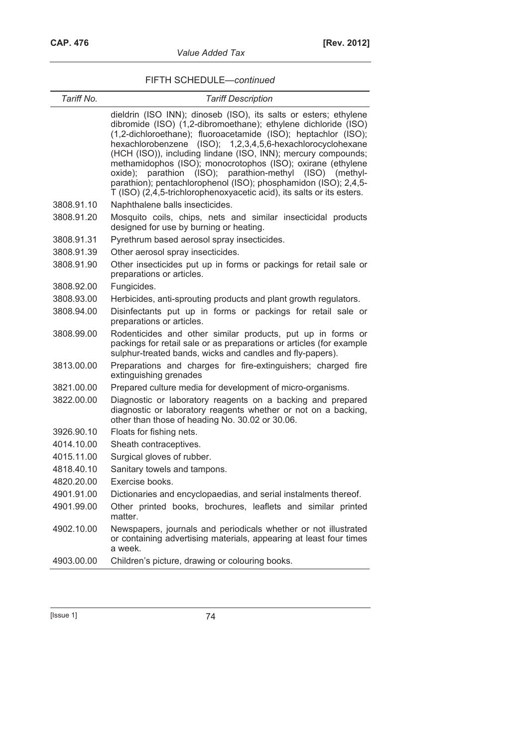| Tariff No. | <b>Tariff Description</b>                                                                                                                                                                                                                                                                                                                                                                                                                                                                                                                                                                                           |
|------------|---------------------------------------------------------------------------------------------------------------------------------------------------------------------------------------------------------------------------------------------------------------------------------------------------------------------------------------------------------------------------------------------------------------------------------------------------------------------------------------------------------------------------------------------------------------------------------------------------------------------|
|            | dieldrin (ISO INN); dinoseb (ISO), its salts or esters; ethylene<br>dibromide (ISO) (1,2-dibromoethane); ethylene dichloride (ISO)<br>(1,2-dichloroethane); fluoroacetamide (ISO); heptachlor (ISO);<br>hexachlorobenzene (ISO); 1,2,3,4,5,6-hexachlorocyclohexane<br>(HCH (ISO)), including lindane (ISO, INN); mercury compounds;<br>methamidophos (ISO); monocrotophos (ISO); oxirane (ethylene<br>oxide);<br>parathion<br>(ISO); parathion-methyl<br>(ISO) (methyl-<br>parathion); pentachlorophenol (ISO); phosphamidon (ISO); 2,4,5-<br>T (ISO) (2,4,5-trichlorophenoxyacetic acid), its salts or its esters. |
| 3808.91.10 | Naphthalene balls insecticides.                                                                                                                                                                                                                                                                                                                                                                                                                                                                                                                                                                                     |
| 3808.91.20 | Mosquito coils, chips, nets and similar insecticidal products<br>designed for use by burning or heating.                                                                                                                                                                                                                                                                                                                                                                                                                                                                                                            |
| 3808.91.31 | Pyrethrum based aerosol spray insecticides.                                                                                                                                                                                                                                                                                                                                                                                                                                                                                                                                                                         |
| 3808.91.39 | Other aerosol spray insecticides.                                                                                                                                                                                                                                                                                                                                                                                                                                                                                                                                                                                   |
| 3808.91.90 | Other insecticides put up in forms or packings for retail sale or<br>preparations or articles.                                                                                                                                                                                                                                                                                                                                                                                                                                                                                                                      |
| 3808.92.00 | Fungicides.                                                                                                                                                                                                                                                                                                                                                                                                                                                                                                                                                                                                         |
| 3808.93.00 | Herbicides, anti-sprouting products and plant growth regulators.                                                                                                                                                                                                                                                                                                                                                                                                                                                                                                                                                    |
| 3808.94.00 | Disinfectants put up in forms or packings for retail sale or<br>preparations or articles.                                                                                                                                                                                                                                                                                                                                                                                                                                                                                                                           |
| 3808.99.00 | Rodenticides and other similar products, put up in forms or<br>packings for retail sale or as preparations or articles (for example<br>sulphur-treated bands, wicks and candles and fly-papers).                                                                                                                                                                                                                                                                                                                                                                                                                    |
| 3813.00.00 | Preparations and charges for fire-extinguishers; charged fire<br>extinguishing grenades                                                                                                                                                                                                                                                                                                                                                                                                                                                                                                                             |
| 3821.00.00 | Prepared culture media for development of micro-organisms.                                                                                                                                                                                                                                                                                                                                                                                                                                                                                                                                                          |
| 3822.00.00 | Diagnostic or laboratory reagents on a backing and prepared<br>diagnostic or laboratory reagents whether or not on a backing,<br>other than those of heading No. 30.02 or 30.06.                                                                                                                                                                                                                                                                                                                                                                                                                                    |
| 3926.90.10 | Floats for fishing nets.                                                                                                                                                                                                                                                                                                                                                                                                                                                                                                                                                                                            |
| 4014.10.00 | Sheath contraceptives.                                                                                                                                                                                                                                                                                                                                                                                                                                                                                                                                                                                              |
| 4015.11.00 | Surgical gloves of rubber.                                                                                                                                                                                                                                                                                                                                                                                                                                                                                                                                                                                          |
| 4818.40.10 | Sanitary towels and tampons.                                                                                                                                                                                                                                                                                                                                                                                                                                                                                                                                                                                        |
| 4820.20.00 | Exercise books.                                                                                                                                                                                                                                                                                                                                                                                                                                                                                                                                                                                                     |
| 4901.91.00 | Dictionaries and encyclopaedias, and serial instalments thereof.                                                                                                                                                                                                                                                                                                                                                                                                                                                                                                                                                    |
| 4901.99.00 | Other printed books, brochures, leaflets and similar printed<br>matter.                                                                                                                                                                                                                                                                                                                                                                                                                                                                                                                                             |
| 4902.10.00 | Newspapers, journals and periodicals whether or not illustrated<br>or containing advertising materials, appearing at least four times<br>a week.                                                                                                                                                                                                                                                                                                                                                                                                                                                                    |
| 4903.00.00 | Children's picture, drawing or colouring books.                                                                                                                                                                                                                                                                                                                                                                                                                                                                                                                                                                     |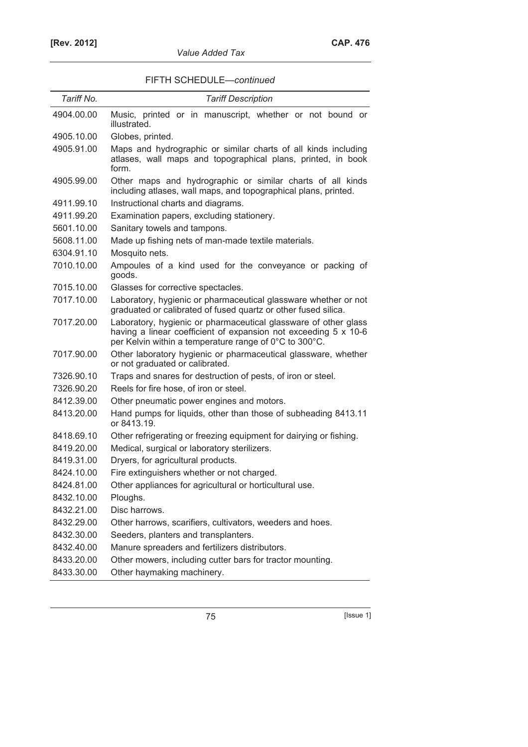| Tariff No. | <b>Tariff Description</b>                                                                                                                                                                    |
|------------|----------------------------------------------------------------------------------------------------------------------------------------------------------------------------------------------|
| 4904.00.00 | Music, printed or in manuscript, whether or not bound or<br>illustrated.                                                                                                                     |
| 4905.10.00 | Globes, printed.                                                                                                                                                                             |
| 4905.91.00 | Maps and hydrographic or similar charts of all kinds including<br>atlases, wall maps and topographical plans, printed, in book<br>form.                                                      |
| 4905.99.00 | Other maps and hydrographic or similar charts of all kinds<br>including atlases, wall maps, and topographical plans, printed.                                                                |
| 4911.99.10 | Instructional charts and diagrams.                                                                                                                                                           |
| 4911.99.20 | Examination papers, excluding stationery.                                                                                                                                                    |
| 5601.10.00 | Sanitary towels and tampons.                                                                                                                                                                 |
| 5608.11.00 | Made up fishing nets of man-made textile materials.                                                                                                                                          |
| 6304.91.10 | Mosquito nets.                                                                                                                                                                               |
| 7010.10.00 | Ampoules of a kind used for the conveyance or packing of<br>goods.                                                                                                                           |
| 7015.10.00 | Glasses for corrective spectacles.                                                                                                                                                           |
| 7017.10.00 | Laboratory, hygienic or pharmaceutical glassware whether or not<br>graduated or calibrated of fused quartz or other fused silica.                                                            |
| 7017.20.00 | Laboratory, hygienic or pharmaceutical glassware of other glass<br>having a linear coefficient of expansion not exceeding 5 x 10-6<br>per Kelvin within a temperature range of 0°C to 300°C. |
| 7017.90.00 | Other laboratory hygienic or pharmaceutical glassware, whether<br>or not graduated or calibrated.                                                                                            |
| 7326.90.10 | Traps and snares for destruction of pests, of iron or steel.                                                                                                                                 |
| 7326.90.20 | Reels for fire hose, of iron or steel.                                                                                                                                                       |
| 8412.39.00 | Other pneumatic power engines and motors.                                                                                                                                                    |
| 8413.20.00 | Hand pumps for liquids, other than those of subheading 8413.11<br>or 8413.19.                                                                                                                |
| 8418.69.10 | Other refrigerating or freezing equipment for dairying or fishing.                                                                                                                           |
| 8419.20.00 | Medical, surgical or laboratory sterilizers.                                                                                                                                                 |
| 8419.31.00 | Dryers, for agricultural products.                                                                                                                                                           |
| 8424.10.00 | Fire extinguishers whether or not charged.                                                                                                                                                   |
| 8424.81.00 | Other appliances for agricultural or horticultural use.                                                                                                                                      |
| 8432.10.00 | Ploughs.                                                                                                                                                                                     |
| 8432.21.00 | Disc harrows.                                                                                                                                                                                |
| 8432.29.00 | Other harrows, scarifiers, cultivators, weeders and hoes.                                                                                                                                    |
| 8432.30.00 | Seeders, planters and transplanters.                                                                                                                                                         |
| 8432.40.00 | Manure spreaders and fertilizers distributors.                                                                                                                                               |
| 8433.20.00 | Other mowers, including cutter bars for tractor mounting.                                                                                                                                    |
| 8433.30.00 | Other haymaking machinery.                                                                                                                                                                   |

**75** [Issue 1]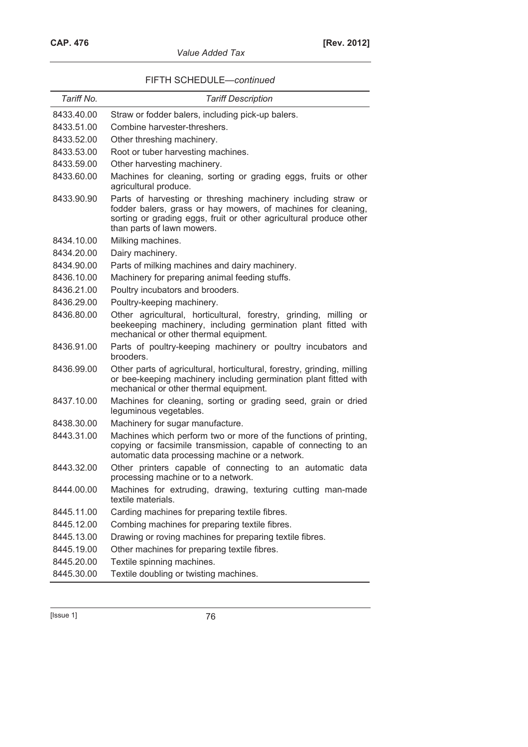*Value Added Tax* 

| Tariff No. | <b>Tariff Description</b>                                                                                                                                                                                                          |
|------------|------------------------------------------------------------------------------------------------------------------------------------------------------------------------------------------------------------------------------------|
| 8433.40.00 | Straw or fodder balers, including pick-up balers.                                                                                                                                                                                  |
| 8433.51.00 | Combine harvester-threshers.                                                                                                                                                                                                       |
| 8433.52.00 | Other threshing machinery.                                                                                                                                                                                                         |
| 8433.53.00 | Root or tuber harvesting machines.                                                                                                                                                                                                 |
| 8433.59.00 | Other harvesting machinery.                                                                                                                                                                                                        |
| 8433.60.00 | Machines for cleaning, sorting or grading eggs, fruits or other<br>agricultural produce.                                                                                                                                           |
| 8433.90.90 | Parts of harvesting or threshing machinery including straw or<br>fodder balers, grass or hay mowers, of machines for cleaning,<br>sorting or grading eggs, fruit or other agricultural produce other<br>than parts of lawn mowers. |
| 8434.10.00 | Milking machines.                                                                                                                                                                                                                  |
| 8434.20.00 | Dairy machinery.                                                                                                                                                                                                                   |
| 8434.90.00 | Parts of milking machines and dairy machinery.                                                                                                                                                                                     |
| 8436.10.00 | Machinery for preparing animal feeding stuffs.                                                                                                                                                                                     |
| 8436.21.00 | Poultry incubators and brooders.                                                                                                                                                                                                   |
| 8436.29.00 | Poultry-keeping machinery.                                                                                                                                                                                                         |
| 8436.80.00 | Other agricultural, horticultural, forestry, grinding, milling<br>or<br>beekeeping machinery, including germination plant fitted with<br>mechanical or other thermal equipment.                                                    |
| 8436.91.00 | Parts of poultry-keeping machinery or poultry incubators and<br>brooders.                                                                                                                                                          |
| 8436.99.00 | Other parts of agricultural, horticultural, forestry, grinding, milling<br>or bee-keeping machinery including germination plant fitted with<br>mechanical or other thermal equipment.                                              |
| 8437.10.00 | Machines for cleaning, sorting or grading seed, grain or dried<br>leguminous vegetables.                                                                                                                                           |
| 8438.30.00 | Machinery for sugar manufacture.                                                                                                                                                                                                   |
| 8443.31.00 | Machines which perform two or more of the functions of printing,<br>copying or facsimile transmission, capable of connecting to an<br>automatic data processing machine or a network.                                              |
| 8443.32.00 | Other printers capable of connecting to an automatic data<br>processing machine or to a network.                                                                                                                                   |
| 8444.00.00 | Machines for extruding, drawing, texturing cutting man-made<br>textile materials.                                                                                                                                                  |
| 8445.11.00 | Carding machines for preparing textile fibres.                                                                                                                                                                                     |
| 8445.12.00 | Combing machines for preparing textile fibres.                                                                                                                                                                                     |
| 8445.13.00 | Drawing or roving machines for preparing textile fibres.                                                                                                                                                                           |
| 8445.19.00 | Other machines for preparing textile fibres.                                                                                                                                                                                       |
| 8445.20.00 | Textile spinning machines.                                                                                                                                                                                                         |
| 8445.30.00 | Textile doubling or twisting machines.                                                                                                                                                                                             |

[Issue 1] 76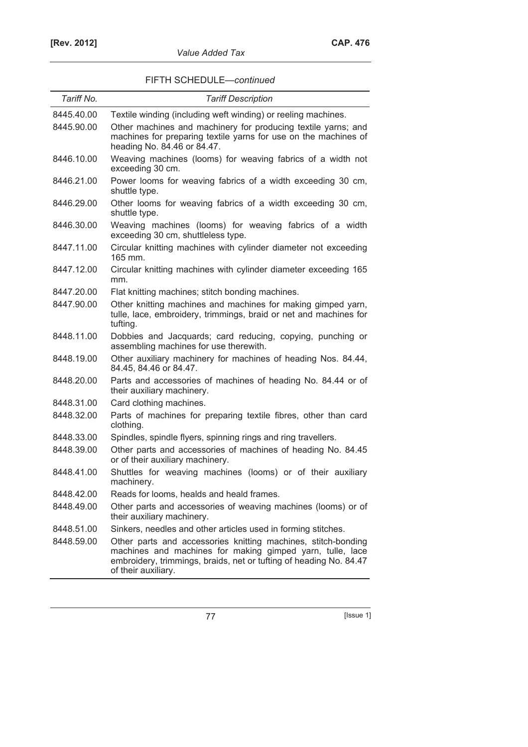| Tariff No. | <b>Tariff Description</b>                                                                                                                                                                                               |
|------------|-------------------------------------------------------------------------------------------------------------------------------------------------------------------------------------------------------------------------|
| 8445.40.00 | Textile winding (including weft winding) or reeling machines.                                                                                                                                                           |
| 8445.90.00 | Other machines and machinery for producing textile yarns; and<br>machines for preparing textile yarns for use on the machines of<br>heading No. 84.46 or 84.47.                                                         |
| 8446.10.00 | Weaving machines (looms) for weaving fabrics of a width not<br>exceeding 30 cm.                                                                                                                                         |
| 8446.21.00 | Power looms for weaving fabrics of a width exceeding 30 cm,<br>shuttle type.                                                                                                                                            |
| 8446.29.00 | Other looms for weaving fabrics of a width exceeding 30 cm,<br>shuttle type.                                                                                                                                            |
| 8446.30.00 | Weaving machines (looms) for weaving fabrics of a width<br>exceeding 30 cm, shuttleless type.                                                                                                                           |
| 8447.11.00 | Circular knitting machines with cylinder diameter not exceeding<br>165 mm.                                                                                                                                              |
| 8447.12.00 | Circular knitting machines with cylinder diameter exceeding 165<br>mm.                                                                                                                                                  |
| 8447.20.00 | Flat knitting machines; stitch bonding machines.                                                                                                                                                                        |
| 8447.90.00 | Other knitting machines and machines for making gimped yarn,<br>tulle, lace, embroidery, trimmings, braid or net and machines for<br>tufting.                                                                           |
| 8448.11.00 | Dobbies and Jacquards; card reducing, copying, punching or<br>assembling machines for use therewith.                                                                                                                    |
| 8448.19.00 | Other auxiliary machinery for machines of heading Nos. 84.44,<br>84.45, 84.46 or 84.47.                                                                                                                                 |
| 8448.20.00 | Parts and accessories of machines of heading No. 84.44 or of<br>their auxiliary machinery.                                                                                                                              |
| 8448.31.00 | Card clothing machines.                                                                                                                                                                                                 |
| 8448.32.00 | Parts of machines for preparing textile fibres, other than card<br>clothing.                                                                                                                                            |
| 8448.33.00 | Spindles, spindle flyers, spinning rings and ring travellers.                                                                                                                                                           |
| 8448.39.00 | Other parts and accessories of machines of heading No. 84.45<br>or of their auxiliary machinery.                                                                                                                        |
| 8448.41.00 | Shuttles for weaving machines (looms) or of their auxiliary<br>machinery.                                                                                                                                               |
| 8448.42.00 | Reads for looms, healds and heald frames.                                                                                                                                                                               |
| 8448.49.00 | Other parts and accessories of weaving machines (looms) or of<br>their auxiliary machinery.                                                                                                                             |
| 8448.51.00 | Sinkers, needles and other articles used in forming stitches.                                                                                                                                                           |
| 8448.59.00 | Other parts and accessories knitting machines, stitch-bonding<br>machines and machines for making gimped yarn, tulle, lace<br>embroidery, trimmings, braids, net or tufting of heading No. 84.47<br>of their auxiliary. |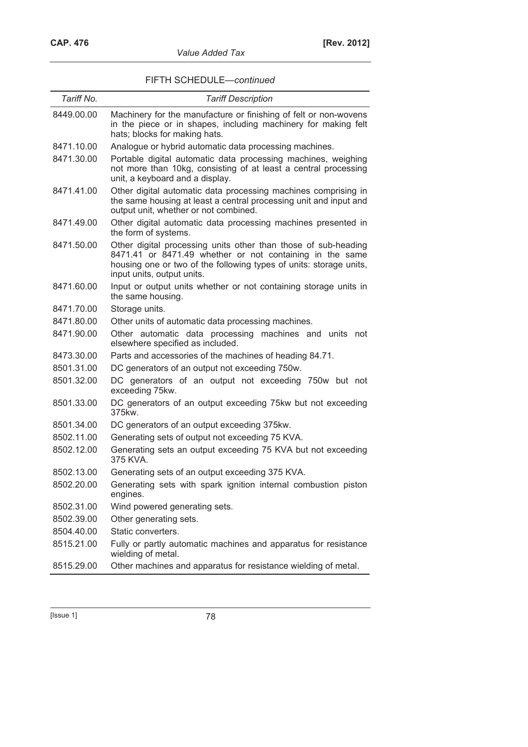| Value Added Tax |  |
|-----------------|--|
|-----------------|--|

| Tariff No. | <b>Tariff Description</b>                                                                                                                                                                                                      |
|------------|--------------------------------------------------------------------------------------------------------------------------------------------------------------------------------------------------------------------------------|
| 8449.00.00 | Machinery for the manufacture or finishing of felt or non-wovens<br>in the piece or in shapes, including machinery for making felt<br>hats; blocks for making hats.                                                            |
| 8471.10.00 | Analogue or hybrid automatic data processing machines.                                                                                                                                                                         |
| 8471.30.00 | Portable digital automatic data processing machines, weighing<br>not more than 10kg, consisting of at least a central processing<br>unit, a keyboard and a display.                                                            |
| 8471.41.00 | Other digital automatic data processing machines comprising in<br>the same housing at least a central processing unit and input and<br>output unit, whether or not combined.                                                   |
| 8471.49.00 | Other digital automatic data processing machines presented in<br>the form of systems.                                                                                                                                          |
| 8471.50.00 | Other digital processing units other than those of sub-heading<br>8471.41 or 8471.49 whether or not containing in the same<br>housing one or two of the following types of units: storage units,<br>input units, output units. |
| 8471.60.00 | Input or output units whether or not containing storage units in<br>the same housing.                                                                                                                                          |
| 8471.70.00 | Storage units.                                                                                                                                                                                                                 |
| 8471.80.00 | Other units of automatic data processing machines.                                                                                                                                                                             |
| 8471.90.00 | Other automatic data processing machines and units not<br>elsewhere specified as included.                                                                                                                                     |
| 8473.30.00 | Parts and accessories of the machines of heading 84.71.                                                                                                                                                                        |
| 8501.31.00 | DC generators of an output not exceeding 750w.                                                                                                                                                                                 |
| 8501.32.00 | DC generators of an output not exceeding 750w but not<br>exceeding 75kw.                                                                                                                                                       |
| 8501.33.00 | DC generators of an output exceeding 75kw but not exceeding<br>375kw.                                                                                                                                                          |
| 8501.34.00 | DC generators of an output exceeding 375kw.                                                                                                                                                                                    |
| 8502.11.00 | Generating sets of output not exceeding 75 KVA.                                                                                                                                                                                |
| 8502.12.00 | Generating sets an output exceeding 75 KVA but not exceeding<br>375 KVA.                                                                                                                                                       |
| 8502.13.00 | Generating sets of an output exceeding 375 KVA.                                                                                                                                                                                |
| 8502.20.00 | Generating sets with spark ignition internal combustion piston<br>engines.                                                                                                                                                     |
| 8502.31.00 | Wind powered generating sets.                                                                                                                                                                                                  |
| 8502.39.00 | Other generating sets.                                                                                                                                                                                                         |
| 8504.40.00 | Static converters.                                                                                                                                                                                                             |
| 8515.21.00 | Fully or partly automatic machines and apparatus for resistance<br>wielding of metal.                                                                                                                                          |
| 8515.29.00 | Other machines and apparatus for resistance wielding of metal.                                                                                                                                                                 |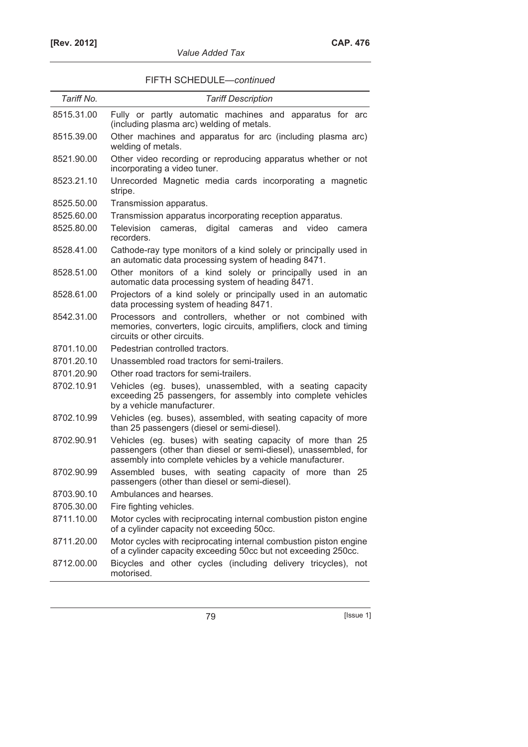| FIFTH SCHEDULE-continued |  |
|--------------------------|--|
|--------------------------|--|

| Tariff No. | <b>Tariff Description</b>                                                                                                                                                                   |
|------------|---------------------------------------------------------------------------------------------------------------------------------------------------------------------------------------------|
| 8515.31.00 | Fully or partly automatic machines and apparatus for arc<br>(including plasma arc) welding of metals.                                                                                       |
| 8515.39.00 | Other machines and apparatus for arc (including plasma arc)<br>welding of metals.                                                                                                           |
| 8521.90.00 | Other video recording or reproducing apparatus whether or not<br>incorporating a video tuner.                                                                                               |
| 8523.21.10 | Unrecorded Magnetic media cards incorporating a magnetic<br>stripe.                                                                                                                         |
| 8525.50.00 | Transmission apparatus.                                                                                                                                                                     |
| 8525.60.00 | Transmission apparatus incorporating reception apparatus.                                                                                                                                   |
| 8525.80.00 | digital cameras and video<br><b>Television</b><br>cameras,<br>camera<br>recorders.                                                                                                          |
| 8528.41.00 | Cathode-ray type monitors of a kind solely or principally used in<br>an automatic data processing system of heading 8471.                                                                   |
| 8528.51.00 | Other monitors of a kind solely or principally used in an<br>automatic data processing system of heading 8471.                                                                              |
| 8528.61.00 | Projectors of a kind solely or principally used in an automatic<br>data processing system of heading 8471.                                                                                  |
| 8542.31.00 | Processors and controllers, whether or not combined with<br>memories, converters, logic circuits, amplifiers, clock and timing<br>circuits or other circuits.                               |
| 8701.10.00 | Pedestrian controlled tractors.                                                                                                                                                             |
| 8701.20.10 | Unassembled road tractors for semi-trailers.                                                                                                                                                |
| 8701.20.90 | Other road tractors for semi-trailers.                                                                                                                                                      |
| 8702.10.91 | Vehicles (eg. buses), unassembled, with a seating capacity<br>exceeding 25 passengers, for assembly into complete vehicles<br>by a vehicle manufacturer.                                    |
| 8702.10.99 | Vehicles (eg. buses), assembled, with seating capacity of more<br>than 25 passengers (diesel or semi-diesel).                                                                               |
| 8702.90.91 | Vehicles (eg. buses) with seating capacity of more than 25<br>passengers (other than diesel or semi-diesel), unassembled, for<br>assembly into complete vehicles by a vehicle manufacturer. |
| 8702.90.99 | Assembled buses, with seating capacity of more than 25<br>passengers (other than diesel or semi-diesel).                                                                                    |
| 8703.90.10 | Ambulances and hearses.                                                                                                                                                                     |
| 8705.30.00 | Fire fighting vehicles.                                                                                                                                                                     |
| 8711.10.00 | Motor cycles with reciprocating internal combustion piston engine<br>of a cylinder capacity not exceeding 50cc.                                                                             |
| 8711.20.00 | Motor cycles with reciprocating internal combustion piston engine<br>of a cylinder capacity exceeding 50cc but not exceeding 250cc.                                                         |
| 8712.00.00 | Bicycles and other cycles (including delivery tricycles), not<br>motorised.                                                                                                                 |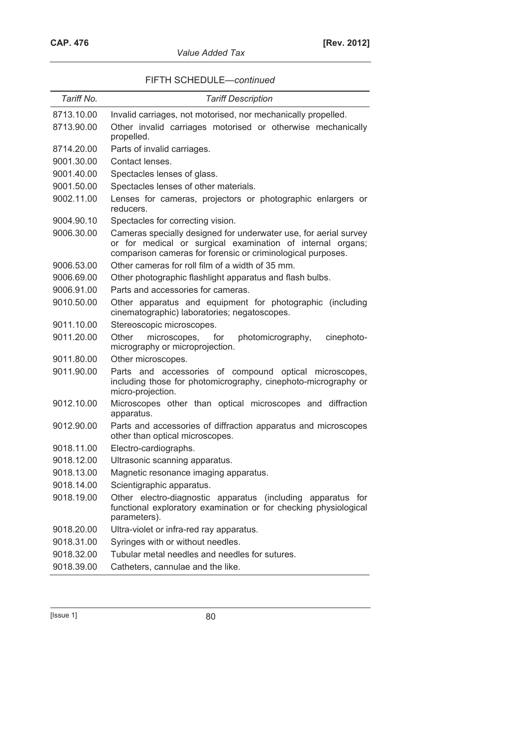| <b>Value Added Tax</b> |  |
|------------------------|--|
|------------------------|--|

| FIFTH SCHEDULE-continued |
|--------------------------|
|--------------------------|

| Tariff No. | <b>Tariff Description</b>                                                                                                                                                                     |  |  |  |
|------------|-----------------------------------------------------------------------------------------------------------------------------------------------------------------------------------------------|--|--|--|
| 8713.10.00 | Invalid carriages, not motorised, nor mechanically propelled.                                                                                                                                 |  |  |  |
| 8713.90.00 | Other invalid carriages motorised or otherwise mechanically<br>propelled.                                                                                                                     |  |  |  |
| 8714.20.00 | Parts of invalid carriages.                                                                                                                                                                   |  |  |  |
| 9001.30.00 | Contact lenses.                                                                                                                                                                               |  |  |  |
| 9001.40.00 | Spectacles lenses of glass.                                                                                                                                                                   |  |  |  |
| 9001.50.00 | Spectacles lenses of other materials.                                                                                                                                                         |  |  |  |
| 9002.11.00 | Lenses for cameras, projectors or photographic enlargers or<br>reducers.                                                                                                                      |  |  |  |
| 9004.90.10 | Spectacles for correcting vision.                                                                                                                                                             |  |  |  |
| 9006.30.00 | Cameras specially designed for underwater use, for aerial survey<br>or for medical or surgical examination of internal organs;<br>comparison cameras for forensic or criminological purposes. |  |  |  |
| 9006.53.00 | Other cameras for roll film of a width of 35 mm.                                                                                                                                              |  |  |  |
| 9006.69.00 | Other photographic flashlight apparatus and flash bulbs.                                                                                                                                      |  |  |  |
| 9006.91.00 | Parts and accessories for cameras.                                                                                                                                                            |  |  |  |
| 9010.50.00 | Other apparatus and equipment for photographic (including<br>cinematographic) laboratories; negatoscopes.                                                                                     |  |  |  |
| 9011.10.00 | Stereoscopic microscopes.                                                                                                                                                                     |  |  |  |
| 9011.20.00 | Other<br>microscopes, for<br>photomicrography,<br>cinephoto-<br>micrography or microprojection.                                                                                               |  |  |  |
| 9011.80.00 | Other microscopes.                                                                                                                                                                            |  |  |  |
| 9011.90.00 | Parts and accessories of compound optical microscopes,<br>including those for photomicrography, cinephoto-micrography or<br>micro-projection.                                                 |  |  |  |
| 9012.10.00 | Microscopes other than optical microscopes and diffraction<br>apparatus.                                                                                                                      |  |  |  |
| 9012.90.00 | Parts and accessories of diffraction apparatus and microscopes<br>other than optical microscopes.                                                                                             |  |  |  |
| 9018.11.00 | Electro-cardiographs.                                                                                                                                                                         |  |  |  |
| 9018.12.00 | Ultrasonic scanning apparatus.                                                                                                                                                                |  |  |  |
| 9018.13.00 | Magnetic resonance imaging apparatus.                                                                                                                                                         |  |  |  |
| 9018.14.00 | Scientigraphic apparatus.                                                                                                                                                                     |  |  |  |
| 9018.19.00 | Other electro-diagnostic apparatus (including apparatus for<br>functional exploratory examination or for checking physiological<br>parameters).                                               |  |  |  |
| 9018.20.00 | Ultra-violet or infra-red ray apparatus.                                                                                                                                                      |  |  |  |
| 9018.31.00 | Syringes with or without needles.                                                                                                                                                             |  |  |  |
| 9018.32.00 | Tubular metal needles and needles for sutures.                                                                                                                                                |  |  |  |
| 9018.39.00 | Catheters, cannulae and the like.                                                                                                                                                             |  |  |  |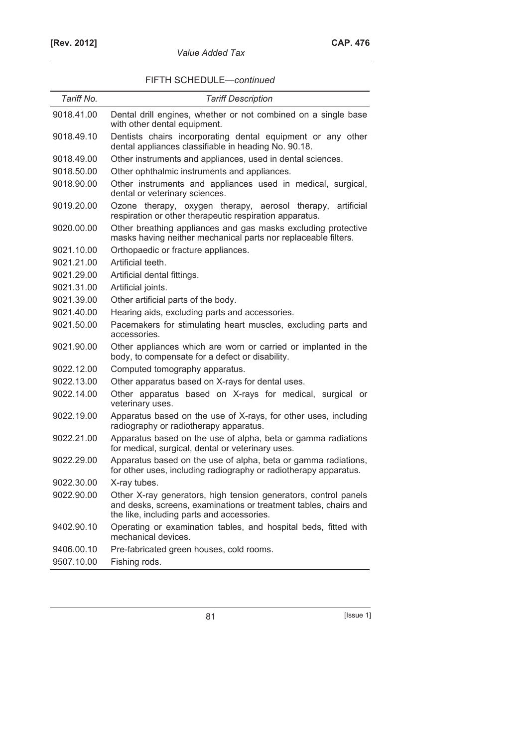| Tariff No. | <b>Tariff Description</b>                                                                                                                                                         |
|------------|-----------------------------------------------------------------------------------------------------------------------------------------------------------------------------------|
| 9018.41.00 | Dental drill engines, whether or not combined on a single base<br>with other dental equipment.                                                                                    |
| 9018.49.10 | Dentists chairs incorporating dental equipment or any other<br>dental appliances classifiable in heading No. 90.18.                                                               |
| 9018.49.00 | Other instruments and appliances, used in dental sciences.                                                                                                                        |
| 9018.50.00 | Other ophthalmic instruments and appliances.                                                                                                                                      |
| 9018.90.00 | Other instruments and appliances used in medical, surgical,<br>dental or veterinary sciences.                                                                                     |
| 9019.20.00 | Ozone therapy, oxygen therapy, aerosol therapy,<br>artificial<br>respiration or other therapeutic respiration apparatus.                                                          |
| 9020.00.00 | Other breathing appliances and gas masks excluding protective<br>masks having neither mechanical parts nor replaceable filters.                                                   |
| 9021.10.00 | Orthopaedic or fracture appliances.                                                                                                                                               |
| 9021.21.00 | Artificial teeth.                                                                                                                                                                 |
| 9021.29.00 | Artificial dental fittings.                                                                                                                                                       |
| 9021.31.00 | Artificial joints.                                                                                                                                                                |
| 9021.39.00 | Other artificial parts of the body.                                                                                                                                               |
| 9021.40.00 | Hearing aids, excluding parts and accessories.                                                                                                                                    |
| 9021.50.00 | Pacemakers for stimulating heart muscles, excluding parts and<br>accessories.                                                                                                     |
| 9021.90.00 | Other appliances which are worn or carried or implanted in the<br>body, to compensate for a defect or disability.                                                                 |
| 9022.12.00 | Computed tomography apparatus.                                                                                                                                                    |
| 9022.13.00 | Other apparatus based on X-rays for dental uses.                                                                                                                                  |
| 9022.14.00 | Other apparatus based on X-rays for medical, surgical or<br>veterinary uses.                                                                                                      |
| 9022.19.00 | Apparatus based on the use of X-rays, for other uses, including<br>radiography or radiotherapy apparatus.                                                                         |
| 9022.21.00 | Apparatus based on the use of alpha, beta or gamma radiations<br>for medical, surgical, dental or veterinary uses.                                                                |
| 9022.29.00 | Apparatus based on the use of alpha, beta or gamma radiations,<br>for other uses, including radiography or radiotherapy apparatus.                                                |
| 9022.30.00 | X-ray tubes.                                                                                                                                                                      |
| 9022.90.00 | Other X-ray generators, high tension generators, control panels<br>and desks, screens, examinations or treatment tables, chairs and<br>the like, including parts and accessories. |
| 9402.90.10 | Operating or examination tables, and hospital beds, fitted with<br>mechanical devices.                                                                                            |
| 9406.00.10 | Pre-fabricated green houses, cold rooms.                                                                                                                                          |
| 9507.10.00 | Fishing rods.                                                                                                                                                                     |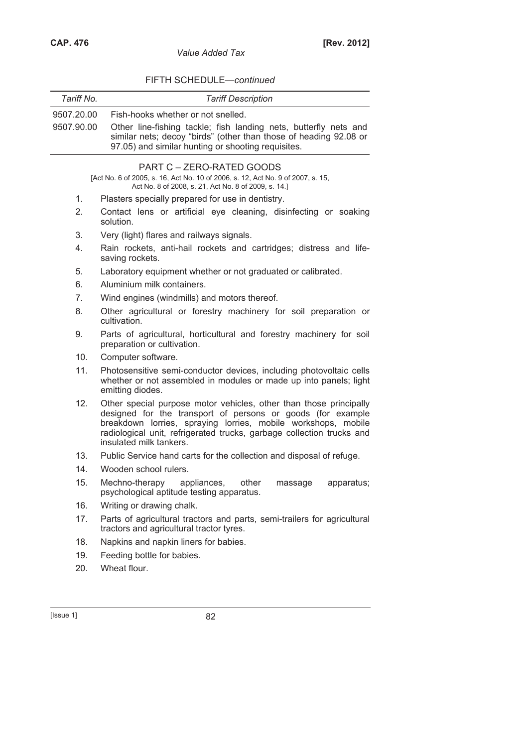| Tariff No.                                                                                                   | <b>Tariff Description</b>                                                                                                                                                                                                                                                                              |  |  |  |
|--------------------------------------------------------------------------------------------------------------|--------------------------------------------------------------------------------------------------------------------------------------------------------------------------------------------------------------------------------------------------------------------------------------------------------|--|--|--|
| 9507.20.00                                                                                                   | Fish-hooks whether or not snelled.                                                                                                                                                                                                                                                                     |  |  |  |
| 9507.90.00                                                                                                   | Other line-fishing tackle; fish landing nets, butterfly nets and<br>similar nets; decoy "birds" (other than those of heading 92.08 or<br>97.05) and similar hunting or shooting requisites.                                                                                                            |  |  |  |
| PART C - ZERO-RATED GOODS<br>[Act No. 6 of 2005, s. 16, Act No. 10 of 2006, s. 12, Act No. 9 of 2007, s. 15, |                                                                                                                                                                                                                                                                                                        |  |  |  |
|                                                                                                              | Act No. 8 of 2008, s. 21, Act No. 8 of 2009, s. 14.]                                                                                                                                                                                                                                                   |  |  |  |
| 1 <sub>1</sub>                                                                                               | Plasters specially prepared for use in dentistry.                                                                                                                                                                                                                                                      |  |  |  |
| 2.                                                                                                           | Contact lens or artificial eye cleaning, disinfecting or soaking<br>solution.                                                                                                                                                                                                                          |  |  |  |
| 3.                                                                                                           | Very (light) flares and railways signals.                                                                                                                                                                                                                                                              |  |  |  |
| 4.                                                                                                           | Rain rockets, anti-hail rockets and cartridges; distress and life-<br>saving rockets.                                                                                                                                                                                                                  |  |  |  |
| 5.                                                                                                           | Laboratory equipment whether or not graduated or calibrated.                                                                                                                                                                                                                                           |  |  |  |
| 6.                                                                                                           | Aluminium milk containers.                                                                                                                                                                                                                                                                             |  |  |  |
| 7 <sub>1</sub>                                                                                               | Wind engines (windmills) and motors thereof.                                                                                                                                                                                                                                                           |  |  |  |
| 8.                                                                                                           | Other agricultural or forestry machinery for soil preparation or<br>cultivation.                                                                                                                                                                                                                       |  |  |  |
| 9.                                                                                                           | Parts of agricultural, horticultural and forestry machinery for soil<br>preparation or cultivation.                                                                                                                                                                                                    |  |  |  |
| 10.                                                                                                          | Computer software.                                                                                                                                                                                                                                                                                     |  |  |  |
| 11.                                                                                                          | Photosensitive semi-conductor devices, including photovoltaic cells<br>whether or not assembled in modules or made up into panels; light<br>emitting diodes.                                                                                                                                           |  |  |  |
| 12.                                                                                                          | Other special purpose motor vehicles, other than those principally<br>designed for the transport of persons or goods (for example<br>breakdown lorries, spraying lorries, mobile workshops, mobile<br>radiological unit, refrigerated trucks, garbage collection trucks and<br>insulated milk tankers. |  |  |  |
| 13.                                                                                                          | Public Service hand carts for the collection and disposal of refuge.                                                                                                                                                                                                                                   |  |  |  |
| 14.                                                                                                          | Wooden school rulers.                                                                                                                                                                                                                                                                                  |  |  |  |
| 15.                                                                                                          | Mechno-therapy<br>appliances,<br>other<br>apparatus;<br>massage<br>psychological aptitude testing apparatus.                                                                                                                                                                                           |  |  |  |
| 16.                                                                                                          | Writing or drawing chalk.                                                                                                                                                                                                                                                                              |  |  |  |
| 17.                                                                                                          | Parts of agricultural tractors and parts, semi-trailers for agricultural<br>tractors and agricultural tractor tyres.                                                                                                                                                                                   |  |  |  |
| 18.                                                                                                          | Napkins and napkin liners for babies.                                                                                                                                                                                                                                                                  |  |  |  |
| 19.                                                                                                          | Feeding bottle for babies.                                                                                                                                                                                                                                                                             |  |  |  |
| 20.                                                                                                          | Wheat flour.                                                                                                                                                                                                                                                                                           |  |  |  |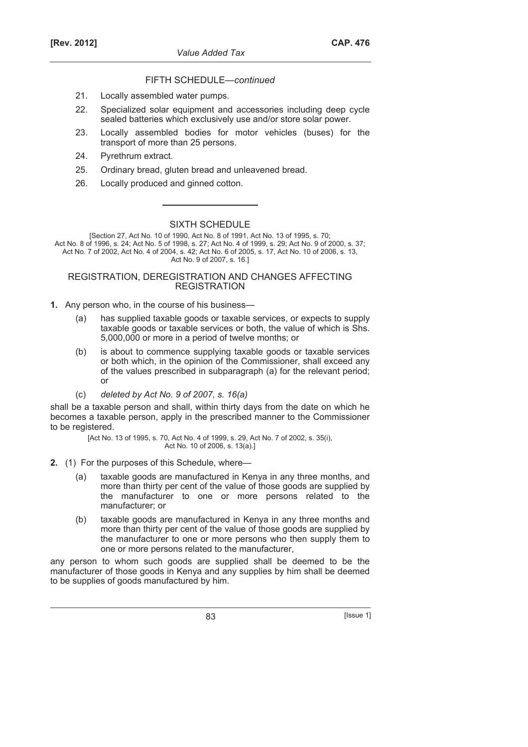- 21. Locally assembled water pumps.
- 22. Specialized solar equipment and accessories including deep cycle sealed batteries which exclusively use and/or store solar power.
- 23. Locally assembled bodies for motor vehicles (buses) for the transport of more than 25 persons.
- 24. Pyrethrum extract.
- 25. Ordinary bread, gluten bread and unleavened bread.
- 26. Locally produced and ginned cotton.

# SIXTH SCHEDULE

[Section 27, Act No. 10 of 1990, Act No. 8 of 1991, Act No. 13 of 1995, s. 70; Act No. 8 of 1996, s. 24; Act No. 5 of 1998, s. 27; Act No. 4 of 1999, s. 29; Act No. 9 of 2000, s. 37; Act No. 7 of 2002, Act No. 4 of 2004, s. 42; Act No. 6 of 2005, s. 17, Act No. 10 of 2006, s. 13, Act No. 9 of 2007, s. 16.]

### REGISTRATION, DEREGISTRATION AND CHANGES AFFECTING **REGISTRATION**

- **1.** Any person who, in the course of his business—
	- (a) has supplied taxable goods or taxable services, or expects to supply taxable goods or taxable services or both, the value of which is Shs. 5,000,000 or more in a period of twelve months; or
	- (b) is about to commence supplying taxable goods or taxable services or both which, in the opinion of the Commissioner, shall exceed any of the values prescribed in subparagraph (a) for the relevant period; or
	- (c) *deleted by Act No. 9 of 2007, s. 16(a)*

shall be a taxable person and shall, within thirty days from the date on which he becomes a taxable person, apply in the prescribed manner to the Commissioner to be registered.

> [Act No. 13 of 1995, s. 70, Act No. 4 of 1999, s. 29, Act No. 7 of 2002, s. 35(i), Act No. 10 of 2006, s. 13(a).]

- **2.** (1) For the purposes of this Schedule, where—
	- (a) taxable goods are manufactured in Kenya in any three months, and more than thirty per cent of the value of those goods are supplied by the manufacturer to one or more persons related to the manufacturer; or
	- (b) taxable goods are manufactured in Kenya in any three months and more than thirty per cent of the value of those goods are supplied by the manufacturer to one or more persons who then supply them to one or more persons related to the manufacturer,

any person to whom such goods are supplied shall be deemed to be the manufacturer of those goods in Kenya and any supplies by him shall be deemed to be supplies of goods manufactured by him.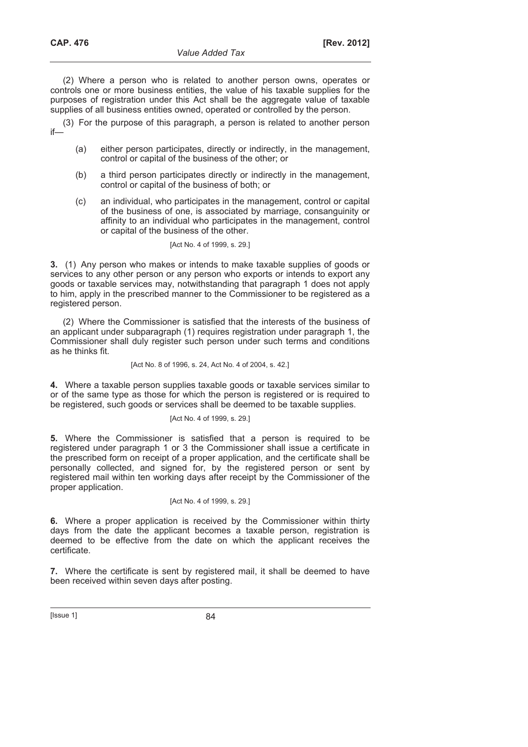(2) Where a person who is related to another person owns, operates or controls one or more business entities, the value of his taxable supplies for the purposes of registration under this Act shall be the aggregate value of taxable supplies of all business entities owned, operated or controlled by the person.

(3) For the purpose of this paragraph, a person is related to another person if—

- (a) either person participates, directly or indirectly, in the management, control or capital of the business of the other; or
- (b) a third person participates directly or indirectly in the management, control or capital of the business of both; or
- (c) an individual, who participates in the management, control or capital of the business of one, is associated by marriage, consanguinity or affinity to an individual who participates in the management, control or capital of the business of the other.

#### [Act No. 4 of 1999, s. 29.]

**3.** (1) Any person who makes or intends to make taxable supplies of goods or services to any other person or any person who exports or intends to export any goods or taxable services may, notwithstanding that paragraph 1 does not apply to him, apply in the prescribed manner to the Commissioner to be registered as a registered person.

(2) Where the Commissioner is satisfied that the interests of the business of an applicant under subparagraph (1) requires registration under paragraph 1, the Commissioner shall duly register such person under such terms and conditions as he thinks fit.

#### [Act No. 8 of 1996, s. 24, Act No. 4 of 2004, s. 42.]

**4.** Where a taxable person supplies taxable goods or taxable services similar to or of the same type as those for which the person is registered or is required to be registered, such goods or services shall be deemed to be taxable supplies.

#### [Act No. 4 of 1999, s. 29.]

**5.** Where the Commissioner is satisfied that a person is required to be registered under paragraph 1 or 3 the Commissioner shall issue a certificate in the prescribed form on receipt of a proper application, and the certificate shall be personally collected, and signed for, by the registered person or sent by registered mail within ten working days after receipt by the Commissioner of the proper application.

#### [Act No. 4 of 1999, s. 29.]

**6.** Where a proper application is received by the Commissioner within thirty days from the date the applicant becomes a taxable person, registration is deemed to be effective from the date on which the applicant receives the certificate.

**7.** Where the certificate is sent by registered mail, it shall be deemed to have been received within seven days after posting.

 $[|$ Ssue 1 $|$  84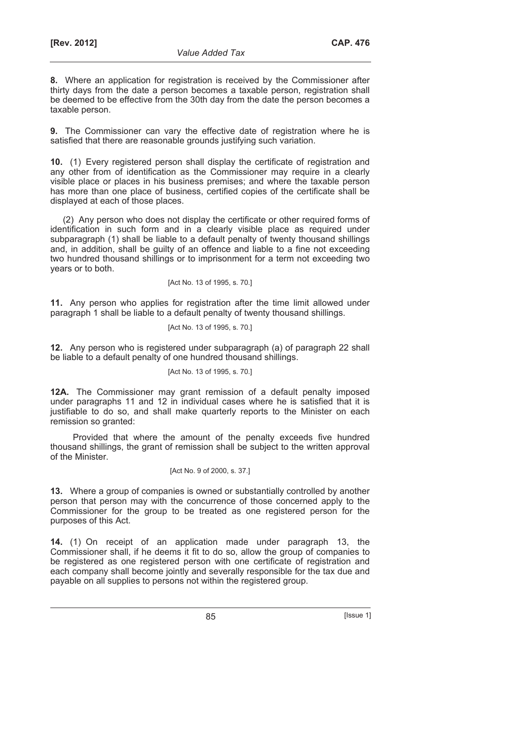**8.** Where an application for registration is received by the Commissioner after thirty days from the date a person becomes a taxable person, registration shall be deemed to be effective from the 30th day from the date the person becomes a taxable person.

**9.** The Commissioner can vary the effective date of registration where he is satisfied that there are reasonable grounds justifying such variation.

**10.** (1) Every registered person shall display the certificate of registration and any other from of identification as the Commissioner may require in a clearly visible place or places in his business premises; and where the taxable person has more than one place of business, certified copies of the certificate shall be displayed at each of those places.

(2) Any person who does not display the certificate or other required forms of identification in such form and in a clearly visible place as required under subparagraph (1) shall be liable to a default penalty of twenty thousand shillings and, in addition, shall be guilty of an offence and liable to a fine not exceeding two hundred thousand shillings or to imprisonment for a term not exceeding two years or to both.

[Act No. 13 of 1995, s. 70.]

**11.** Any person who applies for registration after the time limit allowed under paragraph 1 shall be liable to a default penalty of twenty thousand shillings.

[Act No. 13 of 1995, s. 70.]

**12.** Any person who is registered under subparagraph (a) of paragraph 22 shall be liable to a default penalty of one hundred thousand shillings.

## [Act No. 13 of 1995, s. 70.]

**12A.** The Commissioner may grant remission of a default penalty imposed under paragraphs 11 and 12 in individual cases where he is satisfied that it is justifiable to do so, and shall make quarterly reports to the Minister on each remission so granted:

Provided that where the amount of the penalty exceeds five hundred thousand shillings, the grant of remission shall be subject to the written approval of the Minister.

## [Act No. 9 of 2000, s. 37.]

**13.** Where a group of companies is owned or substantially controlled by another person that person may with the concurrence of those concerned apply to the Commissioner for the group to be treated as one registered person for the purposes of this Act.

**14.** (1) On receipt of an application made under paragraph 13, the Commissioner shall, if he deems it fit to do so, allow the group of companies to be registered as one registered person with one certificate of registration and each company shall become jointly and severally responsible for the tax due and payable on all supplies to persons not within the registered group.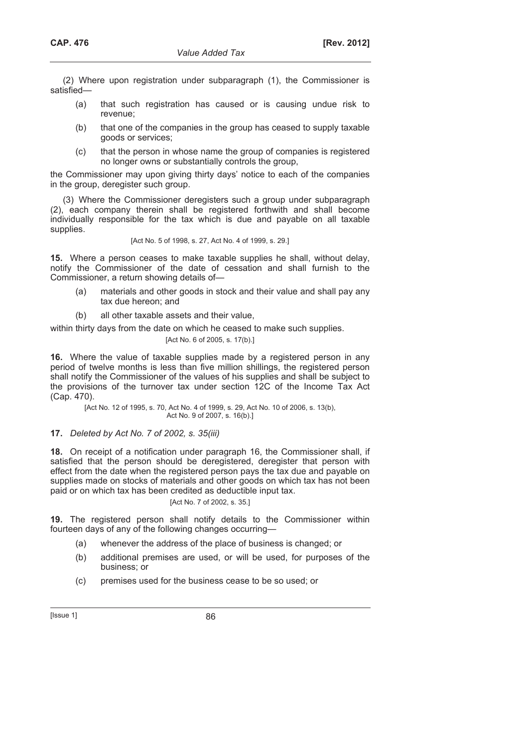(2) Where upon registration under subparagraph (1), the Commissioner is satisfied—

- (a) that such registration has caused or is causing undue risk to revenue;
- (b) that one of the companies in the group has ceased to supply taxable goods or services;
- (c) that the person in whose name the group of companies is registered no longer owns or substantially controls the group,

the Commissioner may upon giving thirty days' notice to each of the companies in the group, deregister such group.

(3) Where the Commissioner deregisters such a group under subparagraph (2), each company therein shall be registered forthwith and shall become individually responsible for the tax which is due and payable on all taxable supplies.

[Act No. 5 of 1998, s. 27, Act No. 4 of 1999, s. 29.]

**15.** Where a person ceases to make taxable supplies he shall, without delay, notify the Commissioner of the date of cessation and shall furnish to the Commissioner, a return showing details of—

- (a) materials and other goods in stock and their value and shall pay any tax due hereon; and
- (b) all other taxable assets and their value,

within thirty days from the date on which he ceased to make such supplies.

[Act No. 6 of 2005, s. 17(b).]

**16.** Where the value of taxable supplies made by a registered person in any period of twelve months is less than five million shillings, the registered person shall notify the Commissioner of the values of his supplies and shall be subject to the provisions of the turnover tax under section 12C of the Income Tax Act (Cap. 470).

> [Act No. 12 of 1995, s. 70, Act No. 4 of 1999, s. 29, Act No. 10 of 2006, s. 13(b), Act No. 9 of 2007, s. 16(b).]

**17.** *Deleted by Act No. 7 of 2002, s. 35(iii)* 

**18.** On receipt of a notification under paragraph 16, the Commissioner shall, if satisfied that the person should be deregistered, deregister that person with effect from the date when the registered person pays the tax due and payable on supplies made on stocks of materials and other goods on which tax has not been paid or on which tax has been credited as deductible input tax.

### [Act No. 7 of 2002, s. 35.]

**19.** The registered person shall notify details to the Commissioner within fourteen days of any of the following changes occurring—

- (a) whenever the address of the place of business is changed; or
- (b) additional premises are used, or will be used, for purposes of the business; or
- (c) premises used for the business cease to be so used; or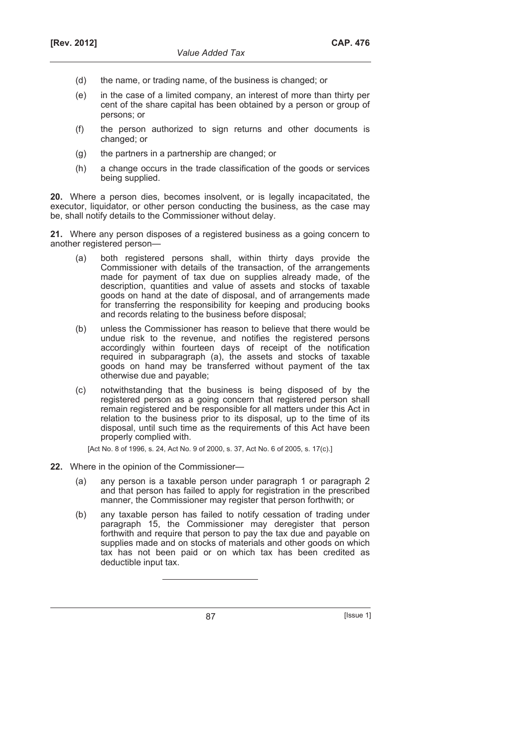- (d) the name, or trading name, of the business is changed; or
- (e) in the case of a limited company, an interest of more than thirty per cent of the share capital has been obtained by a person or group of persons; or
- (f) the person authorized to sign returns and other documents is changed; or
- (g) the partners in a partnership are changed; or
- (h) a change occurs in the trade classification of the goods or services being supplied.

**20.** Where a person dies, becomes insolvent, or is legally incapacitated, the executor, liquidator, or other person conducting the business, as the case may be, shall notify details to the Commissioner without delay.

**21.** Where any person disposes of a registered business as a going concern to another registered person—

- (a) both registered persons shall, within thirty days provide the Commissioner with details of the transaction, of the arrangements made for payment of tax due on supplies already made, of the description, quantities and value of assets and stocks of taxable goods on hand at the date of disposal, and of arrangements made for transferring the responsibility for keeping and producing books and records relating to the business before disposal;
- (b) unless the Commissioner has reason to believe that there would be undue risk to the revenue, and notifies the registered persons accordingly within fourteen days of receipt of the notification required in subparagraph (a), the assets and stocks of taxable goods on hand may be transferred without payment of the tax otherwise due and payable;
- (c) notwithstanding that the business is being disposed of by the registered person as a going concern that registered person shall remain registered and be responsible for all matters under this Act in relation to the business prior to its disposal, up to the time of its disposal, until such time as the requirements of this Act have been properly complied with.

[Act No. 8 of 1996, s. 24, Act No. 9 of 2000, s. 37, Act No. 6 of 2005, s. 17(c).]

- **22.** Where in the opinion of the Commissioner—
	- (a) any person is a taxable person under paragraph 1 or paragraph 2 and that person has failed to apply for registration in the prescribed manner, the Commissioner may register that person forthwith; or
	- (b) any taxable person has failed to notify cessation of trading under paragraph 15, the Commissioner may deregister that person forthwith and require that person to pay the tax due and payable on supplies made and on stocks of materials and other goods on which tax has not been paid or on which tax has been credited as deductible input tax.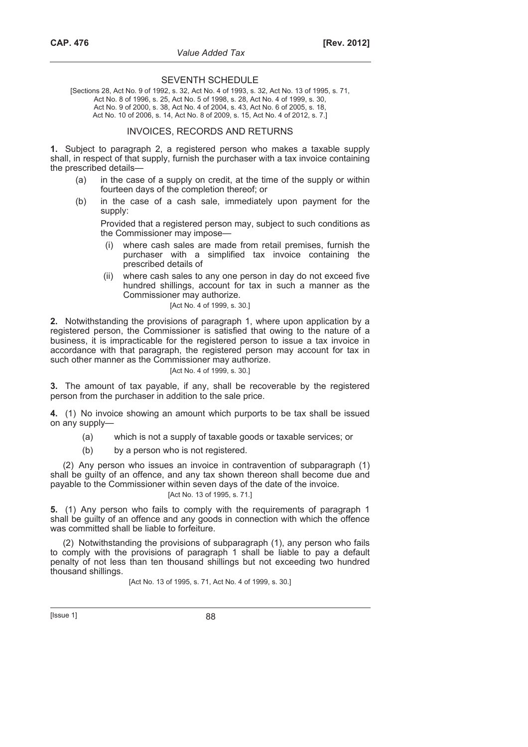#### SEVENTH SCHEDULE

[Sections 28, Act No. 9 of 1992, s. 32, Act No. 4 of 1993, s. 32, Act No. 13 of 1995, s. 71, Act No. 8 of 1996, s. 25, Act No. 5 of 1998, s. 28, Act No. 4 of 1999, s. 30, Act No. 9 of 2000, s. 38, Act No. 4 of 2004, s. 43, Act No. 6 of 2005, s. 18, Act No. 10 of 2006, s. 14, Act No. 8 of 2009, s. 15, Act No. 4 of 2012, s. 7.]

#### INVOICES, RECORDS AND RETURNS

**1.** Subject to paragraph 2, a registered person who makes a taxable supply shall, in respect of that supply, furnish the purchaser with a tax invoice containing the prescribed details—

- (a) in the case of a supply on credit, at the time of the supply or within fourteen days of the completion thereof; or
- (b) in the case of a cash sale, immediately upon payment for the supply:

 Provided that a registered person may, subject to such conditions as the Commissioner may impose—

- (i) where cash sales are made from retail premises, furnish the purchaser with a simplified tax invoice containing the prescribed details of
- (ii) where cash sales to any one person in day do not exceed five hundred shillings, account for tax in such a manner as the Commissioner may authorize.

[Act No. 4 of 1999, s. 30.]

**2.** Notwithstanding the provisions of paragraph 1, where upon application by a registered person, the Commissioner is satisfied that owing to the nature of a business, it is impracticable for the registered person to issue a tax invoice in accordance with that paragraph, the registered person may account for tax in such other manner as the Commissioner may authorize.

#### [Act No. 4 of 1999, s. 30.]

**3.** The amount of tax payable, if any, shall be recoverable by the registered person from the purchaser in addition to the sale price.

**4.** (1) No invoice showing an amount which purports to be tax shall be issued on any supply—

- (a) which is not a supply of taxable goods or taxable services; or
- (b) by a person who is not registered.

(2) Any person who issues an invoice in contravention of subparagraph (1) shall be guilty of an offence, and any tax shown thereon shall become due and payable to the Commissioner within seven days of the date of the invoice.

# [Act No. 13 of 1995, s. 71.]

**5.** (1) Any person who fails to comply with the requirements of paragraph 1 shall be guilty of an offence and any goods in connection with which the offence was committed shall be liable to forfeiture.

(2) Notwithstanding the provisions of subparagraph (1), any person who fails to comply with the provisions of paragraph 1 shall be liable to pay a default penalty of not less than ten thousand shillings but not exceeding two hundred thousand shillings.

[Act No. 13 of 1995, s. 71, Act No. 4 of 1999, s. 30.]

[Issue 1] 88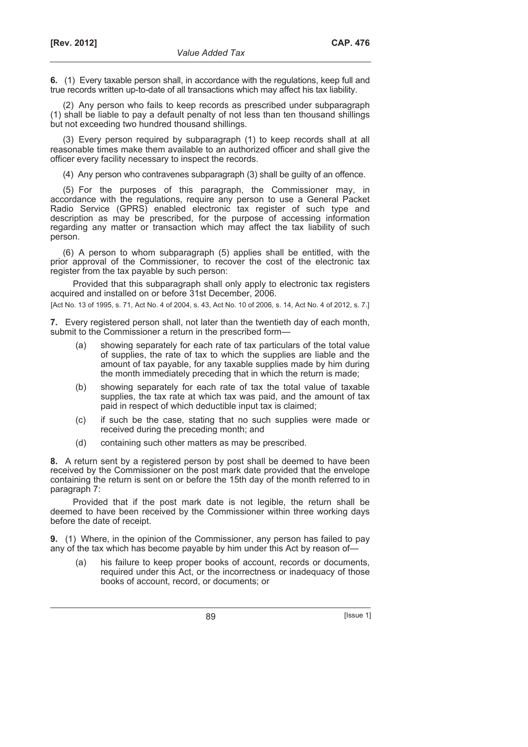**6.** (1) Every taxable person shall, in accordance with the regulations, keep full and true records written up-to-date of all transactions which may affect his tax liability.

(2) Any person who fails to keep records as prescribed under subparagraph (1) shall be liable to pay a default penalty of not less than ten thousand shillings but not exceeding two hundred thousand shillings.

(3) Every person required by subparagraph (1) to keep records shall at all reasonable times make them available to an authorized officer and shall give the officer every facility necessary to inspect the records.

(4) Any person who contravenes subparagraph (3) shall be guilty of an offence.

(5) For the purposes of this paragraph, the Commissioner may, in accordance with the regulations, require any person to use a General Packet Radio Service (GPRS) enabled electronic tax register of such type and description as may be prescribed, for the purpose of accessing information regarding any matter or transaction which may affect the tax liability of such person.

(6) A person to whom subparagraph (5) applies shall be entitled, with the prior approval of the Commissioner, to recover the cost of the electronic tax register from the tax payable by such person:

Provided that this subparagraph shall only apply to electronic tax registers acquired and installed on or before 31st December, 2006.

[Act No. 13 of 1995, s. 71, Act No. 4 of 2004, s. 43, Act No. 10 of 2006, s. 14, Act No. 4 of 2012, s. 7.]

**7.** Every registered person shall, not later than the twentieth day of each month, submit to the Commissioner a return in the prescribed form—

- (a) showing separately for each rate of tax particulars of the total value of supplies, the rate of tax to which the supplies are liable and the amount of tax payable, for any taxable supplies made by him during the month immediately preceding that in which the return is made;
- (b) showing separately for each rate of tax the total value of taxable supplies, the tax rate at which tax was paid, and the amount of tax paid in respect of which deductible input tax is claimed;
- (c) if such be the case, stating that no such supplies were made or received during the preceding month; and
- (d) containing such other matters as may be prescribed.

**8.** A return sent by a registered person by post shall be deemed to have been received by the Commissioner on the post mark date provided that the envelope containing the return is sent on or before the 15th day of the month referred to in paragraph 7:

Provided that if the post mark date is not legible, the return shall be deemed to have been received by the Commissioner within three working days before the date of receipt.

**9.** (1) Where, in the opinion of the Commissioner, any person has failed to pay any of the tax which has become payable by him under this Act by reason of—

 (a) his failure to keep proper books of account, records or documents, required under this Act, or the incorrectness or inadequacy of those books of account, record, or documents; or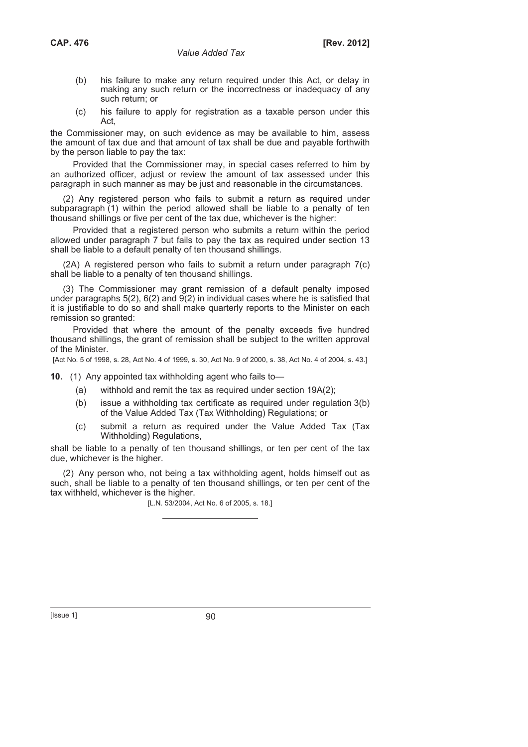- (b) his failure to make any return required under this Act, or delay in making any such return or the incorrectness or inadequacy of any such return; or
- (c) his failure to apply for registration as a taxable person under this Act,

the Commissioner may, on such evidence as may be available to him, assess the amount of tax due and that amount of tax shall be due and payable forthwith by the person liable to pay the tax:

Provided that the Commissioner may, in special cases referred to him by an authorized officer, adjust or review the amount of tax assessed under this paragraph in such manner as may be just and reasonable in the circumstances.

(2) Any registered person who fails to submit a return as required under subparagraph (1) within the period allowed shall be liable to a penalty of ten thousand shillings or five per cent of the tax due, whichever is the higher:

Provided that a registered person who submits a return within the period allowed under paragraph 7 but fails to pay the tax as required under section 13 shall be liable to a default penalty of ten thousand shillings.

(2A) A registered person who fails to submit a return under paragraph 7(c) shall be liable to a penalty of ten thousand shillings.

(3) The Commissioner may grant remission of a default penalty imposed under paragraphs 5(2), 6(2) and 9(2) in individual cases where he is satisfied that it is justifiable to do so and shall make quarterly reports to the Minister on each remission so granted:

Provided that where the amount of the penalty exceeds five hundred thousand shillings, the grant of remission shall be subject to the written approval of the Minister.

[Act No. 5 of 1998, s. 28, Act No. 4 of 1999, s. 30, Act No. 9 of 2000, s. 38, Act No. 4 of 2004, s. 43.]

**10.** (1) Any appointed tax withholding agent who fails to—

- (a) withhold and remit the tax as required under section 19A(2);
- (b) issue a withholding tax certificate as required under regulation 3(b) of the Value Added Tax (Tax Withholding) Regulations; or
- (c) submit a return as required under the Value Added Tax (Tax Withholding) Regulations,

shall be liable to a penalty of ten thousand shillings, or ten per cent of the tax due, whichever is the higher.

(2) Any person who, not being a tax withholding agent, holds himself out as such, shall be liable to a penalty of ten thousand shillings, or ten per cent of the tax withheld, whichever is the higher.

[L.N. 53/2004, Act No. 6 of 2005, s. 18.]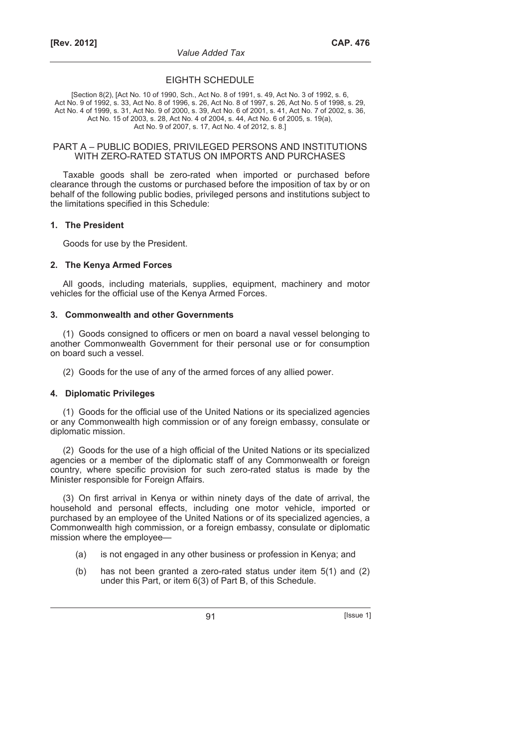## EIGHTH SCHEDULE

[Section 8(2), [Act No. 10 of 1990, Sch., Act No. 8 of 1991, s. 49, Act No. 3 of 1992, s. 6, Act No. 9 of 1992, s. 33, Act No. 8 of 1996, s. 26, Act No. 8 of 1997, s. 26, Act No. 5 of 1998, s. 29, Act No. 4 of 1999, s. 31, Act No. 9 of 2000, s. 39, Act No. 6 of 2001, s. 41, Act No. 7 of 2002, s. 36, Act No. 15 of 2003, s. 28, Act No. 4 of 2004, s. 44, Act No. 6 of 2005, s. 19(a), Act No. 9 of 2007, s. 17, Act No. 4 of 2012, s. 8.]

#### PART A – PUBLIC BODIES, PRIVILEGED PERSONS AND INSTITUTIONS WITH ZERO-RATED STATUS ON IMPORTS AND PURCHASES

Taxable goods shall be zero-rated when imported or purchased before clearance through the customs or purchased before the imposition of tax by or on behalf of the following public bodies, privileged persons and institutions subject to the limitations specified in this Schedule:

#### **1. The President**

Goods for use by the President.

### **2. The Kenya Armed Forces**

All goods, including materials, supplies, equipment, machinery and motor vehicles for the official use of the Kenya Armed Forces.

#### **3. Commonwealth and other Governments**

(1) Goods consigned to officers or men on board a naval vessel belonging to another Commonwealth Government for their personal use or for consumption on board such a vessel.

(2) Goods for the use of any of the armed forces of any allied power.

### **4. Diplomatic Privileges**

(1) Goods for the official use of the United Nations or its specialized agencies or any Commonwealth high commission or of any foreign embassy, consulate or diplomatic mission.

(2) Goods for the use of a high official of the United Nations or its specialized agencies or a member of the diplomatic staff of any Commonwealth or foreign country, where specific provision for such zero-rated status is made by the Minister responsible for Foreign Affairs.

(3) On first arrival in Kenya or within ninety days of the date of arrival, the household and personal effects, including one motor vehicle, imported or purchased by an employee of the United Nations or of its specialized agencies, a Commonwealth high commission, or a foreign embassy, consulate or diplomatic mission where the employee—

- (a) is not engaged in any other business or profession in Kenya; and
- (b) has not been granted a zero-rated status under item 5(1) and (2) under this Part, or item 6(3) of Part B, of this Schedule.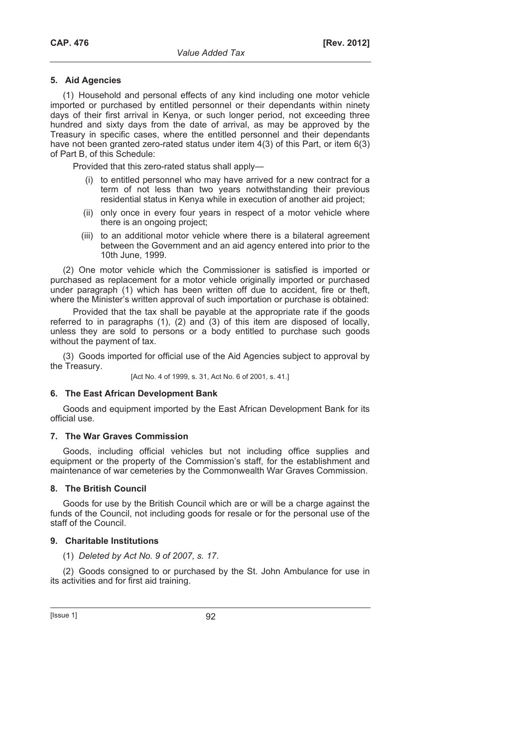### **5. Aid Agencies**

(1) Household and personal effects of any kind including one motor vehicle imported or purchased by entitled personnel or their dependants within ninety days of their first arrival in Kenya, or such longer period, not exceeding three hundred and sixty days from the date of arrival, as may be approved by the Treasury in specific cases, where the entitled personnel and their dependants have not been granted zero-rated status under item 4(3) of this Part, or item 6(3) of Part B, of this Schedule:

Provided that this zero-rated status shall apply—

- (i) to entitled personnel who may have arrived for a new contract for a term of not less than two years notwithstanding their previous residential status in Kenya while in execution of another aid project;
- (ii) only once in every four years in respect of a motor vehicle where there is an ongoing project;
- (iii) to an additional motor vehicle where there is a bilateral agreement between the Government and an aid agency entered into prior to the 10th June, 1999.

(2) One motor vehicle which the Commissioner is satisfied is imported or purchased as replacement for a motor vehicle originally imported or purchased under paragraph (1) which has been written off due to accident, fire or theft, where the Minister's written approval of such importation or purchase is obtained:

Provided that the tax shall be payable at the appropriate rate if the goods referred to in paragraphs (1), (2) and (3) of this item are disposed of locally, unless they are sold to persons or a body entitled to purchase such goods without the payment of tax.

(3) Goods imported for official use of the Aid Agencies subject to approval by the Treasury.

[Act No. 4 of 1999, s. 31, Act No. 6 of 2001, s. 41.]

### **6. The East African Development Bank**

Goods and equipment imported by the East African Development Bank for its official use.

### **7. The War Graves Commission**

Goods, including official vehicles but not including office supplies and equipment or the property of the Commission's staff, for the establishment and maintenance of war cemeteries by the Commonwealth War Graves Commission.

### **8. The British Council**

Goods for use by the British Council which are or will be a charge against the funds of the Council, not including goods for resale or for the personal use of the staff of the Council.

### **9. Charitable Institutions**

(1) *Deleted by Act No. 9 of 2007, s. 17*.

(2) Goods consigned to or purchased by the St. John Ambulance for use in its activities and for first aid training.

 $[|$ Ssue 1 $]$  92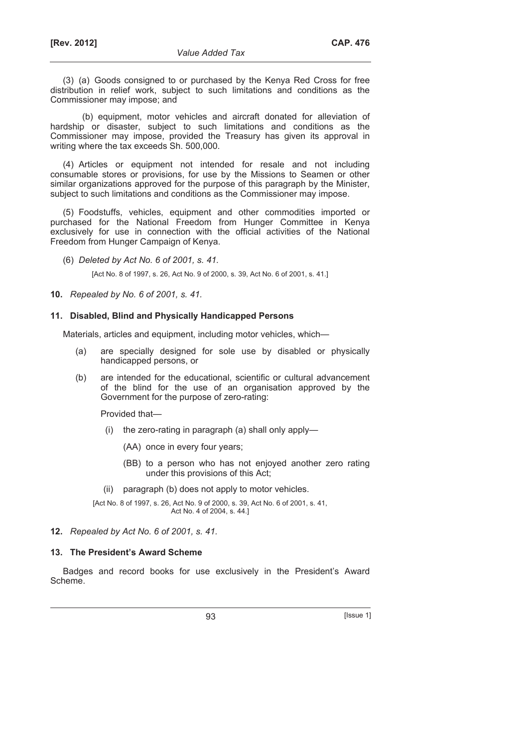(3) (a) Goods consigned to or purchased by the Kenya Red Cross for free distribution in relief work, subject to such limitations and conditions as the Commissioner may impose; and

(b) equipment, motor vehicles and aircraft donated for alleviation of hardship or disaster, subject to such limitations and conditions as the Commissioner may impose, provided the Treasury has given its approval in writing where the tax exceeds Sh. 500,000.

(4) Articles or equipment not intended for resale and not including consumable stores or provisions, for use by the Missions to Seamen or other similar organizations approved for the purpose of this paragraph by the Minister, subject to such limitations and conditions as the Commissioner may impose.

(5) Foodstuffs, vehicles, equipment and other commodities imported or purchased for the National Freedom from Hunger Committee in Kenya exclusively for use in connection with the official activities of the National Freedom from Hunger Campaign of Kenya.

(6) *Deleted by Act No. 6 of 2001, s. 41.*

[Act No. 8 of 1997, s. 26, Act No. 9 of 2000, s. 39, Act No. 6 of 2001, s. 41.]

**10.** *Repealed by No. 6 of 2001, s. 41.* 

#### **11. Disabled, Blind and Physically Handicapped Persons**

Materials, articles and equipment, including motor vehicles, which—

- (a) are specially designed for sole use by disabled or physically handicapped persons, or
- (b) are intended for the educational, scientific or cultural advancement of the blind for the use of an organisation approved by the Government for the purpose of zero-rating:

Provided that—

- (i) the zero-rating in paragraph (a) shall only apply—
	- (AA) once in every four years;
	- (BB) to a person who has not enjoyed another zero rating under this provisions of this Act;
- (ii) paragraph (b) does not apply to motor vehicles.

[Act No. 8 of 1997, s. 26, Act No. 9 of 2000, s. 39, Act No. 6 of 2001, s. 41, Act No. 4 of 2004, s. 44.]

## **12.** *Repealed by Act No. 6 of 2001, s. 41.*

### **13. The President's Award Scheme**

Badges and record books for use exclusively in the President's Award Scheme.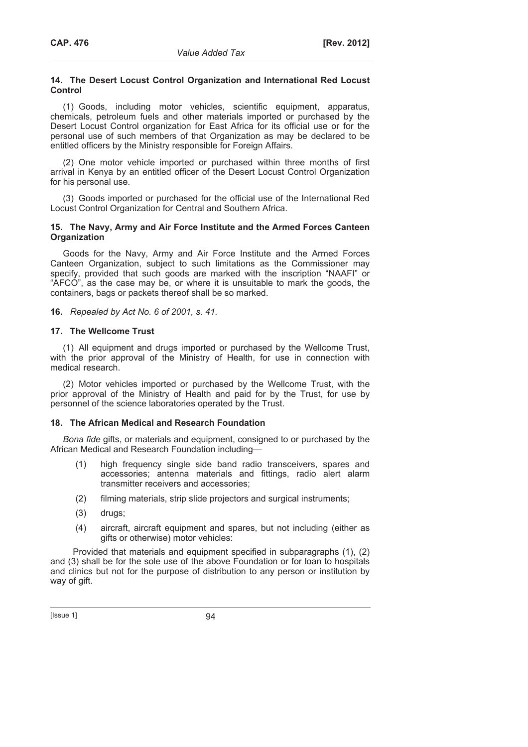## **14. The Desert Locust Control Organization and International Red Locust Control**

(1) Goods, including motor vehicles, scientific equipment, apparatus, chemicals, petroleum fuels and other materials imported or purchased by the Desert Locust Control organization for East Africa for its official use or for the personal use of such members of that Organization as may be declared to be entitled officers by the Ministry responsible for Foreign Affairs.

(2) One motor vehicle imported or purchased within three months of first arrival in Kenya by an entitled officer of the Desert Locust Control Organization for his personal use.

(3) Goods imported or purchased for the official use of the International Red Locust Control Organization for Central and Southern Africa.

## **15. The Navy, Army and Air Force Institute and the Armed Forces Canteen Organization**

Goods for the Navy, Army and Air Force Institute and the Armed Forces Canteen Organization, subject to such limitations as the Commissioner may specify, provided that such goods are marked with the inscription "NAAFI" or "AFCO", as the case may be, or where it is unsuitable to mark the goods, the containers, bags or packets thereof shall be so marked.

**16.** *Repealed by Act No. 6 of 2001, s. 41.* 

## **17. The Wellcome Trust**

(1) All equipment and drugs imported or purchased by the Wellcome Trust, with the prior approval of the Ministry of Health, for use in connection with medical research.

(2) Motor vehicles imported or purchased by the Wellcome Trust, with the prior approval of the Ministry of Health and paid for by the Trust, for use by personnel of the science laboratories operated by the Trust.

# **18. The African Medical and Research Foundation**

*Bona fide* gifts, or materials and equipment, consigned to or purchased by the African Medical and Research Foundation including—

- (1) high frequency single side band radio transceivers, spares and accessories; antenna materials and fittings, radio alert alarm transmitter receivers and accessories;
- (2) filming materials, strip slide projectors and surgical instruments;
- (3) drugs;
- (4) aircraft, aircraft equipment and spares, but not including (either as gifts or otherwise) motor vehicles:

Provided that materials and equipment specified in subparagraphs (1), (2) and (3) shall be for the sole use of the above Foundation or for loan to hospitals and clinics but not for the purpose of distribution to any person or institution by way of gift.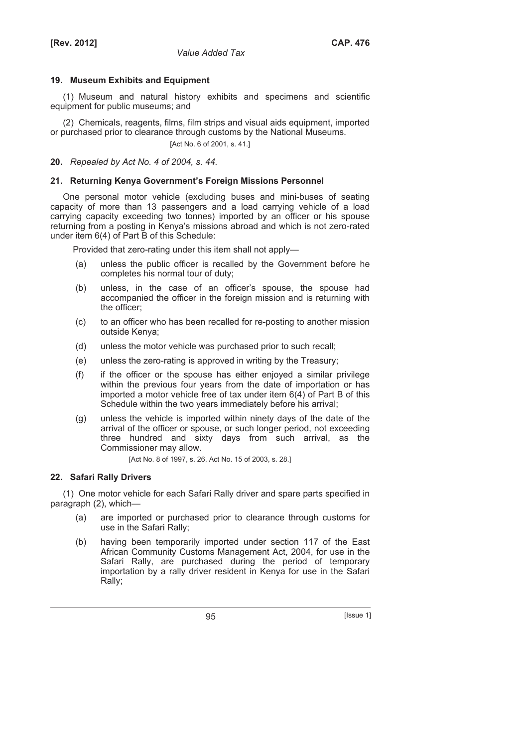## **19. Museum Exhibits and Equipment**

(1) Museum and natural history exhibits and specimens and scientific equipment for public museums; and

(2) Chemicals, reagents, films, film strips and visual aids equipment, imported or purchased prior to clearance through customs by the National Museums.

[Act No. 6 of 2001, s. 41.]

**20.** *Repealed by Act No. 4 of 2004, s. 44.* 

# **21. Returning Kenya Government's Foreign Missions Personnel**

One personal motor vehicle (excluding buses and mini-buses of seating capacity of more than 13 passengers and a load carrying vehicle of a load carrying capacity exceeding two tonnes) imported by an officer or his spouse returning from a posting in Kenya's missions abroad and which is not zero-rated under item 6(4) of Part B of this Schedule:

Provided that zero-rating under this item shall not apply—

- (a) unless the public officer is recalled by the Government before he completes his normal tour of duty;
- (b) unless, in the case of an officer's spouse, the spouse had accompanied the officer in the foreign mission and is returning with the officer;
- (c) to an officer who has been recalled for re-posting to another mission outside Kenya;
- (d) unless the motor vehicle was purchased prior to such recall;
- (e) unless the zero-rating is approved in writing by the Treasury;
- (f) if the officer or the spouse has either enjoyed a similar privilege within the previous four years from the date of importation or has imported a motor vehicle free of tax under item 6(4) of Part B of this Schedule within the two years immediately before his arrival;
- (g) unless the vehicle is imported within ninety days of the date of the arrival of the officer or spouse, or such longer period, not exceeding three hundred and sixty days from such arrival, as the Commissioner may allow.

[Act No. 8 of 1997, s. 26, Act No. 15 of 2003, s. 28.]

# **22. Safari Rally Drivers**

(1) One motor vehicle for each Safari Rally driver and spare parts specified in paragraph (2), which—

- (a) are imported or purchased prior to clearance through customs for use in the Safari Rally;
- (b) having been temporarily imported under section 117 of the East African Community Customs Management Act, 2004, for use in the Safari Rally, are purchased during the period of temporary importation by a rally driver resident in Kenya for use in the Safari Rally;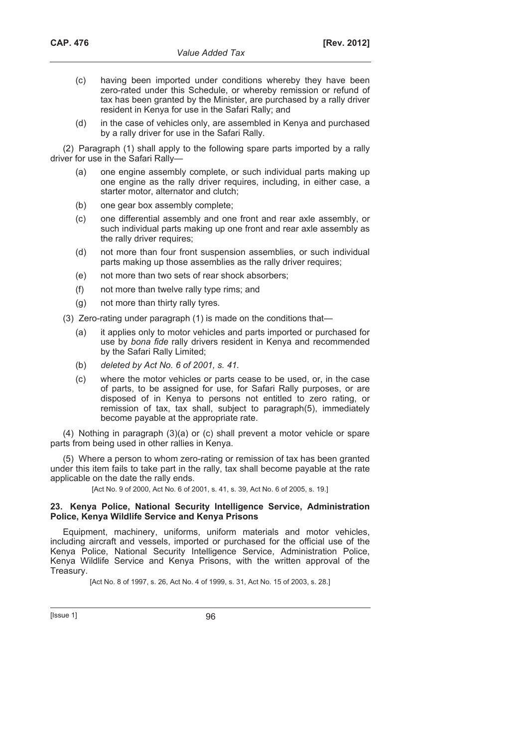- (c) having been imported under conditions whereby they have been zero-rated under this Schedule, or whereby remission or refund of tax has been granted by the Minister, are purchased by a rally driver resident in Kenya for use in the Safari Rally; and
- (d) in the case of vehicles only, are assembled in Kenya and purchased by a rally driver for use in the Safari Rally.

(2) Paragraph (1) shall apply to the following spare parts imported by a rally driver for use in the Safari Rally—

- (a) one engine assembly complete, or such individual parts making up one engine as the rally driver requires, including, in either case, a starter motor, alternator and clutch;
- (b) one gear box assembly complete;
- (c) one differential assembly and one front and rear axle assembly, or such individual parts making up one front and rear axle assembly as the rally driver requires;
- (d) not more than four front suspension assemblies, or such individual parts making up those assemblies as the rally driver requires;
- (e) not more than two sets of rear shock absorbers;
- (f) not more than twelve rally type rims; and
- (g) not more than thirty rally tyres.

(3) Zero-rating under paragraph (1) is made on the conditions that—

- (a) it applies only to motor vehicles and parts imported or purchased for use by *bona fide* rally drivers resident in Kenya and recommended by the Safari Rally Limited;
- (b) *deleted by Act No. 6 of 2001, s. 41.*
- (c) where the motor vehicles or parts cease to be used, or, in the case of parts, to be assigned for use, for Safari Rally purposes, or are disposed of in Kenya to persons not entitled to zero rating, or remission of tax, tax shall, subject to paragraph(5), immediately become payable at the appropriate rate.

(4) Nothing in paragraph (3)(a) or (c) shall prevent a motor vehicle or spare parts from being used in other rallies in Kenya.

(5) Where a person to whom zero-rating or remission of tax has been granted under this item fails to take part in the rally, tax shall become payable at the rate applicable on the date the rally ends.

[Act No. 9 of 2000, Act No. 6 of 2001, s. 41, s. 39, Act No. 6 of 2005, s. 19.]

### **23. Kenya Police, National Security Intelligence Service, Administration Police, Kenya Wildlife Service and Kenya Prisons**

Equipment, machinery, uniforms, uniform materials and motor vehicles, including aircraft and vessels, imported or purchased for the official use of the Kenya Police, National Security Intelligence Service, Administration Police, Kenya Wildlife Service and Kenya Prisons, with the written approval of the Treasury.

[Act No. 8 of 1997, s. 26, Act No. 4 of 1999, s. 31, Act No. 15 of 2003, s. 28.]

[Issue 1] 96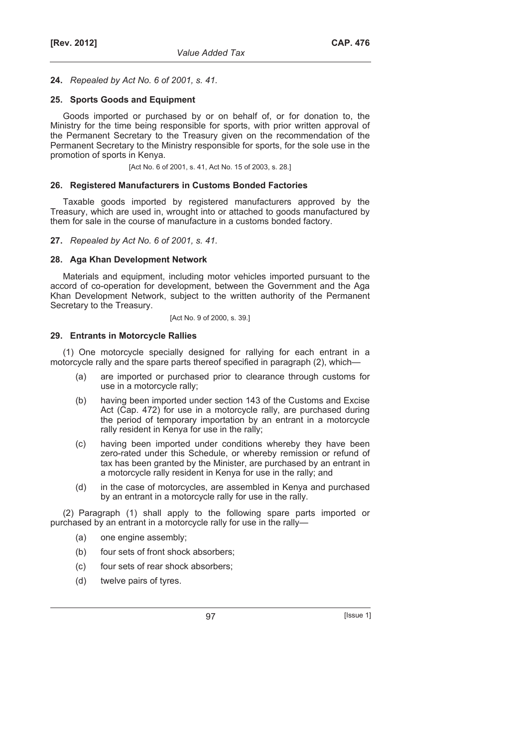### **24.** *Repealed by Act No. 6 of 2001, s. 41.*

## **25. Sports Goods and Equipment**

Goods imported or purchased by or on behalf of, or for donation to, the Ministry for the time being responsible for sports, with prior written approval of the Permanent Secretary to the Treasury given on the recommendation of the Permanent Secretary to the Ministry responsible for sports, for the sole use in the promotion of sports in Kenya.

[Act No. 6 of 2001, s. 41, Act No. 15 of 2003, s. 28.]

#### **26. Registered Manufacturers in Customs Bonded Factories**

Taxable goods imported by registered manufacturers approved by the Treasury, which are used in, wrought into or attached to goods manufactured by them for sale in the course of manufacture in a customs bonded factory.

### **27.** *Repealed by Act No. 6 of 2001, s. 41.*

### **28. Aga Khan Development Network**

Materials and equipment, including motor vehicles imported pursuant to the accord of co-operation for development, between the Government and the Aga Khan Development Network, subject to the written authority of the Permanent Secretary to the Treasury.

#### [Act No. 9 of 2000, s. 39.]

#### **29. Entrants in Motorcycle Rallies**

(1) One motorcycle specially designed for rallying for each entrant in a motorcycle rally and the spare parts thereof specified in paragraph (2), which—

- (a) are imported or purchased prior to clearance through customs for use in a motorcycle rally;
- (b) having been imported under section 143 of the Customs and Excise Act (Cap. 472) for use in a motorcycle rally, are purchased during the period of temporary importation by an entrant in a motorcycle rally resident in Kenya for use in the rally;
- (c) having been imported under conditions whereby they have been zero-rated under this Schedule, or whereby remission or refund of tax has been granted by the Minister, are purchased by an entrant in a motorcycle rally resident in Kenya for use in the rally; and
- (d) in the case of motorcycles, are assembled in Kenya and purchased by an entrant in a motorcycle rally for use in the rally.

(2) Paragraph (1) shall apply to the following spare parts imported or purchased by an entrant in a motorcycle rally for use in the rally—

- (a) one engine assembly;
- (b) four sets of front shock absorbers;
- (c) four sets of rear shock absorbers;
- (d) twelve pairs of tyres.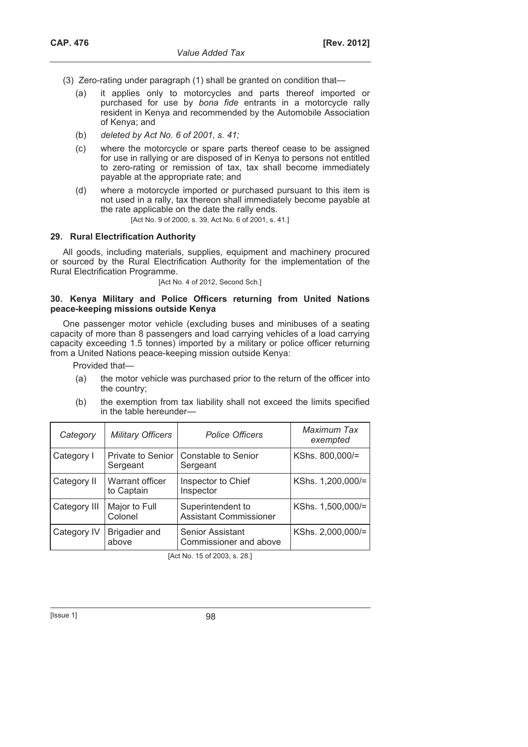- (3) Zero-rating under paragraph (1) shall be granted on condition that—
	- (a) it applies only to motorcycles and parts thereof imported or purchased for use by *bona fide* entrants in a motorcycle rally resident in Kenya and recommended by the Automobile Association of Kenya; and
	- (b) *deleted by Act No. 6 of 2001, s. 41;*
	- (c) where the motorcycle or spare parts thereof cease to be assigned for use in rallying or are disposed of in Kenya to persons not entitled to zero-rating or remission of tax, tax shall become immediately payable at the appropriate rate; and
	- (d) where a motorcycle imported or purchased pursuant to this item is not used in a rally, tax thereon shall immediately become payable at the rate applicable on the date the rally ends.

[Act No. 9 of 2000, s. 39, Act No. 6 of 2001, s. 41.]

# **29. Rural Electrification Authority**

All goods, including materials, supplies, equipment and machinery procured or sourced by the Rural Electrification Authority for the implementation of the Rural Electrification Programme.

[Act No. 4 of 2012, Second Sch.]

### **30. Kenya Military and Police Officers returning from United Nations peace-keeping missions outside Kenya**

One passenger motor vehicle (excluding buses and minibuses of a seating capacity of more than 8 passengers and load carrying vehicles of a load carrying capacity exceeding 1.5 tonnes) imported by a military or police officer returning from a United Nations peace-keeping mission outside Kenya:

Provided that—

- (a) the motor vehicle was purchased prior to the return of the officer into the country;
- (b) the exemption from tax liability shall not exceed the limits specified in the table hereunder—

| Category     | <b>Military Officers</b>             | <b>Police Officers</b>                             | Maximum Tax<br>exempted |
|--------------|--------------------------------------|----------------------------------------------------|-------------------------|
| Category I   | <b>Private to Senior</b><br>Sergeant | Constable to Senior<br>Sergeant                    | KShs. 800,000/=         |
| Category II  | Warrant officer<br>to Captain        | Inspector to Chief<br>Inspector                    | KShs. 1,200,000/=       |
| Category III | Major to Full<br>Colonel             | Superintendent to<br><b>Assistant Commissioner</b> | KShs. 1,500,000/=       |
| Category IV  | Brigadier and<br>above               | <b>Senior Assistant</b><br>Commissioner and above  | KShs. 2,000,000/=       |

[Act No. 15 of 2003, s. 28.]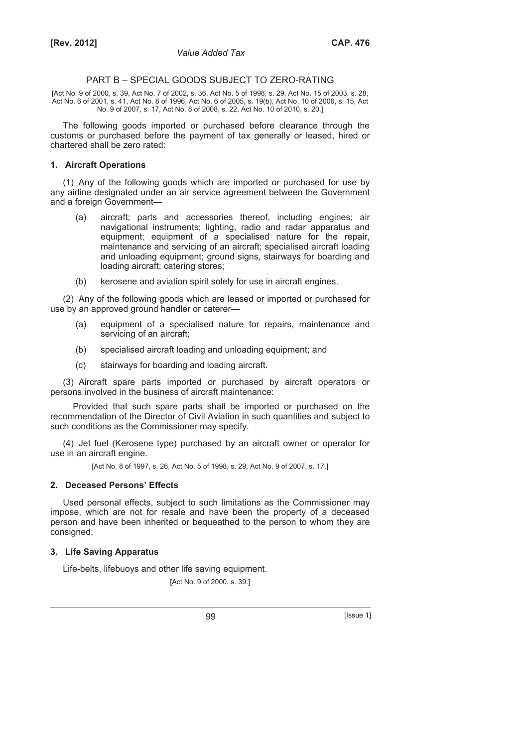#### PART B – SPECIAL GOODS SUBJECT TO ZERO-RATING

[Act No. 9 of 2000, s. 39, Act No. 7 of 2002, s. 36, Act No. 5 of 1998, s. 29, Act No. 15 of 2003, s. 28, Act No. 6 of 2001, s. 41, Act No. 8 of 1996, Act No. 6 of 2005, s. 19(b), Act No. 10 of 2006, s. 15, Act No. 9 of 2007, s. 17, Act No. 8 of 2008, s. 22, Act No. 10 of 2010, s. 20.]

The following goods imported or purchased before clearance through the customs or purchased before the payment of tax generally or leased, hired or chartered shall be zero rated:

#### **1. Aircraft Operations**

(1) Any of the following goods which are imported or purchased for use by any airline designated under an air service agreement between the Government and a foreign Government—

- (a) aircraft; parts and accessories thereof, including engines; air navigational instruments; lighting, radio and radar apparatus and equipment; equipment of a specialised nature for the repair, maintenance and servicing of an aircraft; specialised aircraft loading and unloading equipment; ground signs, stairways for boarding and loading aircraft; catering stores;
- (b) kerosene and aviation spirit solely for use in aircraft engines.

(2) Any of the following goods which are leased or imported or purchased for use by an approved ground handler or caterer—

- (a) equipment of a specialised nature for repairs, maintenance and servicing of an aircraft;
- (b) specialised aircraft loading and unloading equipment; and
- (c) stairways for boarding and loading aircraft.

(3) Aircraft spare parts imported or purchased by aircraft operators or persons involved in the business of aircraft maintenance:

Provided that such spare parts shall be imported or purchased on the recommendation of the Director of Civil Aviation in such quantities and subject to such conditions as the Commissioner may specify.

(4) Jet fuel (Kerosene type) purchased by an aircraft owner or operator for use in an aircraft engine.

[Act No. 8 of 1997, s. 26, Act No. 5 of 1998, s. 29, Act No. 9 of 2007, s. 17.]

#### **2. Deceased Persons' Effects**

Used personal effects, subject to such limitations as the Commissioner may impose, which are not for resale and have been the property of a deceased person and have been inherited or bequeathed to the person to whom they are consigned.

#### **3. Life Saving Apparatus**

Life-belts, lifebuoys and other life saving equipment.

[Act No. 9 of 2000, s. 39.]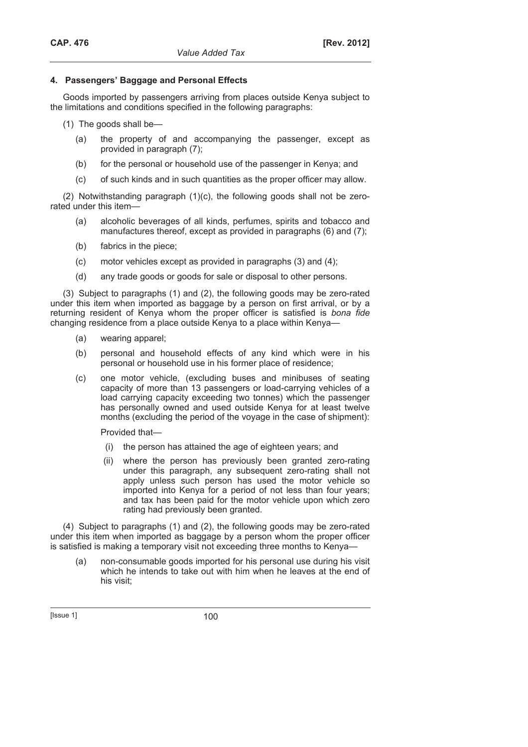# **4. Passengers' Baggage and Personal Effects**

Goods imported by passengers arriving from places outside Kenya subject to the limitations and conditions specified in the following paragraphs:

(1) The goods shall be—

- (a) the property of and accompanying the passenger, except as provided in paragraph (7);
- (b) for the personal or household use of the passenger in Kenya; and
- (c) of such kinds and in such quantities as the proper officer may allow.

(2) Notwithstanding paragraph (1)(c), the following goods shall not be zerorated under this item—

- (a) alcoholic beverages of all kinds, perfumes, spirits and tobacco and manufactures thereof, except as provided in paragraphs (6) and (7);
- (b) fabrics in the piece;
- (c) motor vehicles except as provided in paragraphs (3) and (4);
- (d) any trade goods or goods for sale or disposal to other persons.

(3) Subject to paragraphs (1) and (2), the following goods may be zero-rated under this item when imported as baggage by a person on first arrival, or by a returning resident of Kenya whom the proper officer is satisfied is *bona fide* changing residence from a place outside Kenya to a place within Kenya—

- (a) wearing apparel;
- (b) personal and household effects of any kind which were in his personal or household use in his former place of residence;
- (c) one motor vehicle, (excluding buses and minibuses of seating capacity of more than 13 passengers or load-carrying vehicles of a load carrying capacity exceeding two tonnes) which the passenger has personally owned and used outside Kenya for at least twelve months (excluding the period of the voyage in the case of shipment):

Provided that—

- (i) the person has attained the age of eighteen years; and
- (ii) where the person has previously been granted zero-rating under this paragraph, any subsequent zero-rating shall not apply unless such person has used the motor vehicle so imported into Kenya for a period of not less than four years; and tax has been paid for the motor vehicle upon which zero rating had previously been granted.

(4) Subject to paragraphs (1) and (2), the following goods may be zero-rated under this item when imported as baggage by a person whom the proper officer is satisfied is making a temporary visit not exceeding three months to Kenya—

 (a) non-consumable goods imported for his personal use during his visit which he intends to take out with him when he leaves at the end of his visit;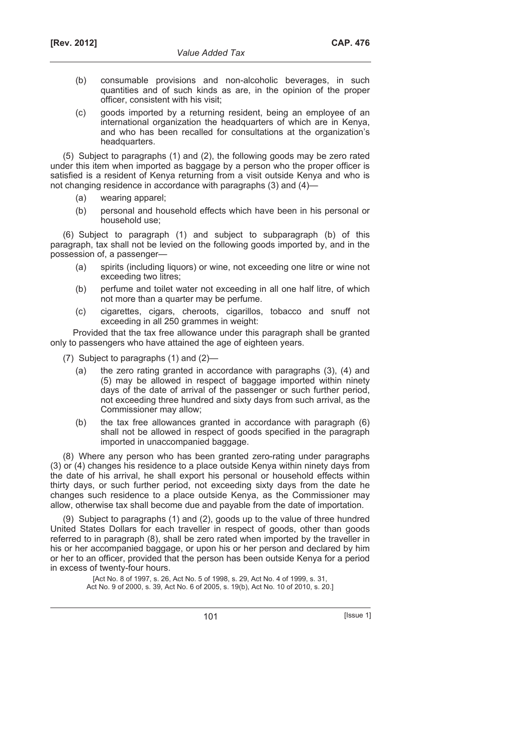- (b) consumable provisions and non-alcoholic beverages, in such quantities and of such kinds as are, in the opinion of the proper officer, consistent with his visit;
- (c) goods imported by a returning resident, being an employee of an international organization the headquarters of which are in Kenya, and who has been recalled for consultations at the organization's headquarters.

(5) Subject to paragraphs (1) and (2), the following goods may be zero rated under this item when imported as baggage by a person who the proper officer is satisfied is a resident of Kenya returning from a visit outside Kenya and who is not changing residence in accordance with paragraphs (3) and (4)—

- (a) wearing apparel;
- (b) personal and household effects which have been in his personal or household use;

(6) Subject to paragraph (1) and subject to subparagraph (b) of this paragraph, tax shall not be levied on the following goods imported by, and in the possession of, a passenger—

- (a) spirits (including liquors) or wine, not exceeding one litre or wine not exceeding two litres;
- (b) perfume and toilet water not exceeding in all one half litre, of which not more than a quarter may be perfume.
- (c) cigarettes, cigars, cheroots, cigarillos, tobacco and snuff not exceeding in all 250 grammes in weight:

Provided that the tax free allowance under this paragraph shall be granted only to passengers who have attained the age of eighteen years.

- (7) Subject to paragraphs (1) and (2)—
	- (a) the zero rating granted in accordance with paragraphs (3), (4) and (5) may be allowed in respect of baggage imported within ninety days of the date of arrival of the passenger or such further period, not exceeding three hundred and sixty days from such arrival, as the Commissioner may allow;
	- (b) the tax free allowances granted in accordance with paragraph (6) shall not be allowed in respect of goods specified in the paragraph imported in unaccompanied baggage.

(8) Where any person who has been granted zero-rating under paragraphs (3) or (4) changes his residence to a place outside Kenya within ninety days from the date of his arrival, he shall export his personal or household effects within thirty days, or such further period, not exceeding sixty days from the date he changes such residence to a place outside Kenya, as the Commissioner may allow, otherwise tax shall become due and payable from the date of importation.

(9) Subject to paragraphs (1) and (2), goods up to the value of three hundred United States Dollars for each traveller in respect of goods, other than goods referred to in paragraph (8), shall be zero rated when imported by the traveller in his or her accompanied baggage, or upon his or her person and declared by him or her to an officer, provided that the person has been outside Kenya for a period in excess of twenty-four hours.

> [Act No. 8 of 1997, s. 26, Act No. 5 of 1998, s. 29, Act No. 4 of 1999, s. 31, Act No. 9 of 2000, s. 39, Act No. 6 of 2005, s. 19(b), Act No. 10 of 2010, s. 20.]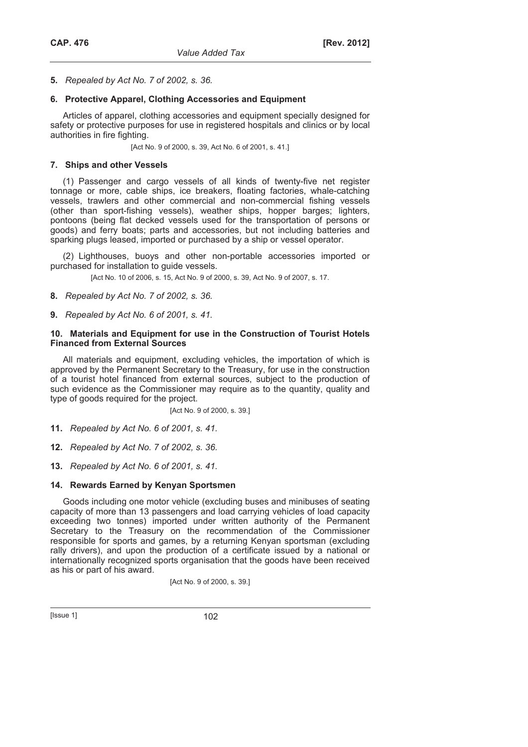## **5.** *Repealed by Act No. 7 of 2002, s. 36.*

### **6. Protective Apparel, Clothing Accessories and Equipment**

Articles of apparel, clothing accessories and equipment specially designed for safety or protective purposes for use in registered hospitals and clinics or by local authorities in fire fighting.

[Act No. 9 of 2000, s. 39, Act No. 6 of 2001, s. 41.]

## **7. Ships and other Vessels**

(1) Passenger and cargo vessels of all kinds of twenty-five net register tonnage or more, cable ships, ice breakers, floating factories, whale-catching vessels, trawlers and other commercial and non-commercial fishing vessels (other than sport-fishing vessels), weather ships, hopper barges; lighters, pontoons (being flat decked vessels used for the transportation of persons or goods) and ferry boats; parts and accessories, but not including batteries and sparking plugs leased, imported or purchased by a ship or vessel operator.

(2) Lighthouses, buoys and other non-portable accessories imported or purchased for installation to guide vessels.

[Act No. 10 of 2006, s. 15, Act No. 9 of 2000, s. 39, Act No. 9 of 2007, s. 17.]

**8.** *Repealed by Act No. 7 of 2002, s. 36.* 

**9.** *Repealed by Act No. 6 of 2001, s. 41.* 

#### **10. Materials and Equipment for use in the Construction of Tourist Hotels Financed from External Sources**

All materials and equipment, excluding vehicles, the importation of which is approved by the Permanent Secretary to the Treasury, for use in the construction of a tourist hotel financed from external sources, subject to the production of such evidence as the Commissioner may require as to the quantity, quality and type of goods required for the project.

[Act No. 9 of 2000, s. 39.]

**11.** *Repealed by Act No. 6 of 2001, s. 41.* 

**12.** *Repealed by Act No. 7 of 2002, s. 36.* 

**13.** *Repealed by Act No. 6 of 2001, s. 41.* 

### **14. Rewards Earned by Kenyan Sportsmen**

Goods including one motor vehicle (excluding buses and minibuses of seating capacity of more than 13 passengers and load carrying vehicles of load capacity exceeding two tonnes) imported under written authority of the Permanent Secretary to the Treasury on the recommendation of the Commissioner responsible for sports and games, by a returning Kenyan sportsman (excluding rally drivers), and upon the production of a certificate issued by a national or internationally recognized sports organisation that the goods have been received as his or part of his award.

[Act No. 9 of 2000, s. 39.]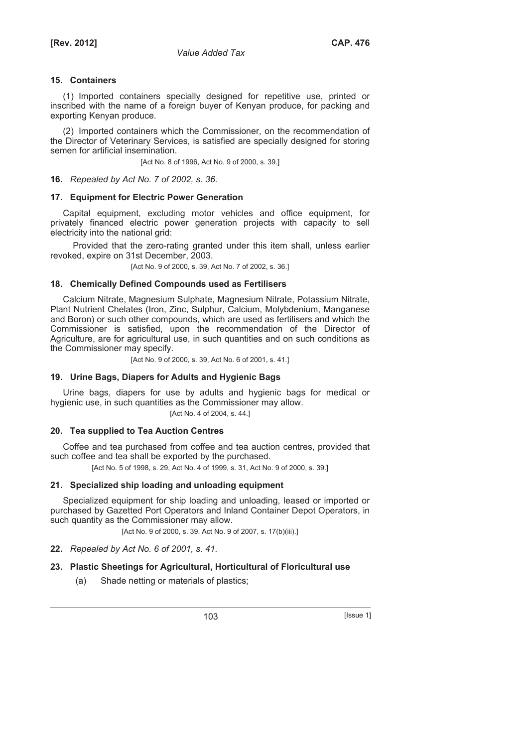(1) Imported containers specially designed for repetitive use, printed or inscribed with the name of a foreign buyer of Kenyan produce, for packing and exporting Kenyan produce.

(2) Imported containers which the Commissioner, on the recommendation of the Director of Veterinary Services, is satisfied are specially designed for storing semen for artificial insemination.

[Act No. 8 of 1996, Act No. 9 of 2000, s. 39.]

**16.** *Repealed by Act No. 7 of 2002, s. 36.* 

## **17. Equipment for Electric Power Generation**

Capital equipment, excluding motor vehicles and office equipment, for privately financed electric power generation projects with capacity to sell electricity into the national grid:

Provided that the zero-rating granted under this item shall, unless earlier revoked, expire on 31st December, 2003.

[Act No. 9 of 2000, s. 39, Act No. 7 of 2002, s. 36.]

## **18. Chemically Defined Compounds used as Fertilisers**

Calcium Nitrate, Magnesium Sulphate, Magnesium Nitrate, Potassium Nitrate, Plant Nutrient Chelates (Iron, Zinc, Sulphur, Calcium, Molybdenium, Manganese and Boron) or such other compounds, which are used as fertilisers and which the Commissioner is satisfied, upon the recommendation of the Director of Agriculture, are for agricultural use, in such quantities and on such conditions as the Commissioner may specify.

[Act No. 9 of 2000, s. 39, Act No. 6 of 2001, s. 41.]

# **19. Urine Bags, Diapers for Adults and Hygienic Bags**

Urine bags, diapers for use by adults and hygienic bags for medical or hygienic use, in such quantities as the Commissioner may allow.

[Act No. 4 of 2004, s. 44.]

# **20. Tea supplied to Tea Auction Centres**

Coffee and tea purchased from coffee and tea auction centres, provided that such coffee and tea shall be exported by the purchased.

[Act No. 5 of 1998, s. 29, Act No. 4 of 1999, s. 31, Act No. 9 of 2000, s. 39.]

# **21. Specialized ship loading and unloading equipment**

Specialized equipment for ship loading and unloading, leased or imported or purchased by Gazetted Port Operators and Inland Container Depot Operators, in such quantity as the Commissioner may allow.

[Act No. 9 of 2000, s. 39, Act No. 9 of 2007, s. 17(b)(iii).]

**22.** *Repealed by Act No. 6 of 2001, s. 41.* 

# **23. Plastic Sheetings for Agricultural, Horticultural of Floricultural use**

(a) Shade netting or materials of plastics;

103 **[Issue 1]**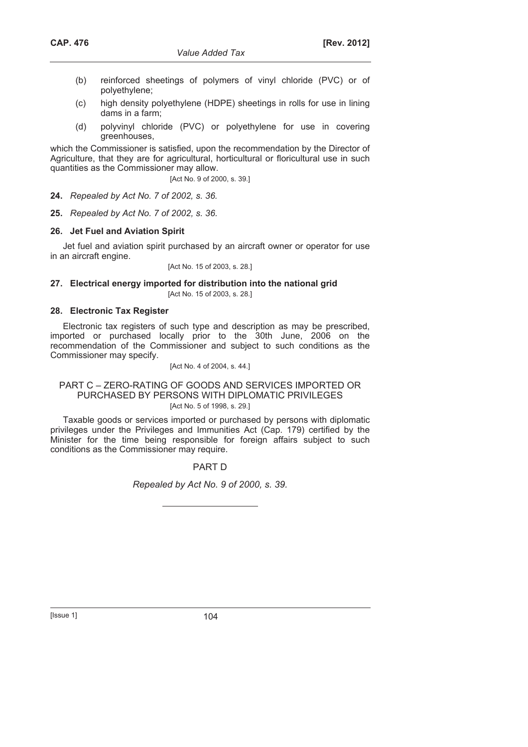- (b) reinforced sheetings of polymers of vinyl chloride (PVC) or of polyethylene;
- (c) high density polyethylene (HDPE) sheetings in rolls for use in lining dams in a farm;
- (d) polyvinyl chloride (PVC) or polyethylene for use in covering greenhouses,

which the Commissioner is satisfied, upon the recommendation by the Director of Agriculture, that they are for agricultural, horticultural or floricultural use in such quantities as the Commissioner may allow.

[Act No. 9 of 2000, s. 39.]

**24.** *Repealed by Act No. 7 of 2002, s. 36.*

**25.** *Repealed by Act No. 7 of 2002, s. 36.* 

## **26. Jet Fuel and Aviation Spirit**

Jet fuel and aviation spirit purchased by an aircraft owner or operator for use in an aircraft engine.

[Act No. 15 of 2003, s. 28.]

#### **27. Electrical energy imported for distribution into the national grid**  [Act No. 15 of 2003, s. 28.]

## **28. Electronic Tax Register**

Electronic tax registers of such type and description as may be prescribed, imported or purchased locally prior to the 30th June, 2006 on the recommendation of the Commissioner and subject to such conditions as the Commissioner may specify.

### [Act No. 4 of 2004, s. 44.]

## PART C – ZERO-RATING OF GOODS AND SERVICES IMPORTED OR PURCHASED BY PERSONS WITH DIPLOMATIC PRIVILEGES [Act No. 5 of 1998, s. 29.]

Taxable goods or services imported or purchased by persons with diplomatic privileges under the Privileges and Immunities Act (Cap. 179) certified by the Minister for the time being responsible for foreign affairs subject to such conditions as the Commissioner may require.

### PART D

*Repealed by Act No. 9 of 2000, s. 39.*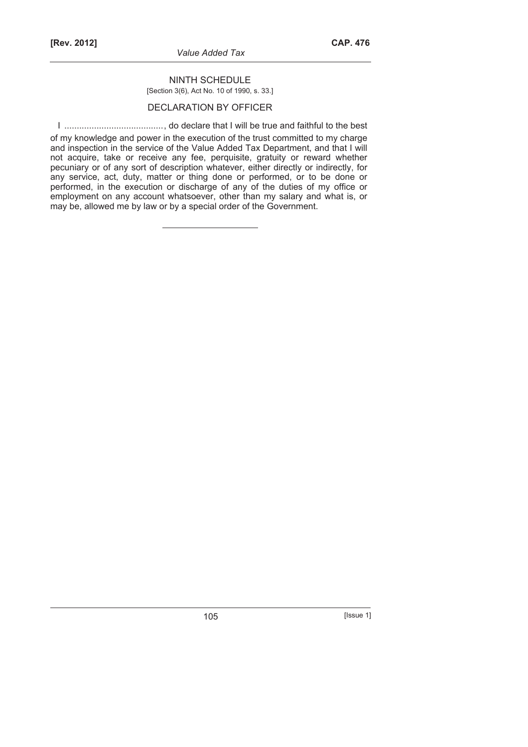*Value Added Tax* 

# NINTH SCHEDULE [Section 3(6), Act No. 10 of 1990, s. 33.]

# DECLARATION BY OFFICER

I ........................................, do declare that I will be true and faithful to the best

of my knowledge and power in the execution of the trust committed to my charge and inspection in the service of the Value Added Tax Department, and that I will not acquire, take or receive any fee, perquisite, gratuity or reward whether pecuniary or of any sort of description whatever, either directly or indirectly, for any service, act, duty, matter or thing done or performed, or to be done or performed, in the execution or discharge of any of the duties of my office or employment on any account whatsoever, other than my salary and what is, or may be, allowed me by law or by a special order of the Government.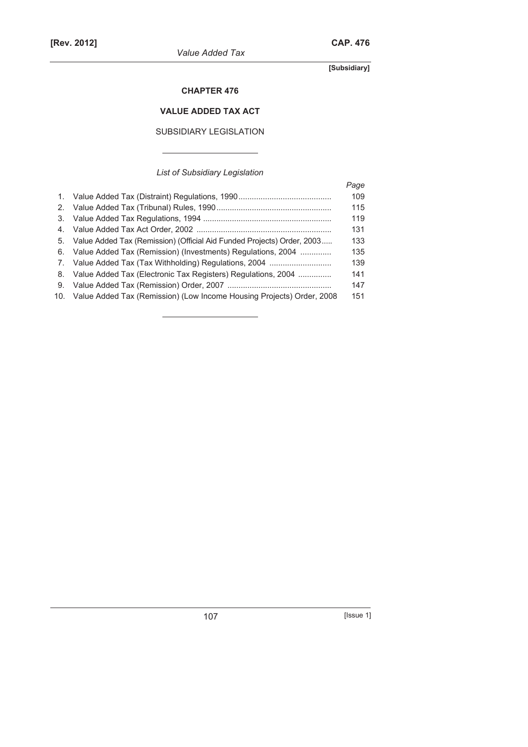*Value Added Tax* 

**[Subsidiary]** 

# **CHAPTER 476**

# **VALUE ADDED TAX ACT**

# SUBSIDIARY LEGISLATION

*List of Subsidiary Legislation* 

|    |                                                                           | Page |
|----|---------------------------------------------------------------------------|------|
| 1. |                                                                           | 109  |
| 2. |                                                                           | 115  |
| 3. |                                                                           | 119  |
| 4. |                                                                           | 131  |
| 5. | Value Added Tax (Remission) (Official Aid Funded Projects) Order, 2003    | 133  |
| 6. | Value Added Tax (Remission) (Investments) Regulations, 2004               | 135  |
|    | 7. Value Added Tax (Tax Withholding) Regulations, 2004                    | 139  |
| 8. | Value Added Tax (Electronic Tax Registers) Regulations, 2004              | 141  |
| 9. |                                                                           | 147  |
|    | 10. Value Added Tax (Remission) (Low Income Housing Projects) Order, 2008 | 151  |
|    |                                                                           |      |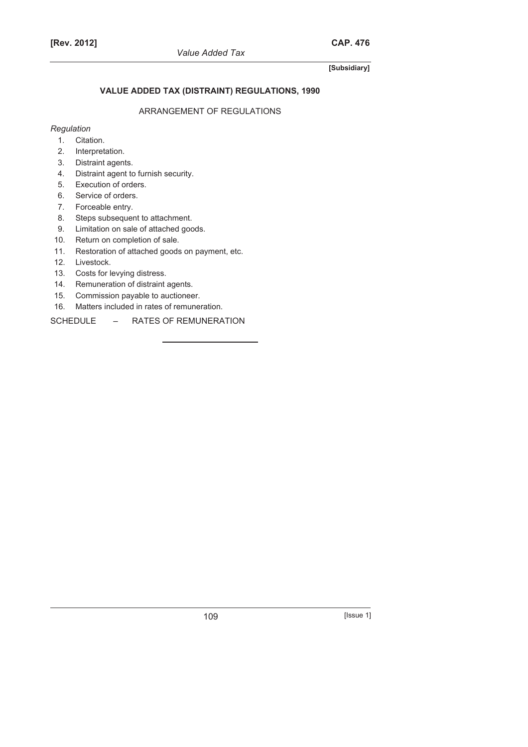# **VALUE ADDED TAX (DISTRAINT) REGULATIONS, 1990**

# ARRANGEMENT OF REGULATIONS

# *Regulation*

- 1. Citation.
- 2. Interpretation.
- 3. Distraint agents.
- 4. Distraint agent to furnish security.
- 5. Execution of orders.
- 6. Service of orders.
- 7. Forceable entry.
- 8. Steps subsequent to attachment.
- 9. Limitation on sale of attached goods.
- 10. Return on completion of sale.
- 11. Restoration of attached goods on payment, etc.
- 12. Livestock.
- 13. Costs for levying distress.
- 14. Remuneration of distraint agents.
- 15. Commission payable to auctioneer.
- 16. Matters included in rates of remuneration.
- SCHEDULE RATES OF REMUNERATION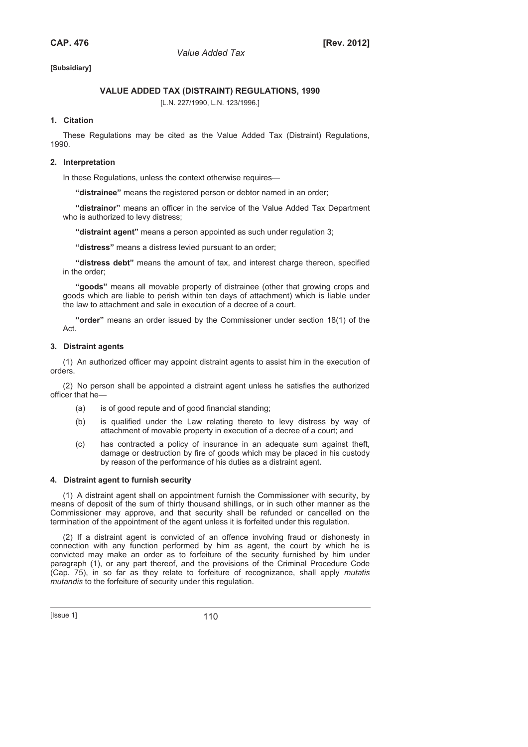# **VALUE ADDED TAX (DISTRAINT) REGULATIONS, 1990**

[L.N. 227/1990, L.N. 123/1996.]

### **1. Citation**

These Regulations may be cited as the Value Added Tax (Distraint) Regulations, 1990.

### **2. Interpretation**

In these Regulations, unless the context otherwise requires—

**"distrainee"** means the registered person or debtor named in an order;

**"distrainor"** means an officer in the service of the Value Added Tax Department who is authorized to levy distress;

**"distraint agent"** means a person appointed as such under regulation 3;

**"distress"** means a distress levied pursuant to an order;

**"distress debt"** means the amount of tax, and interest charge thereon, specified in the order;

**"goods"** means all movable property of distrainee (other that growing crops and goods which are liable to perish within ten days of attachment) which is liable under the law to attachment and sale in execution of a decree of a court.

**"order"** means an order issued by the Commissioner under section 18(1) of the Act.

#### **3. Distraint agents**

(1) An authorized officer may appoint distraint agents to assist him in the execution of orders.

(2) No person shall be appointed a distraint agent unless he satisfies the authorized officer that he—

- (a) is of good repute and of good financial standing;
- (b) is qualified under the Law relating thereto to levy distress by way of attachment of movable property in execution of a decree of a court; and
- (c) has contracted a policy of insurance in an adequate sum against theft, damage or destruction by fire of goods which may be placed in his custody by reason of the performance of his duties as a distraint agent.

#### **4. Distraint agent to furnish security**

(1) A distraint agent shall on appointment furnish the Commissioner with security, by means of deposit of the sum of thirty thousand shillings, or in such other manner as the Commissioner may approve, and that security shall be refunded or cancelled on the termination of the appointment of the agent unless it is forfeited under this regulation.

(2) If a distraint agent is convicted of an offence involving fraud or dishonesty in connection with any function performed by him as agent, the court by which he is convicted may make an order as to forfeiture of the security furnished by him under paragraph (1), or any part thereof, and the provisions of the Criminal Procedure Code (Cap. 75), in so far as they relate to forfeiture of recognizance, shall apply *mutatis mutandis* to the forfeiture of security under this regulation.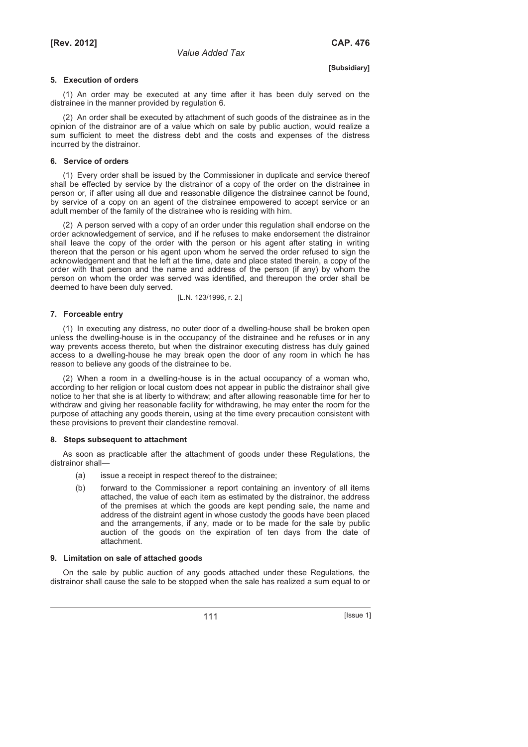#### **5. Execution of orders**

(1) An order may be executed at any time after it has been duly served on the distrainee in the manner provided by regulation 6.

(2) An order shall be executed by attachment of such goods of the distrainee as in the opinion of the distrainor are of a value which on sale by public auction, would realize a sum sufficient to meet the distress debt and the costs and expenses of the distress incurred by the distrainor.

#### **6. Service of orders**

(1) Every order shall be issued by the Commissioner in duplicate and service thereof shall be effected by service by the distrainor of a copy of the order on the distrainee in person or, if after using all due and reasonable diligence the distrainee cannot be found, by service of a copy on an agent of the distrainee empowered to accept service or an adult member of the family of the distrainee who is residing with him.

(2) A person served with a copy of an order under this regulation shall endorse on the order acknowledgement of service, and if he refuses to make endorsement the distrainor shall leave the copy of the order with the person or his agent after stating in writing thereon that the person or his agent upon whom he served the order refused to sign the acknowledgement and that he left at the time, date and place stated therein, a copy of the order with that person and the name and address of the person (if any) by whom the person on whom the order was served was identified, and thereupon the order shall be deemed to have been duly served.

[L.N. 123/1996, r. 2.]

### **7. Forceable entry**

(1) In executing any distress, no outer door of a dwelling-house shall be broken open unless the dwelling-house is in the occupancy of the distrainee and he refuses or in any way prevents access thereto, but when the distrainor executing distress has duly gained access to a dwelling-house he may break open the door of any room in which he has reason to believe any goods of the distrainee to be.

(2) When a room in a dwelling-house is in the actual occupancy of a woman who, according to her religion or local custom does not appear in public the distrainor shall give notice to her that she is at liberty to withdraw; and after allowing reasonable time for her to withdraw and giving her reasonable facility for withdrawing, he may enter the room for the purpose of attaching any goods therein, using at the time every precaution consistent with these provisions to prevent their clandestine removal.

#### **8. Steps subsequent to attachment**

As soon as practicable after the attachment of goods under these Regulations, the distrainor shall—

- (a) issue a receipt in respect thereof to the distrainee;
- (b) forward to the Commissioner a report containing an inventory of all items attached, the value of each item as estimated by the distrainor, the address of the premises at which the goods are kept pending sale, the name and address of the distraint agent in whose custody the goods have been placed and the arrangements, if any, made or to be made for the sale by public auction of the goods on the expiration of ten days from the date of attachment.

#### **9. Limitation on sale of attached goods**

On the sale by public auction of any goods attached under these Regulations, the distrainor shall cause the sale to be stopped when the sale has realized a sum equal to or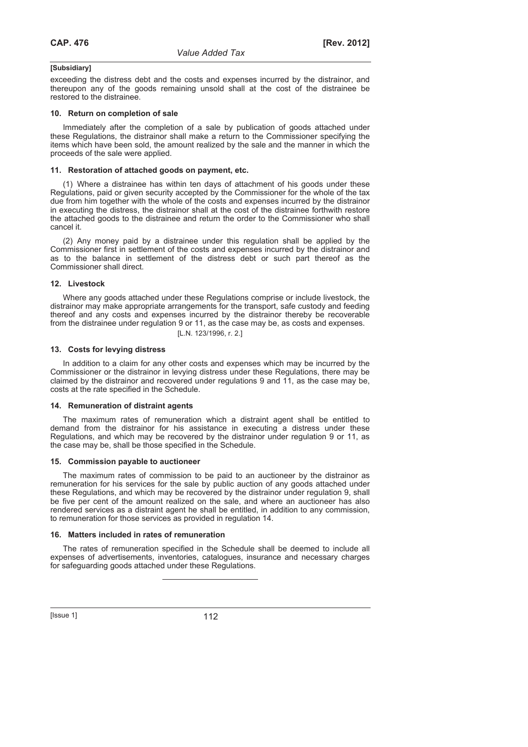exceeding the distress debt and the costs and expenses incurred by the distrainor, and thereupon any of the goods remaining unsold shall at the cost of the distrainee be restored to the distrainee.

#### **10. Return on completion of sale**

Immediately after the completion of a sale by publication of goods attached under these Regulations, the distrainor shall make a return to the Commissioner specifying the items which have been sold, the amount realized by the sale and the manner in which the proceeds of the sale were applied.

#### **11. Restoration of attached goods on payment, etc.**

(1) Where a distrainee has within ten days of attachment of his goods under these Regulations, paid or given security accepted by the Commissioner for the whole of the tax due from him together with the whole of the costs and expenses incurred by the distrainor in executing the distress, the distrainor shall at the cost of the distrainee forthwith restore the attached goods to the distrainee and return the order to the Commissioner who shall cancel it.

(2) Any money paid by a distrainee under this regulation shall be applied by the Commissioner first in settlement of the costs and expenses incurred by the distrainor and as to the balance in settlement of the distress debt or such part thereof as the Commissioner shall direct.

#### **12. Livestock**

Where any goods attached under these Regulations comprise or include livestock, the distrainor may make appropriate arrangements for the transport, safe custody and feeding thereof and any costs and expenses incurred by the distrainor thereby be recoverable from the distrainee under regulation 9 or 11, as the case may be, as costs and expenses. [L.N. 123/1996, r. 2.]

#### **13. Costs for levying distress**

In addition to a claim for any other costs and expenses which may be incurred by the Commissioner or the distrainor in levying distress under these Regulations, there may be claimed by the distrainor and recovered under regulations 9 and 11, as the case may be, costs at the rate specified in the Schedule.

#### **14. Remuneration of distraint agents**

The maximum rates of remuneration which a distraint agent shall be entitled to demand from the distrainor for his assistance in executing a distress under these Regulations, and which may be recovered by the distrainor under regulation 9 or 11, as the case may be, shall be those specified in the Schedule.

#### **15. Commission payable to auctioneer**

The maximum rates of commission to be paid to an auctioneer by the distrainor as remuneration for his services for the sale by public auction of any goods attached under these Regulations, and which may be recovered by the distrainor under regulation 9, shall be five per cent of the amount realized on the sale, and where an auctioneer has also rendered services as a distraint agent he shall be entitled, in addition to any commission, to remuneration for those services as provided in regulation 14.

#### **16. Matters included in rates of remuneration**

The rates of remuneration specified in the Schedule shall be deemed to include all expenses of advertisements, inventories, catalogues, insurance and necessary charges for safeguarding goods attached under these Regulations.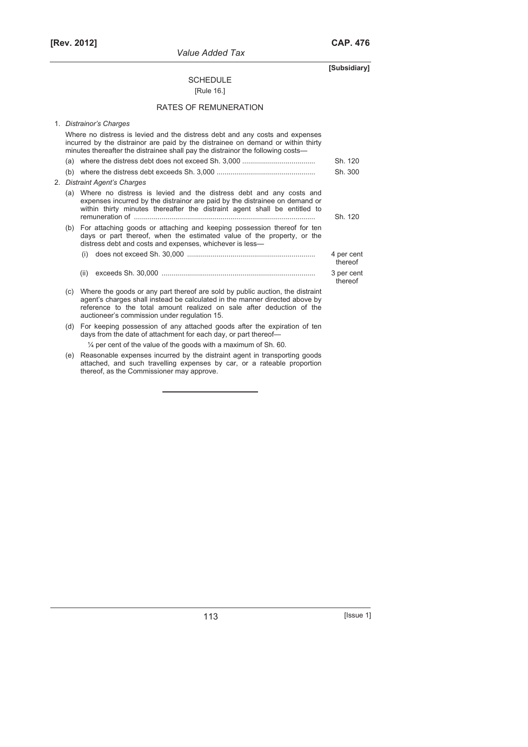**[Rev. 2012] CAP. 476**

# **[Subsidiary]**

# SCHEDULE

# [Rule 16.]

# RATES OF REMUNERATION

| 1. Distrainor's Charges                                                                                                                                                                                                                             |                                                                                                                                                                                                                                                                                       |                       |  |  |  |
|-----------------------------------------------------------------------------------------------------------------------------------------------------------------------------------------------------------------------------------------------------|---------------------------------------------------------------------------------------------------------------------------------------------------------------------------------------------------------------------------------------------------------------------------------------|-----------------------|--|--|--|
| Where no distress is levied and the distress debt and any costs and expenses<br>incurred by the distrainor are paid by the distrainee on demand or within thirty<br>minutes thereafter the distrainee shall pay the distrainor the following costs— |                                                                                                                                                                                                                                                                                       |                       |  |  |  |
|                                                                                                                                                                                                                                                     |                                                                                                                                                                                                                                                                                       | Sh. 120               |  |  |  |
|                                                                                                                                                                                                                                                     |                                                                                                                                                                                                                                                                                       | Sh. 300               |  |  |  |
| 2. Distraint Agent's Charges                                                                                                                                                                                                                        |                                                                                                                                                                                                                                                                                       |                       |  |  |  |
| (a)                                                                                                                                                                                                                                                 | Where no distress is levied and the distress debt and any costs and<br>expenses incurred by the distrainor are paid by the distrainee on demand or<br>within thirty minutes thereafter the distraint agent shall be entitled to<br>Sh. 120                                            |                       |  |  |  |
| (b)                                                                                                                                                                                                                                                 | For attaching goods or attaching and keeping possession thereof for ten<br>days or part thereof, when the estimated value of the property, or the<br>distress debt and costs and expenses, whichever is less-                                                                         |                       |  |  |  |
|                                                                                                                                                                                                                                                     |                                                                                                                                                                                                                                                                                       | 4 per cent<br>thereof |  |  |  |
|                                                                                                                                                                                                                                                     | (ii)                                                                                                                                                                                                                                                                                  | 3 per cent<br>thereof |  |  |  |
| (c)                                                                                                                                                                                                                                                 | Where the goods or any part thereof are sold by public auction, the distraint<br>agent's charges shall instead be calculated in the manner directed above by<br>reference to the total amount realized on sale after deduction of the<br>auctioneer's commission under regulation 15. |                       |  |  |  |
| (d)                                                                                                                                                                                                                                                 | For keeping possession of any attached goods after the expiration of ten<br>days from the date of attachment for each day, or part thereof-                                                                                                                                           |                       |  |  |  |
|                                                                                                                                                                                                                                                     | $\frac{1}{4}$ per cent of the value of the goods with a maximum of Sh. 60.                                                                                                                                                                                                            |                       |  |  |  |
| (e)                                                                                                                                                                                                                                                 | Reasonable expenses incurred by the distraint agent in transporting goods<br>attached, and such travelling expenses by car, or a rateable proportion                                                                                                                                  |                       |  |  |  |

thereof, as the Commissioner may approve.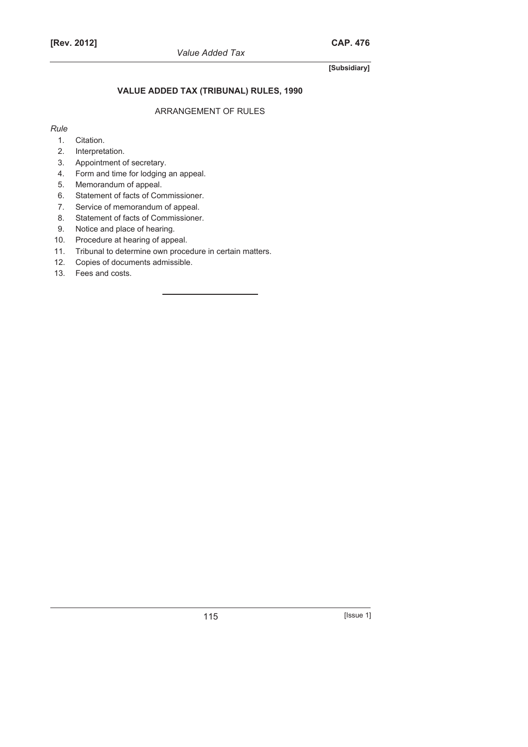# **VALUE ADDED TAX (TRIBUNAL) RULES, 1990**

# ARRANGEMENT OF RULES

# *Rule*

- 1. Citation.
- 2. Interpretation.
- 3. Appointment of secretary.
- 4. Form and time for lodging an appeal.
- 5. Memorandum of appeal.
- 6. Statement of facts of Commissioner.
- 7. Service of memorandum of appeal.
- 8. Statement of facts of Commissioner.
- 9. Notice and place of hearing.
- 10. Procedure at hearing of appeal.
- 11. Tribunal to determine own procedure in certain matters.
- 12. Copies of documents admissible.
- 13. Fees and costs.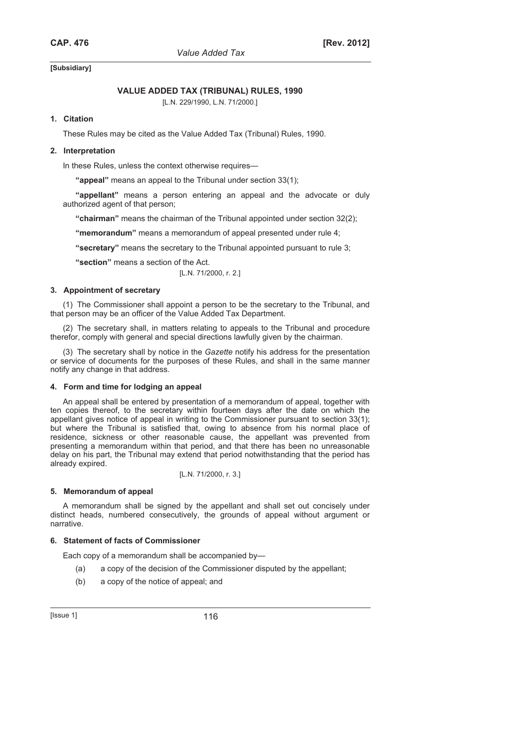# **VALUE ADDED TAX (TRIBUNAL) RULES, 1990**

[L.N. 229/1990, L.N. 71/2000.]

# **1. Citation**

These Rules may be cited as the Value Added Tax (Tribunal) Rules, 1990.

### **2. Interpretation**

In these Rules, unless the context otherwise requires—

**"appeal"** means an appeal to the Tribunal under section 33(1);

**"appellant"** means a person entering an appeal and the advocate or duly authorized agent of that person;

**"chairman"** means the chairman of the Tribunal appointed under section 32(2);

**"memorandum"** means a memorandum of appeal presented under rule 4;

**"secretary"** means the secretary to the Tribunal appointed pursuant to rule 3;

**"section"** means a section of the Act.

[L.N. 71/2000, r. 2.]

# **3. Appointment of secretary**

(1) The Commissioner shall appoint a person to be the secretary to the Tribunal, and that person may be an officer of the Value Added Tax Department.

(2) The secretary shall, in matters relating to appeals to the Tribunal and procedure therefor, comply with general and special directions lawfully given by the chairman.

(3) The secretary shall by notice in the *Gazette* notify his address for the presentation or service of documents for the purposes of these Rules, and shall in the same manner notify any change in that address.

#### **4. Form and time for lodging an appeal**

An appeal shall be entered by presentation of a memorandum of appeal, together with ten copies thereof, to the secretary within fourteen days after the date on which the appellant gives notice of appeal in writing to the Commissioner pursuant to section 33(1); but where the Tribunal is satisfied that, owing to absence from his normal place of residence, sickness or other reasonable cause, the appellant was prevented from presenting a memorandum within that period, and that there has been no unreasonable delay on his part, the Tribunal may extend that period notwithstanding that the period has already expired.

[L.N. 71/2000, r. 3.]

#### **5. Memorandum of appeal**

A memorandum shall be signed by the appellant and shall set out concisely under distinct heads, numbered consecutively, the grounds of appeal without argument or narrative.

# **6. Statement of facts of Commissioner**

Each copy of a memorandum shall be accompanied by—

- (a) a copy of the decision of the Commissioner disputed by the appellant;
- (b) a copy of the notice of appeal; and

 $[|$ Ssue 1 $]$  116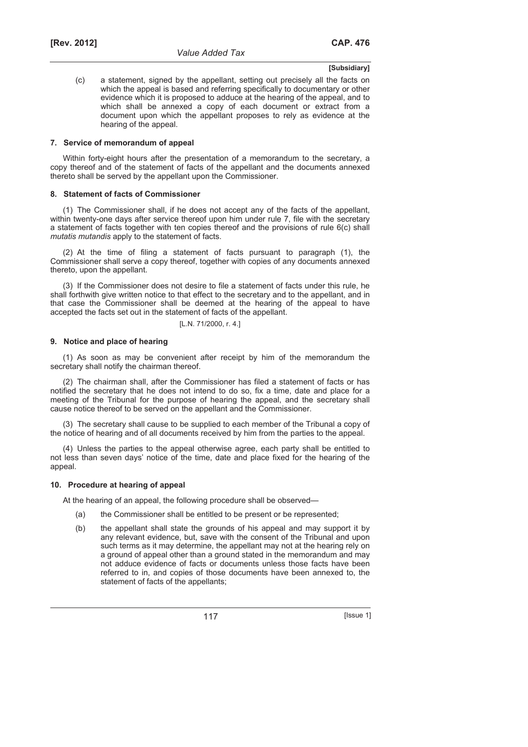(c) a statement, signed by the appellant, setting out precisely all the facts on which the appeal is based and referring specifically to documentary or other evidence which it is proposed to adduce at the hearing of the appeal, and to which shall be annexed a copy of each document or extract from a document upon which the appellant proposes to rely as evidence at the hearing of the appeal.

#### **7. Service of memorandum of appeal**

Within forty-eight hours after the presentation of a memorandum to the secretary, a copy thereof and of the statement of facts of the appellant and the documents annexed thereto shall be served by the appellant upon the Commissioner.

#### **8. Statement of facts of Commissioner**

(1) The Commissioner shall, if he does not accept any of the facts of the appellant, within twenty-one days after service thereof upon him under rule 7, file with the secretary a statement of facts together with ten copies thereof and the provisions of rule 6(c) shall *mutatis mutandis* apply to the statement of facts.

(2) At the time of filing a statement of facts pursuant to paragraph (1), the Commissioner shall serve a copy thereof, together with copies of any documents annexed thereto, upon the appellant.

(3) If the Commissioner does not desire to file a statement of facts under this rule, he shall forthwith give written notice to that effect to the secretary and to the appellant, and in that case the Commissioner shall be deemed at the hearing of the appeal to have accepted the facts set out in the statement of facts of the appellant.

$$
[L.N. 71/2000, r. 4.]
$$

# **9. Notice and place of hearing**

(1) As soon as may be convenient after receipt by him of the memorandum the secretary shall notify the chairman thereof.

(2) The chairman shall, after the Commissioner has filed a statement of facts or has notified the secretary that he does not intend to do so, fix a time, date and place for a meeting of the Tribunal for the purpose of hearing the appeal, and the secretary shall cause notice thereof to be served on the appellant and the Commissioner.

(3) The secretary shall cause to be supplied to each member of the Tribunal a copy of the notice of hearing and of all documents received by him from the parties to the appeal.

(4) Unless the parties to the appeal otherwise agree, each party shall be entitled to not less than seven days' notice of the time, date and place fixed for the hearing of the appeal.

#### **10. Procedure at hearing of appeal**

At the hearing of an appeal, the following procedure shall be observed—

- (a) the Commissioner shall be entitled to be present or be represented;
- (b) the appellant shall state the grounds of his appeal and may support it by any relevant evidence, but, save with the consent of the Tribunal and upon such terms as it may determine, the appellant may not at the hearing rely on a ground of appeal other than a ground stated in the memorandum and may not adduce evidence of facts or documents unless those facts have been referred to in, and copies of those documents have been annexed to, the statement of facts of the appellants;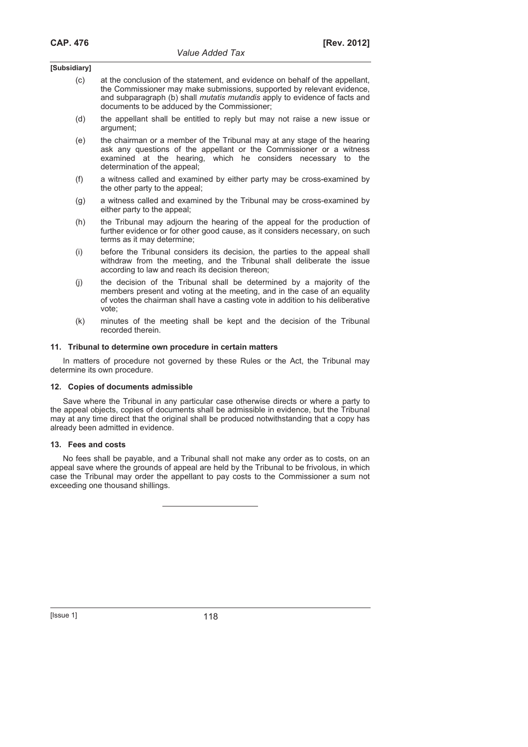- (c) at the conclusion of the statement, and evidence on behalf of the appellant, the Commissioner may make submissions, supported by relevant evidence, and subparagraph (b) shall *mutatis mutandis* apply to evidence of facts and documents to be adduced by the Commissioner;
- (d) the appellant shall be entitled to reply but may not raise a new issue or argument;
- (e) the chairman or a member of the Tribunal may at any stage of the hearing ask any questions of the appellant or the Commissioner or a witness examined at the hearing, which he considers necessary to the determination of the appeal;
- (f) a witness called and examined by either party may be cross-examined by the other party to the appeal;
- (g) a witness called and examined by the Tribunal may be cross-examined by either party to the appeal;
- (h) the Tribunal may adjourn the hearing of the appeal for the production of further evidence or for other good cause, as it considers necessary, on such terms as it may determine;
- (i) before the Tribunal considers its decision, the parties to the appeal shall withdraw from the meeting, and the Tribunal shall deliberate the issue according to law and reach its decision thereon;
- (j) the decision of the Tribunal shall be determined by a majority of the members present and voting at the meeting, and in the case of an equality of votes the chairman shall have a casting vote in addition to his deliberative vote;
- (k) minutes of the meeting shall be kept and the decision of the Tribunal recorded therein.

#### **11. Tribunal to determine own procedure in certain matters**

In matters of procedure not governed by these Rules or the Act, the Tribunal may determine its own procedure.

#### **12. Copies of documents admissible**

Save where the Tribunal in any particular case otherwise directs or where a party to the appeal objects, copies of documents shall be admissible in evidence, but the Tribunal may at any time direct that the original shall be produced notwithstanding that a copy has already been admitted in evidence.

#### **13. Fees and costs**

No fees shall be payable, and a Tribunal shall not make any order as to costs, on an appeal save where the grounds of appeal are held by the Tribunal to be frivolous, in which case the Tribunal may order the appellant to pay costs to the Commissioner a sum not exceeding one thousand shillings.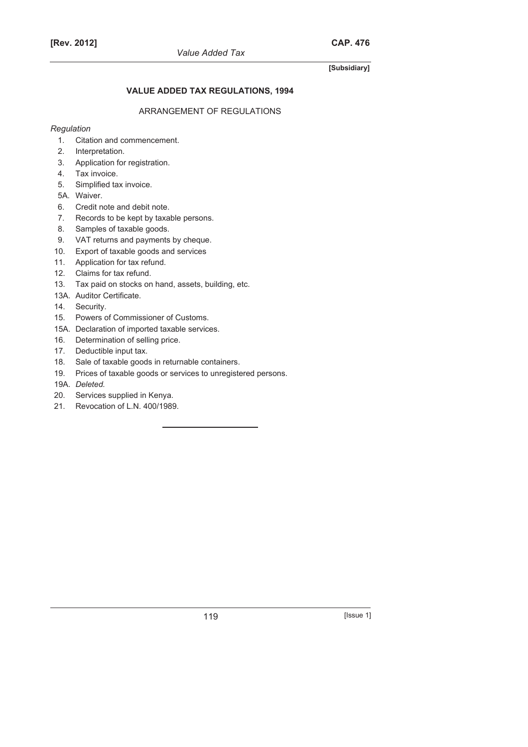# **[Rev. 2012] CAP. 476**

# **[Subsidiary]**

# **VALUE ADDED TAX REGULATIONS, 1994**

# ARRANGEMENT OF REGULATIONS

# *Regulation*

- 1. Citation and commencement.
- 2. Interpretation.
- 3. Application for registration.
- 4. Tax invoice.
- 5. Simplified tax invoice.
- 5A. Waiver.
- 6. Credit note and debit note.
- 7. Records to be kept by taxable persons.
- 8. Samples of taxable goods.
- 9. VAT returns and payments by cheque.
- 10. Export of taxable goods and services
- 11. Application for tax refund.
- 12. Claims for tax refund.
- 13. Tax paid on stocks on hand, assets, building, etc.
- 13A. Auditor Certificate.
- 14. Security.
- 15. Powers of Commissioner of Customs.
- 15A. Declaration of imported taxable services.
- 16. Determination of selling price.
- 17. Deductible input tax.
- 18. Sale of taxable goods in returnable containers.
- 19. Prices of taxable goods or services to unregistered persons.
- 19A. *Deleted.*
- 20. Services supplied in Kenya.
- 21. Revocation of L.N. 400/1989.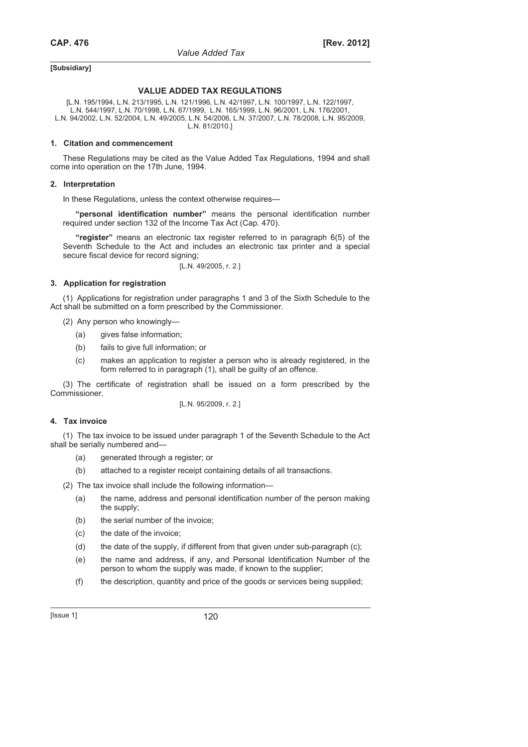### **VALUE ADDED TAX REGULATIONS**

[L.N. 195/1994, L.N. 213/1995, L.N. 121/1996, L.N. 42/1997, L.N. 100/1997, L.N. 122/1997, L.N. 544/1997, L.N. 70/1998, L.N. 67/1999, L.N. 165/1999, L.N. 96/2001, L.N. 176/2001, L.N. 94/2002, L.N. 52/2004, L.N. 49/2005, L.N. 54/2006, L.N. 37/2007, L.N. 78/2008, L.N. 95/2009, L.N. 81/2010.]

#### **1. Citation and commencement**

These Regulations may be cited as the Value Added Tax Regulations, 1994 and shall come into operation on the 17th June, 1994.

#### **2. Interpretation**

In these Regulations, unless the context otherwise requires-

**"personal identification number"** means the personal identification number required under section 132 of the Income Tax Act (Cap. 470).

**"register"** means an electronic tax register referred to in paragraph 6(5) of the Seventh Schedule to the Act and includes an electronic tax printer and a special secure fiscal device for record signing;

[L.N. 49/2005, r. 2.]

#### **3. Application for registration**

(1) Applications for registration under paragraphs 1 and 3 of the Sixth Schedule to the Act shall be submitted on a form prescribed by the Commissioner.

- (2) Any person who knowingly—
	- (a) gives false information;
	- (b) fails to give full information; or
	- (c) makes an application to register a person who is already registered, in the form referred to in paragraph (1), shall be guilty of an offence.

(3) The certificate of registration shall be issued on a form prescribed by the Commissioner.

[L.N. 95/2009, r. 2.]

#### **4. Tax invoice**

(1) The tax invoice to be issued under paragraph 1 of the Seventh Schedule to the Act shall be serially numbered and—

- (a) generated through a register; or
- (b) attached to a register receipt containing details of all transactions.

(2) The tax invoice shall include the following information—

- (a) the name, address and personal identification number of the person making the supply;
- (b) the serial number of the invoice:
- (c) the date of the invoice;
- (d) the date of the supply, if different from that given under sub-paragraph (c);
- (e) the name and address, if any, and Personal Identification Number of the person to whom the supply was made, if known to the supplier;
- (f) the description, quantity and price of the goods or services being supplied;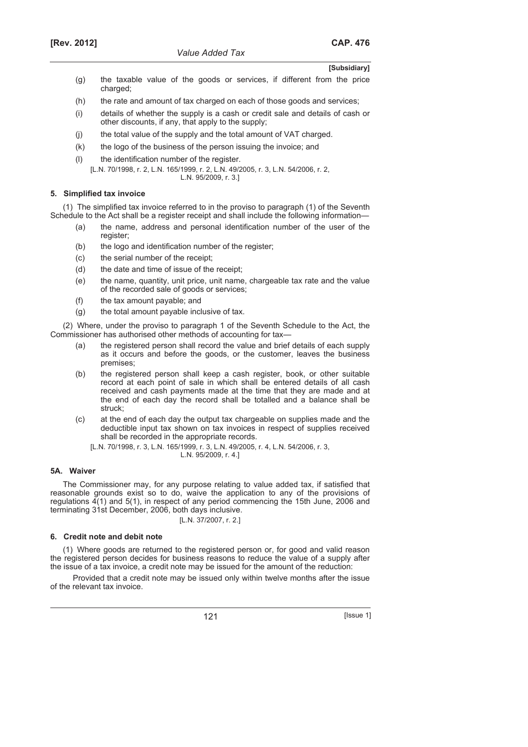- (g) the taxable value of the goods or services, if different from the price charged:
- (h) the rate and amount of tax charged on each of those goods and services;
- (i) details of whether the supply is a cash or credit sale and details of cash or other discounts, if any, that apply to the supply;
- (j) the total value of the supply and the total amount of VAT charged.
- (k) the logo of the business of the person issuing the invoice; and
- (l) the identification number of the register.
	- [L.N. 70/1998, r. 2, L.N. 165/1999, r. 2, L.N. 49/2005, r. 3, L.N. 54/2006, r. 2, L.N. 95/2009, r. 3.]

# **5. Simplified tax invoice**

(1) The simplified tax invoice referred to in the proviso to paragraph (1) of the Seventh Schedule to the Act shall be a register receipt and shall include the following information—

- (a) the name, address and personal identification number of the user of the register;
- (b) the logo and identification number of the register;
- (c) the serial number of the receipt;
- (d) the date and time of issue of the receipt;
- (e) the name, quantity, unit price, unit name, chargeable tax rate and the value of the recorded sale of goods or services;
- (f) the tax amount payable; and
- (g) the total amount payable inclusive of tax.

(2) Where, under the proviso to paragraph 1 of the Seventh Schedule to the Act, the Commissioner has authorised other methods of accounting for tax-

- (a) the registered person shall record the value and brief details of each supply as it occurs and before the goods, or the customer, leaves the business premises;
- (b) the registered person shall keep a cash register, book, or other suitable record at each point of sale in which shall be entered details of all cash received and cash payments made at the time that they are made and at the end of each day the record shall be totalled and a balance shall be struck;
- (c) at the end of each day the output tax chargeable on supplies made and the deductible input tax shown on tax invoices in respect of supplies received shall be recorded in the appropriate records.
	- [L.N. 70/1998, r. 3, L.N. 165/1999, r. 3, L.N. 49/2005, r. 4, L.N. 54/2006, r. 3, L.N. 95/2009, r. 4.]

# **5A. Waiver**

The Commissioner may, for any purpose relating to value added tax, if satisfied that reasonable grounds exist so to do, waive the application to any of the provisions of regulations 4(1) and 5(1), in respect of any period commencing the 15th June, 2006 and terminating 31st December, 2006, both days inclusive.

[L.N. 37/2007, r. 2.]

# **6. Credit note and debit note**

(1) Where goods are returned to the registered person or, for good and valid reason the registered person decides for business reasons to reduce the value of a supply after the issue of a tax invoice, a credit note may be issued for the amount of the reduction:

Provided that a credit note may be issued only within twelve months after the issue of the relevant tax invoice.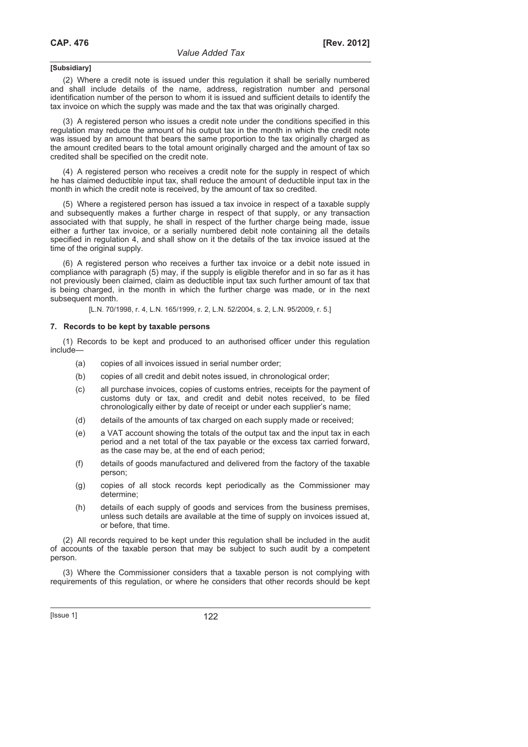(2) Where a credit note is issued under this regulation it shall be serially numbered and shall include details of the name, address, registration number and personal identification number of the person to whom it is issued and sufficient details to identify the tax invoice on which the supply was made and the tax that was originally charged.

(3) A registered person who issues a credit note under the conditions specified in this regulation may reduce the amount of his output tax in the month in which the credit note was issued by an amount that bears the same proportion to the tax originally charged as the amount credited bears to the total amount originally charged and the amount of tax so credited shall be specified on the credit note.

(4) A registered person who receives a credit note for the supply in respect of which he has claimed deductible input tax, shall reduce the amount of deductible input tax in the month in which the credit note is received, by the amount of tax so credited.

(5) Where a registered person has issued a tax invoice in respect of a taxable supply and subsequently makes a further charge in respect of that supply, or any transaction associated with that supply, he shall in respect of the further charge being made, issue either a further tax invoice, or a serially numbered debit note containing all the details specified in regulation 4, and shall show on it the details of the tax invoice issued at the time of the original supply.

(6) A registered person who receives a further tax invoice or a debit note issued in compliance with paragraph (5) may, if the supply is eligible therefor and in so far as it has not previously been claimed, claim as deductible input tax such further amount of tax that is being charged, in the month in which the further charge was made, or in the next subsequent month.

[L.N. 70/1998, r. 4, L.N. 165/1999, r. 2, L.N. 52/2004, s. 2, L.N. 95/2009, r. 5.]

#### **7. Records to be kept by taxable persons**

(1) Records to be kept and produced to an authorised officer under this regulation include—

- (a) copies of all invoices issued in serial number order;
- (b) copies of all credit and debit notes issued, in chronological order;
- (c) all purchase invoices, copies of customs entries, receipts for the payment of customs duty or tax, and credit and debit notes received, to be filed chronologically either by date of receipt or under each supplier's name;
- (d) details of the amounts of tax charged on each supply made or received;
- (e) a VAT account showing the totals of the output tax and the input tax in each period and a net total of the tax payable or the excess tax carried forward, as the case may be, at the end of each period;
- (f) details of goods manufactured and delivered from the factory of the taxable person;
- (g) copies of all stock records kept periodically as the Commissioner may determine;
- (h) details of each supply of goods and services from the business premises, unless such details are available at the time of supply on invoices issued at, or before, that time.

(2) All records required to be kept under this regulation shall be included in the audit of accounts of the taxable person that may be subject to such audit by a competent person.

(3) Where the Commissioner considers that a taxable person is not complying with requirements of this regulation, or where he considers that other records should be kept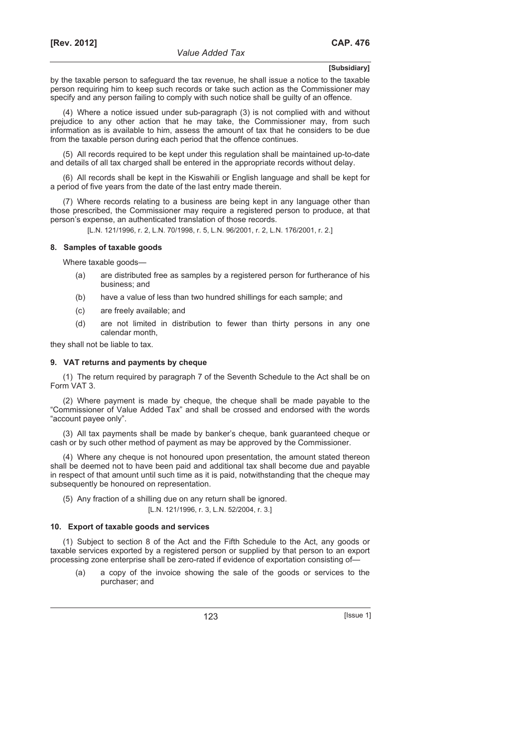by the taxable person to safeguard the tax revenue, he shall issue a notice to the taxable person requiring him to keep such records or take such action as the Commissioner may specify and any person failing to comply with such notice shall be guilty of an offence.

(4) Where a notice issued under sub-paragraph (3) is not complied with and without prejudice to any other action that he may take, the Commissioner may, from such information as is available to him, assess the amount of tax that he considers to be due from the taxable person during each period that the offence continues.

(5) All records required to be kept under this regulation shall be maintained up-to-date and details of all tax charged shall be entered in the appropriate records without delay.

(6) All records shall be kept in the Kiswahili or English language and shall be kept for a period of five years from the date of the last entry made therein.

(7) Where records relating to a business are being kept in any language other than those prescribed, the Commissioner may require a registered person to produce, at that person's expense, an authenticated translation of those records.

[L.N. 121/1996, r. 2, L.N. 70/1998, r. 5, L.N. 96/2001, r. 2, L.N. 176/2001, r. 2.]

### **8. Samples of taxable goods**

Where taxable goods—

- (a) are distributed free as samples by a registered person for furtherance of his business; and
- (b) have a value of less than two hundred shillings for each sample; and
- (c) are freely available; and
- (d) are not limited in distribution to fewer than thirty persons in any one calendar month,

they shall not be liable to tax.

#### **9. VAT returns and payments by cheque**

(1) The return required by paragraph 7 of the Seventh Schedule to the Act shall be on Form VAT 3.

(2) Where payment is made by cheque, the cheque shall be made payable to the "Commissioner of Value Added Tax" and shall be crossed and endorsed with the words "account payee only".

(3) All tax payments shall be made by banker's cheque, bank guaranteed cheque or cash or by such other method of payment as may be approved by the Commissioner.

(4) Where any cheque is not honoured upon presentation, the amount stated thereon shall be deemed not to have been paid and additional tax shall become due and payable in respect of that amount until such time as it is paid, notwithstanding that the cheque may subsequently be honoured on representation.

(5) Any fraction of a shilling due on any return shall be ignored. [L.N. 121/1996, r. 3, L.N. 52/2004, r. 3.]

#### **10. Export of taxable goods and services**

(1) Subject to section 8 of the Act and the Fifth Schedule to the Act, any goods or taxable services exported by a registered person or supplied by that person to an export processing zone enterprise shall be zero-rated if evidence of exportation consisting of—

a copy of the invoice showing the sale of the goods or services to the purchaser; and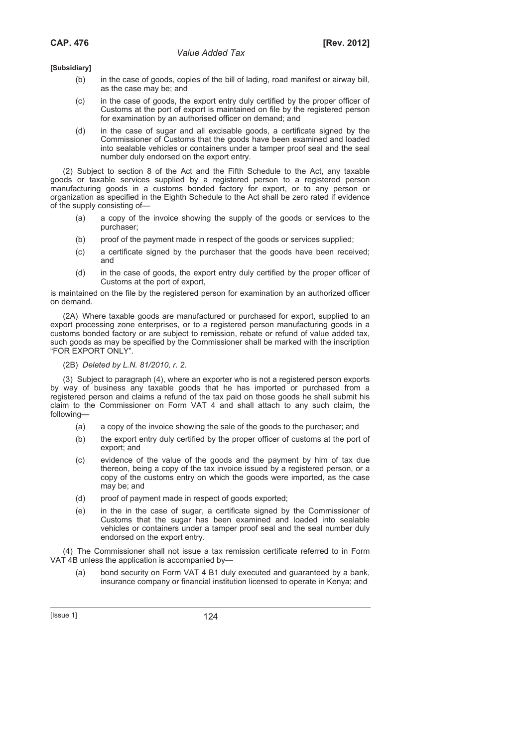- (b) in the case of goods, copies of the bill of lading, road manifest or airway bill, as the case may be; and
- (c) in the case of goods, the export entry duly certified by the proper officer of Customs at the port of export is maintained on file by the registered person for examination by an authorised officer on demand; and
- (d) in the case of sugar and all excisable goods, a certificate signed by the Commissioner of Customs that the goods have been examined and loaded into sealable vehicles or containers under a tamper proof seal and the seal number duly endorsed on the export entry.

(2) Subject to section 8 of the Act and the Fifth Schedule to the Act, any taxable goods or taxable services supplied by a registered person to a registered person manufacturing goods in a customs bonded factory for export, or to any person or organization as specified in the Eighth Schedule to the Act shall be zero rated if evidence of the supply consisting of—

- (a) a copy of the invoice showing the supply of the goods or services to the purchaser;
- (b) proof of the payment made in respect of the goods or services supplied;
- (c) a certificate signed by the purchaser that the goods have been received; and
- (d) in the case of goods, the export entry duly certified by the proper officer of Customs at the port of export,

is maintained on the file by the registered person for examination by an authorized officer on demand.

(2A) Where taxable goods are manufactured or purchased for export, supplied to an export processing zone enterprises, or to a registered person manufacturing goods in a customs bonded factory or are subject to remission, rebate or refund of value added tax, such goods as may be specified by the Commissioner shall be marked with the inscription "FOR EXPORT ONLY".

#### (2B) *Deleted by L.N. 81/2010, r. 2.*

(3) Subject to paragraph (4), where an exporter who is not a registered person exports by way of business any taxable goods that he has imported or purchased from a registered person and claims a refund of the tax paid on those goods he shall submit his claim to the Commissioner on Form VAT 4 and shall attach to any such claim, the following—

- (a) a copy of the invoice showing the sale of the goods to the purchaser; and
- (b) the export entry duly certified by the proper officer of customs at the port of export; and
- (c) evidence of the value of the goods and the payment by him of tax due thereon, being a copy of the tax invoice issued by a registered person, or a copy of the customs entry on which the goods were imported, as the case may be; and
- (d) proof of payment made in respect of goods exported;
- (e) in the in the case of sugar, a certificate signed by the Commissioner of Customs that the sugar has been examined and loaded into sealable vehicles or containers under a tamper proof seal and the seal number duly endorsed on the export entry.

(4) The Commissioner shall not issue a tax remission certificate referred to in Form VAT 4B unless the application is accompanied by—

 (a) bond security on Form VAT 4 B1 duly executed and guaranteed by a bank, insurance company or financial institution licensed to operate in Kenya; and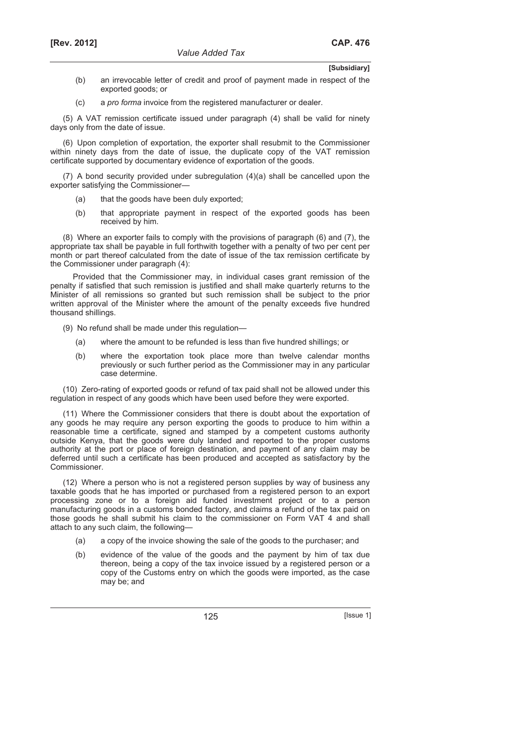- (b) an irrevocable letter of credit and proof of payment made in respect of the exported goods; or
- (c) a *pro forma* invoice from the registered manufacturer or dealer.

(5) A VAT remission certificate issued under paragraph (4) shall be valid for ninety days only from the date of issue.

(6) Upon completion of exportation, the exporter shall resubmit to the Commissioner within ninety days from the date of issue, the duplicate copy of the VAT remission certificate supported by documentary evidence of exportation of the goods.

(7) A bond security provided under subregulation (4)(a) shall be cancelled upon the exporter satisfying the Commissioner—

- (a) that the goods have been duly exported;
- (b) that appropriate payment in respect of the exported goods has been received by him.

(8) Where an exporter fails to comply with the provisions of paragraph (6) and (7), the appropriate tax shall be payable in full forthwith together with a penalty of two per cent per month or part thereof calculated from the date of issue of the tax remission certificate by the Commissioner under paragraph (4):

Provided that the Commissioner may, in individual cases grant remission of the penalty if satisfied that such remission is justified and shall make quarterly returns to the Minister of all remissions so granted but such remission shall be subject to the prior written approval of the Minister where the amount of the penalty exceeds five hundred thousand shillings.

- (9) No refund shall be made under this regulation—
	- (a) where the amount to be refunded is less than five hundred shillings; or
	- (b) where the exportation took place more than twelve calendar months previously or such further period as the Commissioner may in any particular case determine.

(10) Zero-rating of exported goods or refund of tax paid shall not be allowed under this regulation in respect of any goods which have been used before they were exported.

(11) Where the Commissioner considers that there is doubt about the exportation of any goods he may require any person exporting the goods to produce to him within a reasonable time a certificate, signed and stamped by a competent customs authority outside Kenya, that the goods were duly landed and reported to the proper customs authority at the port or place of foreign destination, and payment of any claim may be deferred until such a certificate has been produced and accepted as satisfactory by the Commissioner.

(12) Where a person who is not a registered person supplies by way of business any taxable goods that he has imported or purchased from a registered person to an export processing zone or to a foreign aid funded investment project or to a person manufacturing goods in a customs bonded factory, and claims a refund of the tax paid on those goods he shall submit his claim to the commissioner on Form VAT 4 and shall attach to any such claim, the following—

- (a) a copy of the invoice showing the sale of the goods to the purchaser; and
- (b) evidence of the value of the goods and the payment by him of tax due thereon, being a copy of the tax invoice issued by a registered person or a copy of the Customs entry on which the goods were imported, as the case may be; and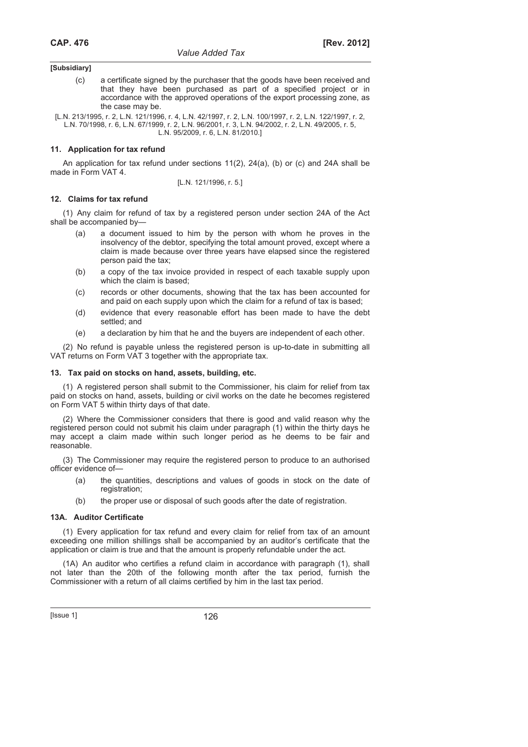(c) a certificate signed by the purchaser that the goods have been received and that they have been purchased as part of a specified project or in accordance with the approved operations of the export processing zone, as the case may be.

[L.N. 213/1995, r. 2, L.N. 121/1996, r. 4, L.N. 42/1997, r. 2, L.N. 100/1997, r. 2, L.N. 122/1997, r. 2, L.N. 70/1998, r. 6, L.N. 67/1999, r. 2, L.N. 96/2001, r. 3, L.N. 94/2002, r. 2, L.N. 49/2005, r. 5, L.N. 95/2009, r. 6, L.N. 81/2010.]

### **11. Application for tax refund**

An application for tax refund under sections 11(2), 24(a), (b) or (c) and 24A shall be made in Form VAT 4.

[L.N. 121/1996, r. 5.]

### **12. Claims for tax refund**

(1) Any claim for refund of tax by a registered person under section 24A of the Act shall be accompanied by—

- a document issued to him by the person with whom he proves in the insolvency of the debtor, specifying the total amount proved, except where a claim is made because over three years have elapsed since the registered person paid the tax;
- (b) a copy of the tax invoice provided in respect of each taxable supply upon which the claim is based;
- (c) records or other documents, showing that the tax has been accounted for and paid on each supply upon which the claim for a refund of tax is based;
- (d) evidence that every reasonable effort has been made to have the debt settled; and
- (e) a declaration by him that he and the buyers are independent of each other.

(2) No refund is payable unless the registered person is up-to-date in submitting all VAT returns on Form VAT 3 together with the appropriate tax.

### **13. Tax paid on stocks on hand, assets, building, etc.**

(1) A registered person shall submit to the Commissioner, his claim for relief from tax paid on stocks on hand, assets, building or civil works on the date he becomes registered on Form VAT 5 within thirty days of that date.

(2) Where the Commissioner considers that there is good and valid reason why the registered person could not submit his claim under paragraph (1) within the thirty days he may accept a claim made within such longer period as he deems to be fair and reasonable.

(3) The Commissioner may require the registered person to produce to an authorised officer evidence of—

- (a) the quantities, descriptions and values of goods in stock on the date of registration;
- (b) the proper use or disposal of such goods after the date of registration.

#### **13A. Auditor Certificate**

(1) Every application for tax refund and every claim for relief from tax of an amount exceeding one million shillings shall be accompanied by an auditor's certificate that the application or claim is true and that the amount is properly refundable under the act.

(1A) An auditor who certifies a refund claim in accordance with paragraph (1), shall not later than the 20th of the following month after the tax period, furnish the Commissioner with a return of all claims certified by him in the last tax period.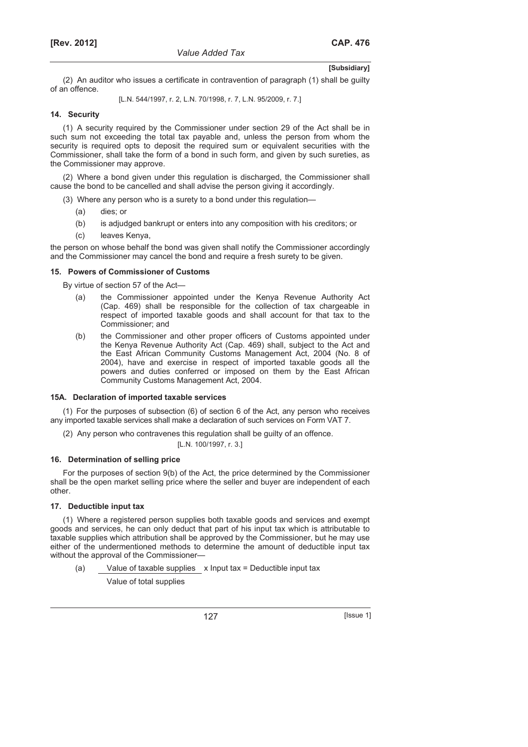(2) An auditor who issues a certificate in contravention of paragraph (1) shall be guilty of an offence.

[L.N. 544/1997, r. 2, L.N. 70/1998, r. 7, L.N. 95/2009, r. 7.]

### **14. Security**

(1) A security required by the Commissioner under section 29 of the Act shall be in such sum not exceeding the total tax payable and, unless the person from whom the security is required opts to deposit the required sum or equivalent securities with the Commissioner, shall take the form of a bond in such form, and given by such sureties, as the Commissioner may approve.

(2) Where a bond given under this regulation is discharged, the Commissioner shall cause the bond to be cancelled and shall advise the person giving it accordingly.

- (3) Where any person who is a surety to a bond under this regulation—
	- (a) dies; or
	- (b) is adjudged bankrupt or enters into any composition with his creditors; or
	- (c) leaves Kenya,

the person on whose behalf the bond was given shall notify the Commissioner accordingly and the Commissioner may cancel the bond and require a fresh surety to be given.

#### **15. Powers of Commissioner of Customs**

By virtue of section 57 of the Act—

- (a) the Commissioner appointed under the Kenya Revenue Authority Act (Cap. 469) shall be responsible for the collection of tax chargeable in respect of imported taxable goods and shall account for that tax to the Commissioner; and
- (b) the Commissioner and other proper officers of Customs appointed under the Kenya Revenue Authority Act (Cap. 469) shall, subject to the Act and the East African Community Customs Management Act, 2004 (No. 8 of 2004), have and exercise in respect of imported taxable goods all the powers and duties conferred or imposed on them by the East African Community Customs Management Act, 2004.

#### **15A. Declaration of imported taxable services**

(1) For the purposes of subsection (6) of section 6 of the Act, any person who receives any imported taxable services shall make a declaration of such services on Form VAT 7.

(2) Any person who contravenes this regulation shall be guilty of an offence.

[L.N. 100/1997, r. 3.]

### **16. Determination of selling price**

For the purposes of section 9(b) of the Act, the price determined by the Commissioner shall be the open market selling price where the seller and buyer are independent of each other.

#### **17. Deductible input tax**

(1) Where a registered person supplies both taxable goods and services and exempt goods and services, he can only deduct that part of his input tax which is attributable to taxable supplies which attribution shall be approved by the Commissioner, but he may use either of the undermentioned methods to determine the amount of deductible input tax without the approval of the Commissioner—

(a) Value of taxable supplies x Input tax = Deductible input tax

Value of total supplies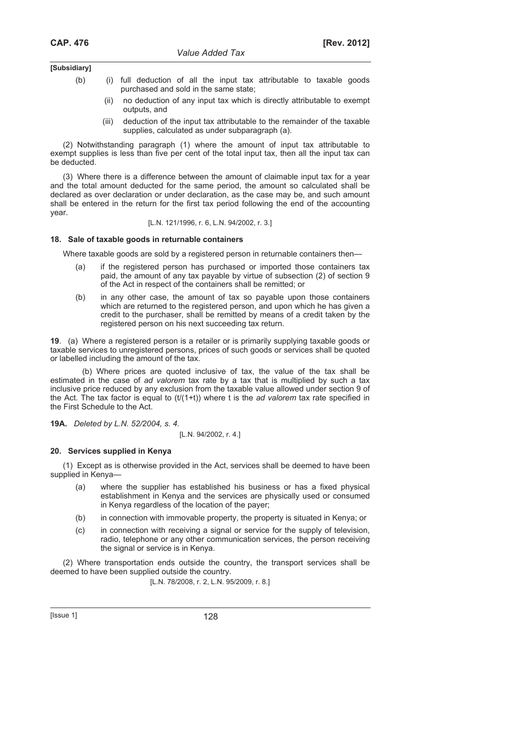- (b) (i) full deduction of all the input tax attributable to taxable goods purchased and sold in the same state;
	- (ii) no deduction of any input tax which is directly attributable to exempt outputs, and
	- (iii) deduction of the input tax attributable to the remainder of the taxable supplies, calculated as under subparagraph (a).

(2) Notwithstanding paragraph (1) where the amount of input tax attributable to exempt supplies is less than five per cent of the total input tax, then all the input tax can be deducted.

(3) Where there is a difference between the amount of claimable input tax for a year and the total amount deducted for the same period, the amount so calculated shall be declared as over declaration or under declaration, as the case may be, and such amount shall be entered in the return for the first tax period following the end of the accounting year.

#### [L.N. 121/1996, r. 6, L.N. 94/2002, r. 3.]

### **18. Sale of taxable goods in returnable containers**

Where taxable goods are sold by a registered person in returnable containers then—

- (a) if the registered person has purchased or imported those containers tax paid, the amount of any tax payable by virtue of subsection (2) of section 9 of the Act in respect of the containers shall be remitted; or
- (b) in any other case, the amount of tax so payable upon those containers which are returned to the registered person, and upon which he has given a credit to the purchaser, shall be remitted by means of a credit taken by the registered person on his next succeeding tax return.

**19**.(a) Where a registered person is a retailer or is primarily supplying taxable goods or taxable services to unregistered persons, prices of such goods or services shall be quoted or labelled including the amount of the tax.

(b) Where prices are quoted inclusive of tax, the value of the tax shall be estimated in the case of *ad valorem* tax rate by a tax that is multiplied by such a tax inclusive price reduced by any exclusion from the taxable value allowed under section 9 of the Act. The tax factor is equal to (t/(1+t)) where t is the *ad valorem* tax rate specified in the First Schedule to the Act.

**19A.** *Deleted by L.N. 52/2004, s. 4.* 

#### [L.N. 94/2002, r. 4.]

### **20. Services supplied in Kenya**

(1) Except as is otherwise provided in the Act, services shall be deemed to have been supplied in Kenya—

- (a) where the supplier has established his business or has a fixed physical establishment in Kenya and the services are physically used or consumed in Kenya regardless of the location of the payer;
- (b) in connection with immovable property, the property is situated in Kenya; or
- (c) in connection with receiving a signal or service for the supply of television, radio, telephone or any other communication services, the person receiving the signal or service is in Kenya.

(2) Where transportation ends outside the country, the transport services shall be deemed to have been supplied outside the country.

[L.N. 78/2008, r. 2, L.N. 95/2009, r. 8.]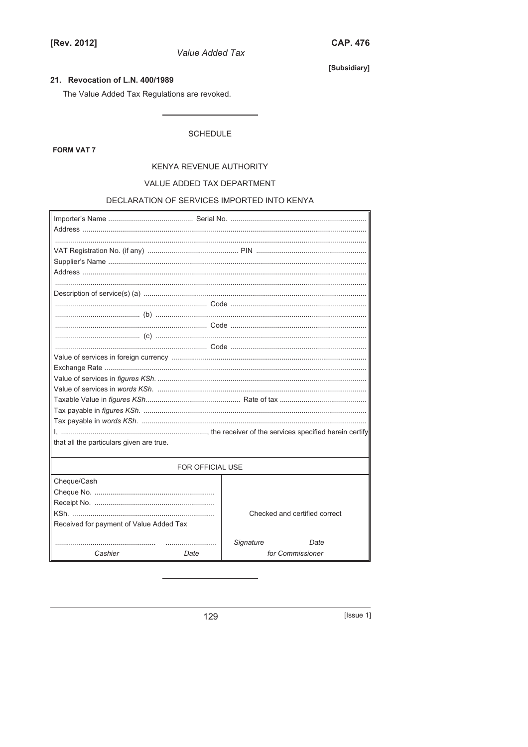Value Added Tax

# 21. Revocation of L.N. 400/1989

The Value Added Tax Regulations are revoked.

# **SCHEDULE**

**FORM VAT 7** 

#### KENYA REVENUE AUTHORITY

# VALUE ADDED TAX DEPARTMENT

# DECLARATION OF SERVICES IMPORTED INTO KENYA

| that all the particulars given are true. |      |                  |                               |  |  |  |
|------------------------------------------|------|------------------|-------------------------------|--|--|--|
| FOR OFFICIAL USE                         |      |                  |                               |  |  |  |
| Cheque/Cash                              |      |                  |                               |  |  |  |
|                                          |      |                  |                               |  |  |  |
|                                          |      |                  |                               |  |  |  |
|                                          |      |                  | Checked and certified correct |  |  |  |
| Received for payment of Value Added Tax  |      |                  |                               |  |  |  |
|                                          |      | <b>Signature</b> | Date                          |  |  |  |
| Cashier                                  | Date |                  | for Commissioner              |  |  |  |
|                                          |      |                  |                               |  |  |  |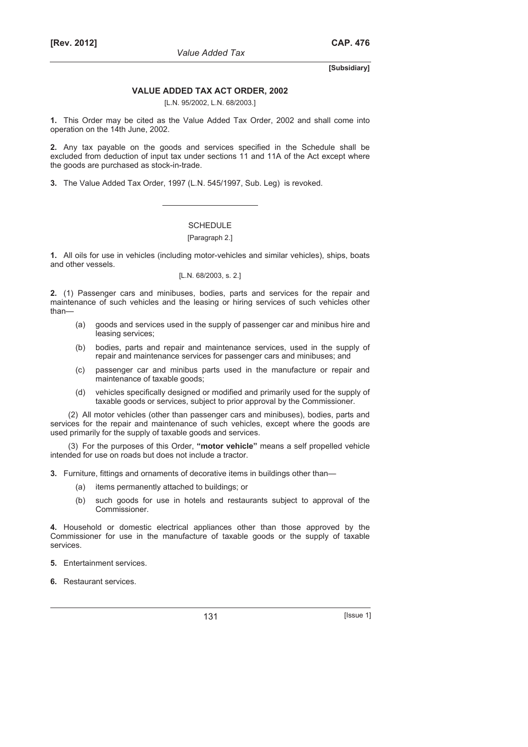#### **VALUE ADDED TAX ACT ORDER, 2002**

[L.N. 95/2002, L.N. 68/2003.]

**1.** This Order may be cited as the Value Added Tax Order, 2002 and shall come into operation on the 14th June, 2002.

**2.** Any tax payable on the goods and services specified in the Schedule shall be excluded from deduction of input tax under sections 11 and 11A of the Act except where the goods are purchased as stock-in-trade.

**3.** The Value Added Tax Order, 1997 (L.N. 545/1997, Sub. Leg) is revoked.

# SCHEDULE

### [Paragraph 2.]

**1.** All oils for use in vehicles (including motor-vehicles and similar vehicles), ships, boats and other vessels.

#### [L.N. 68/2003, s. 2.]

**2.** (1) Passenger cars and minibuses, bodies, parts and services for the repair and maintenance of such vehicles and the leasing or hiring services of such vehicles other than—

- (a) goods and services used in the supply of passenger car and minibus hire and leasing services;
- (b) bodies, parts and repair and maintenance services, used in the supply of repair and maintenance services for passenger cars and minibuses; and
- (c) passenger car and minibus parts used in the manufacture or repair and maintenance of taxable goods;
- (d) vehicles specifically designed or modified and primarily used for the supply of taxable goods or services, subject to prior approval by the Commissioner.

(2) All motor vehicles (other than passenger cars and minibuses), bodies, parts and services for the repair and maintenance of such vehicles, except where the goods are used primarily for the supply of taxable goods and services.

(3) For the purposes of this Order, **"motor vehicle"** means a self propelled vehicle intended for use on roads but does not include a tractor.

**3.** Furniture, fittings and ornaments of decorative items in buildings other than—

- (a) items permanently attached to buildings; or
- (b) such goods for use in hotels and restaurants subject to approval of the Commissioner.

**4.** Household or domestic electrical appliances other than those approved by the Commissioner for use in the manufacture of taxable goods or the supply of taxable services.

**5.** Entertainment services.

**6.** Restaurant services.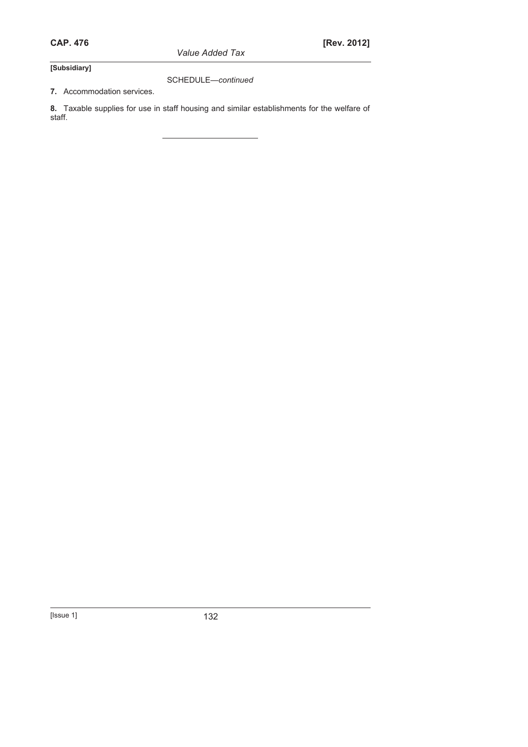*Value Added Tax* 

**[Subsidiary]** 

SCHEDULE—*continued* 

**7.** Accommodation services.

**8.** Taxable supplies for use in staff housing and similar establishments for the welfare of staff.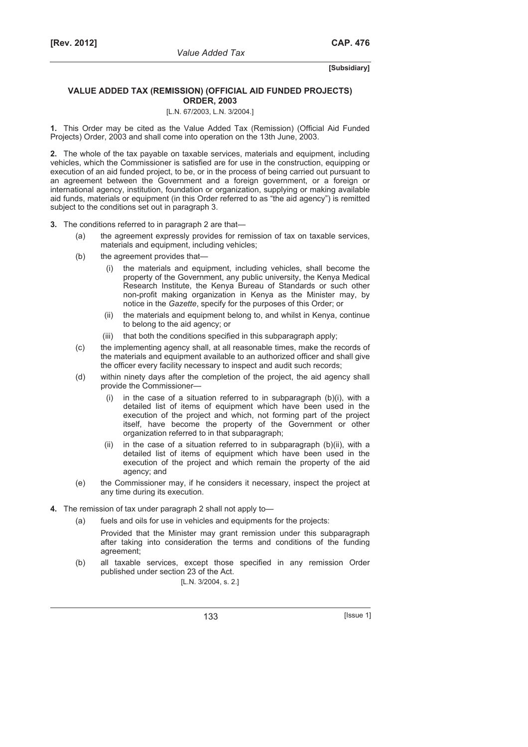### **VALUE ADDED TAX (REMISSION) (OFFICIAL AID FUNDED PROJECTS) ORDER, 2003**

# [L.N. 67/2003, L.N. 3/2004.]

**1.** This Order may be cited as the Value Added Tax (Remission) (Official Aid Funded Projects) Order, 2003 and shall come into operation on the 13th June, 2003.

**2.** The whole of the tax payable on taxable services, materials and equipment, including vehicles, which the Commissioner is satisfied are for use in the construction, equipping or execution of an aid funded project, to be, or in the process of being carried out pursuant to an agreement between the Government and a foreign government, or a foreign or international agency, institution, foundation or organization, supplying or making available aid funds, materials or equipment (in this Order referred to as "the aid agency") is remitted subject to the conditions set out in paragraph 3.

- **3.** The conditions referred to in paragraph 2 are that—
	- (a) the agreement expressly provides for remission of tax on taxable services, materials and equipment, including vehicles;
	- (b) the agreement provides that—
		- (i) the materials and equipment, including vehicles, shall become the property of the Government, any public university, the Kenya Medical Research Institute, the Kenya Bureau of Standards or such other non-profit making organization in Kenya as the Minister may, by notice in the *Gazette*, specify for the purposes of this Order; or
		- (ii) the materials and equipment belong to, and whilst in Kenya, continue to belong to the aid agency; or
		- (iii) that both the conditions specified in this subparagraph apply:
	- (c) the implementing agency shall, at all reasonable times, make the records of the materials and equipment available to an authorized officer and shall give the officer every facility necessary to inspect and audit such records;
	- (d) within ninety days after the completion of the project, the aid agency shall provide the Commissioner
		- in the case of a situation referred to in subparagraph  $(b)(i)$ , with a detailed list of items of equipment which have been used in the execution of the project and which, not forming part of the project itself, have become the property of the Government or other organization referred to in that subparagraph;
		- (ii) in the case of a situation referred to in subparagraph (b)(ii), with a detailed list of items of equipment which have been used in the execution of the project and which remain the property of the aid agency; and
	- (e) the Commissioner may, if he considers it necessary, inspect the project at any time during its execution.
- **4.** The remission of tax under paragraph 2 shall not apply to—
	- (a) fuels and oils for use in vehicles and equipments for the projects:

 Provided that the Minister may grant remission under this subparagraph after taking into consideration the terms and conditions of the funding agreement;

 (b) all taxable services, except those specified in any remission Order published under section 23 of the Act.

[L.N. 3/2004, s. 2.]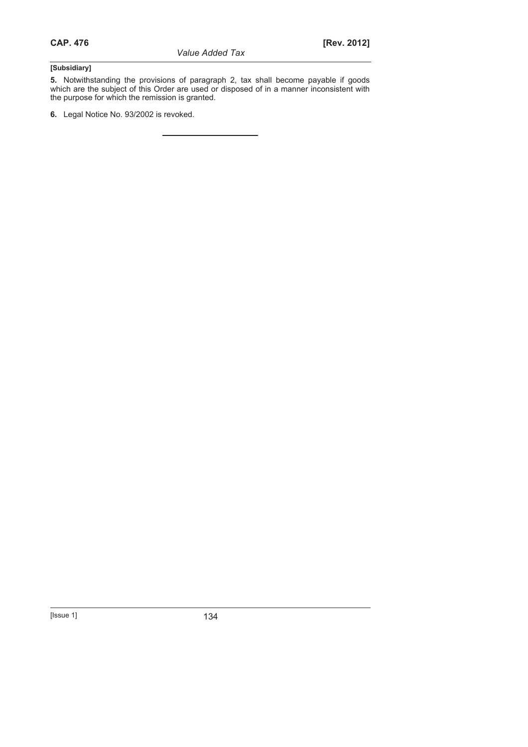**5.** Notwithstanding the provisions of paragraph 2, tax shall become payable if goods which are the subject of this Order are used or disposed of in a manner inconsistent with the purpose for which the remission is granted.

**6.** Legal Notice No. 93/2002 is revoked.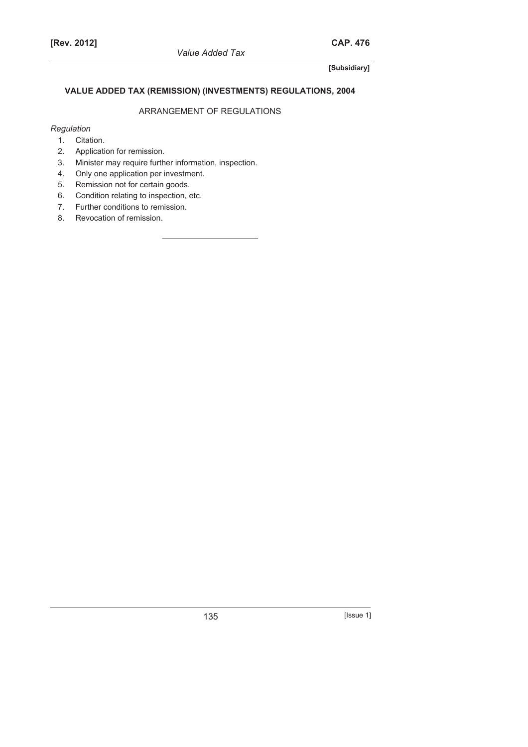# **VALUE ADDED TAX (REMISSION) (INVESTMENTS) REGULATIONS, 2004**

# ARRANGEMENT OF REGULATIONS

# *Regulation*

- 1. Citation. 2. Application for remission.
- 3. Minister may require further information, inspection.
- 4. Only one application per investment.
- 5. Remission not for certain goods.
- 6. Condition relating to inspection, etc.
- 7. Further conditions to remission.
- 8. Revocation of remission.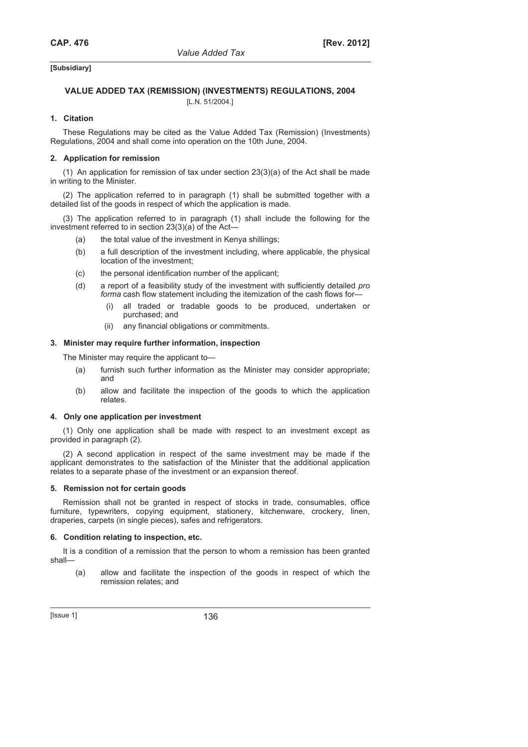# **VALUE ADDED TAX (REMISSION) (INVESTMENTS) REGULATIONS, 2004**

[L.N. 51/2004.]

### **1. Citation**

These Regulations may be cited as the Value Added Tax (Remission) (Investments) Regulations, 2004 and shall come into operation on the 10th June, 2004.

### **2. Application for remission**

(1) An application for remission of tax under section  $23(3)(a)$  of the Act shall be made in writing to the Minister.

(2) The application referred to in paragraph (1) shall be submitted together with a detailed list of the goods in respect of which the application is made.

(3) The application referred to in paragraph (1) shall include the following for the investment referred to in section 23(3)(a) of the Act—

- (a) the total value of the investment in Kenya shillings;
- (b) a full description of the investment including, where applicable, the physical location of the investment;
- (c) the personal identification number of the applicant;
- (d) a report of a feasibility study of the investment with sufficiently detailed *pro forma* cash flow statement including the itemization of the cash flows for
	- all traded or tradable goods to be produced, undertaken or purchased; and
	- (ii) any financial obligations or commitments.

### **3. Minister may require further information, inspection**

The Minister may require the applicant to—

- (a) furnish such further information as the Minister may consider appropriate; and
- (b) allow and facilitate the inspection of the goods to which the application relates.

#### **4. Only one application per investment**

(1) Only one application shall be made with respect to an investment except as provided in paragraph (2).

(2) A second application in respect of the same investment may be made if the applicant demonstrates to the satisfaction of the Minister that the additional application relates to a separate phase of the investment or an expansion thereof.

#### **5. Remission not for certain goods**

Remission shall not be granted in respect of stocks in trade, consumables, office furniture, typewriters, copying equipment, stationery, kitchenware, crockery, linen, draperies, carpets (in single pieces), safes and refrigerators.

#### **6. Condition relating to inspection, etc.**

It is a condition of a remission that the person to whom a remission has been granted shall—

 (a) allow and facilitate the inspection of the goods in respect of which the remission relates; and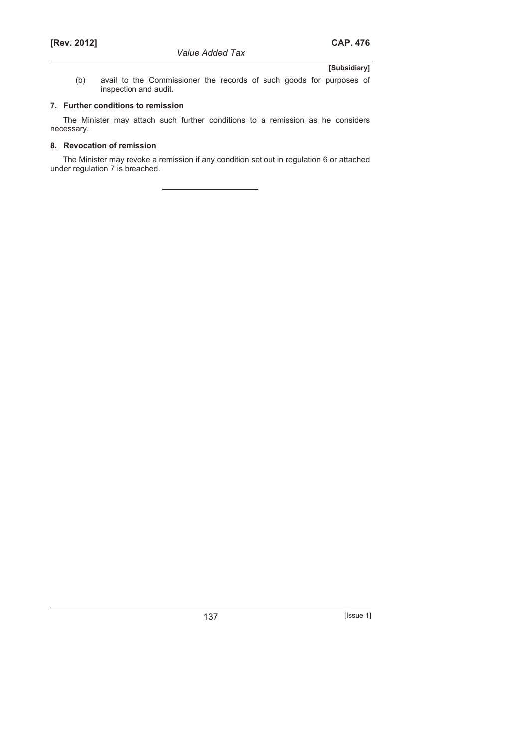(b) avail to the Commissioner the records of such goods for purposes of inspection and audit.

# **7. Further conditions to remission**

The Minister may attach such further conditions to a remission as he considers necessary.

# **8. Revocation of remission**

The Minister may revoke a remission if any condition set out in regulation 6 or attached under regulation 7 is breached.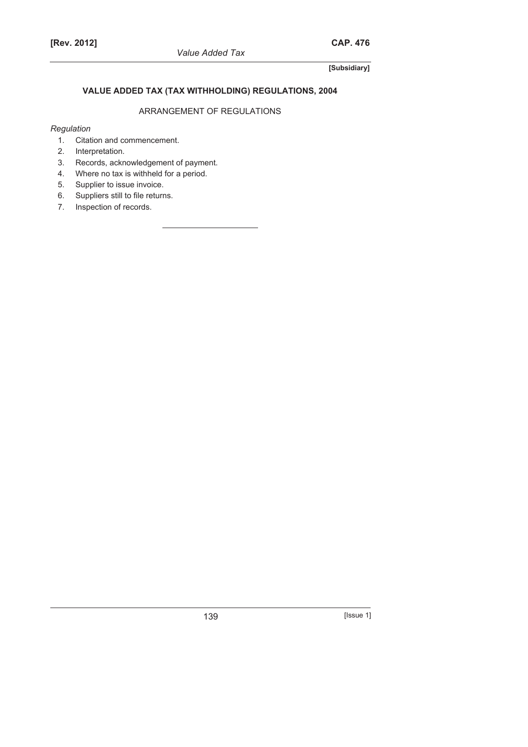# **VALUE ADDED TAX (TAX WITHHOLDING) REGULATIONS, 2004**

# ARRANGEMENT OF REGULATIONS

# *Regulation*

- 1. Citation and commencement.
- 2. Interpretation.
- 3. Records, acknowledgement of payment.
- 4. Where no tax is withheld for a period.
- 5. Supplier to issue invoice.
- 6. Suppliers still to file returns.
- 7. Inspection of records.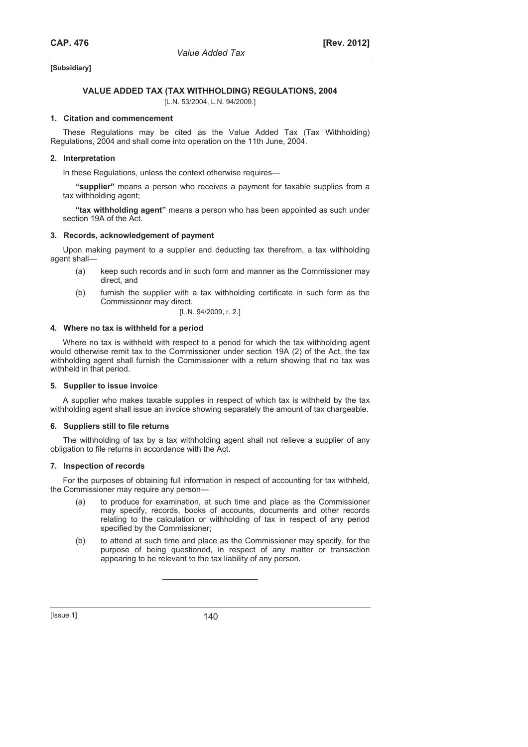# **VALUE ADDED TAX (TAX WITHHOLDING) REGULATIONS, 2004**

[L.N. 53/2004, L.N. 94/2009.]

#### **1. Citation and commencement**

These Regulations may be cited as the Value Added Tax (Tax Withholding) Regulations, 2004 and shall come into operation on the 11th June, 2004.

### **2. Interpretation**

In these Regulations, unless the context otherwise requires—

**"supplier"** means a person who receives a payment for taxable supplies from a tax withholding agent;

**"tax withholding agent"** means a person who has been appointed as such under section 19A of the Act.

#### **3. Records, acknowledgement of payment**

Upon making payment to a supplier and deducting tax therefrom, a tax withholding agent shall—

- (a) keep such records and in such form and manner as the Commissioner may direct, and
- (b) furnish the supplier with a tax withholding certificate in such form as the Commissioner may direct.

[L.N. 94/2009, r. 2.]

#### **4. Where no tax is withheld for a period**

Where no tax is withheld with respect to a period for which the tax withholding agent would otherwise remit tax to the Commissioner under section 19A (2) of the Act, the tax withholding agent shall furnish the Commissioner with a return showing that no tax was withheld in that period.

#### **5. Supplier to issue invoice**

A supplier who makes taxable supplies in respect of which tax is withheld by the tax withholding agent shall issue an invoice showing separately the amount of tax chargeable.

#### **6. Suppliers still to file returns**

The withholding of tax by a tax withholding agent shall not relieve a supplier of any obligation to file returns in accordance with the Act.

#### **7. Inspection of records**

For the purposes of obtaining full information in respect of accounting for tax withheld, the Commissioner may require any person—

- (a) to produce for examination, at such time and place as the Commissioner may specify, records, books of accounts, documents and other records relating to the calculation or withholding of tax in respect of any period specified by the Commissioner;
- (b) to attend at such time and place as the Commissioner may specify, for the purpose of being questioned, in respect of any matter or transaction appearing to be relevant to the tax liability of any person.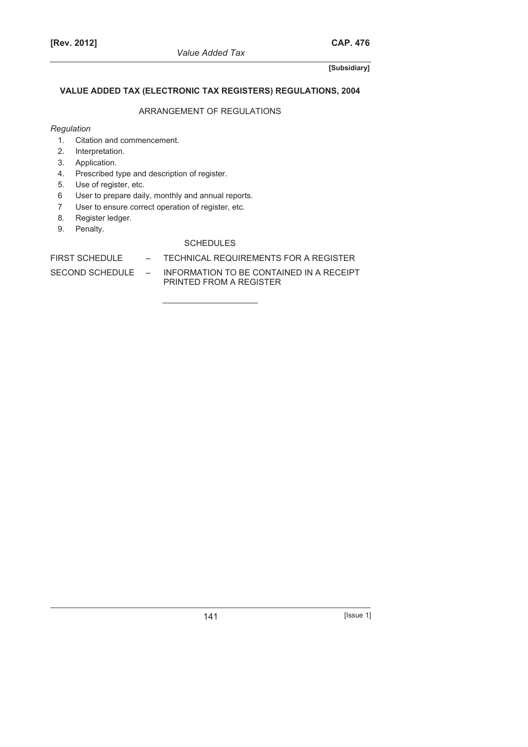# **VALUE ADDED TAX (ELECTRONIC TAX REGISTERS) REGULATIONS, 2004**

# ARRANGEMENT OF REGULATIONS

# *Regulation*

- 1. Citation and commencement.
- 2. Interpretation.
- 3. Application.
- 4. Prescribed type and description of register.
- 5. Use of register, etc.
- 6 User to prepare daily, monthly and annual reports.
- 7 User to ensure correct operation of register, etc.
- 8. Register ledger.
- 9. Penalty.

# **SCHEDULES**

FIRST SCHEDULE – TECHNICAL REQUIREMENTS FOR A REGISTER

SECOND SCHEDULE – INFORMATION TO BE CONTAINED IN A RECEIPT PRINTED FROM A REGISTER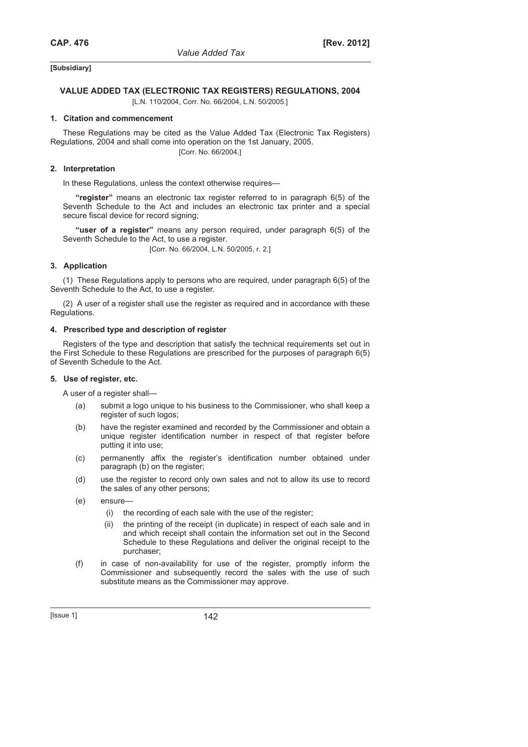# **VALUE ADDED TAX (ELECTRONIC TAX REGISTERS) REGULATIONS, 2004**

[L.N. 110/2004, Corr. No. 66/2004, L.N. 50/2005.]

# **1. Citation and commencement**

These Regulations may be cited as the Value Added Tax (Electronic Tax Registers) Regulations, 2004 and shall come into operation on the 1st January, 2005. [Corr. No. 66/2004.]

### **2. Interpretation**

In these Regulations, unless the context otherwise requires—

**"register"** means an electronic tax register referred to in paragraph 6(5) of the Seventh Schedule to the Act and includes an electronic tax printer and a special secure fiscal device for record signing;

**"user of a register"** means any person required, under paragraph 6(5) of the Seventh Schedule to the Act, to use a register.

[Corr. No. 66/2004, L.N. 50/2005, r. 2.]

# **3. Application**

(1) These Regulations apply to persons who are required, under paragraph 6(5) of the Seventh Schedule to the Act, to use a register.

(2) A user of a register shall use the register as required and in accordance with these Regulations.

#### **4. Prescribed type and description of register**

Registers of the type and description that satisfy the technical requirements set out in the First Schedule to these Regulations are prescribed for the purposes of paragraph 6(5) of Seventh Schedule to the Act.

#### **5. Use of register, etc.**

A user of a register shall—

- (a) submit a logo unique to his business to the Commissioner, who shall keep a register of such logos;
- (b) have the register examined and recorded by the Commissioner and obtain a unique register identification number in respect of that register before putting it into use;
- (c) permanently affix the register's identification number obtained under paragraph (b) on the register;
- (d) use the register to record only own sales and not to allow its use to record the sales of any other persons;
- (e) ensure—
	- (i) the recording of each sale with the use of the register;
	- (ii) the printing of the receipt (in duplicate) in respect of each sale and in and which receipt shall contain the information set out in the Second Schedule to these Regulations and deliver the original receipt to the purchaser;
- (f) in case of non-availability for use of the register, promptly inform the Commissioner and subsequently record the sales with the use of such substitute means as the Commissioner may approve.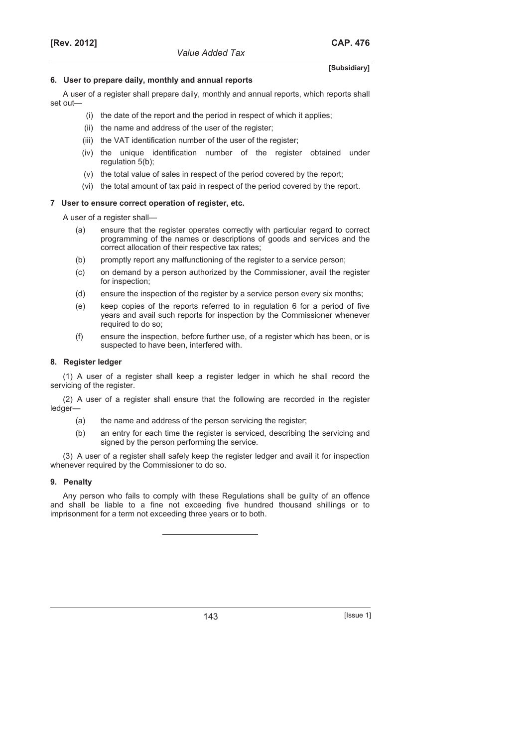#### **6. User to prepare daily, monthly and annual reports**

A user of a register shall prepare daily, monthly and annual reports, which reports shall set out—

- (i) the date of the report and the period in respect of which it applies;
- (ii) the name and address of the user of the register;
- (iii) the VAT identification number of the user of the register;
- (iv) the unique identification number of the register obtained under regulation 5(b);
- (v) the total value of sales in respect of the period covered by the report;
- (vi) the total amount of tax paid in respect of the period covered by the report.

### **7 User to ensure correct operation of register, etc.**

A user of a register shall—

- (a) ensure that the register operates correctly with particular regard to correct programming of the names or descriptions of goods and services and the correct allocation of their respective tax rates;
- (b) promptly report any malfunctioning of the register to a service person;
- (c) on demand by a person authorized by the Commissioner, avail the register for inspection;
- (d) ensure the inspection of the register by a service person every six months;
- (e) keep copies of the reports referred to in regulation 6 for a period of five years and avail such reports for inspection by the Commissioner whenever required to do so;
- (f) ensure the inspection, before further use, of a register which has been, or is suspected to have been, interfered with.

### **8. Register ledger**

(1) A user of a register shall keep a register ledger in which he shall record the servicing of the register.

(2) A user of a register shall ensure that the following are recorded in the register ledger—

- (a) the name and address of the person servicing the register;
- (b) an entry for each time the register is serviced, describing the servicing and signed by the person performing the service.

(3) A user of a register shall safely keep the register ledger and avail it for inspection whenever required by the Commissioner to do so.

# **9. Penalty**

Any person who fails to comply with these Regulations shall be guilty of an offence and shall be liable to a fine not exceeding five hundred thousand shillings or to imprisonment for a term not exceeding three years or to both.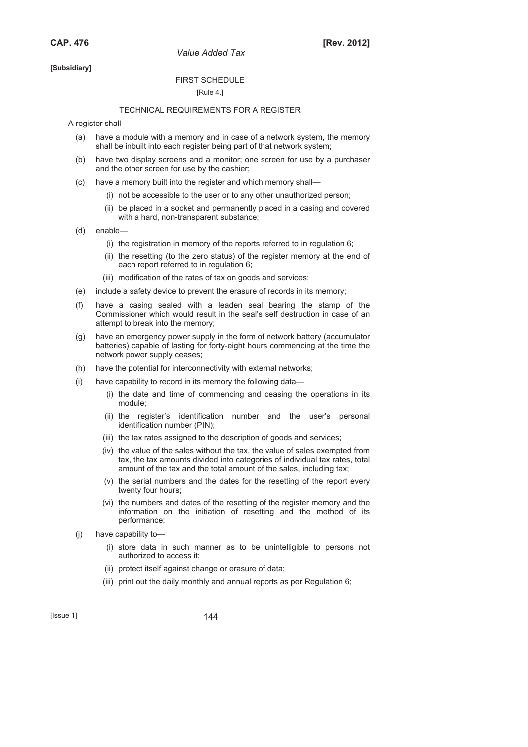*Value Added Tax* 

### **[Subsidiary]**

# FIRST SCHEDULE

# [Rule 4.]

#### TECHNICAL REQUIREMENTS FOR A REGISTER

A register shall—

- (a) have a module with a memory and in case of a network system, the memory shall be inbuilt into each register being part of that network system;
- (b) have two display screens and a monitor; one screen for use by a purchaser and the other screen for use by the cashier;
- (c) have a memory built into the register and which memory shall—
	- (i) not be accessible to the user or to any other unauthorized person;
	- (ii) be placed in a socket and permanently placed in a casing and covered with a hard, non-transparent substance;
- (d) enable—
	- (i) the registration in memory of the reports referred to in regulation 6;
	- (ii) the resetting (to the zero status) of the register memory at the end of each report referred to in regulation 6;
	- (iii) modification of the rates of tax on goods and services;
- (e) include a safety device to prevent the erasure of records in its memory;
- (f) have a casing sealed with a leaden seal bearing the stamp of the Commissioner which would result in the seal's self destruction in case of an attempt to break into the memory;
- (g) have an emergency power supply in the form of network battery (accumulator batteries) capable of lasting for forty-eight hours commencing at the time the network power supply ceases;
- (h) have the potential for interconnectivity with external networks;
- (i) have capability to record in its memory the following data—
	- (i) the date and time of commencing and ceasing the operations in its module;
	- (ii) the register's identification number and the user's personal identification number (PIN);
	- (iii) the tax rates assigned to the description of goods and services;
	- (iv) the value of the sales without the tax, the value of sales exempted from tax, the tax amounts divided into categories of individual tax rates, total amount of the tax and the total amount of the sales, including tax;
	- (v) the serial numbers and the dates for the resetting of the report every twenty four hours;
	- (vi) the numbers and dates of the resetting of the register memory and the information on the initiation of resetting and the method of its performance;
- (j) have capability to—
	- (i) store data in such manner as to be unintelligible to persons not authorized to access it;
	- (ii) protect itself against change or erasure of data;
	- (iii) print out the daily monthly and annual reports as per Regulation 6;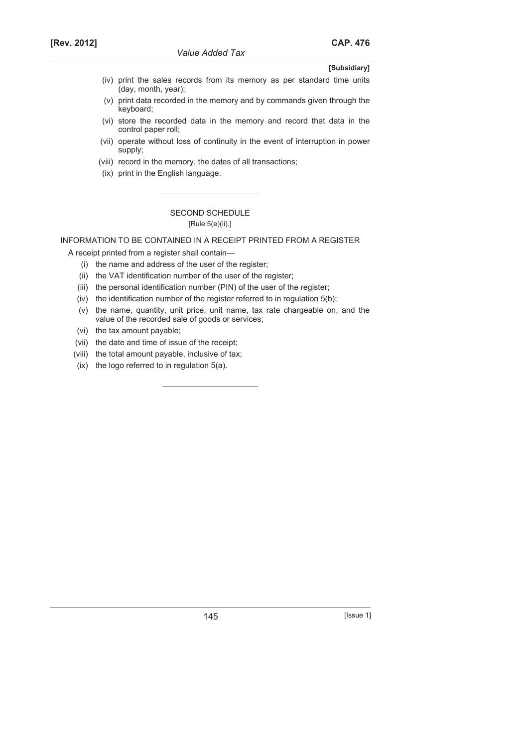- (iv) print the sales records from its memory as per standard time units (day, month, year);
- (v) print data recorded in the memory and by commands given through the keyboard;
- (vi) store the recorded data in the memory and record that data in the control paper roll;
- (vii) operate without loss of continuity in the event of interruption in power supply;
- (viii) record in the memory, the dates of all transactions;
- (ix) print in the English language.

# SECOND SCHEDULE [Rule 5(e)(ii).]

INFORMATION TO BE CONTAINED IN A RECEIPT PRINTED FROM A REGISTER

A receipt printed from a register shall contain—

- (i) the name and address of the user of the register;
- (ii) the VAT identification number of the user of the register;
- (iii) the personal identification number (PIN) of the user of the register;
- (iv) the identification number of the register referred to in regulation 5(b);
- (v) the name, quantity, unit price, unit name, tax rate chargeable on, and the value of the recorded sale of goods or services;
- (vi) the tax amount payable;
- (vii) the date and time of issue of the receipt;
- (viii) the total amount payable, inclusive of tax;
- (ix) the logo referred to in regulation 5(a).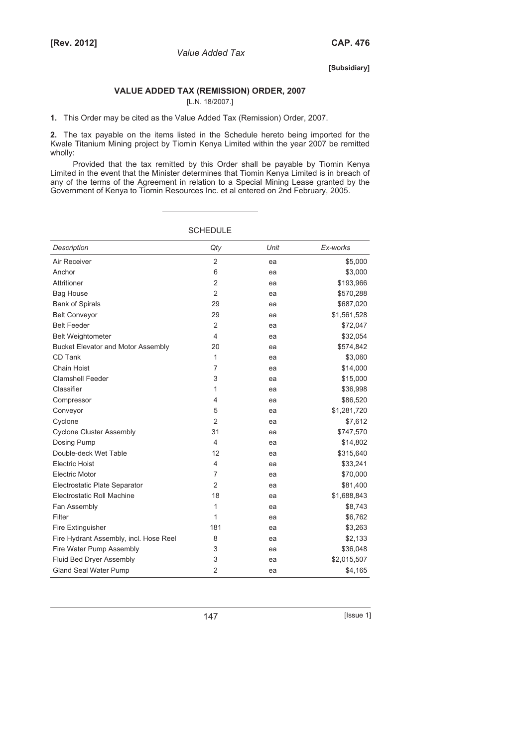## **VALUE ADDED TAX (REMISSION) ORDER, 2007**

[L.N. 18/2007.]

**1.** This Order may be cited as the Value Added Tax (Remission) Order, 2007.

**2.** The tax payable on the items listed in the Schedule hereto being imported for the Kwale Titanium Mining project by Tiomin Kenya Limited within the year 2007 be remitted wholly:

Provided that the tax remitted by this Order shall be payable by Tiomin Kenya Limited in the event that the Minister determines that Tiomin Kenya Limited is in breach of any of the terms of the Agreement in relation to a Special Mining Lease granted by the Government of Kenya to Tiomin Resources Inc. et al entered on 2nd February, 2005.

| Description                               | Qty            | Unit | Ex-works    |
|-------------------------------------------|----------------|------|-------------|
| Air Receiver                              | $\overline{2}$ | ea   | \$5,000     |
| Anchor                                    | 6              | ea   | \$3,000     |
| Attritioner                               | $\overline{2}$ | ea   | \$193,966   |
| <b>Bag House</b>                          | $\overline{2}$ | ea   | \$570,288   |
| <b>Bank of Spirals</b>                    | 29             | ea   | \$687,020   |
| <b>Belt Conveyor</b>                      | 29             | ea   | \$1,561,528 |
| <b>Belt Feeder</b>                        | $\overline{2}$ | ea   | \$72,047    |
| <b>Belt Weightometer</b>                  | 4              | ea   | \$32,054    |
| <b>Bucket Elevator and Motor Assembly</b> | 20             | ea   | \$574,842   |
| CD Tank                                   | 1              | ea   | \$3,060     |
| Chain Hoist                               | $\overline{7}$ | ea   | \$14,000    |
| <b>Clamshell Feeder</b>                   | 3              | ea   | \$15,000    |
| Classifier                                | 1              | ea   | \$36,998    |
| Compressor                                | 4              | ea   | \$86,520    |
| Conveyor                                  | 5              | ea   | \$1,281,720 |
| Cyclone                                   | $\overline{2}$ | ea   | \$7,612     |
| <b>Cyclone Cluster Assembly</b>           | 31             | ea   | \$747,570   |
| Dosing Pump                               | 4              | ea   | \$14,802    |
| Double-deck Wet Table                     | 12             | ea   | \$315,640   |
| <b>Electric Hoist</b>                     | 4              | ea   | \$33,241    |
| <b>Electric Motor</b>                     | 7              | ea   | \$70,000    |
| Electrostatic Plate Separator             | $\overline{2}$ | ea   | \$81,400    |
| Electrostatic Roll Machine                | 18             | ea   | \$1,688,843 |
| Fan Assembly                              | 1              | ea   | \$8,743     |
| Filter                                    | 1              | ea   | \$6,762     |
| Fire Extinguisher                         | 181            | ea   | \$3,263     |
| Fire Hydrant Assembly, incl. Hose Reel    | 8              | ea   | \$2,133     |
| Fire Water Pump Assembly                  | 3              | ea   | \$36,048    |
| Fluid Bed Dryer Assembly                  | 3              | ea   | \$2,015,507 |
| <b>Gland Seal Water Pump</b>              | $\overline{2}$ | ea   | \$4,165     |

**SCHEDULE**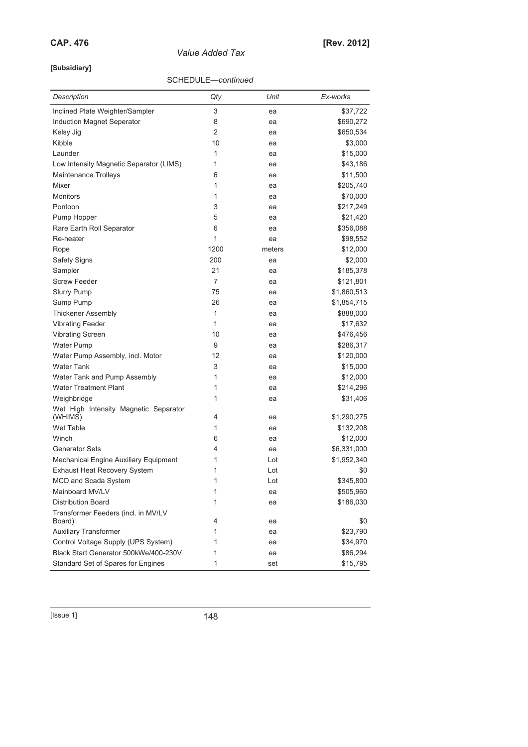*Value Added Tax* 

# **[Subsidiary]**

# SCHEDULE—*continued*

| Description                                      | Qty            | Unit     | Ex-works              |
|--------------------------------------------------|----------------|----------|-----------------------|
| Inclined Plate Weighter/Sampler                  | 3              | ea       | \$37,722              |
| Induction Magnet Seperator                       | 8              | ea       | \$690,272             |
| Kelsy Jig                                        | $\overline{2}$ | ea       | \$650,534             |
| Kibble                                           | 10             | ea       | \$3,000               |
| Launder                                          | 1              | ea       | \$15,000              |
| Low Intensity Magnetic Separator (LIMS)          | 1              | ea       | \$43,186              |
| <b>Maintenance Trolleys</b>                      | 6              | ea       | \$11,500              |
| Mixer                                            | 1              | ea       | \$205,740             |
| <b>Monitors</b>                                  | 1              | ea       | \$70,000              |
| Pontoon                                          | 3              | ea       | \$217,249             |
| Pump Hopper                                      | 5              | ea       | \$21,420              |
| Rare Earth Roll Separator                        | 6              | ea       | \$356,088             |
| Re-heater                                        | 1              | ea       | \$98,552              |
| Rope                                             | 1200           | meters   | \$12,000              |
| <b>Safety Signs</b>                              | 200            | ea       | \$2,000               |
| Sampler                                          | 21             | ea       | \$185,378             |
| <b>Screw Feeder</b>                              | 7              | ea       | \$121,801             |
| <b>Slurry Pump</b>                               | 75             | ea       | \$1,860,513           |
| Sump Pump                                        | 26             | ea       | \$1,854,715           |
| <b>Thickener Assembly</b>                        | 1              | ea       | \$888,000             |
| <b>Vibrating Feeder</b>                          | 1              | ea       | \$17,632              |
| <b>Vibrating Screen</b>                          | 10             | ea       | \$476,456             |
| <b>Water Pump</b>                                | 9              | ea       | \$286,317             |
| Water Pump Assembly, incl. Motor                 | 12             | ea       | \$120,000             |
| <b>Water Tank</b>                                | 3              | ea       | \$15,000              |
| Water Tank and Pump Assembly                     | 1              | ea       | \$12,000              |
| <b>Water Treatment Plant</b>                     | 1              | ea       | \$214,296             |
| Weighbridge                                      | 1              | ea       | \$31,406              |
| Wet High Intensity Magnetic Separator<br>(WHIMS) | 4              |          | \$1,290,275           |
| Wet Table                                        | 1              | ea       |                       |
| Winch                                            | 6              | ea       | \$132,208<br>\$12,000 |
| <b>Generator Sets</b>                            | 4              | ea<br>ea | \$6,331,000           |
| Mechanical Engine Auxiliary Equipment            | 1              | Lot      | \$1,952,340           |
| <b>Exhaust Heat Recovery System</b>              | 1              | Lot      | \$0                   |
| MCD and Scada System                             | 1              | Lot      | \$345,800             |
| Mainboard MV/LV                                  | 1              | ea       | \$505,960             |
| <b>Distribution Board</b>                        | 1              |          | \$186,030             |
| Transformer Feeders (incl. in MV/LV              |                | ea       |                       |
| Board)                                           | 4              | ea       | \$0                   |
| <b>Auxiliary Transformer</b>                     | 1              | ea       | \$23,790              |
| Control Voltage Supply (UPS System)              | 1              | ea       | \$34,970              |
| Black Start Generator 500kWe/400-230V            | 1              | ea       | \$86,294              |
| Standard Set of Spares for Engines               | 1              | set      | \$15,795              |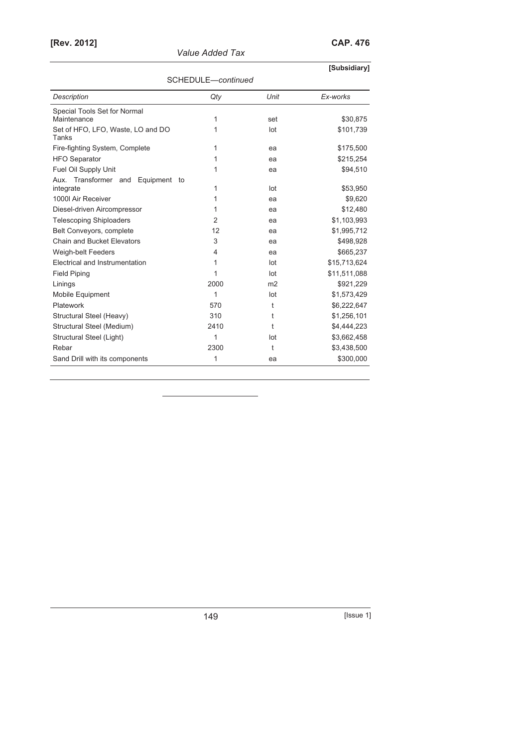| [Rev. 2012] |                 | <b>CAP. 476</b> |
|-------------|-----------------|-----------------|
|             | Value Added Tax |                 |

|                                                      |                |                | [Subsidiary] |  |  |
|------------------------------------------------------|----------------|----------------|--------------|--|--|
| SCHEDULE-continued                                   |                |                |              |  |  |
| Description                                          | Qty            | Unit           | Ex-works     |  |  |
| Special Tools Set for Normal<br>Maintenance          | 1              | set            | \$30,875     |  |  |
| Set of HFO, LFO, Waste, LO and DO<br>Tanks           | 1              | lot            | \$101,739    |  |  |
| Fire-fighting System, Complete                       | 1              | ea             | \$175,500    |  |  |
| <b>HFO Separator</b>                                 | 1              | ea             | \$215,254    |  |  |
| Fuel Oil Supply Unit                                 | 1              | ea             | \$94,510     |  |  |
| Transformer and<br>Aux.<br>Equipment to<br>integrate | 1              | lot            | \$53,950     |  |  |
| 1000 Air Receiver                                    | 1              | ea             | \$9,620      |  |  |
| Diesel-driven Aircompressor                          | 1              | ea             | \$12,480     |  |  |
| <b>Telescoping Shiploaders</b>                       | $\overline{2}$ | ea             | \$1,103,993  |  |  |
| Belt Conveyors, complete                             | 12             | ea             | \$1,995,712  |  |  |
| Chain and Bucket Elevators                           | 3              | ea             | \$498,928    |  |  |
| <b>Weigh-belt Feeders</b>                            | 4              | ea             | \$665,237    |  |  |
| Electrical and Instrumentation                       | 1              | lot            | \$15,713,624 |  |  |
| <b>Field Piping</b>                                  | 1              | lot            | \$11,511,088 |  |  |
| Linings                                              | 2000           | m <sub>2</sub> | \$921,229    |  |  |
| Mobile Equipment                                     | 1              | lot            | \$1,573,429  |  |  |
| Platework                                            | 570            | t              | \$6,222,647  |  |  |
| Structural Steel (Heavy)                             | 310            | t              | \$1,256,101  |  |  |
| Structural Steel (Medium)                            | 2410           | t              | \$4,444,223  |  |  |
| Structural Steel (Light)                             | 1              | lot            | \$3,662,458  |  |  |
| Rebar                                                | 2300           | t              | \$3,438,500  |  |  |
| Sand Drill with its components                       | 1              | ea             | \$300,000    |  |  |

149 [Issue 1]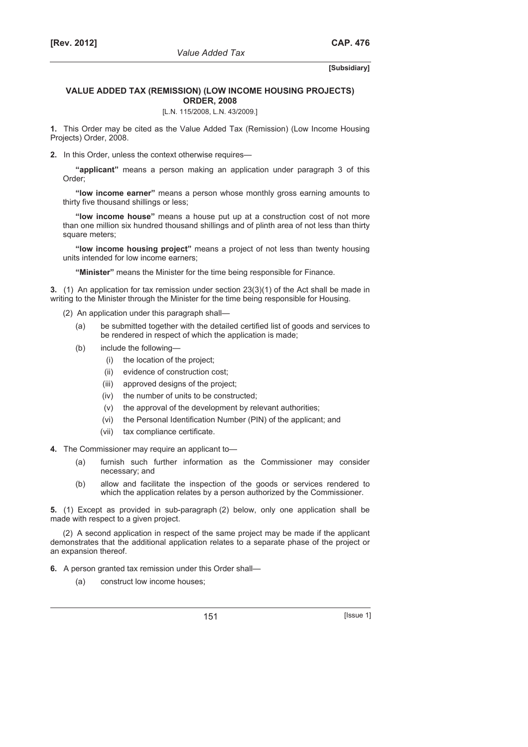## **VALUE ADDED TAX (REMISSION) (LOW INCOME HOUSING PROJECTS) ORDER, 2008**

[L.N. 115/2008, L.N. 43/2009.]

**1.** This Order may be cited as the Value Added Tax (Remission) (Low Income Housing Projects) Order, 2008.

**2.** In this Order, unless the context otherwise requires—

**"applicant"** means a person making an application under paragraph 3 of this Order;

**"low income earner"** means a person whose monthly gross earning amounts to thirty five thousand shillings or less;

**"low income house"** means a house put up at a construction cost of not more than one million six hundred thousand shillings and of plinth area of not less than thirty square meters;

**"low income housing project"** means a project of not less than twenty housing units intended for low income earners;

**"Minister"** means the Minister for the time being responsible for Finance.

**3.** (1) An application for tax remission under section 23(3)(1) of the Act shall be made in writing to the Minister through the Minister for the time being responsible for Housing.

(2) An application under this paragraph shall—

- (a) be submitted together with the detailed certified list of goods and services to be rendered in respect of which the application is made;
- (b) include the following—
	- (i) the location of the project;
	- (ii) evidence of construction cost;
	- (iii) approved designs of the project;
	- (iv) the number of units to be constructed;
	- (v) the approval of the development by relevant authorities;
	- (vi) the Personal Identification Number (PIN) of the applicant; and
	- (vii) tax compliance certificate.
- **4.** The Commissioner may require an applicant to—
	- (a) furnish such further information as the Commissioner may consider necessary; and
	- (b) allow and facilitate the inspection of the goods or services rendered to which the application relates by a person authorized by the Commissioner.

**5.** (1) Except as provided in sub-paragraph (2) below, only one application shall be made with respect to a given project.

(2) A second application in respect of the same project may be made if the applicant demonstrates that the additional application relates to a separate phase of the project or an expansion thereof.

**6.** A person granted tax remission under this Order shall—

(a) construct low income houses;